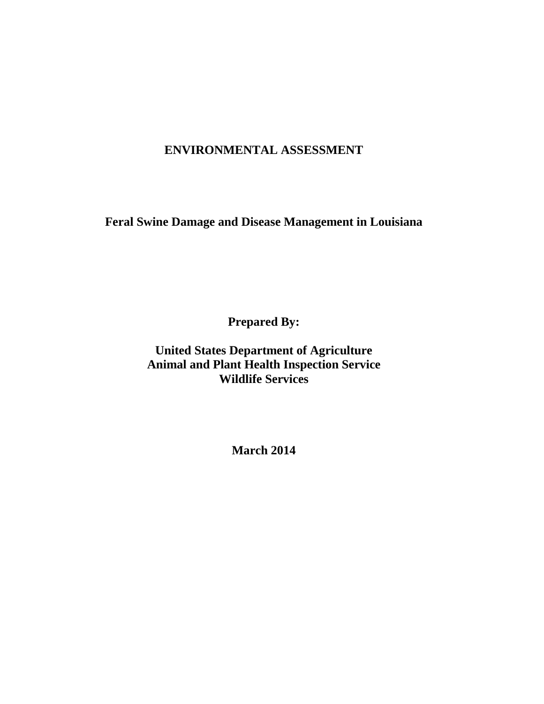# **ENVIRONMENTAL ASSESSMENT**

**Feral Swine Damage and Disease Management in Louisiana**

**Prepared By:**

**United States Department of Agriculture Animal and Plant Health Inspection Service Wildlife Services**

**March 2014**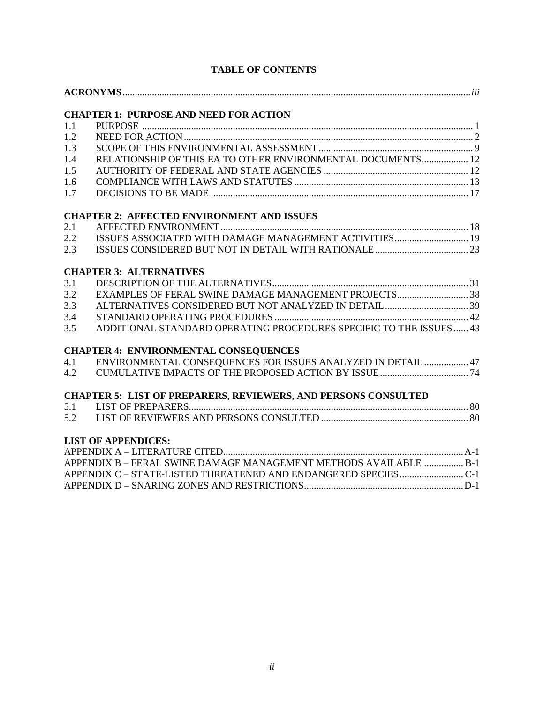|     | <b>CHAPTER 1: PURPOSE AND NEED FOR ACTION</b>                         |  |  |
|-----|-----------------------------------------------------------------------|--|--|
| 1.1 |                                                                       |  |  |
| 1.2 |                                                                       |  |  |
| 1.3 |                                                                       |  |  |
| 1.4 | RELATIONSHIP OF THIS EA TO OTHER ENVIRONMENTAL DOCUMENTS 12           |  |  |
| 1.5 |                                                                       |  |  |
| 1.6 |                                                                       |  |  |
| 1.7 |                                                                       |  |  |
|     |                                                                       |  |  |
|     | <b>CHAPTER 2: AFFECTED ENVIRONMENT AND ISSUES</b>                     |  |  |
| 2.1 |                                                                       |  |  |
| 2.2 | ISSUES ASSOCIATED WITH DAMAGE MANAGEMENT ACTIVITIES 19                |  |  |
| 2.3 |                                                                       |  |  |
|     | <b>CHAPTER 3: ALTERNATIVES</b>                                        |  |  |
| 3.1 |                                                                       |  |  |
| 3.2 |                                                                       |  |  |
| 3.3 |                                                                       |  |  |
| 3.4 |                                                                       |  |  |
| 3.5 | ADDITIONAL STANDARD OPERATING PROCEDURES SPECIFIC TO THE ISSUES  43   |  |  |
|     | <b>CHAPTER 4: ENVIRONMENTAL CONSEQUENCES</b>                          |  |  |
| 4.1 | ENVIRONMENTAL CONSEQUENCES FOR ISSUES ANALYZED IN DETAIL  47          |  |  |
| 4.2 |                                                                       |  |  |
|     | <b>CHAPTER 5: LIST OF PREPARERS, REVIEWERS, AND PERSONS CONSULTED</b> |  |  |
| 5.1 |                                                                       |  |  |
| 5.2 |                                                                       |  |  |
|     | <b>LIST OF APPENDICES:</b>                                            |  |  |
|     |                                                                       |  |  |
|     | APPENDIX B - FERAL SWINE DAMAGE MANAGEMENT METHODS AVAILABLE  B-1     |  |  |
|     |                                                                       |  |  |
|     |                                                                       |  |  |

## **TABLE OF CONTENTS**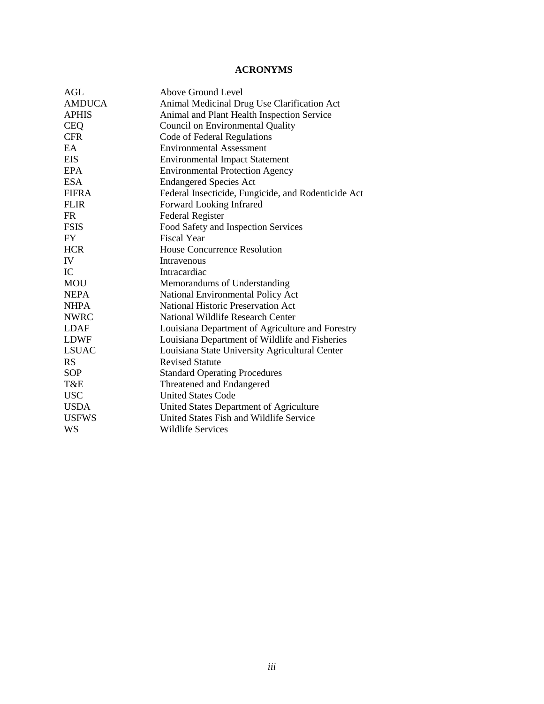## **ACRONYMS**

| AGL           | Above Ground Level                                  |
|---------------|-----------------------------------------------------|
| <b>AMDUCA</b> | Animal Medicinal Drug Use Clarification Act         |
| <b>APHIS</b>  | Animal and Plant Health Inspection Service          |
| <b>CEQ</b>    | Council on Environmental Quality                    |
| <b>CFR</b>    | Code of Federal Regulations                         |
| EA            | <b>Environmental Assessment</b>                     |
| <b>EIS</b>    | <b>Environmental Impact Statement</b>               |
| <b>EPA</b>    | <b>Environmental Protection Agency</b>              |
| <b>ESA</b>    | <b>Endangered Species Act</b>                       |
| <b>FIFRA</b>  | Federal Insecticide, Fungicide, and Rodenticide Act |
| <b>FLIR</b>   | Forward Looking Infrared                            |
| <b>FR</b>     | <b>Federal Register</b>                             |
| <b>FSIS</b>   | Food Safety and Inspection Services                 |
| <b>FY</b>     | <b>Fiscal Year</b>                                  |
| <b>HCR</b>    | <b>House Concurrence Resolution</b>                 |
| IV            | Intravenous                                         |
| IC            | Intracardiac                                        |
| <b>MOU</b>    | Memorandums of Understanding                        |
| <b>NEPA</b>   | National Environmental Policy Act                   |
| <b>NHPA</b>   | <b>National Historic Preservation Act</b>           |
| <b>NWRC</b>   | National Wildlife Research Center                   |
| <b>LDAF</b>   | Louisiana Department of Agriculture and Forestry    |
| <b>LDWF</b>   | Louisiana Department of Wildlife and Fisheries      |
| <b>LSUAC</b>  | Louisiana State University Agricultural Center      |
| <b>RS</b>     | <b>Revised Statute</b>                              |
| <b>SOP</b>    | <b>Standard Operating Procedures</b>                |
| T&E           | Threatened and Endangered                           |
| <b>USC</b>    | <b>United States Code</b>                           |
| <b>USDA</b>   | United States Department of Agriculture             |
| <b>USFWS</b>  | United States Fish and Wildlife Service             |
| WS            | <b>Wildlife Services</b>                            |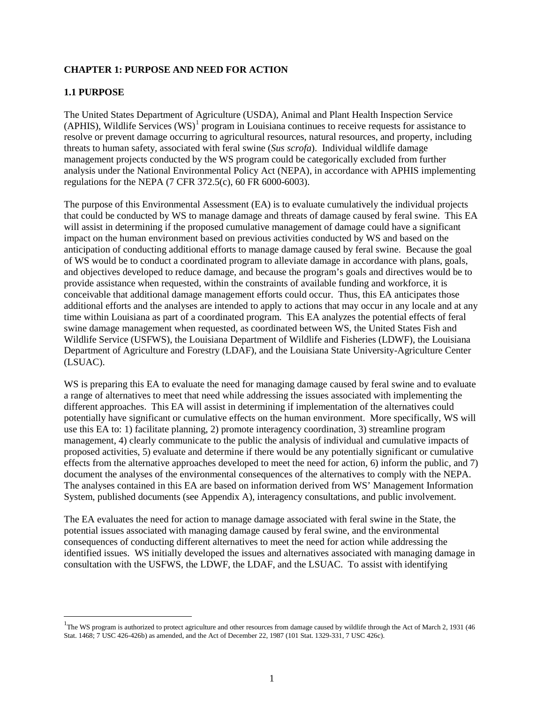## **CHAPTER 1: PURPOSE AND NEED FOR ACTION**

## **1.1 PURPOSE**

 $\overline{a}$ 

The United States Department of Agriculture (USDA), Animal and Plant Health Inspection Service (APHIS), Wildlife Services  $(WS)^1$  $(WS)^1$  program in Louisiana continues to receive requests for assistance to resolve or prevent damage occurring to agricultural resources, natural resources, and property, including threats to human safety, associated with feral swine (*Sus scrofa*). Individual wildlife damage management projects conducted by the WS program could be categorically excluded from further analysis under the National Environmental Policy Act (NEPA), in accordance with APHIS implementing regulations for the NEPA (7 CFR 372.5(c), 60 FR 6000-6003).

The purpose of this Environmental Assessment (EA) is to evaluate cumulatively the individual projects that could be conducted by WS to manage damage and threats of damage caused by feral swine. This EA will assist in determining if the proposed cumulative management of damage could have a significant impact on the human environment based on previous activities conducted by WS and based on the anticipation of conducting additional efforts to manage damage caused by feral swine. Because the goal of WS would be to conduct a coordinated program to alleviate damage in accordance with plans, goals, and objectives developed to reduce damage, and because the program's goals and directives would be to provide assistance when requested, within the constraints of available funding and workforce, it is conceivable that additional damage management efforts could occur. Thus, this EA anticipates those additional efforts and the analyses are intended to apply to actions that may occur in any locale and at any time within Louisiana as part of a coordinated program. This EA analyzes the potential effects of feral swine damage management when requested, as coordinated between WS, the United States Fish and Wildlife Service (USFWS), the Louisiana Department of Wildlife and Fisheries (LDWF), the Louisiana Department of Agriculture and Forestry (LDAF), and the Louisiana State University-Agriculture Center (LSUAC).

WS is preparing this EA to evaluate the need for managing damage caused by feral swine and to evaluate a range of alternatives to meet that need while addressing the issues associated with implementing the different approaches. This EA will assist in determining if implementation of the alternatives could potentially have significant or cumulative effects on the human environment. More specifically, WS will use this EA to: 1) facilitate planning, 2) promote interagency coordination, 3) streamline program management, 4) clearly communicate to the public the analysis of individual and cumulative impacts of proposed activities, 5) evaluate and determine if there would be any potentially significant or cumulative effects from the alternative approaches developed to meet the need for action, 6) inform the public, and 7) document the analyses of the environmental consequences of the alternatives to comply with the NEPA. The analyses contained in this EA are based on information derived from WS' Management Information System, published documents (see Appendix A), interagency consultations, and public involvement.

The EA evaluates the need for action to manage damage associated with feral swine in the State, the potential issues associated with managing damage caused by feral swine, and the environmental consequences of conducting different alternatives to meet the need for action while addressing the identified issues. WS initially developed the issues and alternatives associated with managing damage in consultation with the USFWS, the LDWF, the LDAF, and the LSUAC. To assist with identifying

<span id="page-3-0"></span><sup>&</sup>lt;sup>1</sup>The WS program is authorized to protect agriculture and other resources from damage caused by wildlife through the Act of March 2, 1931 (46 Stat. 1468; 7 USC 426-426b) as amended, and the Act of December 22, 1987 (101 Stat. 1329-331, 7 USC 426c).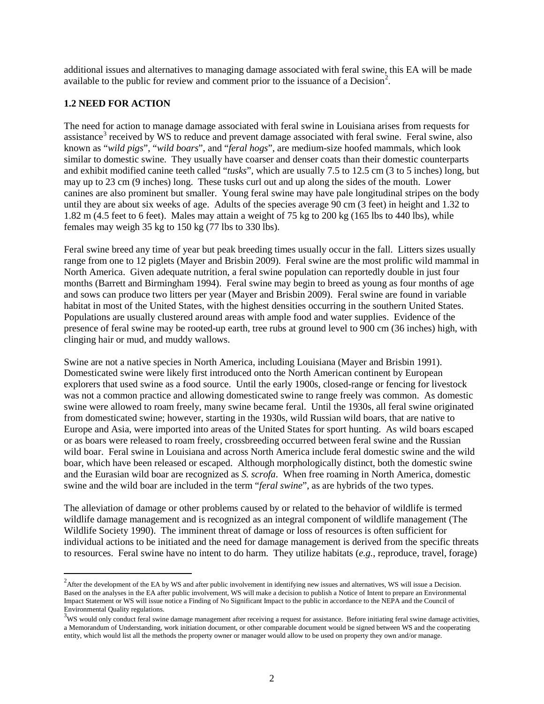additional issues and alternatives to managing damage associated with feral swine, this EA will be made available to the public for review and comment prior to the issuance of a Decision<sup>[2](#page-4-0)</sup>.

## **1.2 NEED FOR ACTION**

 $\overline{a}$ 

The need for action to manage damage associated with feral swine in Louisiana arises from requests for assistance<sup>[3](#page-4-1)</sup> received by WS to reduce and prevent damage associated with feral swine. Feral swine, also known as "*wild pigs*", "*wild boars*", and "*feral hogs*", are medium-size hoofed mammals, which look similar to domestic swine. They usually have coarser and denser coats than their domestic counterparts and exhibit modified canine teeth called "*tusks*", which are usually 7.5 to 12.5 cm (3 to 5 inches) long, but may up to 23 cm (9 inches) long. These tusks curl out and up along the sides of the mouth. Lower canines are also prominent but smaller. Young feral swine may have pale longitudinal stripes on the body until they are about six weeks of age. Adults of the species average 90 cm (3 feet) in height and 1.32 to 1.82 m (4.5 feet to 6 feet). Males may attain a weight of 75 kg to 200 kg (165 lbs to 440 lbs), while females may weigh 35 kg to 150 kg (77 lbs to 330 lbs).

Feral swine breed any time of year but peak breeding times usually occur in the fall. Litters sizes usually range from one to 12 piglets (Mayer and Brisbin 2009). Feral swine are the most prolific wild mammal in North America. Given adequate nutrition, a feral swine population can reportedly double in just four months (Barrett and Birmingham 1994). Feral swine may begin to breed as young as four months of age and sows can produce two litters per year (Mayer and Brisbin 2009). Feral swine are found in variable habitat in most of the United States, with the highest densities occurring in the southern United States. Populations are usually clustered around areas with ample food and water supplies. Evidence of the presence of feral swine may be rooted-up earth, tree rubs at ground level to 900 cm (36 inches) high, with clinging hair or mud, and muddy wallows.

Swine are not a native species in North America, including Louisiana (Mayer and Brisbin 1991). Domesticated swine were likely first introduced onto the North American continent by European explorers that used swine as a food source. Until the early 1900s, closed-range or fencing for livestock was not a common practice and allowing domesticated swine to range freely was common. As domestic swine were allowed to roam freely, many swine became feral. Until the 1930s, all feral swine originated from domesticated swine; however, starting in the 1930s, wild Russian wild boars, that are native to Europe and Asia, were imported into areas of the United States for sport hunting. As wild boars escaped or as boars were released to roam freely, crossbreeding occurred between feral swine and the Russian wild boar. Feral swine in Louisiana and across North America include feral domestic swine and the wild boar, which have been released or escaped. Although morphologically distinct, both the domestic swine and the Eurasian wild boar are recognized as *S. scrofa*. When free roaming in North America, domestic swine and the wild boar are included in the term "*feral swine*", as are hybrids of the two types.

The alleviation of damage or other problems caused by or related to the behavior of wildlife is termed wildlife damage management and is recognized as an integral component of wildlife management (The Wildlife Society 1990). The imminent threat of damage or loss of resources is often sufficient for individual actions to be initiated and the need for damage management is derived from the specific threats to resources. Feral swine have no intent to do harm. They utilize habitats (*e.g.*, reproduce, travel, forage)

<span id="page-4-0"></span> $^{2}$ After the development of the EA by WS and after public involvement in identifying new issues and alternatives, WS will issue a Decision. Based on the analyses in the EA after public involvement, WS will make a decision to publish a Notice of Intent to prepare an Environmental Impact Statement or WS will issue notice a Finding of No Significant Impact to the public in accordance to the NEPA and the Council of Environmental Quality regulations. 3

<span id="page-4-1"></span> $\frac{3}{x}$ WS would only conduct feral swine damage management after receiving a request for assistance. Before initiating feral swine damage activities, a Memorandum of Understanding, work initiation document, or other comparable document would be signed between WS and the cooperating entity, which would list all the methods the property owner or manager would allow to be used on property they own and/or manage.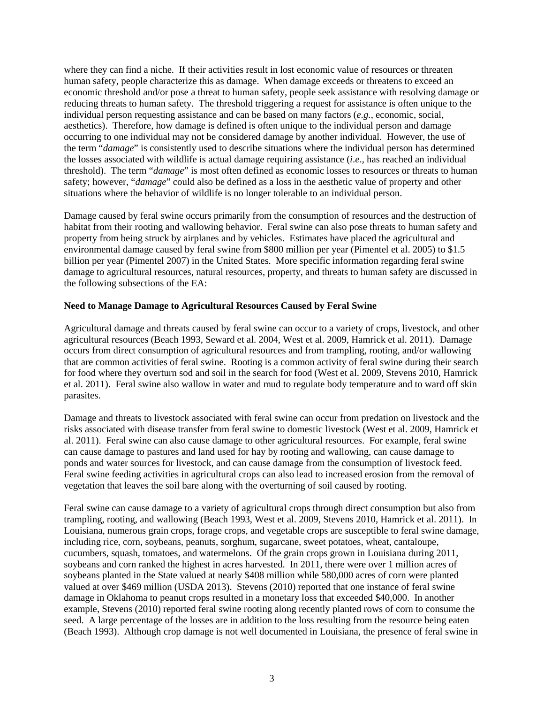where they can find a niche. If their activities result in lost economic value of resources or threaten human safety, people characterize this as damage. When damage exceeds or threatens to exceed an economic threshold and/or pose a threat to human safety, people seek assistance with resolving damage or reducing threats to human safety. The threshold triggering a request for assistance is often unique to the individual person requesting assistance and can be based on many factors (*e.g.*, economic, social, aesthetics). Therefore, how damage is defined is often unique to the individual person and damage occurring to one individual may not be considered damage by another individual. However, the use of the term "*damage*" is consistently used to describe situations where the individual person has determined the losses associated with wildlife is actual damage requiring assistance (*i*.*e*., has reached an individual threshold). The term "*damage*" is most often defined as economic losses to resources or threats to human safety; however, "*damage*" could also be defined as a loss in the aesthetic value of property and other situations where the behavior of wildlife is no longer tolerable to an individual person.

Damage caused by feral swine occurs primarily from the consumption of resources and the destruction of habitat from their rooting and wallowing behavior. Feral swine can also pose threats to human safety and property from being struck by airplanes and by vehicles. Estimates have placed the agricultural and environmental damage caused by feral swine from \$800 million per year (Pimentel et al. 2005) to \$1.5 billion per year (Pimentel 2007) in the United States. More specific information regarding feral swine damage to agricultural resources, natural resources, property, and threats to human safety are discussed in the following subsections of the EA:

## **Need to Manage Damage to Agricultural Resources Caused by Feral Swine**

Agricultural damage and threats caused by feral swine can occur to a variety of crops, livestock, and other agricultural resources (Beach 1993, Seward et al. 2004, West et al. 2009, Hamrick et al. 2011). Damage occurs from direct consumption of agricultural resources and from trampling, rooting, and/or wallowing that are common activities of feral swine. Rooting is a common activity of feral swine during their search for food where they overturn sod and soil in the search for food (West et al. 2009, Stevens 2010, Hamrick et al. 2011). Feral swine also wallow in water and mud to regulate body temperature and to ward off skin parasites.

Damage and threats to livestock associated with feral swine can occur from predation on livestock and the risks associated with disease transfer from feral swine to domestic livestock (West et al. 2009, Hamrick et al. 2011). Feral swine can also cause damage to other agricultural resources. For example, feral swine can cause damage to pastures and land used for hay by rooting and wallowing, can cause damage to ponds and water sources for livestock, and can cause damage from the consumption of livestock feed. Feral swine feeding activities in agricultural crops can also lead to increased erosion from the removal of vegetation that leaves the soil bare along with the overturning of soil caused by rooting.

Feral swine can cause damage to a variety of agricultural crops through direct consumption but also from trampling, rooting, and wallowing (Beach 1993, West et al. 2009, Stevens 2010, Hamrick et al. 2011). In Louisiana, numerous grain crops, forage crops, and vegetable crops are susceptible to feral swine damage, including rice, corn, soybeans, peanuts, sorghum, sugarcane, sweet potatoes, wheat, cantaloupe, cucumbers, squash, tomatoes, and watermelons. Of the grain crops grown in Louisiana during 2011, soybeans and corn ranked the highest in acres harvested. In 2011, there were over 1 million acres of soybeans planted in the State valued at nearly \$408 million while 580,000 acres of corn were planted valued at over \$469 million (USDA 2013). Stevens (2010) reported that one instance of feral swine damage in Oklahoma to peanut crops resulted in a monetary loss that exceeded \$40,000. In another example, Stevens (2010) reported feral swine rooting along recently planted rows of corn to consume the seed. A large percentage of the losses are in addition to the loss resulting from the resource being eaten (Beach 1993). Although crop damage is not well documented in Louisiana, the presence of feral swine in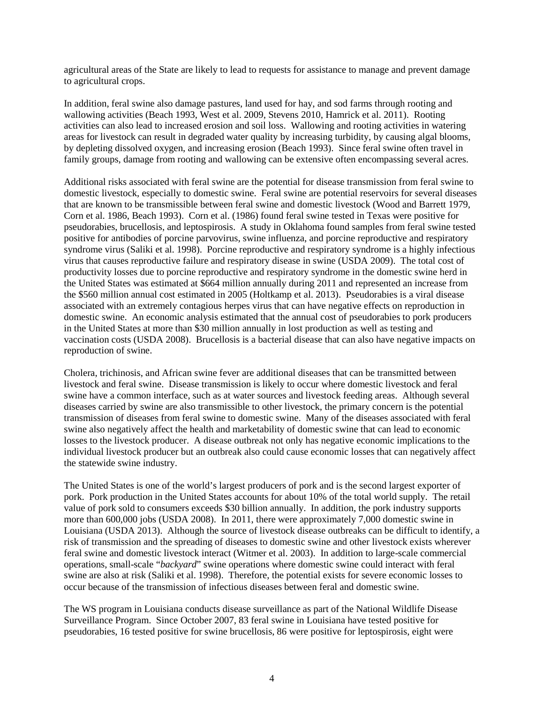agricultural areas of the State are likely to lead to requests for assistance to manage and prevent damage to agricultural crops.

In addition, feral swine also damage pastures, land used for hay, and sod farms through rooting and wallowing activities (Beach 1993, West et al. 2009, Stevens 2010, Hamrick et al. 2011). Rooting activities can also lead to increased erosion and soil loss. Wallowing and rooting activities in watering areas for livestock can result in degraded water quality by increasing turbidity, by causing algal blooms, by depleting dissolved oxygen, and increasing erosion (Beach 1993). Since feral swine often travel in family groups, damage from rooting and wallowing can be extensive often encompassing several acres.

Additional risks associated with feral swine are the potential for disease transmission from feral swine to domestic livestock, especially to domestic swine. Feral swine are potential reservoirs for several diseases that are known to be transmissible between feral swine and domestic livestock (Wood and Barrett 1979, Corn et al. 1986, Beach 1993). Corn et al. (1986) found feral swine tested in Texas were positive for pseudorabies, brucellosis, and leptospirosis. A study in Oklahoma found samples from feral swine tested positive for antibodies of porcine parvovirus, swine influenza, and porcine reproductive and respiratory syndrome virus (Saliki et al. 1998). Porcine reproductive and respiratory syndrome is a highly infectious virus that causes reproductive failure and respiratory disease in swine (USDA 2009). The total cost of productivity losses due to porcine reproductive and respiratory syndrome in the domestic swine herd in the United States was estimated at \$664 million annually during 2011 and represented an increase from the \$560 million annual cost estimated in 2005 (Holtkamp et al. 2013). Pseudorabies is a viral disease associated with an extremely contagious herpes virus that can have negative effects on reproduction in domestic swine. An economic analysis estimated that the annual cost of pseudorabies to pork producers in the United States at more than \$30 million annually in lost production as well as testing and vaccination costs (USDA 2008). Brucellosis is a bacterial disease that can also have negative impacts on reproduction of swine.

Cholera, trichinosis, and African swine fever are additional diseases that can be transmitted between livestock and feral swine. Disease transmission is likely to occur where domestic livestock and feral swine have a common interface, such as at water sources and livestock feeding areas. Although several diseases carried by swine are also transmissible to other livestock, the primary concern is the potential transmission of diseases from feral swine to domestic swine. Many of the diseases associated with feral swine also negatively affect the health and marketability of domestic swine that can lead to economic losses to the livestock producer. A disease outbreak not only has negative economic implications to the individual livestock producer but an outbreak also could cause economic losses that can negatively affect the statewide swine industry.

The United States is one of the world's largest producers of pork and is the second largest exporter of pork. Pork production in the United States accounts for about 10% of the total world supply. The retail value of pork sold to consumers exceeds \$30 billion annually. In addition, the pork industry supports more than 600,000 jobs (USDA 2008). In 2011, there were approximately 7,000 domestic swine in Louisiana (USDA 2013). Although the source of livestock disease outbreaks can be difficult to identify, a risk of transmission and the spreading of diseases to domestic swine and other livestock exists wherever feral swine and domestic livestock interact (Witmer et al. 2003). In addition to large-scale commercial operations, small-scale "*backyard*" swine operations where domestic swine could interact with feral swine are also at risk (Saliki et al. 1998). Therefore, the potential exists for severe economic losses to occur because of the transmission of infectious diseases between feral and domestic swine.

The WS program in Louisiana conducts disease surveillance as part of the National Wildlife Disease Surveillance Program. Since October 2007, 83 feral swine in Louisiana have tested positive for pseudorabies, 16 tested positive for swine brucellosis, 86 were positive for leptospirosis, eight were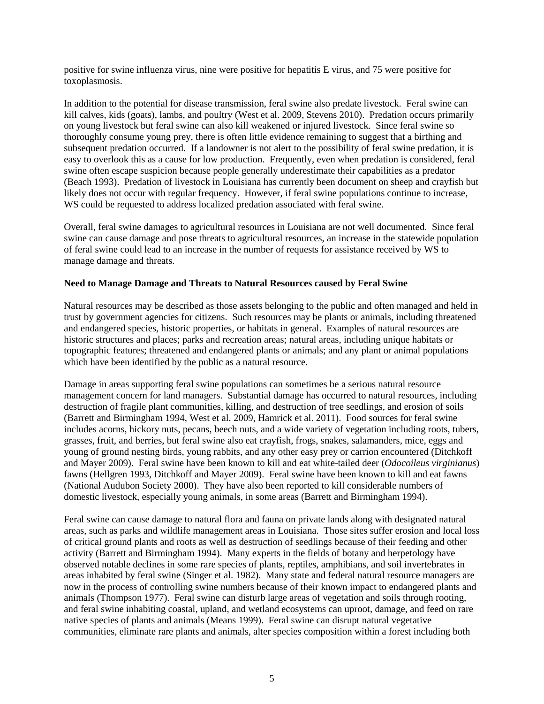positive for swine influenza virus, nine were positive for hepatitis E virus, and 75 were positive for toxoplasmosis.

In addition to the potential for disease transmission, feral swine also predate livestock. Feral swine can kill calves, kids (goats), lambs, and poultry (West et al. 2009, Stevens 2010). Predation occurs primarily on young livestock but feral swine can also kill weakened or injured livestock. Since feral swine so thoroughly consume young prey, there is often little evidence remaining to suggest that a birthing and subsequent predation occurred. If a landowner is not alert to the possibility of feral swine predation, it is easy to overlook this as a cause for low production. Frequently, even when predation is considered, feral swine often escape suspicion because people generally underestimate their capabilities as a predator (Beach 1993). Predation of livestock in Louisiana has currently been document on sheep and crayfish but likely does not occur with regular frequency. However, if feral swine populations continue to increase, WS could be requested to address localized predation associated with feral swine.

Overall, feral swine damages to agricultural resources in Louisiana are not well documented. Since feral swine can cause damage and pose threats to agricultural resources, an increase in the statewide population of feral swine could lead to an increase in the number of requests for assistance received by WS to manage damage and threats.

### **Need to Manage Damage and Threats to Natural Resources caused by Feral Swine**

Natural resources may be described as those assets belonging to the public and often managed and held in trust by government agencies for citizens. Such resources may be plants or animals, including threatened and endangered species, historic properties, or habitats in general. Examples of natural resources are historic structures and places; parks and recreation areas; natural areas, including unique habitats or topographic features; threatened and endangered plants or animals; and any plant or animal populations which have been identified by the public as a natural resource.

Damage in areas supporting feral swine populations can sometimes be a serious natural resource management concern for land managers. Substantial damage has occurred to natural resources, including destruction of fragile plant communities, killing, and destruction of tree seedlings, and erosion of soils (Barrett and Birmingham 1994, West et al. 2009, Hamrick et al. 2011). Food sources for feral swine includes acorns, hickory nuts, pecans, beech nuts, and a wide variety of vegetation including roots, tubers, grasses, fruit, and berries, but feral swine also eat crayfish, frogs, snakes, salamanders, mice, eggs and young of ground nesting birds, young rabbits, and any other easy prey or carrion encountered (Ditchkoff and Mayer 2009). Feral swine have been known to kill and eat white-tailed deer (*Odocoileus virginianus*) fawns (Hellgren 1993, Ditchkoff and Mayer 2009). Feral swine have been known to kill and eat fawns (National Audubon Society 2000). They have also been reported to kill considerable numbers of domestic livestock, especially young animals, in some areas (Barrett and Birmingham 1994).

Feral swine can cause damage to natural flora and fauna on private lands along with designated natural areas, such as parks and wildlife management areas in Louisiana. Those sites suffer erosion and local loss of critical ground plants and roots as well as destruction of seedlings because of their feeding and other activity (Barrett and Birmingham 1994). Many experts in the fields of botany and herpetology have observed notable declines in some rare species of plants, reptiles, amphibians, and soil invertebrates in areas inhabited by feral swine (Singer et al. 1982). Many state and federal natural resource managers are now in the process of controlling swine numbers because of their known impact to endangered plants and animals (Thompson 1977). Feral swine can disturb large areas of vegetation and soils through rooting, and feral swine inhabiting coastal, upland, and wetland ecosystems can uproot, damage, and feed on rare native species of plants and animals (Means 1999). Feral swine can disrupt natural vegetative communities, eliminate rare plants and animals, alter species composition within a forest including both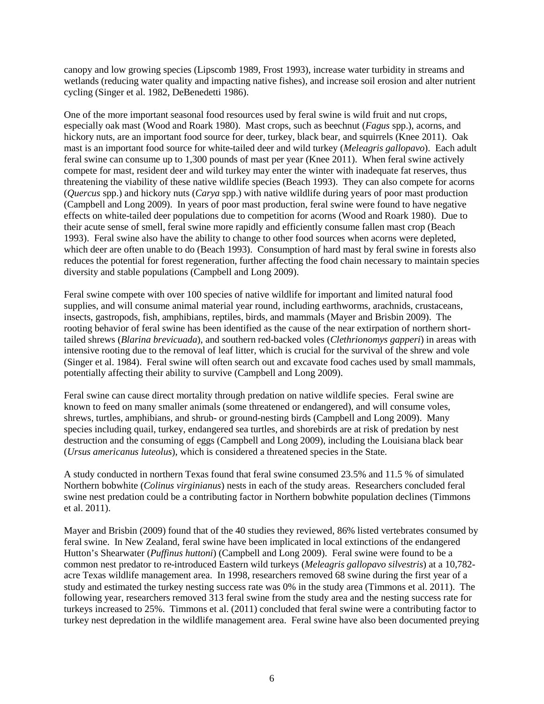canopy and low growing species (Lipscomb 1989, Frost 1993), increase water turbidity in streams and wetlands (reducing water quality and impacting native fishes), and increase soil erosion and alter nutrient cycling (Singer et al. 1982, DeBenedetti 1986).

One of the more important seasonal food resources used by feral swine is wild fruit and nut crops, especially oak mast (Wood and Roark 1980). Mast crops, such as beechnut (*Fagus* spp.), acorns, and hickory nuts, are an important food source for deer, turkey, black bear, and squirrels (Knee 2011). Oak mast is an important food source for white-tailed deer and wild turkey (*Meleagris gallopavo*). Each adult feral swine can consume up to 1,300 pounds of mast per year (Knee 2011). When feral swine actively compete for mast, resident deer and wild turkey may enter the winter with inadequate fat reserves, thus threatening the viability of these native wildlife species (Beach 1993). They can also compete for acorns (*Quercus* spp.) and hickory nuts (*Carya* spp.) with native wildlife during years of poor mast production (Campbell and Long 2009). In years of poor mast production, feral swine were found to have negative effects on white-tailed deer populations due to competition for acorns (Wood and Roark 1980). Due to their acute sense of smell, feral swine more rapidly and efficiently consume fallen mast crop (Beach 1993). Feral swine also have the ability to change to other food sources when acorns were depleted, which deer are often unable to do (Beach 1993). Consumption of hard mast by feral swine in forests also reduces the potential for forest regeneration, further affecting the food chain necessary to maintain species diversity and stable populations (Campbell and Long 2009).

Feral swine compete with over 100 species of native wildlife for important and limited natural food supplies, and will consume animal material year round, including earthworms, arachnids, crustaceans, insects, gastropods, fish, amphibians, reptiles, birds, and mammals (Mayer and Brisbin 2009). The rooting behavior of feral swine has been identified as the cause of the near extirpation of northern shorttailed shrews (*Blarina brevicuada*), and southern red-backed voles (*Clethrionomys gapperi*) in areas with intensive rooting due to the removal of leaf litter, which is crucial for the survival of the shrew and vole (Singer et al. 1984). Feral swine will often search out and excavate food caches used by small mammals, potentially affecting their ability to survive (Campbell and Long 2009).

Feral swine can cause direct mortality through predation on native wildlife species. Feral swine are known to feed on many smaller animals (some threatened or endangered), and will consume voles, shrews, turtles, amphibians, and shrub- or ground-nesting birds (Campbell and Long 2009). Many species including quail, turkey, endangered sea turtles, and shorebirds are at risk of predation by nest destruction and the consuming of eggs (Campbell and Long 2009), including the Louisiana black bear (*Ursus americanus luteolus*), which is considered a threatened species in the State.

A study conducted in northern Texas found that feral swine consumed 23.5% and 11.5 % of simulated Northern bobwhite (*Colinus virginianus*) nests in each of the study areas. Researchers concluded feral swine nest predation could be a contributing factor in Northern bobwhite population declines (Timmons et al. 2011).

Mayer and Brisbin (2009) found that of the 40 studies they reviewed, 86% listed vertebrates consumed by feral swine. In New Zealand, feral swine have been implicated in local extinctions of the endangered Hutton's Shearwater (*Puffinus huttoni*) (Campbell and Long 2009). Feral swine were found to be a common nest predator to re-introduced Eastern wild turkeys (*Meleagris gallopavo silvestris*) at a 10,782 acre Texas wildlife management area. In 1998, researchers removed 68 swine during the first year of a study and estimated the turkey nesting success rate was 0% in the study area (Timmons et al. 2011). The following year, researchers removed 313 feral swine from the study area and the nesting success rate for turkeys increased to 25%. Timmons et al. (2011) concluded that feral swine were a contributing factor to turkey nest depredation in the wildlife management area. Feral swine have also been documented preying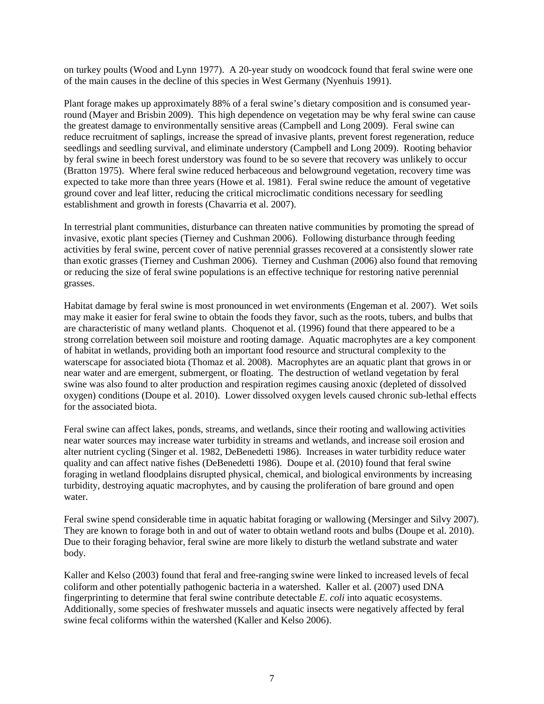on turkey poults (Wood and Lynn 1977). A 20-year study on woodcock found that feral swine were one of the main causes in the decline of this species in West Germany (Nyenhuis 1991).

Plant forage makes up approximately 88% of a feral swine's dietary composition and is consumed yearround (Mayer and Brisbin 2009). This high dependence on vegetation may be why feral swine can cause the greatest damage to environmentally sensitive areas (Campbell and Long 2009). Feral swine can reduce recruitment of saplings, increase the spread of invasive plants, prevent forest regeneration, reduce seedlings and seedling survival, and eliminate understory (Campbell and Long 2009). Rooting behavior by feral swine in beech forest understory was found to be so severe that recovery was unlikely to occur (Bratton 1975). Where feral swine reduced herbaceous and belowground vegetation, recovery time was expected to take more than three years (Howe et al. 1981). Feral swine reduce the amount of vegetative ground cover and leaf litter, reducing the critical microclimatic conditions necessary for seedling establishment and growth in forests (Chavarria et al. 2007).

In terrestrial plant communities, disturbance can threaten native communities by promoting the spread of invasive, exotic plant species (Tierney and Cushman 2006). Following disturbance through feeding activities by feral swine, percent cover of native perennial grasses recovered at a consistently slower rate than exotic grasses (Tierney and Cushman 2006). Tierney and Cushman (2006) also found that removing or reducing the size of feral swine populations is an effective technique for restoring native perennial grasses.

Habitat damage by feral swine is most pronounced in wet environments (Engeman et al. 2007). Wet soils may make it easier for feral swine to obtain the foods they favor, such as the roots, tubers, and bulbs that are characteristic of many wetland plants. Choquenot et al. (1996) found that there appeared to be a strong correlation between soil moisture and rooting damage. Aquatic macrophytes are a key component of habitat in wetlands, providing both an important food resource and structural complexity to the waterscape for associated biota (Thomaz et al. 2008). Macrophytes are an aquatic plant that grows in or near water and are emergent, submergent, or floating. The destruction of wetland vegetation by feral swine was also found to alter production and respiration regimes causing anoxic (depleted of dissolved oxygen) conditions (Doupe et al. 2010). Lower dissolved oxygen levels caused chronic sub-lethal effects for the associated biota.

Feral swine can affect lakes, ponds, streams, and wetlands, since their rooting and wallowing activities near water sources may increase water turbidity in streams and wetlands, and increase soil erosion and alter nutrient cycling (Singer et al. 1982, DeBenedetti 1986). Increases in water turbidity reduce water quality and can affect native fishes (DeBenedetti 1986). Doupe et al. (2010) found that feral swine foraging in wetland floodplains disrupted physical, chemical, and biological environments by increasing turbidity, destroying aquatic macrophytes, and by causing the proliferation of bare ground and open water.

Feral swine spend considerable time in aquatic habitat foraging or wallowing (Mersinger and Silvy 2007). They are known to forage both in and out of water to obtain wetland roots and bulbs (Doupe et al. 2010). Due to their foraging behavior, feral swine are more likely to disturb the wetland substrate and water body.

Kaller and Kelso (2003) found that feral and free-ranging swine were linked to increased levels of fecal coliform and other potentially pathogenic bacteria in a watershed. Kaller et al. (2007) used DNA fingerprinting to determine that feral swine contribute detectable *E*. *coli* into aquatic ecosystems. Additionally, some species of freshwater mussels and aquatic insects were negatively affected by feral swine fecal coliforms within the watershed (Kaller and Kelso 2006).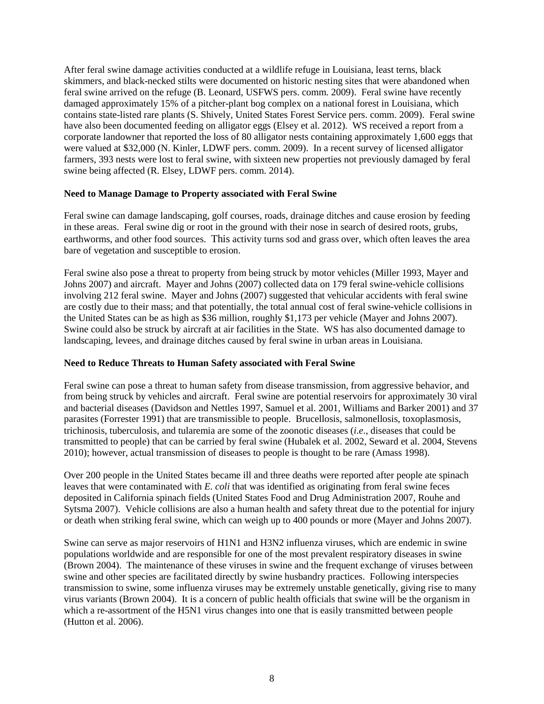After feral swine damage activities conducted at a wildlife refuge in Louisiana, least terns, black skimmers, and black-necked stilts were documented on historic nesting sites that were abandoned when feral swine arrived on the refuge (B. Leonard, USFWS pers. comm. 2009). Feral swine have recently damaged approximately 15% of a pitcher-plant bog complex on a national forest in Louisiana, which contains state-listed rare plants (S. Shively, United States Forest Service pers. comm. 2009). Feral swine have also been documented feeding on alligator eggs (Elsey et al. 2012). WS received a report from a corporate landowner that reported the loss of 80 alligator nests containing approximately 1,600 eggs that were valued at \$32,000 (N. Kinler, LDWF pers. comm. 2009). In a recent survey of licensed alligator farmers, 393 nests were lost to feral swine, with sixteen new properties not previously damaged by feral swine being affected (R. Elsey, LDWF pers. comm. 2014).

### **Need to Manage Damage to Property associated with Feral Swine**

Feral swine can damage landscaping, golf courses, roads, drainage ditches and cause erosion by feeding in these areas. Feral swine dig or root in the ground with their nose in search of desired roots, grubs, earthworms, and other food sources. This activity turns sod and grass over, which often leaves the area bare of vegetation and susceptible to erosion.

Feral swine also pose a threat to property from being struck by motor vehicles (Miller 1993, Mayer and Johns 2007) and aircraft. Mayer and Johns (2007) collected data on 179 feral swine-vehicle collisions involving 212 feral swine. Mayer and Johns (2007) suggested that vehicular accidents with feral swine are costly due to their mass; and that potentially, the total annual cost of feral swine-vehicle collisions in the United States can be as high as \$36 million, roughly \$1,173 per vehicle (Mayer and Johns 2007). Swine could also be struck by aircraft at air facilities in the State. WS has also documented damage to landscaping, levees, and drainage ditches caused by feral swine in urban areas in Louisiana.

### **Need to Reduce Threats to Human Safety associated with Feral Swine**

Feral swine can pose a threat to human safety from disease transmission, from aggressive behavior, and from being struck by vehicles and aircraft. Feral swine are potential reservoirs for approximately 30 viral and bacterial diseases (Davidson and Nettles 1997, Samuel et al. 2001, Williams and Barker 2001) and 37 parasites (Forrester 1991) that are transmissible to people. Brucellosis, salmonellosis, toxoplasmosis, trichinosis, tuberculosis, and tularemia are some of the zoonotic diseases (*i*.*e*., diseases that could be transmitted to people) that can be carried by feral swine (Hubalek et al. 2002, Seward et al. 2004, Stevens 2010); however, actual transmission of diseases to people is thought to be rare (Amass 1998).

Over 200 people in the United States became ill and three deaths were reported after people ate spinach leaves that were contaminated with *E*. *coli* that was identified as originating from feral swine feces deposited in California spinach fields (United States Food and Drug Administration 2007, Rouhe and Sytsma 2007). Vehicle collisions are also a human health and safety threat due to the potential for injury or death when striking feral swine, which can weigh up to 400 pounds or more (Mayer and Johns 2007).

Swine can serve as major reservoirs of H1N1 and H3N2 influenza viruses, which are endemic in swine populations worldwide and are responsible for one of the most prevalent respiratory diseases in swine (Brown 2004). The maintenance of these viruses in swine and the frequent exchange of viruses between swine and other species are facilitated directly by swine husbandry practices. Following interspecies transmission to swine, some influenza viruses may be extremely unstable genetically, giving rise to many virus variants (Brown 2004). It is a concern of public health officials that swine will be the organism in which a re-assortment of the H5N1 virus changes into one that is easily transmitted between people (Hutton et al. 2006).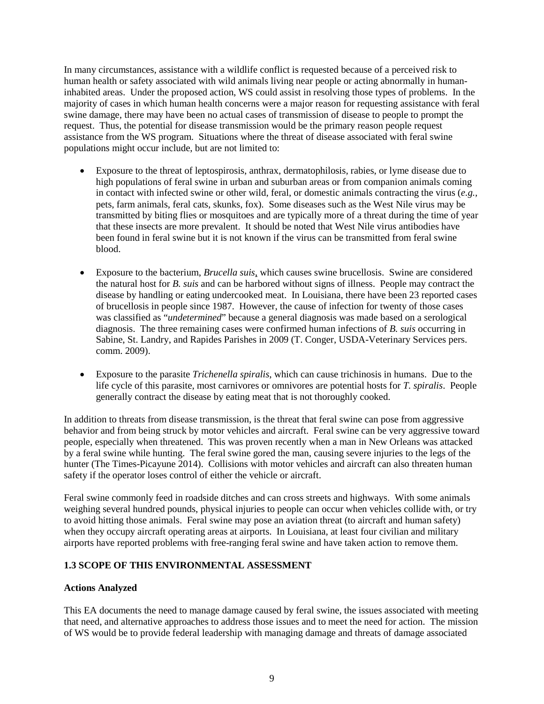In many circumstances, assistance with a wildlife conflict is requested because of a perceived risk to human health or safety associated with wild animals living near people or acting abnormally in humaninhabited areas. Under the proposed action, WS could assist in resolving those types of problems. In the majority of cases in which human health concerns were a major reason for requesting assistance with feral swine damage, there may have been no actual cases of transmission of disease to people to prompt the request. Thus, the potential for disease transmission would be the primary reason people request assistance from the WS program. Situations where the threat of disease associated with feral swine populations might occur include, but are not limited to:

- Exposure to the threat of leptospirosis, anthrax, dermatophilosis, rabies, or lyme disease due to high populations of feral swine in urban and suburban areas or from companion animals coming in contact with infected swine or other wild, feral, or domestic animals contracting the virus (*e.g.,* pets, farm animals, feral cats, skunks, fox)*.* Some diseases such as the West Nile virus may be transmitted by biting flies or mosquitoes and are typically more of a threat during the time of year that these insects are more prevalent. It should be noted that West Nile virus antibodies have been found in feral swine but it is not known if the virus can be transmitted from feral swine blood.
- Exposure to the bacterium, *Brucella suis*, which causes swine brucellosis. Swine are considered the natural host for *B. suis* and can be harbored without signs of illness. People may contract the disease by handling or eating undercooked meat. In Louisiana, there have been 23 reported cases of brucellosis in people since 1987. However, the cause of infection for twenty of those cases was classified as "*undetermined*" because a general diagnosis was made based on a serological diagnosis. The three remaining cases were confirmed human infections of *B. suis* occurring in Sabine, St. Landry, and Rapides Parishes in 2009 (T. Conger, USDA-Veterinary Services pers. comm. 2009).
- Exposure to the parasite *Trichenella spiralis*, which can cause trichinosis in humans. Due to the life cycle of this parasite, most carnivores or omnivores are potential hosts for *T. spiralis*. People generally contract the disease by eating meat that is not thoroughly cooked.

In addition to threats from disease transmission, is the threat that feral swine can pose from aggressive behavior and from being struck by motor vehicles and aircraft. Feral swine can be very aggressive toward people, especially when threatened. This was proven recently when a man in New Orleans was attacked by a feral swine while hunting. The feral swine gored the man, causing severe injuries to the legs of the hunter (The Times-Picayune 2014). Collisions with motor vehicles and aircraft can also threaten human safety if the operator loses control of either the vehicle or aircraft.

Feral swine commonly feed in roadside ditches and can cross streets and highways. With some animals weighing several hundred pounds, physical injuries to people can occur when vehicles collide with, or try to avoid hitting those animals. Feral swine may pose an aviation threat (to aircraft and human safety) when they occupy aircraft operating areas at airports. In Louisiana, at least four civilian and military airports have reported problems with free-ranging feral swine and have taken action to remove them.

## **1.3 SCOPE OF THIS ENVIRONMENTAL ASSESSMENT**

### **Actions Analyzed**

This EA documents the need to manage damage caused by feral swine, the issues associated with meeting that need, and alternative approaches to address those issues and to meet the need for action. The mission of WS would be to provide federal leadership with managing damage and threats of damage associated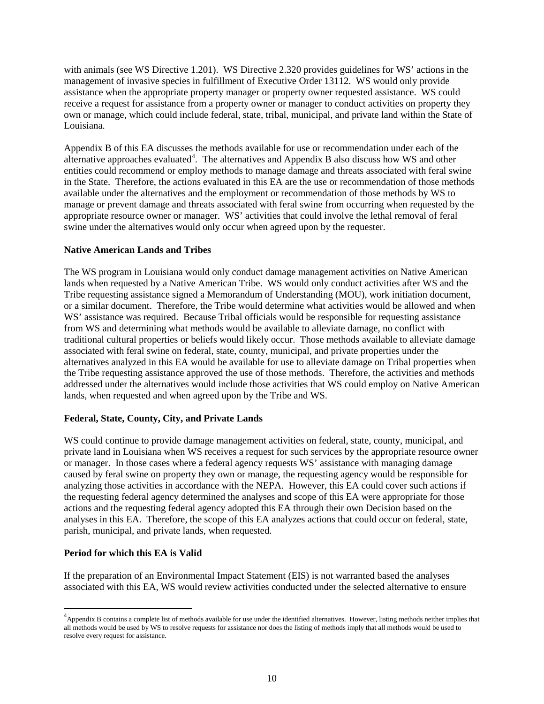with animals (see WS Directive 1.201). WS Directive 2.320 provides guidelines for WS' actions in the management of invasive species in fulfillment of Executive Order 13112. WS would only provide assistance when the appropriate property manager or property owner requested assistance. WS could receive a request for assistance from a property owner or manager to conduct activities on property they own or manage, which could include federal, state, tribal, municipal, and private land within the State of Louisiana.

Appendix B of this EA discusses the methods available for use or recommendation under each of the alternative approaches evaluated<sup>[4](#page-12-0)</sup>. The alternatives and Appendix B also discuss how WS and other entities could recommend or employ methods to manage damage and threats associated with feral swine in the State. Therefore, the actions evaluated in this EA are the use or recommendation of those methods available under the alternatives and the employment or recommendation of those methods by WS to manage or prevent damage and threats associated with feral swine from occurring when requested by the appropriate resource owner or manager. WS' activities that could involve the lethal removal of feral swine under the alternatives would only occur when agreed upon by the requester.

## **Native American Lands and Tribes**

The WS program in Louisiana would only conduct damage management activities on Native American lands when requested by a Native American Tribe. WS would only conduct activities after WS and the Tribe requesting assistance signed a Memorandum of Understanding (MOU), work initiation document, or a similar document. Therefore, the Tribe would determine what activities would be allowed and when WS' assistance was required. Because Tribal officials would be responsible for requesting assistance from WS and determining what methods would be available to alleviate damage, no conflict with traditional cultural properties or beliefs would likely occur. Those methods available to alleviate damage associated with feral swine on federal, state, county, municipal, and private properties under the alternatives analyzed in this EA would be available for use to alleviate damage on Tribal properties when the Tribe requesting assistance approved the use of those methods. Therefore, the activities and methods addressed under the alternatives would include those activities that WS could employ on Native American lands, when requested and when agreed upon by the Tribe and WS.

## **Federal, State, County, City, and Private Lands**

WS could continue to provide damage management activities on federal, state, county, municipal, and private land in Louisiana when WS receives a request for such services by the appropriate resource owner or manager. In those cases where a federal agency requests WS' assistance with managing damage caused by feral swine on property they own or manage, the requesting agency would be responsible for analyzing those activities in accordance with the NEPA. However, this EA could cover such actions if the requesting federal agency determined the analyses and scope of this EA were appropriate for those actions and the requesting federal agency adopted this EA through their own Decision based on the analyses in this EA. Therefore, the scope of this EA analyzes actions that could occur on federal, state, parish, municipal, and private lands, when requested.

### **Period for which this EA is Valid**

 $\overline{a}$ 

If the preparation of an Environmental Impact Statement (EIS) is not warranted based the analyses associated with this EA, WS would review activities conducted under the selected alternative to ensure

<span id="page-12-0"></span><sup>&</sup>lt;sup>4</sup> Appendix B contains a complete list of methods available for use under the identified alternatives. However, listing methods neither implies that all methods would be used by WS to resolve requests for assistance nor does the listing of methods imply that all methods would be used to resolve every request for assistance.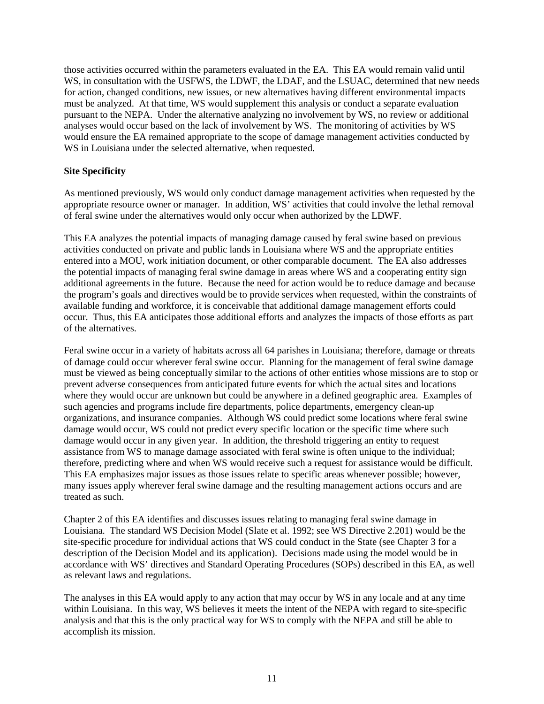those activities occurred within the parameters evaluated in the EA. This EA would remain valid until WS, in consultation with the USFWS, the LDWF, the LDAF, and the LSUAC, determined that new needs for action, changed conditions, new issues, or new alternatives having different environmental impacts must be analyzed. At that time, WS would supplement this analysis or conduct a separate evaluation pursuant to the NEPA. Under the alternative analyzing no involvement by WS, no review or additional analyses would occur based on the lack of involvement by WS. The monitoring of activities by WS would ensure the EA remained appropriate to the scope of damage management activities conducted by WS in Louisiana under the selected alternative, when requested.

## **Site Specificity**

As mentioned previously, WS would only conduct damage management activities when requested by the appropriate resource owner or manager. In addition, WS' activities that could involve the lethal removal of feral swine under the alternatives would only occur when authorized by the LDWF.

This EA analyzes the potential impacts of managing damage caused by feral swine based on previous activities conducted on private and public lands in Louisiana where WS and the appropriate entities entered into a MOU, work initiation document, or other comparable document. The EA also addresses the potential impacts of managing feral swine damage in areas where WS and a cooperating entity sign additional agreements in the future. Because the need for action would be to reduce damage and because the program's goals and directives would be to provide services when requested, within the constraints of available funding and workforce, it is conceivable that additional damage management efforts could occur. Thus, this EA anticipates those additional efforts and analyzes the impacts of those efforts as part of the alternatives.

Feral swine occur in a variety of habitats across all 64 parishes in Louisiana; therefore, damage or threats of damage could occur wherever feral swine occur. Planning for the management of feral swine damage must be viewed as being conceptually similar to the actions of other entities whose missions are to stop or prevent adverse consequences from anticipated future events for which the actual sites and locations where they would occur are unknown but could be anywhere in a defined geographic area. Examples of such agencies and programs include fire departments, police departments, emergency clean-up organizations, and insurance companies. Although WS could predict some locations where feral swine damage would occur, WS could not predict every specific location or the specific time where such damage would occur in any given year. In addition, the threshold triggering an entity to request assistance from WS to manage damage associated with feral swine is often unique to the individual; therefore, predicting where and when WS would receive such a request for assistance would be difficult. This EA emphasizes major issues as those issues relate to specific areas whenever possible; however, many issues apply wherever feral swine damage and the resulting management actions occurs and are treated as such.

Chapter 2 of this EA identifies and discusses issues relating to managing feral swine damage in Louisiana. The standard WS Decision Model (Slate et al. 1992; see WS Directive 2.201) would be the site-specific procedure for individual actions that WS could conduct in the State (see Chapter 3 for a description of the Decision Model and its application). Decisions made using the model would be in accordance with WS' directives and Standard Operating Procedures (SOPs) described in this EA, as well as relevant laws and regulations.

The analyses in this EA would apply to any action that may occur by WS in any locale and at any time within Louisiana. In this way, WS believes it meets the intent of the NEPA with regard to site-specific analysis and that this is the only practical way for WS to comply with the NEPA and still be able to accomplish its mission.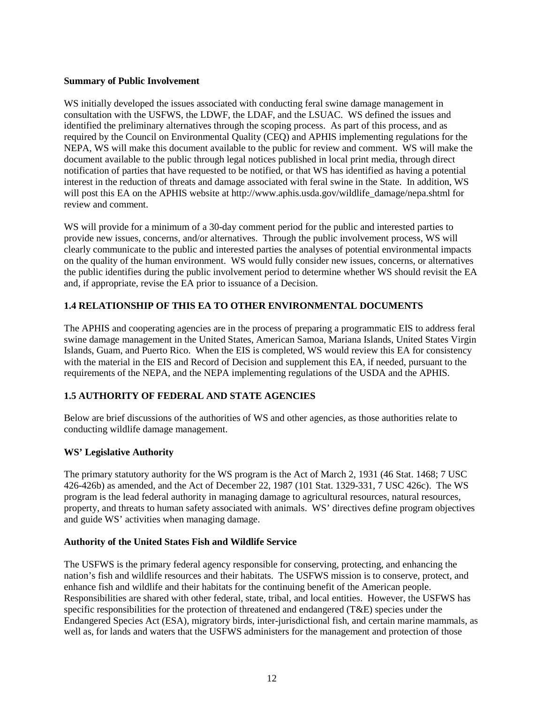### **Summary of Public Involvement**

WS initially developed the issues associated with conducting feral swine damage management in consultation with the USFWS, the LDWF, the LDAF, and the LSUAC. WS defined the issues and identified the preliminary alternatives through the scoping process. As part of this process, and as required by the Council on Environmental Quality (CEQ) and APHIS implementing regulations for the NEPA, WS will make this document available to the public for review and comment. WS will make the document available to the public through legal notices published in local print media, through direct notification of parties that have requested to be notified, or that WS has identified as having a potential interest in the reduction of threats and damage associated with feral swine in the State. In addition, WS will post this EA on the APHIS website at http://www.aphis.usda.gov/wildlife\_damage/nepa.shtml for review and comment.

WS will provide for a minimum of a 30-day comment period for the public and interested parties to provide new issues, concerns, and/or alternatives. Through the public involvement process, WS will clearly communicate to the public and interested parties the analyses of potential environmental impacts on the quality of the human environment. WS would fully consider new issues, concerns, or alternatives the public identifies during the public involvement period to determine whether WS should revisit the EA and, if appropriate, revise the EA prior to issuance of a Decision.

## **1.4 RELATIONSHIP OF THIS EA TO OTHER ENVIRONMENTAL DOCUMENTS**

The APHIS and cooperating agencies are in the process of preparing a programmatic EIS to address feral swine damage management in the United States, American Samoa, Mariana Islands, United States Virgin Islands, Guam, and Puerto Rico. When the EIS is completed, WS would review this EA for consistency with the material in the EIS and Record of Decision and supplement this EA, if needed, pursuant to the requirements of the NEPA, and the NEPA implementing regulations of the USDA and the APHIS.

## **1.5 AUTHORITY OF FEDERAL AND STATE AGENCIES**

Below are brief discussions of the authorities of WS and other agencies, as those authorities relate to conducting wildlife damage management.

## **WS' Legislative Authority**

The primary statutory authority for the WS program is the Act of March 2, 1931 (46 Stat. 1468; 7 USC 426-426b) as amended, and the Act of December 22, 1987 (101 Stat. 1329-331, 7 USC 426c). The WS program is the lead federal authority in managing damage to agricultural resources, natural resources, property, and threats to human safety associated with animals. WS' directives define program objectives and guide WS' activities when managing damage.

### **Authority of the United States Fish and Wildlife Service**

The USFWS is the primary federal agency responsible for conserving, protecting, and enhancing the nation's fish and wildlife resources and their habitats. The USFWS mission is to conserve, protect, and enhance fish and wildlife and their habitats for the continuing benefit of the American people. Responsibilities are shared with other federal, state, tribal, and local entities. However, the USFWS has specific responsibilities for the protection of threatened and endangered  $(T\&E)$  species under the Endangered Species Act (ESA), migratory birds, inter-jurisdictional fish, and certain marine mammals, as well as, for lands and waters that the USFWS administers for the management and protection of those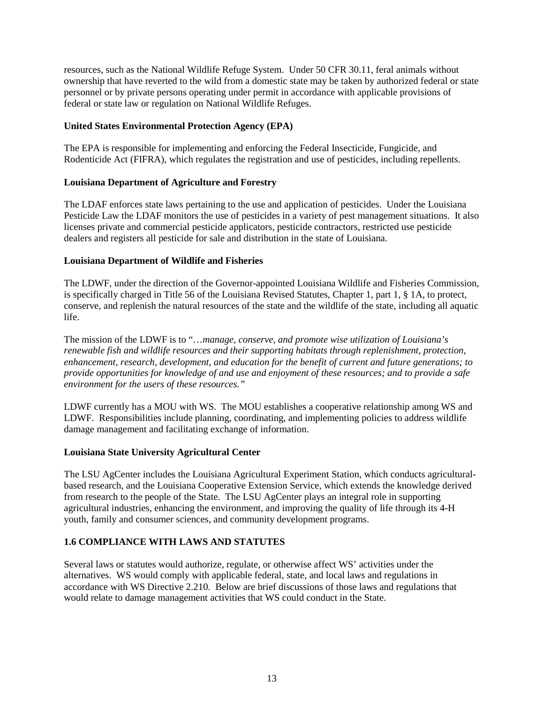resources, such as the National Wildlife Refuge System. Under 50 CFR 30.11, feral animals without ownership that have reverted to the wild from a domestic state may be taken by authorized federal or state personnel or by private persons operating under permit in accordance with applicable provisions of federal or state law or regulation on National Wildlife Refuges.

### **United States Environmental Protection Agency (EPA)**

The EPA is responsible for implementing and enforcing the Federal Insecticide, Fungicide, and Rodenticide Act (FIFRA), which regulates the registration and use of pesticides, including repellents.

### **Louisiana Department of Agriculture and Forestry**

The LDAF enforces state laws pertaining to the use and application of pesticides. Under the Louisiana Pesticide Law the LDAF monitors the use of pesticides in a variety of pest management situations. It also licenses private and commercial pesticide applicators, pesticide contractors, restricted use pesticide dealers and registers all pesticide for sale and distribution in the state of Louisiana.

#### **Louisiana Department of Wildlife and Fisheries**

The LDWF, under the direction of the Governor-appointed Louisiana Wildlife and Fisheries Commission, is specifically charged in Title 56 of the Louisiana Revised Statutes, Chapter 1, part 1, § 1A, to protect, conserve, and replenish the natural resources of the state and the wildlife of the state, including all aquatic life.

The mission of the LDWF is to "…*manage, conserve, and promote wise utilization of Louisiana's renewable fish and wildlife resources and their supporting habitats through replenishment, protection, enhancement, research, development, and education for the benefit of current and future generations; to provide opportunities for knowledge of and use and enjoyment of these resources; and to provide a safe environment for the users of these resources."*

LDWF currently has a MOU with WS. The MOU establishes a cooperative relationship among WS and LDWF. Responsibilities include planning, coordinating, and implementing policies to address wildlife damage management and facilitating exchange of information.

### **Louisiana State University Agricultural Center**

The LSU AgCenter includes the Louisiana Agricultural Experiment Station, which conducts agriculturalbased research, and the Louisiana Cooperative Extension Service, which extends the knowledge derived from research to the people of the State. The LSU AgCenter plays an integral role in supporting agricultural industries, enhancing the environment, and improving the quality of life through its 4-H youth, family and consumer sciences, and community development programs.

### **1.6 COMPLIANCE WITH LAWS AND STATUTES**

Several laws or statutes would authorize, regulate, or otherwise affect WS' activities under the alternatives. WS would comply with applicable federal, state, and local laws and regulations in accordance with WS Directive 2.210. Below are brief discussions of those laws and regulations that would relate to damage management activities that WS could conduct in the State.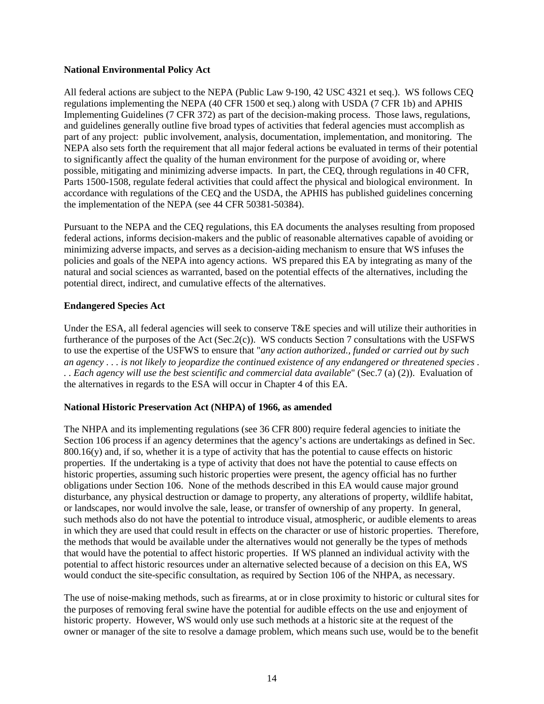#### **National Environmental Policy Act**

All federal actions are subject to the NEPA (Public Law 9-190, 42 USC 4321 et seq.). WS follows CEQ regulations implementing the NEPA (40 CFR 1500 et seq.) along with USDA (7 CFR 1b) and APHIS Implementing Guidelines (7 CFR 372) as part of the decision-making process. Those laws, regulations, and guidelines generally outline five broad types of activities that federal agencies must accomplish as part of any project: public involvement, analysis, documentation, implementation, and monitoring. The NEPA also sets forth the requirement that all major federal actions be evaluated in terms of their potential to significantly affect the quality of the human environment for the purpose of avoiding or, where possible, mitigating and minimizing adverse impacts. In part, the CEQ, through regulations in 40 CFR, Parts 1500-1508, regulate federal activities that could affect the physical and biological environment. In accordance with regulations of the CEQ and the USDA, the APHIS has published guidelines concerning the implementation of the NEPA (see 44 CFR 50381-50384).

Pursuant to the NEPA and the CEQ regulations, this EA documents the analyses resulting from proposed federal actions, informs decision-makers and the public of reasonable alternatives capable of avoiding or minimizing adverse impacts, and serves as a decision-aiding mechanism to ensure that WS infuses the policies and goals of the NEPA into agency actions. WS prepared this EA by integrating as many of the natural and social sciences as warranted, based on the potential effects of the alternatives, including the potential direct, indirect, and cumulative effects of the alternatives.

### **Endangered Species Act**

Under the ESA, all federal agencies will seek to conserve T&E species and will utilize their authorities in furtherance of the purposes of the Act (Sec.2(c)). WS conducts Section 7 consultations with the USFWS to use the expertise of the USFWS to ensure that "*any action authorized., funded or carried out by such an agency . . . is not likely to jeopardize the continued existence of any endangered or threatened species . . . Each agency will use the best scientific and commercial data available*" (Sec.7 (a) (2)). Evaluation of the alternatives in regards to the ESA will occur in Chapter 4 of this EA.

### **National Historic Preservation Act (NHPA) of 1966, as amended**

The NHPA and its implementing regulations (see 36 CFR 800) require federal agencies to initiate the Section 106 process if an agency determines that the agency's actions are undertakings as defined in Sec.  $800.16(y)$  and, if so, whether it is a type of activity that has the potential to cause effects on historic properties. If the undertaking is a type of activity that does not have the potential to cause effects on historic properties, assuming such historic properties were present, the agency official has no further obligations under Section 106. None of the methods described in this EA would cause major ground disturbance, any physical destruction or damage to property, any alterations of property, wildlife habitat, or landscapes, nor would involve the sale, lease, or transfer of ownership of any property. In general, such methods also do not have the potential to introduce visual, atmospheric, or audible elements to areas in which they are used that could result in effects on the character or use of historic properties. Therefore, the methods that would be available under the alternatives would not generally be the types of methods that would have the potential to affect historic properties. If WS planned an individual activity with the potential to affect historic resources under an alternative selected because of a decision on this EA, WS would conduct the site-specific consultation, as required by Section 106 of the NHPA, as necessary.

The use of noise-making methods, such as firearms, at or in close proximity to historic or cultural sites for the purposes of removing feral swine have the potential for audible effects on the use and enjoyment of historic property. However, WS would only use such methods at a historic site at the request of the owner or manager of the site to resolve a damage problem, which means such use, would be to the benefit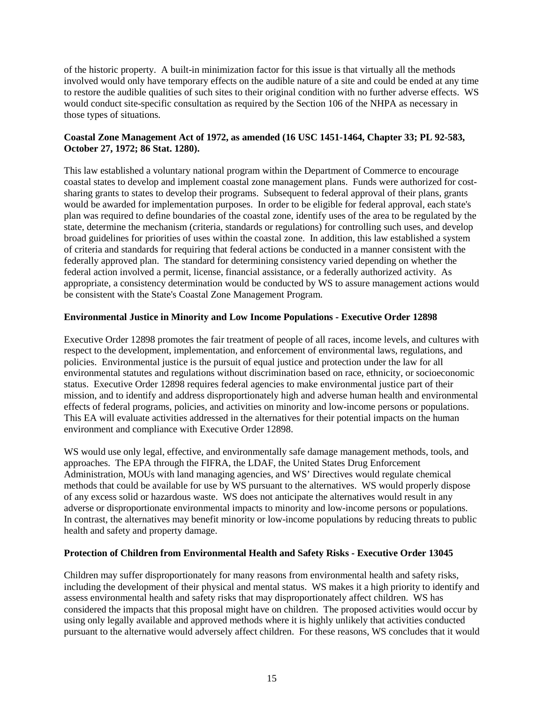of the historic property. A built-in minimization factor for this issue is that virtually all the methods involved would only have temporary effects on the audible nature of a site and could be ended at any time to restore the audible qualities of such sites to their original condition with no further adverse effects. WS would conduct site-specific consultation as required by the Section 106 of the NHPA as necessary in those types of situations.

## **Coastal Zone Management Act of 1972, as amended (16 USC 1451-1464, Chapter 33; PL 92-583, October 27, 1972; 86 Stat. 1280).**

This law established a voluntary national program within the Department of Commerce to encourage coastal states to develop and implement coastal zone management plans. Funds were authorized for costsharing grants to states to develop their programs. Subsequent to federal approval of their plans, grants would be awarded for implementation purposes. In order to be eligible for federal approval, each state's plan was required to define boundaries of the coastal zone, identify uses of the area to be regulated by the state, determine the mechanism (criteria, standards or regulations) for controlling such uses, and develop broad guidelines for priorities of uses within the coastal zone. In addition, this law established a system of criteria and standards for requiring that federal actions be conducted in a manner consistent with the federally approved plan. The standard for determining consistency varied depending on whether the federal action involved a permit, license, financial assistance, or a federally authorized activity. As appropriate, a consistency determination would be conducted by WS to assure management actions would be consistent with the State's Coastal Zone Management Program.

## **Environmental Justice in Minority and Low Income Populations - Executive Order 12898**

Executive Order 12898 promotes the fair treatment of people of all races, income levels, and cultures with respect to the development, implementation, and enforcement of environmental laws, regulations, and policies. Environmental justice is the pursuit of equal justice and protection under the law for all environmental statutes and regulations without discrimination based on race, ethnicity, or socioeconomic status. Executive Order 12898 requires federal agencies to make environmental justice part of their mission, and to identify and address disproportionately high and adverse human health and environmental effects of federal programs, policies, and activities on minority and low-income persons or populations. This EA will evaluate activities addressed in the alternatives for their potential impacts on the human environment and compliance with Executive Order 12898.

WS would use only legal, effective, and environmentally safe damage management methods, tools, and approaches. The EPA through the FIFRA, the LDAF, the United States Drug Enforcement Administration, MOUs with land managing agencies, and WS' Directives would regulate chemical methods that could be available for use by WS pursuant to the alternatives. WS would properly dispose of any excess solid or hazardous waste. WS does not anticipate the alternatives would result in any adverse or disproportionate environmental impacts to minority and low-income persons or populations. In contrast, the alternatives may benefit minority or low-income populations by reducing threats to public health and safety and property damage.

### **Protection of Children from Environmental Health and Safety Risks - Executive Order 13045**

Children may suffer disproportionately for many reasons from environmental health and safety risks, including the development of their physical and mental status. WS makes it a high priority to identify and assess environmental health and safety risks that may disproportionately affect children. WS has considered the impacts that this proposal might have on children. The proposed activities would occur by using only legally available and approved methods where it is highly unlikely that activities conducted pursuant to the alternative would adversely affect children. For these reasons, WS concludes that it would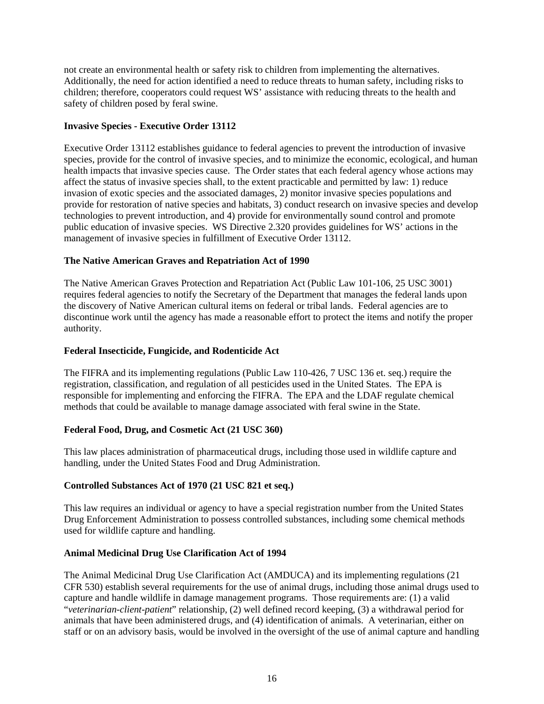not create an environmental health or safety risk to children from implementing the alternatives. Additionally, the need for action identified a need to reduce threats to human safety, including risks to children; therefore, cooperators could request WS' assistance with reducing threats to the health and safety of children posed by feral swine.

### **Invasive Species - Executive Order 13112**

Executive Order 13112 establishes guidance to federal agencies to prevent the introduction of invasive species, provide for the control of invasive species, and to minimize the economic, ecological, and human health impacts that invasive species cause. The Order states that each federal agency whose actions may affect the status of invasive species shall, to the extent practicable and permitted by law: 1) reduce invasion of exotic species and the associated damages, 2) monitor invasive species populations and provide for restoration of native species and habitats, 3) conduct research on invasive species and develop technologies to prevent introduction, and 4) provide for environmentally sound control and promote public education of invasive species. WS Directive 2.320 provides guidelines for WS' actions in the management of invasive species in fulfillment of Executive Order 13112.

## **The Native American Graves and Repatriation Act of 1990**

The Native American Graves Protection and Repatriation Act (Public Law 101-106, 25 USC 3001) requires federal agencies to notify the Secretary of the Department that manages the federal lands upon the discovery of Native American cultural items on federal or tribal lands. Federal agencies are to discontinue work until the agency has made a reasonable effort to protect the items and notify the proper authority.

### **Federal Insecticide, Fungicide, and Rodenticide Act**

The FIFRA and its implementing regulations (Public Law 110-426, 7 USC 136 et. seq.) require the registration, classification, and regulation of all pesticides used in the United States. The EPA is responsible for implementing and enforcing the FIFRA. The EPA and the LDAF regulate chemical methods that could be available to manage damage associated with feral swine in the State.

### **Federal Food, Drug, and Cosmetic Act (21 USC 360)**

This law places administration of pharmaceutical drugs, including those used in wildlife capture and handling, under the United States Food and Drug Administration.

## **Controlled Substances Act of 1970 (21 USC 821 et seq.)**

This law requires an individual or agency to have a special registration number from the United States Drug Enforcement Administration to possess controlled substances, including some chemical methods used for wildlife capture and handling.

### **Animal Medicinal Drug Use Clarification Act of 1994**

The Animal Medicinal Drug Use Clarification Act (AMDUCA) and its implementing regulations (21 CFR 530) establish several requirements for the use of animal drugs, including those animal drugs used to capture and handle wildlife in damage management programs. Those requirements are: (1) a valid "*veterinarian-client-patient*" relationship, (2) well defined record keeping, (3) a withdrawal period for animals that have been administered drugs, and (4) identification of animals. A veterinarian, either on staff or on an advisory basis, would be involved in the oversight of the use of animal capture and handling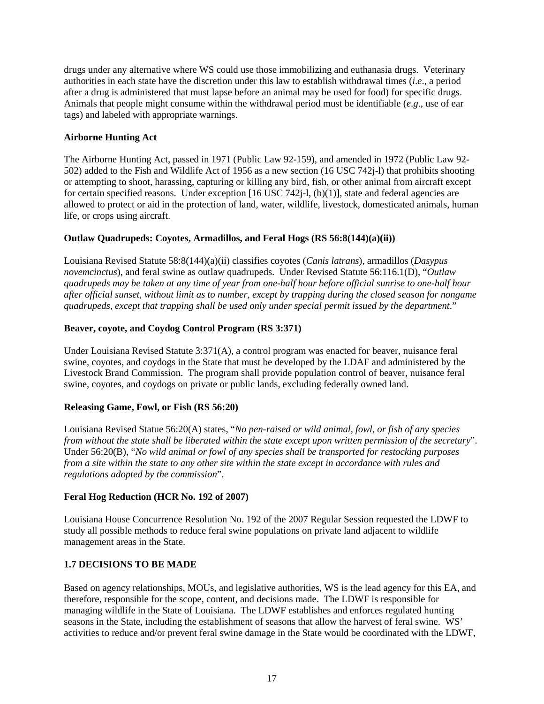drugs under any alternative where WS could use those immobilizing and euthanasia drugs. Veterinary authorities in each state have the discretion under this law to establish withdrawal times (*i*.*e*., a period after a drug is administered that must lapse before an animal may be used for food) for specific drugs. Animals that people might consume within the withdrawal period must be identifiable (*e*.*g*., use of ear tags) and labeled with appropriate warnings.

## **Airborne Hunting Act**

The Airborne Hunting Act, passed in 1971 (Public Law 92-159), and amended in 1972 (Public Law 92- 502) added to the Fish and Wildlife Act of 1956 as a new section (16 USC 742j-l) that prohibits shooting or attempting to shoot, harassing, capturing or killing any bird, fish, or other animal from aircraft except for certain specified reasons. Under exception [16 USC 742j-l, (b)(1)], state and federal agencies are allowed to protect or aid in the protection of land, water, wildlife, livestock, domesticated animals, human life, or crops using aircraft.

## **Outlaw Quadrupeds: Coyotes, Armadillos, and Feral Hogs (RS 56:8(144)(a)(ii))**

Louisiana Revised Statute 58:8(144)(a)(ii) classifies coyotes (*Canis latrans*), armadillos (*Dasypus novemcinctus*), and feral swine as outlaw quadrupeds. Under Revised Statute 56:116.1(D), "*Outlaw quadrupeds may be taken at any time of year from one-half hour before official sunrise to one-half hour after official sunset, without limit as to number, except by trapping during the closed season for nongame quadrupeds, except that trapping shall be used only under special permit issued by the department*."

## **Beaver, coyote, and Coydog Control Program (RS 3:371)**

Under Louisiana Revised Statute 3:371(A), a control program was enacted for beaver, nuisance feral swine, coyotes, and coydogs in the State that must be developed by the LDAF and administered by the Livestock Brand Commission. The program shall provide population control of beaver, nuisance feral swine, coyotes, and coydogs on private or public lands, excluding federally owned land.

### **Releasing Game, Fowl, or Fish (RS 56:20)**

Louisiana Revised Statue 56:20(A) states, "*No pen-raised or wild animal, fowl, or fish of any species from without the state shall be liberated within the state except upon written permission of the secretary*". Under 56:20(B), "*No wild animal or fowl of any species shall be transported for restocking purposes from a site within the state to any other site within the state except in accordance with rules and regulations adopted by the commission*".

### **Feral Hog Reduction (HCR No. 192 of 2007)**

Louisiana House Concurrence Resolution No. 192 of the 2007 Regular Session requested the LDWF to study all possible methods to reduce feral swine populations on private land adjacent to wildlife management areas in the State.

## **1.7 DECISIONS TO BE MADE**

Based on agency relationships, MOUs, and legislative authorities, WS is the lead agency for this EA, and therefore, responsible for the scope, content, and decisions made. The LDWF is responsible for managing wildlife in the State of Louisiana. The LDWF establishes and enforces regulated hunting seasons in the State, including the establishment of seasons that allow the harvest of feral swine. WS' activities to reduce and/or prevent feral swine damage in the State would be coordinated with the LDWF,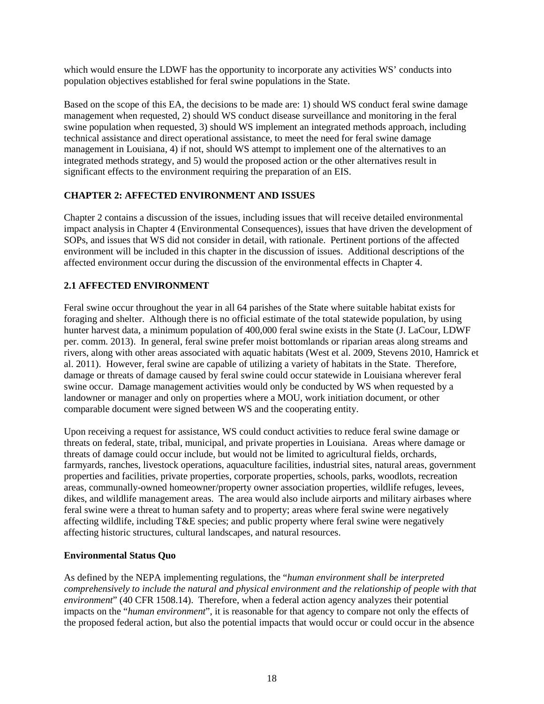which would ensure the LDWF has the opportunity to incorporate any activities WS' conducts into population objectives established for feral swine populations in the State.

Based on the scope of this EA, the decisions to be made are: 1) should WS conduct feral swine damage management when requested, 2) should WS conduct disease surveillance and monitoring in the feral swine population when requested, 3) should WS implement an integrated methods approach, including technical assistance and direct operational assistance, to meet the need for feral swine damage management in Louisiana, 4) if not, should WS attempt to implement one of the alternatives to an integrated methods strategy, and 5) would the proposed action or the other alternatives result in significant effects to the environment requiring the preparation of an EIS.

## **CHAPTER 2: AFFECTED ENVIRONMENT AND ISSUES**

Chapter 2 contains a discussion of the issues, including issues that will receive detailed environmental impact analysis in Chapter 4 (Environmental Consequences), issues that have driven the development of SOPs, and issues that WS did not consider in detail, with rationale. Pertinent portions of the affected environment will be included in this chapter in the discussion of issues. Additional descriptions of the affected environment occur during the discussion of the environmental effects in Chapter 4.

## **2.1 AFFECTED ENVIRONMENT**

Feral swine occur throughout the year in all 64 parishes of the State where suitable habitat exists for foraging and shelter. Although there is no official estimate of the total statewide population, by using hunter harvest data, a minimum population of 400,000 feral swine exists in the State (J. LaCour, LDWF per. comm. 2013). In general, feral swine prefer moist bottomlands or riparian areas along streams and rivers, along with other areas associated with aquatic habitats (West et al. 2009, Stevens 2010, Hamrick et al. 2011). However, feral swine are capable of utilizing a variety of habitats in the State. Therefore, damage or threats of damage caused by feral swine could occur statewide in Louisiana wherever feral swine occur. Damage management activities would only be conducted by WS when requested by a landowner or manager and only on properties where a MOU, work initiation document, or other comparable document were signed between WS and the cooperating entity.

Upon receiving a request for assistance, WS could conduct activities to reduce feral swine damage or threats on federal, state, tribal, municipal, and private properties in Louisiana. Areas where damage or threats of damage could occur include, but would not be limited to agricultural fields, orchards, farmyards, ranches, livestock operations, aquaculture facilities, industrial sites, natural areas, government properties and facilities, private properties, corporate properties, schools, parks, woodlots, recreation areas, communally-owned homeowner/property owner association properties, wildlife refuges, levees, dikes, and wildlife management areas. The area would also include airports and military airbases where feral swine were a threat to human safety and to property; areas where feral swine were negatively affecting wildlife, including T&E species; and public property where feral swine were negatively affecting historic structures, cultural landscapes, and natural resources.

## **Environmental Status Quo**

As defined by the NEPA implementing regulations, the "*human environment shall be interpreted comprehensively to include the natural and physical environment and the relationship of people with that environment*" (40 CFR 1508.14). Therefore, when a federal action agency analyzes their potential impacts on the "*human environment*", it is reasonable for that agency to compare not only the effects of the proposed federal action, but also the potential impacts that would occur or could occur in the absence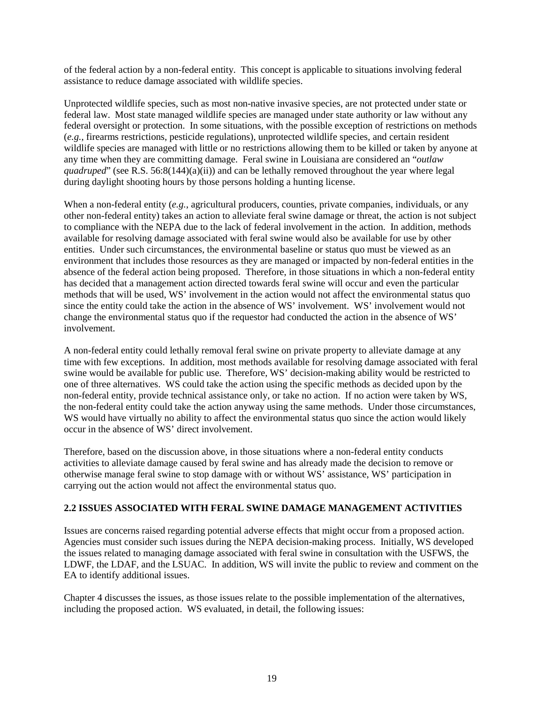of the federal action by a non-federal entity. This concept is applicable to situations involving federal assistance to reduce damage associated with wildlife species.

Unprotected wildlife species, such as most non-native invasive species, are not protected under state or federal law. Most state managed wildlife species are managed under state authority or law without any federal oversight or protection. In some situations, with the possible exception of restrictions on methods (*e.g.*, firearms restrictions, pesticide regulations), unprotected wildlife species, and certain resident wildlife species are managed with little or no restrictions allowing them to be killed or taken by anyone at any time when they are committing damage. Feral swine in Louisiana are considered an "*outlaw quadruped*" (see R.S. 56:8(144)(a)(ii)) and can be lethally removed throughout the year where legal during daylight shooting hours by those persons holding a hunting license.

When a non-federal entity (*e.g.*, agricultural producers, counties, private companies, individuals, or any other non-federal entity) takes an action to alleviate feral swine damage or threat, the action is not subject to compliance with the NEPA due to the lack of federal involvement in the action. In addition, methods available for resolving damage associated with feral swine would also be available for use by other entities. Under such circumstances, the environmental baseline or status quo must be viewed as an environment that includes those resources as they are managed or impacted by non-federal entities in the absence of the federal action being proposed. Therefore, in those situations in which a non-federal entity has decided that a management action directed towards feral swine will occur and even the particular methods that will be used, WS' involvement in the action would not affect the environmental status quo since the entity could take the action in the absence of WS' involvement. WS' involvement would not change the environmental status quo if the requestor had conducted the action in the absence of WS' involvement.

A non-federal entity could lethally removal feral swine on private property to alleviate damage at any time with few exceptions. In addition, most methods available for resolving damage associated with feral swine would be available for public use. Therefore, WS' decision-making ability would be restricted to one of three alternatives. WS could take the action using the specific methods as decided upon by the non-federal entity, provide technical assistance only, or take no action. If no action were taken by WS, the non-federal entity could take the action anyway using the same methods. Under those circumstances, WS would have virtually no ability to affect the environmental status quo since the action would likely occur in the absence of WS' direct involvement.

Therefore, based on the discussion above, in those situations where a non-federal entity conducts activities to alleviate damage caused by feral swine and has already made the decision to remove or otherwise manage feral swine to stop damage with or without WS' assistance, WS' participation in carrying out the action would not affect the environmental status quo.

## **2.2 ISSUES ASSOCIATED WITH FERAL SWINE DAMAGE MANAGEMENT ACTIVITIES**

Issues are concerns raised regarding potential adverse effects that might occur from a proposed action. Agencies must consider such issues during the NEPA decision-making process. Initially, WS developed the issues related to managing damage associated with feral swine in consultation with the USFWS, the LDWF, the LDAF, and the LSUAC. In addition, WS will invite the public to review and comment on the EA to identify additional issues.

Chapter 4 discusses the issues, as those issues relate to the possible implementation of the alternatives, including the proposed action. WS evaluated, in detail, the following issues: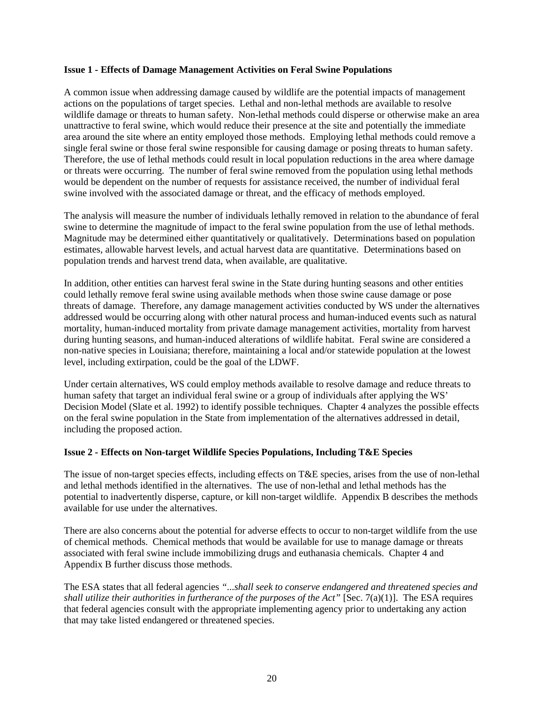#### **Issue 1 - Effects of Damage Management Activities on Feral Swine Populations**

A common issue when addressing damage caused by wildlife are the potential impacts of management actions on the populations of target species. Lethal and non-lethal methods are available to resolve wildlife damage or threats to human safety. Non-lethal methods could disperse or otherwise make an area unattractive to feral swine, which would reduce their presence at the site and potentially the immediate area around the site where an entity employed those methods. Employing lethal methods could remove a single feral swine or those feral swine responsible for causing damage or posing threats to human safety. Therefore, the use of lethal methods could result in local population reductions in the area where damage or threats were occurring. The number of feral swine removed from the population using lethal methods would be dependent on the number of requests for assistance received, the number of individual feral swine involved with the associated damage or threat, and the efficacy of methods employed.

The analysis will measure the number of individuals lethally removed in relation to the abundance of feral swine to determine the magnitude of impact to the feral swine population from the use of lethal methods. Magnitude may be determined either quantitatively or qualitatively. Determinations based on population estimates, allowable harvest levels, and actual harvest data are quantitative. Determinations based on population trends and harvest trend data, when available, are qualitative.

In addition, other entities can harvest feral swine in the State during hunting seasons and other entities could lethally remove feral swine using available methods when those swine cause damage or pose threats of damage. Therefore, any damage management activities conducted by WS under the alternatives addressed would be occurring along with other natural process and human-induced events such as natural mortality, human-induced mortality from private damage management activities, mortality from harvest during hunting seasons, and human-induced alterations of wildlife habitat. Feral swine are considered a non-native species in Louisiana; therefore, maintaining a local and/or statewide population at the lowest level, including extirpation, could be the goal of the LDWF.

Under certain alternatives, WS could employ methods available to resolve damage and reduce threats to human safety that target an individual feral swine or a group of individuals after applying the WS' Decision Model (Slate et al. 1992) to identify possible techniques. Chapter 4 analyzes the possible effects on the feral swine population in the State from implementation of the alternatives addressed in detail, including the proposed action.

### **Issue 2 - Effects on Non-target Wildlife Species Populations, Including T&E Species**

The issue of non-target species effects, including effects on T&E species, arises from the use of non-lethal and lethal methods identified in the alternatives. The use of non-lethal and lethal methods has the potential to inadvertently disperse, capture, or kill non-target wildlife. Appendix B describes the methods available for use under the alternatives.

There are also concerns about the potential for adverse effects to occur to non-target wildlife from the use of chemical methods. Chemical methods that would be available for use to manage damage or threats associated with feral swine include immobilizing drugs and euthanasia chemicals. Chapter 4 and Appendix B further discuss those methods.

The ESA states that all federal agencies *"...shall seek to conserve endangered and threatened species and shall utilize their authorities in furtherance of the purposes of the Act"* [Sec. 7(a)(1)]. The ESA requires that federal agencies consult with the appropriate implementing agency prior to undertaking any action that may take listed endangered or threatened species.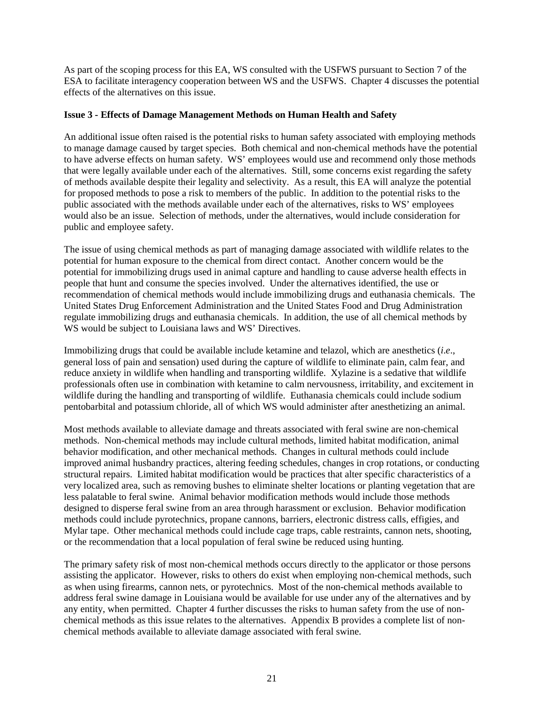As part of the scoping process for this EA, WS consulted with the USFWS pursuant to Section 7 of the ESA to facilitate interagency cooperation between WS and the USFWS. Chapter 4 discusses the potential effects of the alternatives on this issue.

### **Issue 3 - Effects of Damage Management Methods on Human Health and Safety**

An additional issue often raised is the potential risks to human safety associated with employing methods to manage damage caused by target species. Both chemical and non-chemical methods have the potential to have adverse effects on human safety. WS' employees would use and recommend only those methods that were legally available under each of the alternatives. Still, some concerns exist regarding the safety of methods available despite their legality and selectivity. As a result, this EA will analyze the potential for proposed methods to pose a risk to members of the public. In addition to the potential risks to the public associated with the methods available under each of the alternatives, risks to WS' employees would also be an issue. Selection of methods, under the alternatives, would include consideration for public and employee safety.

The issue of using chemical methods as part of managing damage associated with wildlife relates to the potential for human exposure to the chemical from direct contact. Another concern would be the potential for immobilizing drugs used in animal capture and handling to cause adverse health effects in people that hunt and consume the species involved. Under the alternatives identified, the use or recommendation of chemical methods would include immobilizing drugs and euthanasia chemicals. The United States Drug Enforcement Administration and the United States Food and Drug Administration regulate immobilizing drugs and euthanasia chemicals. In addition, the use of all chemical methods by WS would be subject to Louisiana laws and WS' Directives.

Immobilizing drugs that could be available include ketamine and telazol, which are anesthetics (*i*.*e*., general loss of pain and sensation) used during the capture of wildlife to eliminate pain, calm fear, and reduce anxiety in wildlife when handling and transporting wildlife. Xylazine is a sedative that wildlife professionals often use in combination with ketamine to calm nervousness, irritability, and excitement in wildlife during the handling and transporting of wildlife. Euthanasia chemicals could include sodium pentobarbital and potassium chloride, all of which WS would administer after anesthetizing an animal.

Most methods available to alleviate damage and threats associated with feral swine are non-chemical methods. Non-chemical methods may include cultural methods, limited habitat modification, animal behavior modification, and other mechanical methods. Changes in cultural methods could include improved animal husbandry practices, altering feeding schedules, changes in crop rotations, or conducting structural repairs. Limited habitat modification would be practices that alter specific characteristics of a very localized area, such as removing bushes to eliminate shelter locations or planting vegetation that are less palatable to feral swine. Animal behavior modification methods would include those methods designed to disperse feral swine from an area through harassment or exclusion. Behavior modification methods could include pyrotechnics, propane cannons, barriers, electronic distress calls, effigies, and Mylar tape. Other mechanical methods could include cage traps, cable restraints, cannon nets, shooting, or the recommendation that a local population of feral swine be reduced using hunting.

The primary safety risk of most non-chemical methods occurs directly to the applicator or those persons assisting the applicator. However, risks to others do exist when employing non-chemical methods, such as when using firearms, cannon nets, or pyrotechnics. Most of the non-chemical methods available to address feral swine damage in Louisiana would be available for use under any of the alternatives and by any entity, when permitted. Chapter 4 further discusses the risks to human safety from the use of nonchemical methods as this issue relates to the alternatives. Appendix B provides a complete list of nonchemical methods available to alleviate damage associated with feral swine.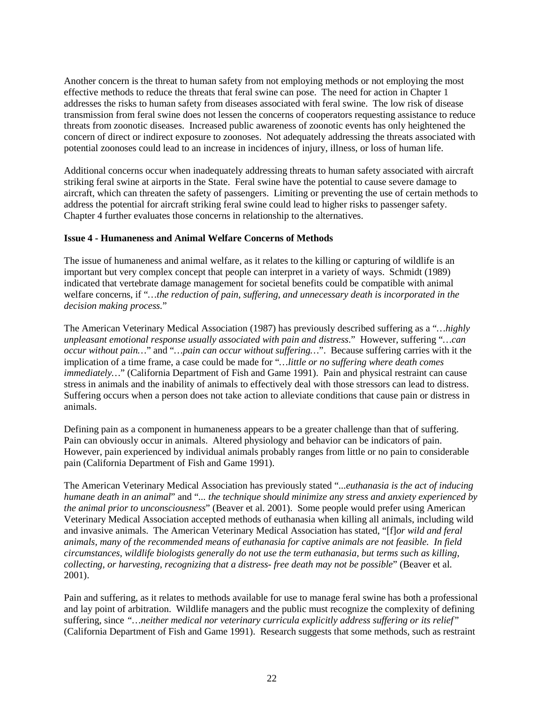Another concern is the threat to human safety from not employing methods or not employing the most effective methods to reduce the threats that feral swine can pose. The need for action in Chapter 1 addresses the risks to human safety from diseases associated with feral swine. The low risk of disease transmission from feral swine does not lessen the concerns of cooperators requesting assistance to reduce threats from zoonotic diseases. Increased public awareness of zoonotic events has only heightened the concern of direct or indirect exposure to zoonoses. Not adequately addressing the threats associated with potential zoonoses could lead to an increase in incidences of injury, illness, or loss of human life.

Additional concerns occur when inadequately addressing threats to human safety associated with aircraft striking feral swine at airports in the State. Feral swine have the potential to cause severe damage to aircraft, which can threaten the safety of passengers. Limiting or preventing the use of certain methods to address the potential for aircraft striking feral swine could lead to higher risks to passenger safety. Chapter 4 further evaluates those concerns in relationship to the alternatives.

#### **Issue 4 - Humaneness and Animal Welfare Concerns of Methods**

The issue of humaneness and animal welfare, as it relates to the killing or capturing of wildlife is an important but very complex concept that people can interpret in a variety of ways. Schmidt (1989) indicated that vertebrate damage management for societal benefits could be compatible with animal welfare concerns, if "*…the reduction of pain, suffering, and unnecessary death is incorporated in the decision making process.*"

The American Veterinary Medical Association (1987) has previously described suffering as a "*…highly unpleasant emotional response usually associated with pain and distress*." However, suffering "*…can occur without pain…*" and "*…pain can occur without suffering…*". Because suffering carries with it the implication of a time frame, a case could be made for "*…little or no suffering where death comes immediately...*" (California Department of Fish and Game 1991). Pain and physical restraint can cause stress in animals and the inability of animals to effectively deal with those stressors can lead to distress. Suffering occurs when a person does not take action to alleviate conditions that cause pain or distress in animals.

Defining pain as a component in humaneness appears to be a greater challenge than that of suffering. Pain can obviously occur in animals. Altered physiology and behavior can be indicators of pain. However, pain experienced by individual animals probably ranges from little or no pain to considerable pain (California Department of Fish and Game 1991).

The American Veterinary Medical Association has previously stated "*...euthanasia is the act of inducing humane death in an animal*" and "*... the technique should minimize any stress and anxiety experienced by the animal prior to unconsciousness*" (Beaver et al. 2001). Some people would prefer using American Veterinary Medical Association accepted methods of euthanasia when killing all animals, including wild and invasive animals. The American Veterinary Medical Association has stated, "[f]*or wild and feral animals, many of the recommended means of euthanasia for captive animals are not feasible. In field circumstances, wildlife biologists generally do not use the term euthanasia, but terms such as killing, collecting, or harvesting, recognizing that a distress- free death may not be possible*" (Beaver et al. 2001).

Pain and suffering, as it relates to methods available for use to manage feral swine has both a professional and lay point of arbitration. Wildlife managers and the public must recognize the complexity of defining suffering, since *"…neither medical nor veterinary curricula explicitly address suffering or its relief"* (California Department of Fish and Game 1991). Research suggests that some methods, such as restraint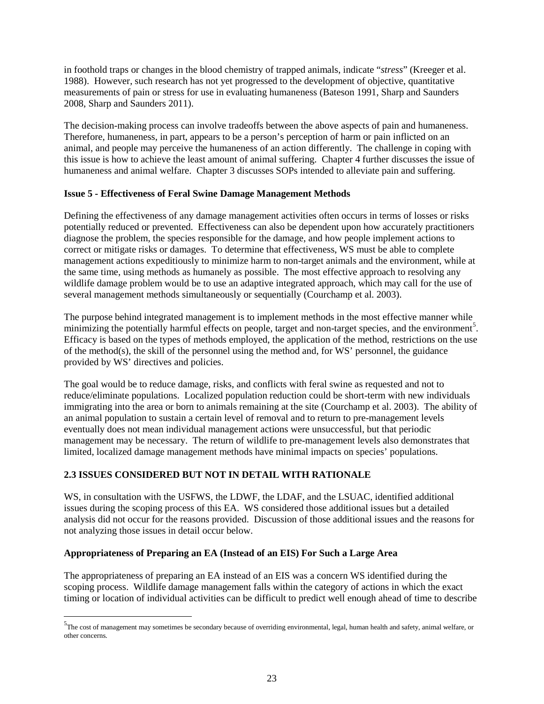in foothold traps or changes in the blood chemistry of trapped animals, indicate "*stress*" (Kreeger et al. 1988). However, such research has not yet progressed to the development of objective, quantitative measurements of pain or stress for use in evaluating humaneness (Bateson 1991, Sharp and Saunders 2008, Sharp and Saunders 2011).

The decision-making process can involve tradeoffs between the above aspects of pain and humaneness. Therefore, humaneness, in part, appears to be a person's perception of harm or pain inflicted on an animal, and people may perceive the humaneness of an action differently. The challenge in coping with this issue is how to achieve the least amount of animal suffering. Chapter 4 further discusses the issue of humaneness and animal welfare. Chapter 3 discusses SOPs intended to alleviate pain and suffering.

## **Issue 5 - Effectiveness of Feral Swine Damage Management Methods**

Defining the effectiveness of any damage management activities often occurs in terms of losses or risks potentially reduced or prevented. Effectiveness can also be dependent upon how accurately practitioners diagnose the problem, the species responsible for the damage, and how people implement actions to correct or mitigate risks or damages. To determine that effectiveness, WS must be able to complete management actions expeditiously to minimize harm to non-target animals and the environment, while at the same time, using methods as humanely as possible. The most effective approach to resolving any wildlife damage problem would be to use an adaptive integrated approach, which may call for the use of several management methods simultaneously or sequentially (Courchamp et al. 2003).

The purpose behind integrated management is to implement methods in the most effective manner while minimizing the potentially harmful effects on people, target and non-target species, and the environment<sup>[5](#page-25-0)</sup>. Efficacy is based on the types of methods employed, the application of the method, restrictions on the use of the method(s), the skill of the personnel using the method and, for WS' personnel, the guidance provided by WS' directives and policies.

The goal would be to reduce damage, risks, and conflicts with feral swine as requested and not to reduce/eliminate populations. Localized population reduction could be short-term with new individuals immigrating into the area or born to animals remaining at the site (Courchamp et al. 2003). The ability of an animal population to sustain a certain level of removal and to return to pre-management levels eventually does not mean individual management actions were unsuccessful, but that periodic management may be necessary. The return of wildlife to pre-management levels also demonstrates that limited, localized damage management methods have minimal impacts on species' populations.

## **2.3 ISSUES CONSIDERED BUT NOT IN DETAIL WITH RATIONALE**

WS, in consultation with the USFWS, the LDWF, the LDAF, and the LSUAC, identified additional issues during the scoping process of this EA. WS considered those additional issues but a detailed analysis did not occur for the reasons provided. Discussion of those additional issues and the reasons for not analyzing those issues in detail occur below.

## **Appropriateness of Preparing an EA (Instead of an EIS) For Such a Large Area**

 $\overline{a}$ 

The appropriateness of preparing an EA instead of an EIS was a concern WS identified during the scoping process. Wildlife damage management falls within the category of actions in which the exact timing or location of individual activities can be difficult to predict well enough ahead of time to describe

<span id="page-25-0"></span><sup>&</sup>lt;sup>5</sup>The cost of management may sometimes be secondary because of overriding environmental, legal, human health and safety, animal welfare, or other concerns.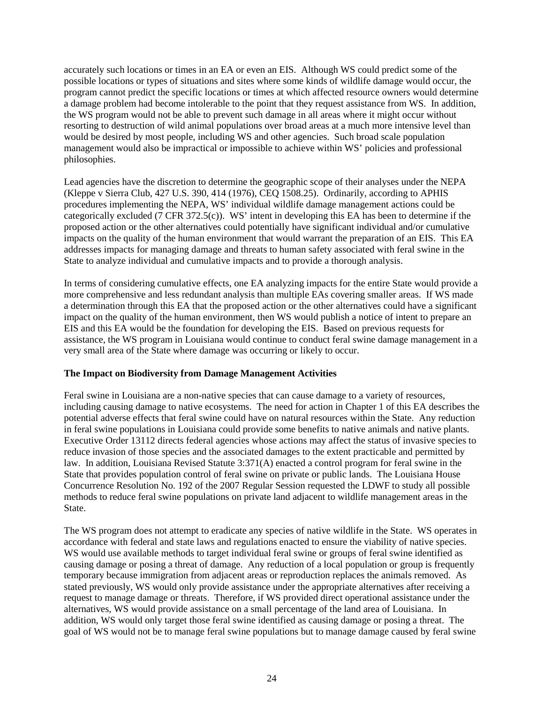accurately such locations or times in an EA or even an EIS. Although WS could predict some of the possible locations or types of situations and sites where some kinds of wildlife damage would occur, the program cannot predict the specific locations or times at which affected resource owners would determine a damage problem had become intolerable to the point that they request assistance from WS. In addition, the WS program would not be able to prevent such damage in all areas where it might occur without resorting to destruction of wild animal populations over broad areas at a much more intensive level than would be desired by most people, including WS and other agencies. Such broad scale population management would also be impractical or impossible to achieve within WS' policies and professional philosophies.

Lead agencies have the discretion to determine the geographic scope of their analyses under the NEPA (Kleppe v Sierra Club, 427 U.S. 390, 414 (1976), CEQ 1508.25). Ordinarily, according to APHIS procedures implementing the NEPA, WS' individual wildlife damage management actions could be categorically excluded (7 CFR 372.5(c)). WS' intent in developing this EA has been to determine if the proposed action or the other alternatives could potentially have significant individual and/or cumulative impacts on the quality of the human environment that would warrant the preparation of an EIS. This EA addresses impacts for managing damage and threats to human safety associated with feral swine in the State to analyze individual and cumulative impacts and to provide a thorough analysis.

In terms of considering cumulative effects, one EA analyzing impacts for the entire State would provide a more comprehensive and less redundant analysis than multiple EAs covering smaller areas. If WS made a determination through this EA that the proposed action or the other alternatives could have a significant impact on the quality of the human environment, then WS would publish a notice of intent to prepare an EIS and this EA would be the foundation for developing the EIS. Based on previous requests for assistance, the WS program in Louisiana would continue to conduct feral swine damage management in a very small area of the State where damage was occurring or likely to occur.

### **The Impact on Biodiversity from Damage Management Activities**

Feral swine in Louisiana are a non-native species that can cause damage to a variety of resources, including causing damage to native ecosystems. The need for action in Chapter 1 of this EA describes the potential adverse effects that feral swine could have on natural resources within the State. Any reduction in feral swine populations in Louisiana could provide some benefits to native animals and native plants. Executive Order 13112 directs federal agencies whose actions may affect the status of invasive species to reduce invasion of those species and the associated damages to the extent practicable and permitted by law. In addition, Louisiana Revised Statute 3:371(A) enacted a control program for feral swine in the State that provides population control of feral swine on private or public lands. The Louisiana House Concurrence Resolution No. 192 of the 2007 Regular Session requested the LDWF to study all possible methods to reduce feral swine populations on private land adjacent to wildlife management areas in the State.

The WS program does not attempt to eradicate any species of native wildlife in the State. WS operates in accordance with federal and state laws and regulations enacted to ensure the viability of native species. WS would use available methods to target individual feral swine or groups of feral swine identified as causing damage or posing a threat of damage. Any reduction of a local population or group is frequently temporary because immigration from adjacent areas or reproduction replaces the animals removed. As stated previously, WS would only provide assistance under the appropriate alternatives after receiving a request to manage damage or threats. Therefore, if WS provided direct operational assistance under the alternatives, WS would provide assistance on a small percentage of the land area of Louisiana. In addition, WS would only target those feral swine identified as causing damage or posing a threat. The goal of WS would not be to manage feral swine populations but to manage damage caused by feral swine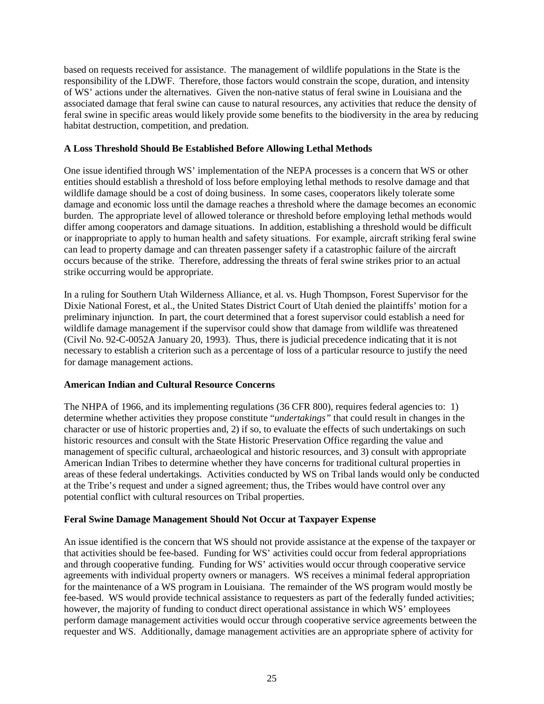based on requests received for assistance. The management of wildlife populations in the State is the responsibility of the LDWF. Therefore, those factors would constrain the scope, duration, and intensity of WS' actions under the alternatives. Given the non-native status of feral swine in Louisiana and the associated damage that feral swine can cause to natural resources, any activities that reduce the density of feral swine in specific areas would likely provide some benefits to the biodiversity in the area by reducing habitat destruction, competition, and predation.

## **A Loss Threshold Should Be Established Before Allowing Lethal Methods**

One issue identified through WS' implementation of the NEPA processes is a concern that WS or other entities should establish a threshold of loss before employing lethal methods to resolve damage and that wildlife damage should be a cost of doing business. In some cases, cooperators likely tolerate some damage and economic loss until the damage reaches a threshold where the damage becomes an economic burden. The appropriate level of allowed tolerance or threshold before employing lethal methods would differ among cooperators and damage situations. In addition, establishing a threshold would be difficult or inappropriate to apply to human health and safety situations. For example, aircraft striking feral swine can lead to property damage and can threaten passenger safety if a catastrophic failure of the aircraft occurs because of the strike. Therefore, addressing the threats of feral swine strikes prior to an actual strike occurring would be appropriate.

In a ruling for Southern Utah Wilderness Alliance, et al. vs. Hugh Thompson, Forest Supervisor for the Dixie National Forest, et al., the United States District Court of Utah denied the plaintiffs' motion for a preliminary injunction. In part, the court determined that a forest supervisor could establish a need for wildlife damage management if the supervisor could show that damage from wildlife was threatened (Civil No. 92-C-0052A January 20, 1993). Thus, there is judicial precedence indicating that it is not necessary to establish a criterion such as a percentage of loss of a particular resource to justify the need for damage management actions.

### **American Indian and Cultural Resource Concerns**

The NHPA of 1966, and its implementing regulations (36 CFR 800), requires federal agencies to: 1) determine whether activities they propose constitute "*undertakings"* that could result in changes in the character or use of historic properties and, 2) if so, to evaluate the effects of such undertakings on such historic resources and consult with the State Historic Preservation Office regarding the value and management of specific cultural, archaeological and historic resources, and 3) consult with appropriate American Indian Tribes to determine whether they have concerns for traditional cultural properties in areas of these federal undertakings. Activities conducted by WS on Tribal lands would only be conducted at the Tribe's request and under a signed agreement; thus, the Tribes would have control over any potential conflict with cultural resources on Tribal properties.

### **Feral Swine Damage Management Should Not Occur at Taxpayer Expense**

An issue identified is the concern that WS should not provide assistance at the expense of the taxpayer or that activities should be fee-based. Funding for WS' activities could occur from federal appropriations and through cooperative funding. Funding for WS' activities would occur through cooperative service agreements with individual property owners or managers. WS receives a minimal federal appropriation for the maintenance of a WS program in Louisiana. The remainder of the WS program would mostly be fee-based. WS would provide technical assistance to requesters as part of the federally funded activities; however, the majority of funding to conduct direct operational assistance in which WS' employees perform damage management activities would occur through cooperative service agreements between the requester and WS. Additionally, damage management activities are an appropriate sphere of activity for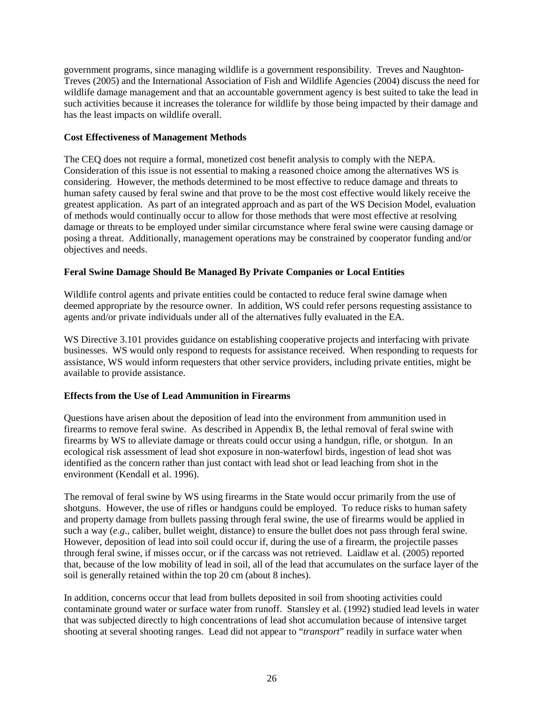government programs, since managing wildlife is a government responsibility. Treves and Naughton-Treves (2005) and the International Association of Fish and Wildlife Agencies (2004) discuss the need for wildlife damage management and that an accountable government agency is best suited to take the lead in such activities because it increases the tolerance for wildlife by those being impacted by their damage and has the least impacts on wildlife overall.

## **Cost Effectiveness of Management Methods**

The CEQ does not require a formal, monetized cost benefit analysis to comply with the NEPA. Consideration of this issue is not essential to making a reasoned choice among the alternatives WS is considering. However, the methods determined to be most effective to reduce damage and threats to human safety caused by feral swine and that prove to be the most cost effective would likely receive the greatest application. As part of an integrated approach and as part of the WS Decision Model, evaluation of methods would continually occur to allow for those methods that were most effective at resolving damage or threats to be employed under similar circumstance where feral swine were causing damage or posing a threat. Additionally, management operations may be constrained by cooperator funding and/or objectives and needs.

## **Feral Swine Damage Should Be Managed By Private Companies or Local Entities**

Wildlife control agents and private entities could be contacted to reduce feral swine damage when deemed appropriate by the resource owner. In addition, WS could refer persons requesting assistance to agents and/or private individuals under all of the alternatives fully evaluated in the EA.

WS Directive 3.101 provides guidance on establishing cooperative projects and interfacing with private businesses. WS would only respond to requests for assistance received. When responding to requests for assistance, WS would inform requesters that other service providers, including private entities, might be available to provide assistance.

## **Effects from the Use of Lead Ammunition in Firearms**

Questions have arisen about the deposition of lead into the environment from ammunition used in firearms to remove feral swine. As described in Appendix B, the lethal removal of feral swine with firearms by WS to alleviate damage or threats could occur using a handgun, rifle, or shotgun. In an ecological risk assessment of lead shot exposure in non-waterfowl birds, ingestion of lead shot was identified as the concern rather than just contact with lead shot or lead leaching from shot in the environment (Kendall et al. 1996).

The removal of feral swine by WS using firearms in the State would occur primarily from the use of shotguns. However, the use of rifles or handguns could be employed. To reduce risks to human safety and property damage from bullets passing through feral swine, the use of firearms would be applied in such a way (*e.g*., caliber, bullet weight, distance) to ensure the bullet does not pass through feral swine. However, deposition of lead into soil could occur if, during the use of a firearm, the projectile passes through feral swine, if misses occur, or if the carcass was not retrieved. Laidlaw et al. (2005) reported that, because of the low mobility of lead in soil, all of the lead that accumulates on the surface layer of the soil is generally retained within the top 20 cm (about 8 inches).

In addition, concerns occur that lead from bullets deposited in soil from shooting activities could contaminate ground water or surface water from runoff. Stansley et al. (1992) studied lead levels in water that was subjected directly to high concentrations of lead shot accumulation because of intensive target shooting at several shooting ranges. Lead did not appear to "*transport*" readily in surface water when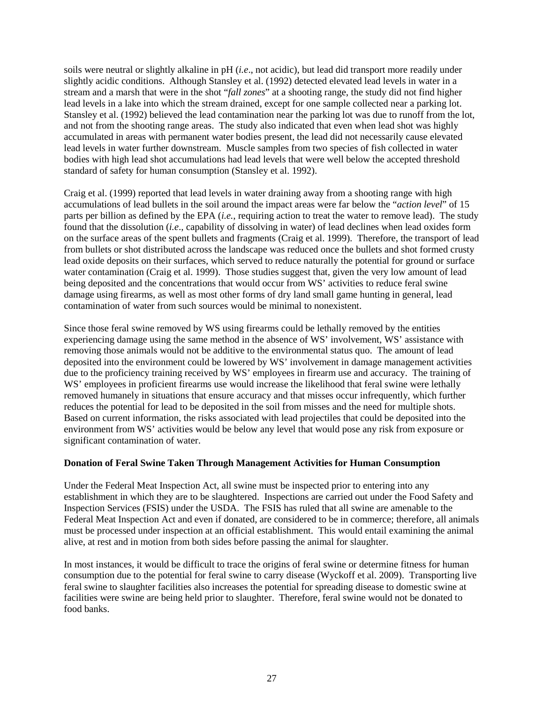soils were neutral or slightly alkaline in pH (*i.e*., not acidic), but lead did transport more readily under slightly acidic conditions. Although Stansley et al. (1992) detected elevated lead levels in water in a stream and a marsh that were in the shot "*fall zones*" at a shooting range, the study did not find higher lead levels in a lake into which the stream drained, except for one sample collected near a parking lot. Stansley et al. (1992) believed the lead contamination near the parking lot was due to runoff from the lot, and not from the shooting range areas. The study also indicated that even when lead shot was highly accumulated in areas with permanent water bodies present, the lead did not necessarily cause elevated lead levels in water further downstream. Muscle samples from two species of fish collected in water bodies with high lead shot accumulations had lead levels that were well below the accepted threshold standard of safety for human consumption (Stansley et al. 1992).

Craig et al. (1999) reported that lead levels in water draining away from a shooting range with high accumulations of lead bullets in the soil around the impact areas were far below the "*action level*" of 15 parts per billion as defined by the EPA (*i.e.*, requiring action to treat the water to remove lead). The study found that the dissolution (*i.e*., capability of dissolving in water) of lead declines when lead oxides form on the surface areas of the spent bullets and fragments (Craig et al. 1999). Therefore, the transport of lead from bullets or shot distributed across the landscape was reduced once the bullets and shot formed crusty lead oxide deposits on their surfaces, which served to reduce naturally the potential for ground or surface water contamination (Craig et al. 1999). Those studies suggest that, given the very low amount of lead being deposited and the concentrations that would occur from WS' activities to reduce feral swine damage using firearms, as well as most other forms of dry land small game hunting in general, lead contamination of water from such sources would be minimal to nonexistent.

Since those feral swine removed by WS using firearms could be lethally removed by the entities experiencing damage using the same method in the absence of WS' involvement, WS' assistance with removing those animals would not be additive to the environmental status quo. The amount of lead deposited into the environment could be lowered by WS' involvement in damage management activities due to the proficiency training received by WS' employees in firearm use and accuracy. The training of WS' employees in proficient firearms use would increase the likelihood that feral swine were lethally removed humanely in situations that ensure accuracy and that misses occur infrequently, which further reduces the potential for lead to be deposited in the soil from misses and the need for multiple shots. Based on current information, the risks associated with lead projectiles that could be deposited into the environment from WS' activities would be below any level that would pose any risk from exposure or significant contamination of water.

### **Donation of Feral Swine Taken Through Management Activities for Human Consumption**

Under the Federal Meat Inspection Act, all swine must be inspected prior to entering into any establishment in which they are to be slaughtered. Inspections are carried out under the Food Safety and Inspection Services (FSIS) under the USDA. The FSIS has ruled that all swine are amenable to the Federal Meat Inspection Act and even if donated, are considered to be in commerce; therefore, all animals must be processed under inspection at an official establishment. This would entail examining the animal alive, at rest and in motion from both sides before passing the animal for slaughter.

In most instances, it would be difficult to trace the origins of feral swine or determine fitness for human consumption due to the potential for feral swine to carry disease (Wyckoff et al. 2009). Transporting live feral swine to slaughter facilities also increases the potential for spreading disease to domestic swine at facilities were swine are being held prior to slaughter. Therefore, feral swine would not be donated to food banks.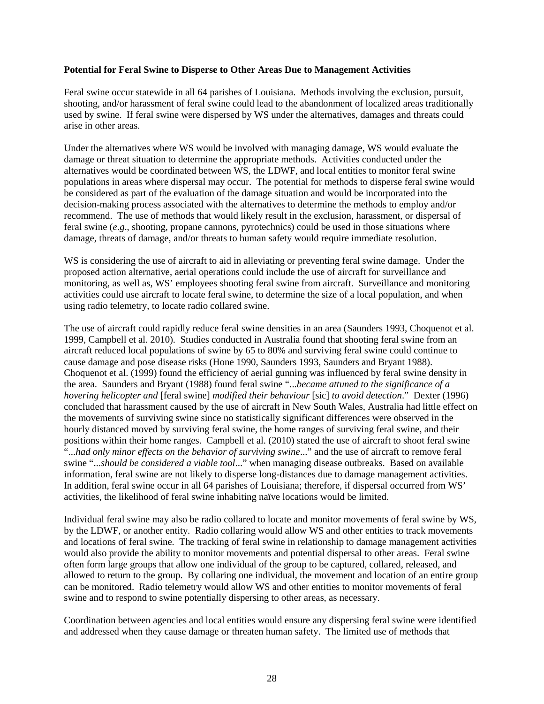#### **Potential for Feral Swine to Disperse to Other Areas Due to Management Activities**

Feral swine occur statewide in all 64 parishes of Louisiana. Methods involving the exclusion, pursuit, shooting, and/or harassment of feral swine could lead to the abandonment of localized areas traditionally used by swine. If feral swine were dispersed by WS under the alternatives, damages and threats could arise in other areas.

Under the alternatives where WS would be involved with managing damage, WS would evaluate the damage or threat situation to determine the appropriate methods. Activities conducted under the alternatives would be coordinated between WS, the LDWF, and local entities to monitor feral swine populations in areas where dispersal may occur. The potential for methods to disperse feral swine would be considered as part of the evaluation of the damage situation and would be incorporated into the decision-making process associated with the alternatives to determine the methods to employ and/or recommend. The use of methods that would likely result in the exclusion, harassment, or dispersal of feral swine (*e*.*g*., shooting, propane cannons, pyrotechnics) could be used in those situations where damage, threats of damage, and/or threats to human safety would require immediate resolution.

WS is considering the use of aircraft to aid in alleviating or preventing feral swine damage. Under the proposed action alternative, aerial operations could include the use of aircraft for surveillance and monitoring, as well as, WS' employees shooting feral swine from aircraft. Surveillance and monitoring activities could use aircraft to locate feral swine, to determine the size of a local population, and when using radio telemetry, to locate radio collared swine.

The use of aircraft could rapidly reduce feral swine densities in an area (Saunders 1993, Choquenot et al. 1999, Campbell et al. 2010). Studies conducted in Australia found that shooting feral swine from an aircraft reduced local populations of swine by 65 to 80% and surviving feral swine could continue to cause damage and pose disease risks (Hone 1990, Saunders 1993, Saunders and Bryant 1988). Choquenot et al. (1999) found the efficiency of aerial gunning was influenced by feral swine density in the area. Saunders and Bryant (1988) found feral swine "...*became attuned to the significance of a hovering helicopter and* [feral swine] *modified their behaviour* [sic] *to avoid detection*." Dexter (1996) concluded that harassment caused by the use of aircraft in New South Wales, Australia had little effect on the movements of surviving swine since no statistically significant differences were observed in the hourly distanced moved by surviving feral swine, the home ranges of surviving feral swine, and their positions within their home ranges. Campbell et al. (2010) stated the use of aircraft to shoot feral swine "...*had only minor effects on the behavior of surviving swine*..." and the use of aircraft to remove feral swine "...*should be considered a viable tool*..." when managing disease outbreaks. Based on available information, feral swine are not likely to disperse long-distances due to damage management activities. In addition, feral swine occur in all 64 parishes of Louisiana; therefore, if dispersal occurred from WS' activities, the likelihood of feral swine inhabiting naïve locations would be limited.

Individual feral swine may also be radio collared to locate and monitor movements of feral swine by WS, by the LDWF, or another entity. Radio collaring would allow WS and other entities to track movements and locations of feral swine. The tracking of feral swine in relationship to damage management activities would also provide the ability to monitor movements and potential dispersal to other areas. Feral swine often form large groups that allow one individual of the group to be captured, collared, released, and allowed to return to the group. By collaring one individual, the movement and location of an entire group can be monitored. Radio telemetry would allow WS and other entities to monitor movements of feral swine and to respond to swine potentially dispersing to other areas, as necessary.

Coordination between agencies and local entities would ensure any dispersing feral swine were identified and addressed when they cause damage or threaten human safety. The limited use of methods that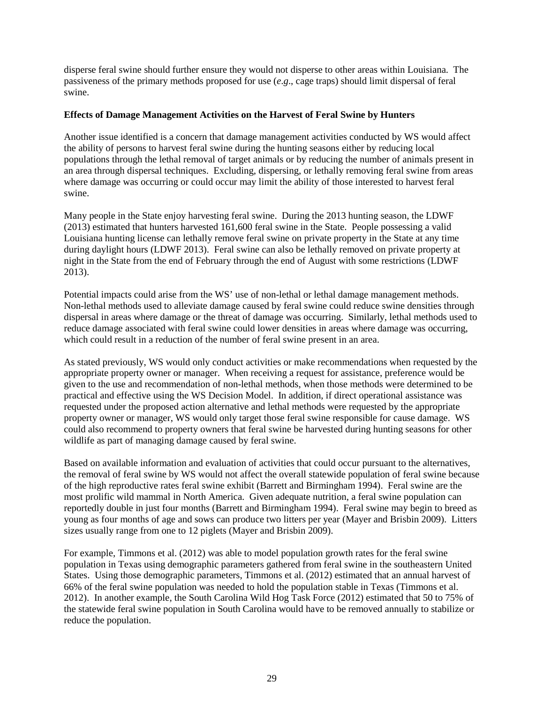disperse feral swine should further ensure they would not disperse to other areas within Louisiana. The passiveness of the primary methods proposed for use (*e*.*g*., cage traps) should limit dispersal of feral swine.

### **Effects of Damage Management Activities on the Harvest of Feral Swine by Hunters**

Another issue identified is a concern that damage management activities conducted by WS would affect the ability of persons to harvest feral swine during the hunting seasons either by reducing local populations through the lethal removal of target animals or by reducing the number of animals present in an area through dispersal techniques. Excluding, dispersing, or lethally removing feral swine from areas where damage was occurring or could occur may limit the ability of those interested to harvest feral swine.

Many people in the State enjoy harvesting feral swine. During the 2013 hunting season, the LDWF (2013) estimated that hunters harvested 161,600 feral swine in the State. People possessing a valid Louisiana hunting license can lethally remove feral swine on private property in the State at any time during daylight hours (LDWF 2013). Feral swine can also be lethally removed on private property at night in the State from the end of February through the end of August with some restrictions (LDWF 2013).

Potential impacts could arise from the WS' use of non-lethal or lethal damage management methods. Non-lethal methods used to alleviate damage caused by feral swine could reduce swine densities through dispersal in areas where damage or the threat of damage was occurring. Similarly, lethal methods used to reduce damage associated with feral swine could lower densities in areas where damage was occurring, which could result in a reduction of the number of feral swine present in an area.

As stated previously, WS would only conduct activities or make recommendations when requested by the appropriate property owner or manager. When receiving a request for assistance, preference would be given to the use and recommendation of non-lethal methods, when those methods were determined to be practical and effective using the WS Decision Model. In addition, if direct operational assistance was requested under the proposed action alternative and lethal methods were requested by the appropriate property owner or manager, WS would only target those feral swine responsible for cause damage. WS could also recommend to property owners that feral swine be harvested during hunting seasons for other wildlife as part of managing damage caused by feral swine.

Based on available information and evaluation of activities that could occur pursuant to the alternatives, the removal of feral swine by WS would not affect the overall statewide population of feral swine because of the high reproductive rates feral swine exhibit (Barrett and Birmingham 1994). Feral swine are the most prolific wild mammal in North America. Given adequate nutrition, a feral swine population can reportedly double in just four months (Barrett and Birmingham 1994). Feral swine may begin to breed as young as four months of age and sows can produce two litters per year (Mayer and Brisbin 2009). Litters sizes usually range from one to 12 piglets (Mayer and Brisbin 2009).

For example, Timmons et al. (2012) was able to model population growth rates for the feral swine population in Texas using demographic parameters gathered from feral swine in the southeastern United States. Using those demographic parameters, Timmons et al. (2012) estimated that an annual harvest of 66% of the feral swine population was needed to hold the population stable in Texas (Timmons et al. 2012). In another example, the South Carolina Wild Hog Task Force (2012) estimated that 50 to 75% of the statewide feral swine population in South Carolina would have to be removed annually to stabilize or reduce the population.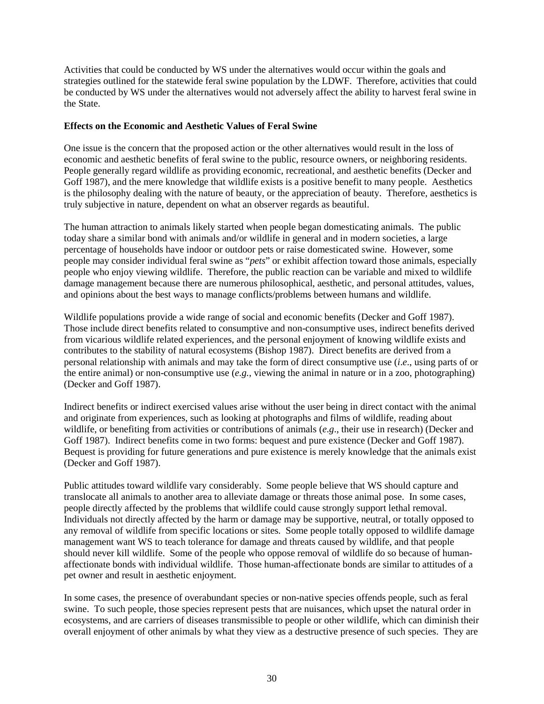Activities that could be conducted by WS under the alternatives would occur within the goals and strategies outlined for the statewide feral swine population by the LDWF. Therefore, activities that could be conducted by WS under the alternatives would not adversely affect the ability to harvest feral swine in the State.

#### **Effects on the Economic and Aesthetic Values of Feral Swine**

One issue is the concern that the proposed action or the other alternatives would result in the loss of economic and aesthetic benefits of feral swine to the public, resource owners, or neighboring residents. People generally regard wildlife as providing economic, recreational, and aesthetic benefits (Decker and Goff 1987), and the mere knowledge that wildlife exists is a positive benefit to many people. Aesthetics is the philosophy dealing with the nature of beauty, or the appreciation of beauty. Therefore, aesthetics is truly subjective in nature, dependent on what an observer regards as beautiful.

The human attraction to animals likely started when people began domesticating animals. The public today share a similar bond with animals and/or wildlife in general and in modern societies, a large percentage of households have indoor or outdoor pets or raise domesticated swine. However, some people may consider individual feral swine as "*pets*" or exhibit affection toward those animals, especially people who enjoy viewing wildlife. Therefore, the public reaction can be variable and mixed to wildlife damage management because there are numerous philosophical, aesthetic, and personal attitudes, values, and opinions about the best ways to manage conflicts/problems between humans and wildlife.

Wildlife populations provide a wide range of social and economic benefits (Decker and Goff 1987). Those include direct benefits related to consumptive and non-consumptive uses, indirect benefits derived from vicarious wildlife related experiences, and the personal enjoyment of knowing wildlife exists and contributes to the stability of natural ecosystems (Bishop 1987). Direct benefits are derived from a personal relationship with animals and may take the form of direct consumptive use (*i*.*e*., using parts of or the entire animal) or non-consumptive use (*e.g.*, viewing the animal in nature or in a zoo, photographing) (Decker and Goff 1987).

Indirect benefits or indirect exercised values arise without the user being in direct contact with the animal and originate from experiences, such as looking at photographs and films of wildlife, reading about wildlife, or benefiting from activities or contributions of animals (*e*.*g*., their use in research) (Decker and Goff 1987). Indirect benefits come in two forms: bequest and pure existence (Decker and Goff 1987). Bequest is providing for future generations and pure existence is merely knowledge that the animals exist (Decker and Goff 1987).

Public attitudes toward wildlife vary considerably. Some people believe that WS should capture and translocate all animals to another area to alleviate damage or threats those animal pose. In some cases, people directly affected by the problems that wildlife could cause strongly support lethal removal. Individuals not directly affected by the harm or damage may be supportive, neutral, or totally opposed to any removal of wildlife from specific locations or sites. Some people totally opposed to wildlife damage management want WS to teach tolerance for damage and threats caused by wildlife, and that people should never kill wildlife. Some of the people who oppose removal of wildlife do so because of humanaffectionate bonds with individual wildlife. Those human-affectionate bonds are similar to attitudes of a pet owner and result in aesthetic enjoyment.

In some cases, the presence of overabundant species or non-native species offends people, such as feral swine. To such people, those species represent pests that are nuisances, which upset the natural order in ecosystems, and are carriers of diseases transmissible to people or other wildlife, which can diminish their overall enjoyment of other animals by what they view as a destructive presence of such species. They are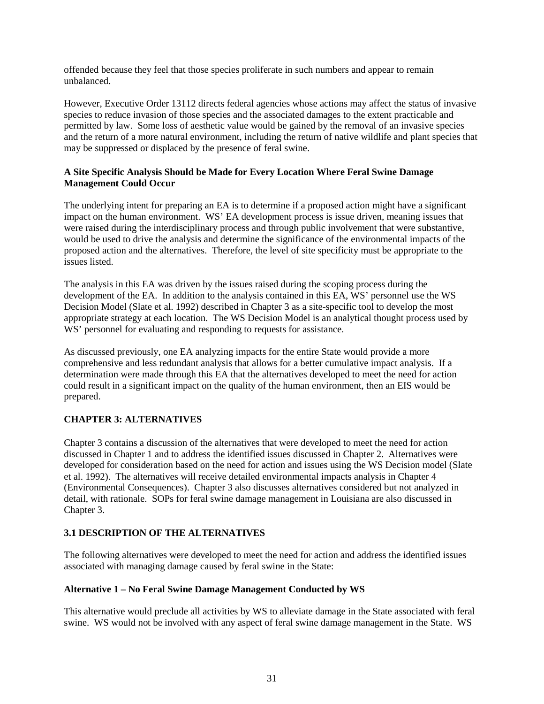offended because they feel that those species proliferate in such numbers and appear to remain unbalanced.

However, Executive Order 13112 directs federal agencies whose actions may affect the status of invasive species to reduce invasion of those species and the associated damages to the extent practicable and permitted by law. Some loss of aesthetic value would be gained by the removal of an invasive species and the return of a more natural environment, including the return of native wildlife and plant species that may be suppressed or displaced by the presence of feral swine.

## **A Site Specific Analysis Should be Made for Every Location Where Feral Swine Damage Management Could Occur**

The underlying intent for preparing an EA is to determine if a proposed action might have a significant impact on the human environment. WS' EA development process is issue driven, meaning issues that were raised during the interdisciplinary process and through public involvement that were substantive, would be used to drive the analysis and determine the significance of the environmental impacts of the proposed action and the alternatives. Therefore, the level of site specificity must be appropriate to the issues listed.

The analysis in this EA was driven by the issues raised during the scoping process during the development of the EA. In addition to the analysis contained in this EA, WS' personnel use the WS Decision Model (Slate et al. 1992) described in Chapter 3 as a site-specific tool to develop the most appropriate strategy at each location. The WS Decision Model is an analytical thought process used by WS' personnel for evaluating and responding to requests for assistance.

As discussed previously, one EA analyzing impacts for the entire State would provide a more comprehensive and less redundant analysis that allows for a better cumulative impact analysis. If a determination were made through this EA that the alternatives developed to meet the need for action could result in a significant impact on the quality of the human environment, then an EIS would be prepared.

## **CHAPTER 3: ALTERNATIVES**

Chapter 3 contains a discussion of the alternatives that were developed to meet the need for action discussed in Chapter 1 and to address the identified issues discussed in Chapter 2. Alternatives were developed for consideration based on the need for action and issues using the WS Decision model (Slate et al. 1992). The alternatives will receive detailed environmental impacts analysis in Chapter 4 (Environmental Consequences). Chapter 3 also discusses alternatives considered but not analyzed in detail, with rationale. SOPs for feral swine damage management in Louisiana are also discussed in Chapter 3.

## **3.1 DESCRIPTION OF THE ALTERNATIVES**

The following alternatives were developed to meet the need for action and address the identified issues associated with managing damage caused by feral swine in the State:

### **Alternative 1 – No Feral Swine Damage Management Conducted by WS**

This alternative would preclude all activities by WS to alleviate damage in the State associated with feral swine. WS would not be involved with any aspect of feral swine damage management in the State. WS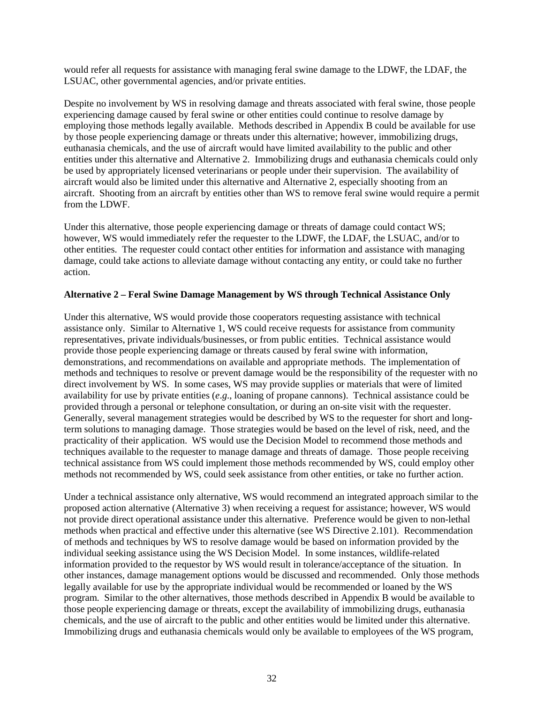would refer all requests for assistance with managing feral swine damage to the LDWF, the LDAF, the LSUAC, other governmental agencies, and/or private entities.

Despite no involvement by WS in resolving damage and threats associated with feral swine, those people experiencing damage caused by feral swine or other entities could continue to resolve damage by employing those methods legally available. Methods described in Appendix B could be available for use by those people experiencing damage or threats under this alternative; however, immobilizing drugs, euthanasia chemicals, and the use of aircraft would have limited availability to the public and other entities under this alternative and Alternative 2. Immobilizing drugs and euthanasia chemicals could only be used by appropriately licensed veterinarians or people under their supervision. The availability of aircraft would also be limited under this alternative and Alternative 2, especially shooting from an aircraft. Shooting from an aircraft by entities other than WS to remove feral swine would require a permit from the LDWF.

Under this alternative, those people experiencing damage or threats of damage could contact WS; however, WS would immediately refer the requester to the LDWF, the LDAF, the LSUAC, and/or to other entities. The requester could contact other entities for information and assistance with managing damage, could take actions to alleviate damage without contacting any entity, or could take no further action.

### **Alternative 2 – Feral Swine Damage Management by WS through Technical Assistance Only**

Under this alternative, WS would provide those cooperators requesting assistance with technical assistance only. Similar to Alternative 1, WS could receive requests for assistance from community representatives, private individuals/businesses, or from public entities. Technical assistance would provide those people experiencing damage or threats caused by feral swine with information, demonstrations, and recommendations on available and appropriate methods. The implementation of methods and techniques to resolve or prevent damage would be the responsibility of the requester with no direct involvement by WS. In some cases, WS may provide supplies or materials that were of limited availability for use by private entities (*e*.*g*., loaning of propane cannons). Technical assistance could be provided through a personal or telephone consultation, or during an on-site visit with the requester. Generally, several management strategies would be described by WS to the requester for short and longterm solutions to managing damage. Those strategies would be based on the level of risk, need, and the practicality of their application. WS would use the Decision Model to recommend those methods and techniques available to the requester to manage damage and threats of damage. Those people receiving technical assistance from WS could implement those methods recommended by WS, could employ other methods not recommended by WS, could seek assistance from other entities, or take no further action.

Under a technical assistance only alternative, WS would recommend an integrated approach similar to the proposed action alternative (Alternative 3) when receiving a request for assistance; however, WS would not provide direct operational assistance under this alternative. Preference would be given to non-lethal methods when practical and effective under this alternative (see WS Directive 2.101). Recommendation of methods and techniques by WS to resolve damage would be based on information provided by the individual seeking assistance using the WS Decision Model. In some instances, wildlife-related information provided to the requestor by WS would result in tolerance/acceptance of the situation. In other instances, damage management options would be discussed and recommended. Only those methods legally available for use by the appropriate individual would be recommended or loaned by the WS program. Similar to the other alternatives, those methods described in Appendix B would be available to those people experiencing damage or threats, except the availability of immobilizing drugs, euthanasia chemicals, and the use of aircraft to the public and other entities would be limited under this alternative. Immobilizing drugs and euthanasia chemicals would only be available to employees of the WS program,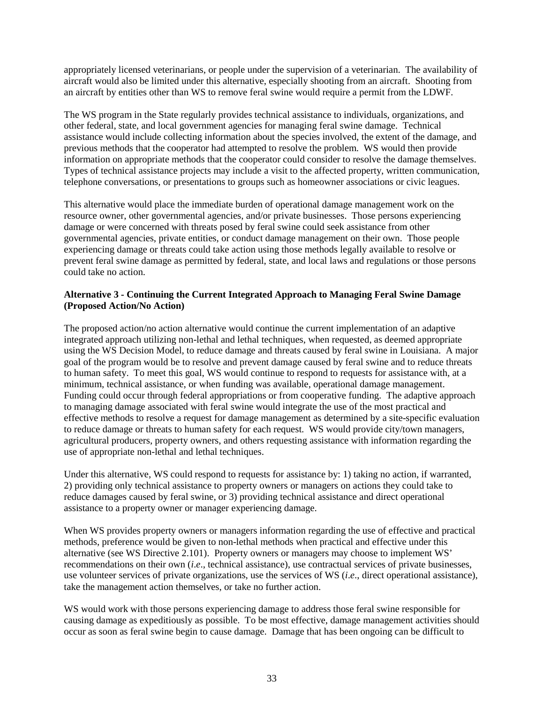appropriately licensed veterinarians, or people under the supervision of a veterinarian. The availability of aircraft would also be limited under this alternative, especially shooting from an aircraft. Shooting from an aircraft by entities other than WS to remove feral swine would require a permit from the LDWF.

The WS program in the State regularly provides technical assistance to individuals, organizations, and other federal, state, and local government agencies for managing feral swine damage. Technical assistance would include collecting information about the species involved, the extent of the damage, and previous methods that the cooperator had attempted to resolve the problem. WS would then provide information on appropriate methods that the cooperator could consider to resolve the damage themselves. Types of technical assistance projects may include a visit to the affected property, written communication, telephone conversations, or presentations to groups such as homeowner associations or civic leagues.

This alternative would place the immediate burden of operational damage management work on the resource owner, other governmental agencies, and/or private businesses. Those persons experiencing damage or were concerned with threats posed by feral swine could seek assistance from other governmental agencies, private entities, or conduct damage management on their own. Those people experiencing damage or threats could take action using those methods legally available to resolve or prevent feral swine damage as permitted by federal, state, and local laws and regulations or those persons could take no action.

## **Alternative 3 - Continuing the Current Integrated Approach to Managing Feral Swine Damage (Proposed Action/No Action)**

The proposed action/no action alternative would continue the current implementation of an adaptive integrated approach utilizing non-lethal and lethal techniques, when requested, as deemed appropriate using the WS Decision Model, to reduce damage and threats caused by feral swine in Louisiana. A major goal of the program would be to resolve and prevent damage caused by feral swine and to reduce threats to human safety. To meet this goal, WS would continue to respond to requests for assistance with, at a minimum, technical assistance, or when funding was available, operational damage management. Funding could occur through federal appropriations or from cooperative funding. The adaptive approach to managing damage associated with feral swine would integrate the use of the most practical and effective methods to resolve a request for damage management as determined by a site-specific evaluation to reduce damage or threats to human safety for each request. WS would provide city/town managers, agricultural producers, property owners, and others requesting assistance with information regarding the use of appropriate non-lethal and lethal techniques.

Under this alternative, WS could respond to requests for assistance by: 1) taking no action, if warranted, 2) providing only technical assistance to property owners or managers on actions they could take to reduce damages caused by feral swine, or 3) providing technical assistance and direct operational assistance to a property owner or manager experiencing damage.

When WS provides property owners or managers information regarding the use of effective and practical methods, preference would be given to non-lethal methods when practical and effective under this alternative (see WS Directive 2.101). Property owners or managers may choose to implement WS' recommendations on their own (*i*.*e*., technical assistance), use contractual services of private businesses, use volunteer services of private organizations, use the services of WS (*i*.*e*., direct operational assistance), take the management action themselves, or take no further action.

WS would work with those persons experiencing damage to address those feral swine responsible for causing damage as expeditiously as possible. To be most effective, damage management activities should occur as soon as feral swine begin to cause damage. Damage that has been ongoing can be difficult to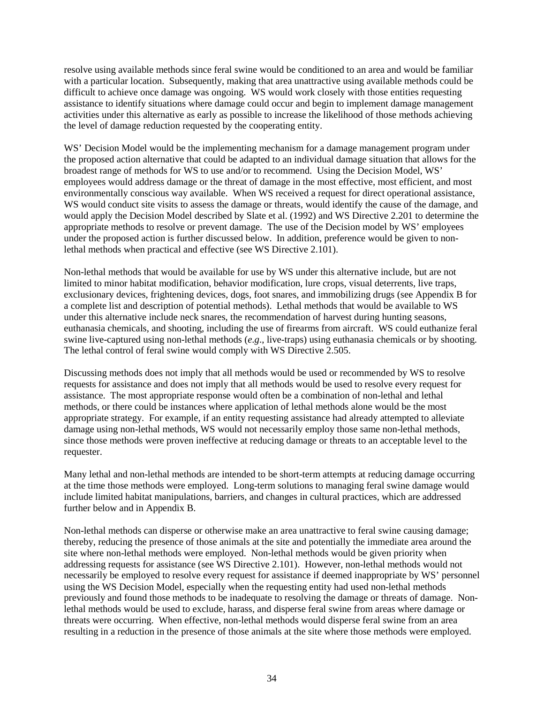resolve using available methods since feral swine would be conditioned to an area and would be familiar with a particular location. Subsequently, making that area unattractive using available methods could be difficult to achieve once damage was ongoing. WS would work closely with those entities requesting assistance to identify situations where damage could occur and begin to implement damage management activities under this alternative as early as possible to increase the likelihood of those methods achieving the level of damage reduction requested by the cooperating entity.

WS' Decision Model would be the implementing mechanism for a damage management program under the proposed action alternative that could be adapted to an individual damage situation that allows for the broadest range of methods for WS to use and/or to recommend. Using the Decision Model, WS' employees would address damage or the threat of damage in the most effective, most efficient, and most environmentally conscious way available. When WS received a request for direct operational assistance, WS would conduct site visits to assess the damage or threats, would identify the cause of the damage, and would apply the Decision Model described by Slate et al. (1992) and WS Directive 2.201 to determine the appropriate methods to resolve or prevent damage. The use of the Decision model by WS' employees under the proposed action is further discussed below. In addition, preference would be given to nonlethal methods when practical and effective (see WS Directive 2.101).

Non-lethal methods that would be available for use by WS under this alternative include, but are not limited to minor habitat modification, behavior modification, lure crops, visual deterrents, live traps, exclusionary devices, frightening devices, dogs, foot snares, and immobilizing drugs (see Appendix B for a complete list and description of potential methods). Lethal methods that would be available to WS under this alternative include neck snares, the recommendation of harvest during hunting seasons, euthanasia chemicals, and shooting, including the use of firearms from aircraft. WS could euthanize feral swine live-captured using non-lethal methods (*e*.*g*., live-traps) using euthanasia chemicals or by shooting. The lethal control of feral swine would comply with WS Directive 2.505.

Discussing methods does not imply that all methods would be used or recommended by WS to resolve requests for assistance and does not imply that all methods would be used to resolve every request for assistance. The most appropriate response would often be a combination of non-lethal and lethal methods, or there could be instances where application of lethal methods alone would be the most appropriate strategy. For example, if an entity requesting assistance had already attempted to alleviate damage using non-lethal methods, WS would not necessarily employ those same non-lethal methods, since those methods were proven ineffective at reducing damage or threats to an acceptable level to the requester.

Many lethal and non-lethal methods are intended to be short-term attempts at reducing damage occurring at the time those methods were employed. Long-term solutions to managing feral swine damage would include limited habitat manipulations, barriers, and changes in cultural practices, which are addressed further below and in Appendix B.

Non-lethal methods can disperse or otherwise make an area unattractive to feral swine causing damage; thereby, reducing the presence of those animals at the site and potentially the immediate area around the site where non-lethal methods were employed. Non-lethal methods would be given priority when addressing requests for assistance (see WS Directive 2.101). However, non-lethal methods would not necessarily be employed to resolve every request for assistance if deemed inappropriate by WS' personnel using the WS Decision Model, especially when the requesting entity had used non-lethal methods previously and found those methods to be inadequate to resolving the damage or threats of damage. Nonlethal methods would be used to exclude, harass, and disperse feral swine from areas where damage or threats were occurring. When effective, non-lethal methods would disperse feral swine from an area resulting in a reduction in the presence of those animals at the site where those methods were employed.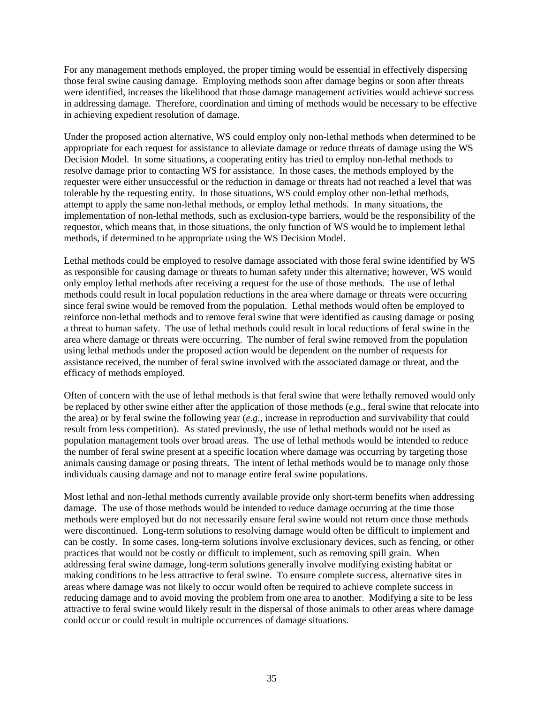For any management methods employed, the proper timing would be essential in effectively dispersing those feral swine causing damage. Employing methods soon after damage begins or soon after threats were identified, increases the likelihood that those damage management activities would achieve success in addressing damage. Therefore, coordination and timing of methods would be necessary to be effective in achieving expedient resolution of damage.

Under the proposed action alternative, WS could employ only non-lethal methods when determined to be appropriate for each request for assistance to alleviate damage or reduce threats of damage using the WS Decision Model. In some situations, a cooperating entity has tried to employ non-lethal methods to resolve damage prior to contacting WS for assistance. In those cases, the methods employed by the requester were either unsuccessful or the reduction in damage or threats had not reached a level that was tolerable by the requesting entity. In those situations, WS could employ other non-lethal methods, attempt to apply the same non-lethal methods, or employ lethal methods. In many situations, the implementation of non-lethal methods, such as exclusion-type barriers, would be the responsibility of the requestor, which means that, in those situations, the only function of WS would be to implement lethal methods, if determined to be appropriate using the WS Decision Model.

Lethal methods could be employed to resolve damage associated with those feral swine identified by WS as responsible for causing damage or threats to human safety under this alternative; however, WS would only employ lethal methods after receiving a request for the use of those methods. The use of lethal methods could result in local population reductions in the area where damage or threats were occurring since feral swine would be removed from the population. Lethal methods would often be employed to reinforce non-lethal methods and to remove feral swine that were identified as causing damage or posing a threat to human safety. The use of lethal methods could result in local reductions of feral swine in the area where damage or threats were occurring. The number of feral swine removed from the population using lethal methods under the proposed action would be dependent on the number of requests for assistance received, the number of feral swine involved with the associated damage or threat, and the efficacy of methods employed.

Often of concern with the use of lethal methods is that feral swine that were lethally removed would only be replaced by other swine either after the application of those methods (*e*.*g*., feral swine that relocate into the area) or by feral swine the following year (*e*.*g*., increase in reproduction and survivability that could result from less competition). As stated previously, the use of lethal methods would not be used as population management tools over broad areas. The use of lethal methods would be intended to reduce the number of feral swine present at a specific location where damage was occurring by targeting those animals causing damage or posing threats. The intent of lethal methods would be to manage only those individuals causing damage and not to manage entire feral swine populations.

Most lethal and non-lethal methods currently available provide only short-term benefits when addressing damage. The use of those methods would be intended to reduce damage occurring at the time those methods were employed but do not necessarily ensure feral swine would not return once those methods were discontinued. Long-term solutions to resolving damage would often be difficult to implement and can be costly. In some cases, long-term solutions involve exclusionary devices, such as fencing, or other practices that would not be costly or difficult to implement, such as removing spill grain. When addressing feral swine damage, long-term solutions generally involve modifying existing habitat or making conditions to be less attractive to feral swine. To ensure complete success, alternative sites in areas where damage was not likely to occur would often be required to achieve complete success in reducing damage and to avoid moving the problem from one area to another. Modifying a site to be less attractive to feral swine would likely result in the dispersal of those animals to other areas where damage could occur or could result in multiple occurrences of damage situations.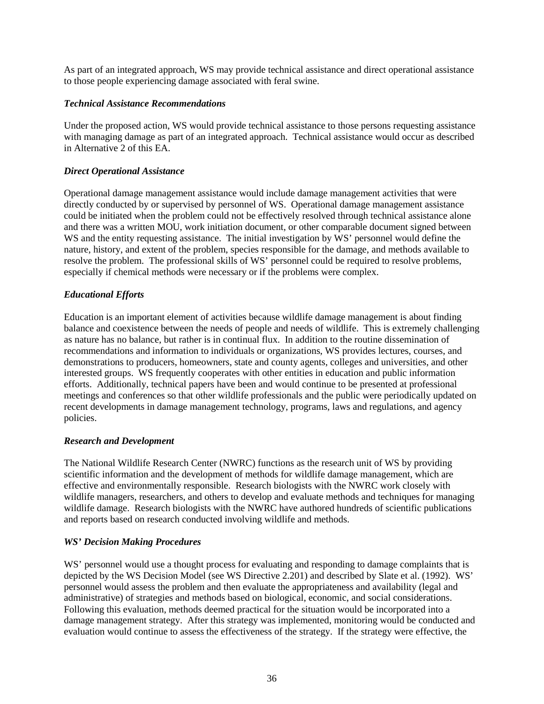As part of an integrated approach, WS may provide technical assistance and direct operational assistance to those people experiencing damage associated with feral swine.

### *Technical Assistance Recommendations*

Under the proposed action, WS would provide technical assistance to those persons requesting assistance with managing damage as part of an integrated approach. Technical assistance would occur as described in Alternative 2 of this EA.

# *Direct Operational Assistance*

Operational damage management assistance would include damage management activities that were directly conducted by or supervised by personnel of WS. Operational damage management assistance could be initiated when the problem could not be effectively resolved through technical assistance alone and there was a written MOU, work initiation document, or other comparable document signed between WS and the entity requesting assistance. The initial investigation by WS' personnel would define the nature, history, and extent of the problem, species responsible for the damage, and methods available to resolve the problem. The professional skills of WS' personnel could be required to resolve problems, especially if chemical methods were necessary or if the problems were complex.

### *Educational Efforts*

Education is an important element of activities because wildlife damage management is about finding balance and coexistence between the needs of people and needs of wildlife. This is extremely challenging as nature has no balance, but rather is in continual flux. In addition to the routine dissemination of recommendations and information to individuals or organizations, WS provides lectures, courses, and demonstrations to producers, homeowners, state and county agents, colleges and universities, and other interested groups. WS frequently cooperates with other entities in education and public information efforts. Additionally, technical papers have been and would continue to be presented at professional meetings and conferences so that other wildlife professionals and the public were periodically updated on recent developments in damage management technology, programs, laws and regulations, and agency policies.

### *Research and Development*

The National Wildlife Research Center (NWRC) functions as the research unit of WS by providing scientific information and the development of methods for wildlife damage management, which are effective and environmentally responsible. Research biologists with the NWRC work closely with wildlife managers, researchers, and others to develop and evaluate methods and techniques for managing wildlife damage. Research biologists with the NWRC have authored hundreds of scientific publications and reports based on research conducted involving wildlife and methods.

### *WS' Decision Making Procedures*

WS' personnel would use a thought process for evaluating and responding to damage complaints that is depicted by the WS Decision Model (see WS Directive 2.201) and described by Slate et al. (1992). WS' personnel would assess the problem and then evaluate the appropriateness and availability (legal and administrative) of strategies and methods based on biological, economic, and social considerations. Following this evaluation, methods deemed practical for the situation would be incorporated into a damage management strategy. After this strategy was implemented, monitoring would be conducted and evaluation would continue to assess the effectiveness of the strategy. If the strategy were effective, the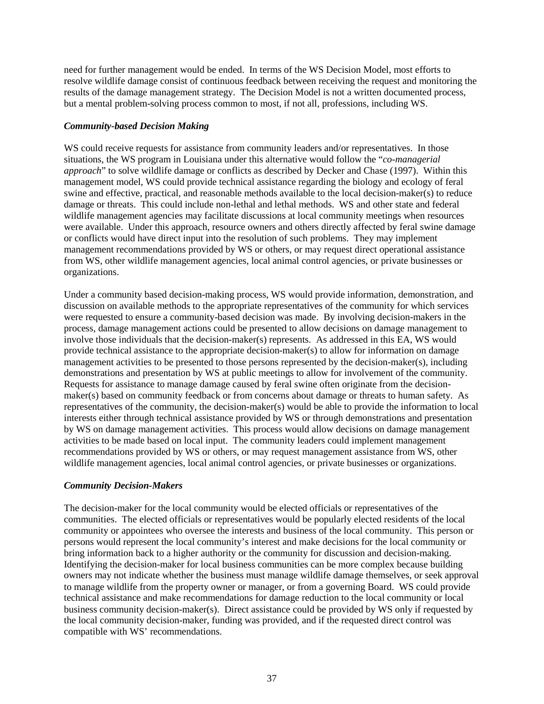need for further management would be ended. In terms of the WS Decision Model, most efforts to resolve wildlife damage consist of continuous feedback between receiving the request and monitoring the results of the damage management strategy. The Decision Model is not a written documented process, but a mental problem-solving process common to most, if not all, professions, including WS.

#### *Community-based Decision Making*

WS could receive requests for assistance from community leaders and/or representatives. In those situations, the WS program in Louisiana under this alternative would follow the "*co-managerial approach*" to solve wildlife damage or conflicts as described by Decker and Chase (1997). Within this management model, WS could provide technical assistance regarding the biology and ecology of feral swine and effective, practical, and reasonable methods available to the local decision-maker(s) to reduce damage or threats. This could include non-lethal and lethal methods. WS and other state and federal wildlife management agencies may facilitate discussions at local community meetings when resources were available. Under this approach, resource owners and others directly affected by feral swine damage or conflicts would have direct input into the resolution of such problems. They may implement management recommendations provided by WS or others, or may request direct operational assistance from WS, other wildlife management agencies, local animal control agencies, or private businesses or organizations.

Under a community based decision-making process, WS would provide information, demonstration, and discussion on available methods to the appropriate representatives of the community for which services were requested to ensure a community-based decision was made. By involving decision-makers in the process, damage management actions could be presented to allow decisions on damage management to involve those individuals that the decision-maker(s) represents. As addressed in this EA, WS would provide technical assistance to the appropriate decision-maker(s) to allow for information on damage management activities to be presented to those persons represented by the decision-maker(s), including demonstrations and presentation by WS at public meetings to allow for involvement of the community. Requests for assistance to manage damage caused by feral swine often originate from the decisionmaker(s) based on community feedback or from concerns about damage or threats to human safety. As representatives of the community, the decision-maker(s) would be able to provide the information to local interests either through technical assistance provided by WS or through demonstrations and presentation by WS on damage management activities. This process would allow decisions on damage management activities to be made based on local input. The community leaders could implement management recommendations provided by WS or others, or may request management assistance from WS, other wildlife management agencies, local animal control agencies, or private businesses or organizations.

### *Community Decision-Makers*

The decision-maker for the local community would be elected officials or representatives of the communities. The elected officials or representatives would be popularly elected residents of the local community or appointees who oversee the interests and business of the local community. This person or persons would represent the local community's interest and make decisions for the local community or bring information back to a higher authority or the community for discussion and decision-making. Identifying the decision-maker for local business communities can be more complex because building owners may not indicate whether the business must manage wildlife damage themselves, or seek approval to manage wildlife from the property owner or manager, or from a governing Board. WS could provide technical assistance and make recommendations for damage reduction to the local community or local business community decision-maker(s). Direct assistance could be provided by WS only if requested by the local community decision-maker, funding was provided, and if the requested direct control was compatible with WS' recommendations.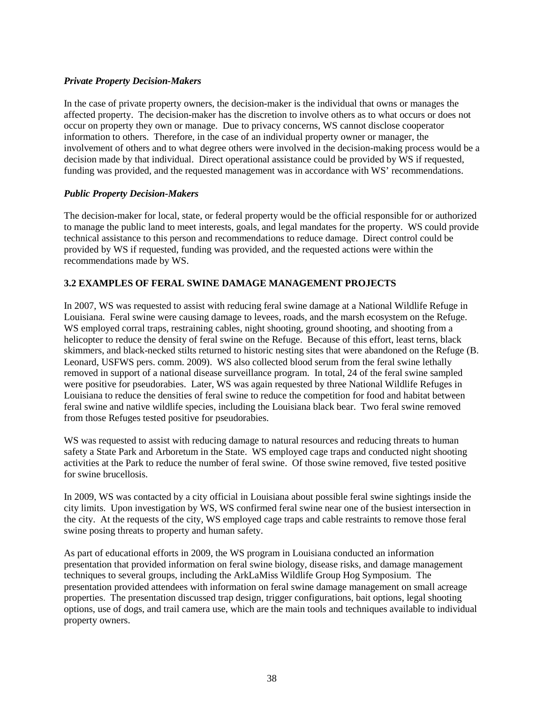## *Private Property Decision-Makers*

In the case of private property owners, the decision-maker is the individual that owns or manages the affected property. The decision-maker has the discretion to involve others as to what occurs or does not occur on property they own or manage. Due to privacy concerns, WS cannot disclose cooperator information to others. Therefore, in the case of an individual property owner or manager, the involvement of others and to what degree others were involved in the decision-making process would be a decision made by that individual. Direct operational assistance could be provided by WS if requested, funding was provided, and the requested management was in accordance with WS' recommendations.

### *Public Property Decision-Makers*

The decision-maker for local, state, or federal property would be the official responsible for or authorized to manage the public land to meet interests, goals, and legal mandates for the property. WS could provide technical assistance to this person and recommendations to reduce damage. Direct control could be provided by WS if requested, funding was provided, and the requested actions were within the recommendations made by WS.

# **3.2 EXAMPLES OF FERAL SWINE DAMAGE MANAGEMENT PROJECTS**

In 2007, WS was requested to assist with reducing feral swine damage at a National Wildlife Refuge in Louisiana. Feral swine were causing damage to levees, roads, and the marsh ecosystem on the Refuge. WS employed corral traps, restraining cables, night shooting, ground shooting, and shooting from a helicopter to reduce the density of feral swine on the Refuge. Because of this effort, least terns, black skimmers, and black-necked stilts returned to historic nesting sites that were abandoned on the Refuge (B. Leonard, USFWS pers. comm. 2009). WS also collected blood serum from the feral swine lethally removed in support of a national disease surveillance program. In total, 24 of the feral swine sampled were positive for pseudorabies. Later, WS was again requested by three National Wildlife Refuges in Louisiana to reduce the densities of feral swine to reduce the competition for food and habitat between feral swine and native wildlife species, including the Louisiana black bear. Two feral swine removed from those Refuges tested positive for pseudorabies.

WS was requested to assist with reducing damage to natural resources and reducing threats to human safety a State Park and Arboretum in the State. WS employed cage traps and conducted night shooting activities at the Park to reduce the number of feral swine. Of those swine removed, five tested positive for swine brucellosis.

In 2009, WS was contacted by a city official in Louisiana about possible feral swine sightings inside the city limits. Upon investigation by WS, WS confirmed feral swine near one of the busiest intersection in the city. At the requests of the city, WS employed cage traps and cable restraints to remove those feral swine posing threats to property and human safety.

As part of educational efforts in 2009, the WS program in Louisiana conducted an information presentation that provided information on feral swine biology, disease risks, and damage management techniques to several groups, including the ArkLaMiss Wildlife Group Hog Symposium. The presentation provided attendees with information on feral swine damage management on small acreage properties. The presentation discussed trap design, trigger configurations, bait options, legal shooting options, use of dogs, and trail camera use, which are the main tools and techniques available to individual property owners.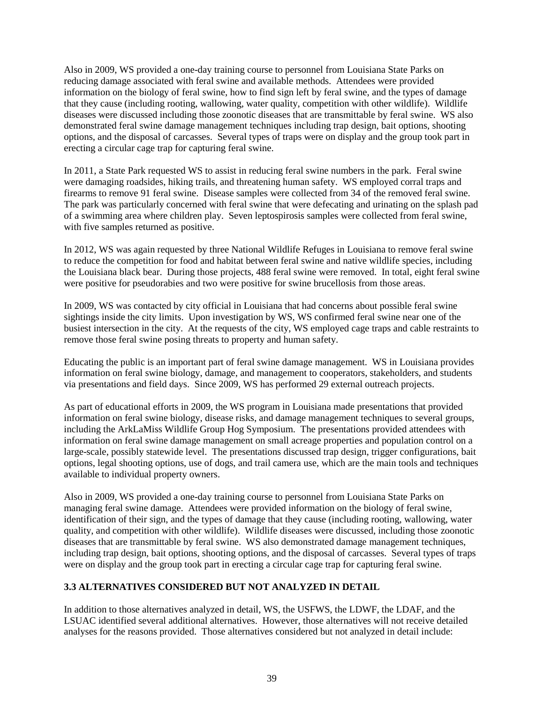Also in 2009, WS provided a one-day training course to personnel from Louisiana State Parks on reducing damage associated with feral swine and available methods. Attendees were provided information on the biology of feral swine, how to find sign left by feral swine, and the types of damage that they cause (including rooting, wallowing, water quality, competition with other wildlife). Wildlife diseases were discussed including those zoonotic diseases that are transmittable by feral swine. WS also demonstrated feral swine damage management techniques including trap design, bait options, shooting options, and the disposal of carcasses. Several types of traps were on display and the group took part in erecting a circular cage trap for capturing feral swine.

In 2011, a State Park requested WS to assist in reducing feral swine numbers in the park. Feral swine were damaging roadsides, hiking trails, and threatening human safety. WS employed corral traps and firearms to remove 91 feral swine. Disease samples were collected from 34 of the removed feral swine. The park was particularly concerned with feral swine that were defecating and urinating on the splash pad of a swimming area where children play. Seven leptospirosis samples were collected from feral swine, with five samples returned as positive.

In 2012, WS was again requested by three National Wildlife Refuges in Louisiana to remove feral swine to reduce the competition for food and habitat between feral swine and native wildlife species, including the Louisiana black bear. During those projects, 488 feral swine were removed. In total, eight feral swine were positive for pseudorabies and two were positive for swine brucellosis from those areas.

In 2009, WS was contacted by city official in Louisiana that had concerns about possible feral swine sightings inside the city limits. Upon investigation by WS, WS confirmed feral swine near one of the busiest intersection in the city. At the requests of the city, WS employed cage traps and cable restraints to remove those feral swine posing threats to property and human safety.

Educating the public is an important part of feral swine damage management. WS in Louisiana provides information on feral swine biology, damage, and management to cooperators, stakeholders, and students via presentations and field days. Since 2009, WS has performed 29 external outreach projects.

As part of educational efforts in 2009, the WS program in Louisiana made presentations that provided information on feral swine biology, disease risks, and damage management techniques to several groups, including the ArkLaMiss Wildlife Group Hog Symposium. The presentations provided attendees with information on feral swine damage management on small acreage properties and population control on a large-scale, possibly statewide level. The presentations discussed trap design, trigger configurations, bait options, legal shooting options, use of dogs, and trail camera use, which are the main tools and techniques available to individual property owners.

Also in 2009, WS provided a one-day training course to personnel from Louisiana State Parks on managing feral swine damage. Attendees were provided information on the biology of feral swine, identification of their sign, and the types of damage that they cause (including rooting, wallowing, water quality, and competition with other wildlife). Wildlife diseases were discussed, including those zoonotic diseases that are transmittable by feral swine. WS also demonstrated damage management techniques, including trap design, bait options, shooting options, and the disposal of carcasses. Several types of traps were on display and the group took part in erecting a circular cage trap for capturing feral swine.

# **3.3 ALTERNATIVES CONSIDERED BUT NOT ANALYZED IN DETAIL**

In addition to those alternatives analyzed in detail, WS, the USFWS, the LDWF, the LDAF, and the LSUAC identified several additional alternatives. However, those alternatives will not receive detailed analyses for the reasons provided. Those alternatives considered but not analyzed in detail include: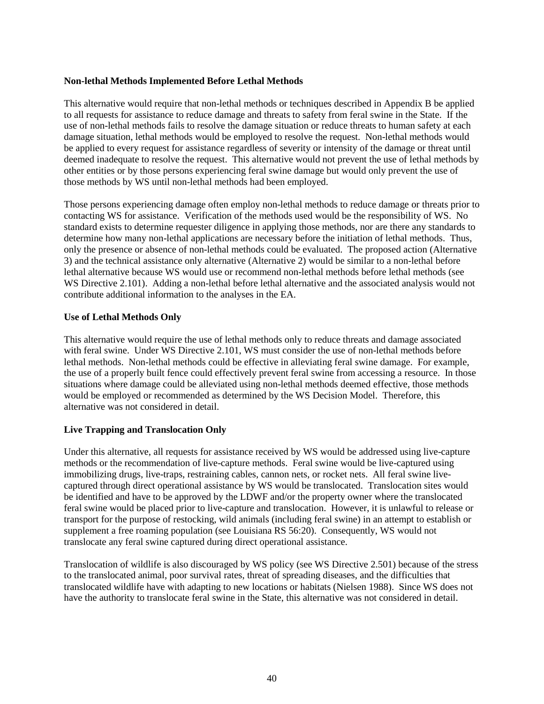### **Non-lethal Methods Implemented Before Lethal Methods**

This alternative would require that non-lethal methods or techniques described in Appendix B be applied to all requests for assistance to reduce damage and threats to safety from feral swine in the State. If the use of non-lethal methods fails to resolve the damage situation or reduce threats to human safety at each damage situation, lethal methods would be employed to resolve the request. Non-lethal methods would be applied to every request for assistance regardless of severity or intensity of the damage or threat until deemed inadequate to resolve the request. This alternative would not prevent the use of lethal methods by other entities or by those persons experiencing feral swine damage but would only prevent the use of those methods by WS until non-lethal methods had been employed.

Those persons experiencing damage often employ non-lethal methods to reduce damage or threats prior to contacting WS for assistance. Verification of the methods used would be the responsibility of WS. No standard exists to determine requester diligence in applying those methods, nor are there any standards to determine how many non-lethal applications are necessary before the initiation of lethal methods. Thus, only the presence or absence of non-lethal methods could be evaluated. The proposed action (Alternative 3) and the technical assistance only alternative (Alternative 2) would be similar to a non-lethal before lethal alternative because WS would use or recommend non-lethal methods before lethal methods (see WS Directive 2.101). Adding a non-lethal before lethal alternative and the associated analysis would not contribute additional information to the analyses in the EA.

### **Use of Lethal Methods Only**

This alternative would require the use of lethal methods only to reduce threats and damage associated with feral swine. Under WS Directive 2.101, WS must consider the use of non-lethal methods before lethal methods. Non-lethal methods could be effective in alleviating feral swine damage. For example, the use of a properly built fence could effectively prevent feral swine from accessing a resource. In those situations where damage could be alleviated using non-lethal methods deemed effective, those methods would be employed or recommended as determined by the WS Decision Model. Therefore, this alternative was not considered in detail.

### **Live Trapping and Translocation Only**

Under this alternative, all requests for assistance received by WS would be addressed using live-capture methods or the recommendation of live-capture methods. Feral swine would be live-captured using immobilizing drugs, live-traps, restraining cables, cannon nets, or rocket nets. All feral swine livecaptured through direct operational assistance by WS would be translocated. Translocation sites would be identified and have to be approved by the LDWF and/or the property owner where the translocated feral swine would be placed prior to live-capture and translocation. However, it is unlawful to release or transport for the purpose of restocking, wild animals (including feral swine) in an attempt to establish or supplement a free roaming population (see Louisiana RS 56:20). Consequently, WS would not translocate any feral swine captured during direct operational assistance.

Translocation of wildlife is also discouraged by WS policy (see WS Directive 2.501) because of the stress to the translocated animal, poor survival rates, threat of spreading diseases, and the difficulties that translocated wildlife have with adapting to new locations or habitats (Nielsen 1988). Since WS does not have the authority to translocate feral swine in the State, this alternative was not considered in detail.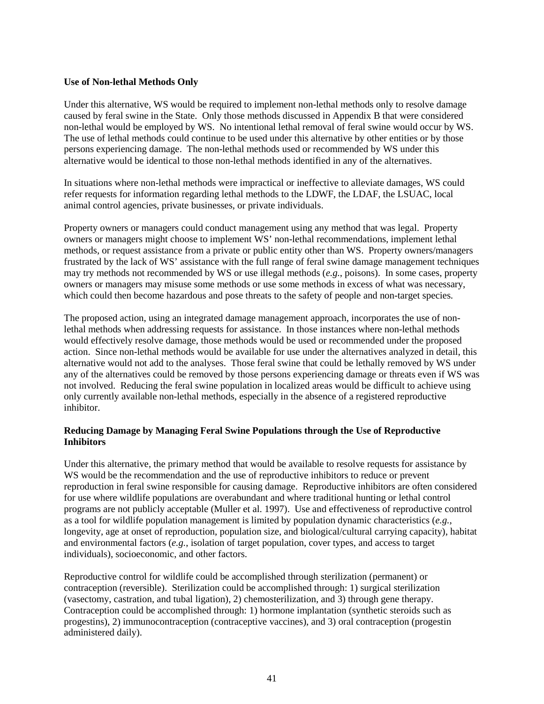#### **Use of Non-lethal Methods Only**

Under this alternative, WS would be required to implement non-lethal methods only to resolve damage caused by feral swine in the State. Only those methods discussed in Appendix B that were considered non-lethal would be employed by WS. No intentional lethal removal of feral swine would occur by WS. The use of lethal methods could continue to be used under this alternative by other entities or by those persons experiencing damage. The non-lethal methods used or recommended by WS under this alternative would be identical to those non-lethal methods identified in any of the alternatives.

In situations where non-lethal methods were impractical or ineffective to alleviate damages, WS could refer requests for information regarding lethal methods to the LDWF, the LDAF, the LSUAC, local animal control agencies, private businesses, or private individuals.

Property owners or managers could conduct management using any method that was legal. Property owners or managers might choose to implement WS' non-lethal recommendations, implement lethal methods, or request assistance from a private or public entity other than WS. Property owners/managers frustrated by the lack of WS' assistance with the full range of feral swine damage management techniques may try methods not recommended by WS or use illegal methods (*e.g.*, poisons). In some cases, property owners or managers may misuse some methods or use some methods in excess of what was necessary, which could then become hazardous and pose threats to the safety of people and non-target species.

The proposed action, using an integrated damage management approach, incorporates the use of nonlethal methods when addressing requests for assistance. In those instances where non-lethal methods would effectively resolve damage, those methods would be used or recommended under the proposed action. Since non-lethal methods would be available for use under the alternatives analyzed in detail, this alternative would not add to the analyses. Those feral swine that could be lethally removed by WS under any of the alternatives could be removed by those persons experiencing damage or threats even if WS was not involved. Reducing the feral swine population in localized areas would be difficult to achieve using only currently available non-lethal methods, especially in the absence of a registered reproductive inhibitor.

### **Reducing Damage by Managing Feral Swine Populations through the Use of Reproductive Inhibitors**

Under this alternative, the primary method that would be available to resolve requests for assistance by WS would be the recommendation and the use of reproductive inhibitors to reduce or prevent reproduction in feral swine responsible for causing damage. Reproductive inhibitors are often considered for use where wildlife populations are overabundant and where traditional hunting or lethal control programs are not publicly acceptable (Muller et al. 1997). Use and effectiveness of reproductive control as a tool for wildlife population management is limited by population dynamic characteristics (*e.g.*, longevity, age at onset of reproduction, population size, and biological/cultural carrying capacity), habitat and environmental factors (*e.g.*, isolation of target population, cover types, and access to target individuals), socioeconomic, and other factors.

Reproductive control for wildlife could be accomplished through sterilization (permanent) or contraception (reversible). Sterilization could be accomplished through: 1) surgical sterilization (vasectomy, castration, and tubal ligation), 2) chemosterilization, and 3) through gene therapy. Contraception could be accomplished through: 1) hormone implantation (synthetic steroids such as progestins), 2) immunocontraception (contraceptive vaccines), and 3) oral contraception (progestin administered daily).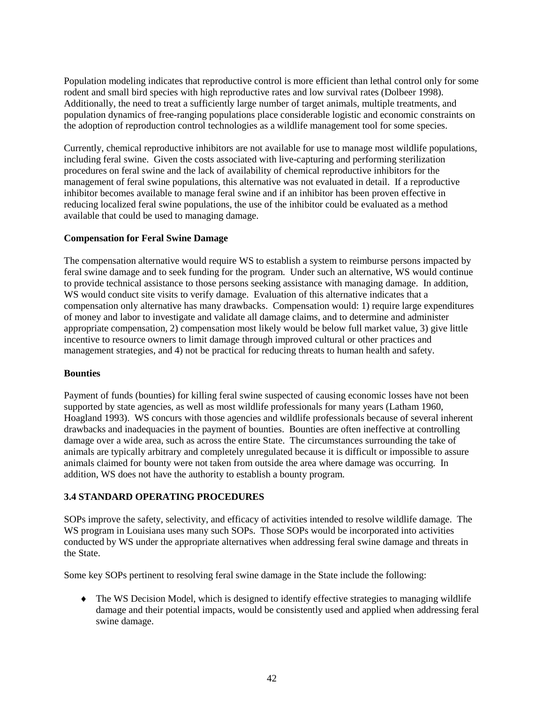Population modeling indicates that reproductive control is more efficient than lethal control only for some rodent and small bird species with high reproductive rates and low survival rates (Dolbeer 1998). Additionally, the need to treat a sufficiently large number of target animals, multiple treatments, and population dynamics of free-ranging populations place considerable logistic and economic constraints on the adoption of reproduction control technologies as a wildlife management tool for some species.

Currently, chemical reproductive inhibitors are not available for use to manage most wildlife populations, including feral swine. Given the costs associated with live-capturing and performing sterilization procedures on feral swine and the lack of availability of chemical reproductive inhibitors for the management of feral swine populations, this alternative was not evaluated in detail. If a reproductive inhibitor becomes available to manage feral swine and if an inhibitor has been proven effective in reducing localized feral swine populations, the use of the inhibitor could be evaluated as a method available that could be used to managing damage.

### **Compensation for Feral Swine Damage**

The compensation alternative would require WS to establish a system to reimburse persons impacted by feral swine damage and to seek funding for the program. Under such an alternative, WS would continue to provide technical assistance to those persons seeking assistance with managing damage. In addition, WS would conduct site visits to verify damage. Evaluation of this alternative indicates that a compensation only alternative has many drawbacks. Compensation would: 1) require large expenditures of money and labor to investigate and validate all damage claims, and to determine and administer appropriate compensation, 2) compensation most likely would be below full market value, 3) give little incentive to resource owners to limit damage through improved cultural or other practices and management strategies, and 4) not be practical for reducing threats to human health and safety.

### **Bounties**

Payment of funds (bounties) for killing feral swine suspected of causing economic losses have not been supported by state agencies, as well as most wildlife professionals for many years (Latham 1960, Hoagland 1993). WS concurs with those agencies and wildlife professionals because of several inherent drawbacks and inadequacies in the payment of bounties. Bounties are often ineffective at controlling damage over a wide area, such as across the entire State. The circumstances surrounding the take of animals are typically arbitrary and completely unregulated because it is difficult or impossible to assure animals claimed for bounty were not taken from outside the area where damage was occurring. In addition, WS does not have the authority to establish a bounty program.

### **3.4 STANDARD OPERATING PROCEDURES**

SOPs improve the safety, selectivity, and efficacy of activities intended to resolve wildlife damage. The WS program in Louisiana uses many such SOPs. Those SOPs would be incorporated into activities conducted by WS under the appropriate alternatives when addressing feral swine damage and threats in the State.

Some key SOPs pertinent to resolving feral swine damage in the State include the following:

♦ The WS Decision Model, which is designed to identify effective strategies to managing wildlife damage and their potential impacts, would be consistently used and applied when addressing feral swine damage.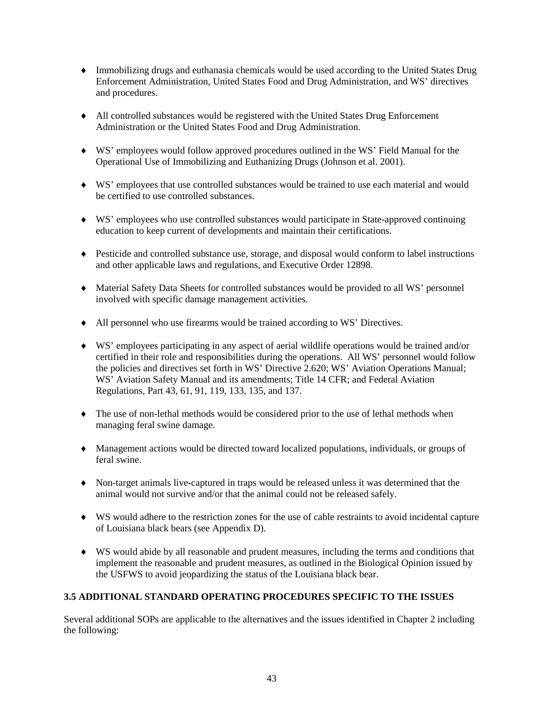- ♦ Immobilizing drugs and euthanasia chemicals would be used according to the United States Drug Enforcement Administration, United States Food and Drug Administration, and WS' directives and procedures.
- ♦ All controlled substances would be registered with the United States Drug Enforcement Administration or the United States Food and Drug Administration.
- ♦ WS' employees would follow approved procedures outlined in the WS' Field Manual for the Operational Use of Immobilizing and Euthanizing Drugs (Johnson et al. 2001).
- ♦ WS' employees that use controlled substances would be trained to use each material and would be certified to use controlled substances.
- ♦ WS' employees who use controlled substances would participate in State-approved continuing education to keep current of developments and maintain their certifications.
- ♦ Pesticide and controlled substance use, storage, and disposal would conform to label instructions and other applicable laws and regulations, and Executive Order 12898.
- ♦ Material Safety Data Sheets for controlled substances would be provided to all WS' personnel involved with specific damage management activities.
- ♦ All personnel who use firearms would be trained according to WS' Directives.
- ♦ WS' employees participating in any aspect of aerial wildlife operations would be trained and/or certified in their role and responsibilities during the operations. All WS' personnel would follow the policies and directives set forth in WS' Directive 2.620; WS' Aviation Operations Manual; WS' Aviation Safety Manual and its amendments; Title 14 CFR; and Federal Aviation Regulations, Part 43, 61, 91, 119, 133, 135, and 137.
- ♦ The use of non-lethal methods would be considered prior to the use of lethal methods when managing feral swine damage.
- ♦ Management actions would be directed toward localized populations, individuals, or groups of feral swine.
- ♦ Non-target animals live-captured in traps would be released unless it was determined that the animal would not survive and/or that the animal could not be released safely.
- ♦ WS would adhere to the restriction zones for the use of cable restraints to avoid incidental capture of Louisiana black bears (see Appendix D).
- ♦ WS would abide by all reasonable and prudent measures, including the terms and conditions that implement the reasonable and prudent measures, as outlined in the Biological Opinion issued by the USFWS to avoid jeopardizing the status of the Louisiana black bear.

# **3.5 ADDITIONAL STANDARD OPERATING PROCEDURES SPECIFIC TO THE ISSUES**

Several additional SOPs are applicable to the alternatives and the issues identified in Chapter 2 including the following: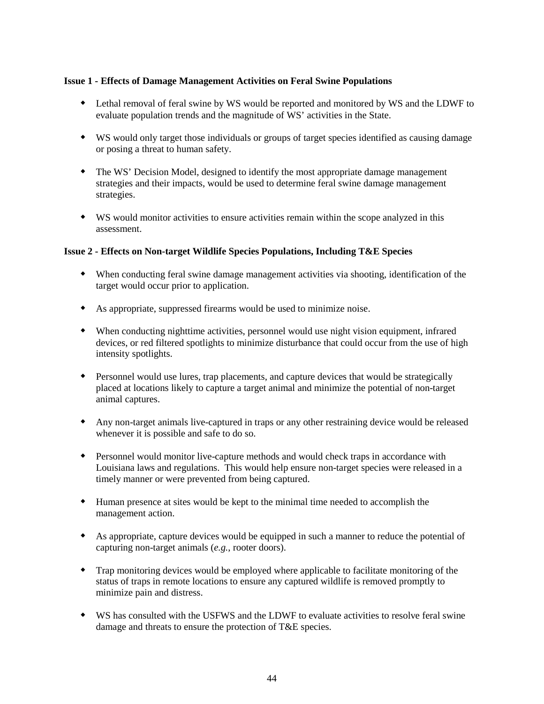### **Issue 1 - Effects of Damage Management Activities on Feral Swine Populations**

- Lethal removal of feral swine by WS would be reported and monitored by WS and the LDWF to evaluate population trends and the magnitude of WS' activities in the State.
- WS would only target those individuals or groups of target species identified as causing damage or posing a threat to human safety.
- The WS' Decision Model, designed to identify the most appropriate damage management strategies and their impacts, would be used to determine feral swine damage management strategies.
- WS would monitor activities to ensure activities remain within the scope analyzed in this assessment.

### **Issue 2 - Effects on Non-target Wildlife Species Populations, Including T&E Species**

- When conducting feral swine damage management activities via shooting, identification of the target would occur prior to application.
- As appropriate, suppressed firearms would be used to minimize noise.
- When conducting nighttime activities, personnel would use night vision equipment, infrared devices, or red filtered spotlights to minimize disturbance that could occur from the use of high intensity spotlights.
- Personnel would use lures, trap placements, and capture devices that would be strategically placed at locations likely to capture a target animal and minimize the potential of non-target animal captures.
- Any non-target animals live-captured in traps or any other restraining device would be released whenever it is possible and safe to do so.
- Personnel would monitor live-capture methods and would check traps in accordance with Louisiana laws and regulations. This would help ensure non-target species were released in a timely manner or were prevented from being captured.
- Human presence at sites would be kept to the minimal time needed to accomplish the management action.
- As appropriate, capture devices would be equipped in such a manner to reduce the potential of capturing non-target animals (*e.g.*, rooter doors).
- Trap monitoring devices would be employed where applicable to facilitate monitoring of the status of traps in remote locations to ensure any captured wildlife is removed promptly to minimize pain and distress.
- WS has consulted with the USFWS and the LDWF to evaluate activities to resolve feral swine damage and threats to ensure the protection of T&E species.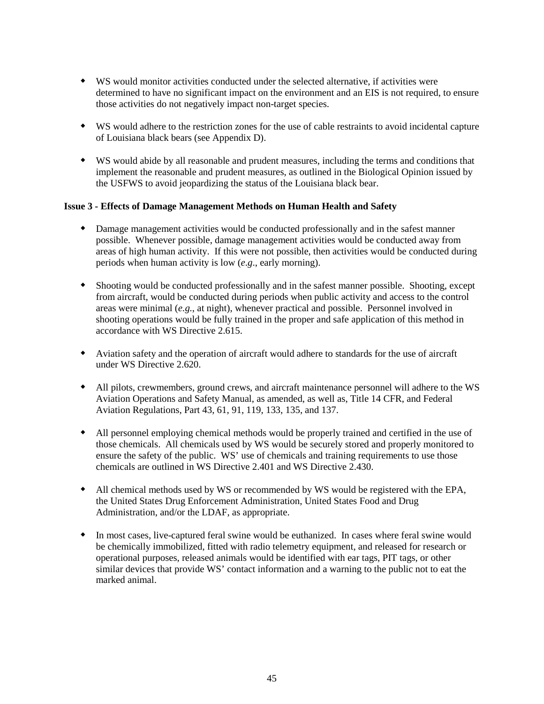- WS would monitor activities conducted under the selected alternative, if activities were determined to have no significant impact on the environment and an EIS is not required, to ensure those activities do not negatively impact non-target species.
- WS would adhere to the restriction zones for the use of cable restraints to avoid incidental capture of Louisiana black bears (see Appendix D).
- WS would abide by all reasonable and prudent measures, including the terms and conditions that implement the reasonable and prudent measures, as outlined in the Biological Opinion issued by the USFWS to avoid jeopardizing the status of the Louisiana black bear.

### **Issue 3 - Effects of Damage Management Methods on Human Health and Safety**

- Damage management activities would be conducted professionally and in the safest manner possible. Whenever possible, damage management activities would be conducted away from areas of high human activity. If this were not possible, then activities would be conducted during periods when human activity is low (*e*.*g*., early morning).
- Shooting would be conducted professionally and in the safest manner possible. Shooting, except from aircraft, would be conducted during periods when public activity and access to the control areas were minimal (*e.g.*, at night), whenever practical and possible. Personnel involved in shooting operations would be fully trained in the proper and safe application of this method in accordance with WS Directive 2.615.
- Aviation safety and the operation of aircraft would adhere to standards for the use of aircraft under WS Directive 2.620.
- All pilots, crewmembers, ground crews, and aircraft maintenance personnel will adhere to the WS Aviation Operations and Safety Manual, as amended, as well as, Title 14 CFR, and Federal Aviation Regulations, Part 43, 61, 91, 119, 133, 135, and 137.
- All personnel employing chemical methods would be properly trained and certified in the use of those chemicals. All chemicals used by WS would be securely stored and properly monitored to ensure the safety of the public. WS' use of chemicals and training requirements to use those chemicals are outlined in WS Directive 2.401 and WS Directive 2.430.
- All chemical methods used by WS or recommended by WS would be registered with the EPA, the United States Drug Enforcement Administration, United States Food and Drug Administration, and/or the LDAF, as appropriate.
- In most cases, live-captured feral swine would be euthanized. In cases where feral swine would be chemically immobilized, fitted with radio telemetry equipment, and released for research or operational purposes, released animals would be identified with ear tags, PIT tags, or other similar devices that provide WS' contact information and a warning to the public not to eat the marked animal.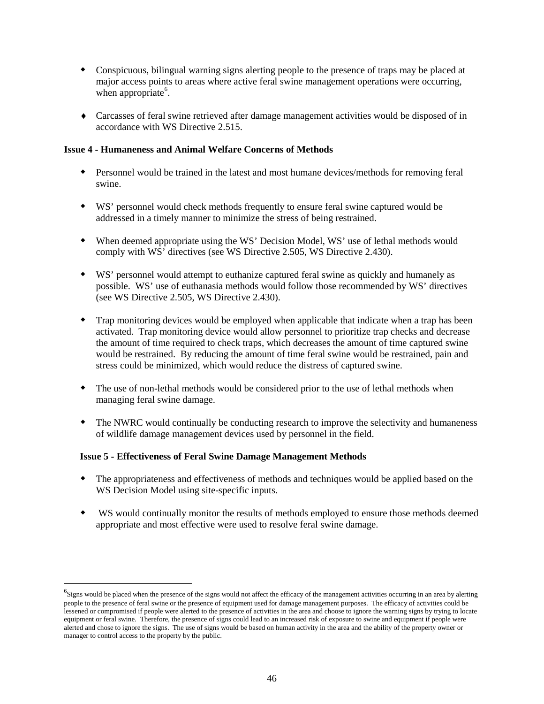- Conspicuous, bilingual warning signs alerting people to the presence of traps may be placed at major access points to areas where active feral swine management operations were occurring, when appropriate<sup>[6](#page-48-0)</sup>.
- ♦ Carcasses of feral swine retrieved after damage management activities would be disposed of in accordance with WS Directive 2.515.

### **Issue 4 - Humaneness and Animal Welfare Concerns of Methods**

- Personnel would be trained in the latest and most humane devices/methods for removing feral swine.
- WS' personnel would check methods frequently to ensure feral swine captured would be addressed in a timely manner to minimize the stress of being restrained.
- When deemed appropriate using the WS' Decision Model, WS' use of lethal methods would comply with WS' directives (see WS Directive 2.505, WS Directive 2.430).
- WS' personnel would attempt to euthanize captured feral swine as quickly and humanely as possible. WS' use of euthanasia methods would follow those recommended by WS' directives (see WS Directive 2.505, WS Directive 2.430).
- Trap monitoring devices would be employed when applicable that indicate when a trap has been activated. Trap monitoring device would allow personnel to prioritize trap checks and decrease the amount of time required to check traps, which decreases the amount of time captured swine would be restrained. By reducing the amount of time feral swine would be restrained, pain and stress could be minimized, which would reduce the distress of captured swine.
- The use of non-lethal methods would be considered prior to the use of lethal methods when managing feral swine damage.
- The NWRC would continually be conducting research to improve the selectivity and humaneness of wildlife damage management devices used by personnel in the field.

### **Issue 5 - Effectiveness of Feral Swine Damage Management Methods**

 $\overline{a}$ 

- The appropriateness and effectiveness of methods and techniques would be applied based on the WS Decision Model using site-specific inputs.
- WS would continually monitor the results of methods employed to ensure those methods deemed appropriate and most effective were used to resolve feral swine damage.

<span id="page-48-0"></span> ${}^{6}$ Signs would be placed when the presence of the signs would not affect the efficacy of the management activities occurring in an area by alerting people to the presence of feral swine or the presence of equipment used for damage management purposes. The efficacy of activities could be lessened or compromised if people were alerted to the presence of activities in the area and choose to ignore the warning signs by trying to locate equipment or feral swine. Therefore, the presence of signs could lead to an increased risk of exposure to swine and equipment if people were alerted and chose to ignore the signs. The use of signs would be based on human activity in the area and the ability of the property owner or manager to control access to the property by the public.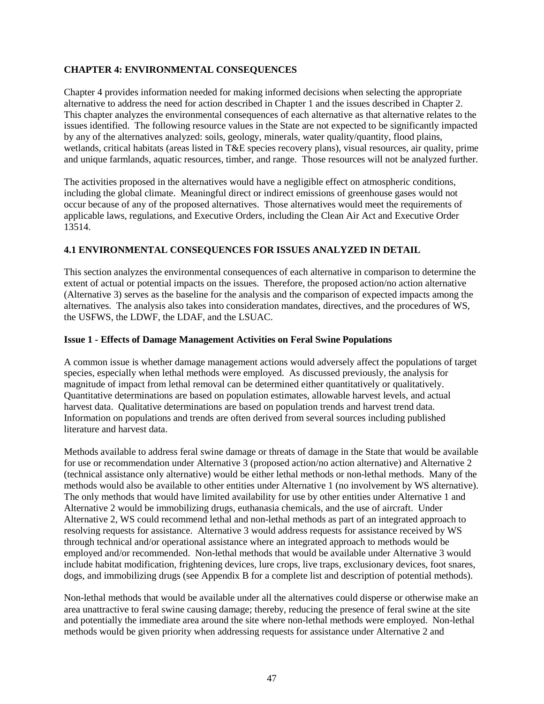## **CHAPTER 4: ENVIRONMENTAL CONSEQUENCES**

Chapter 4 provides information needed for making informed decisions when selecting the appropriate alternative to address the need for action described in Chapter 1 and the issues described in Chapter 2. This chapter analyzes the environmental consequences of each alternative as that alternative relates to the issues identified. The following resource values in the State are not expected to be significantly impacted by any of the alternatives analyzed: soils, geology, minerals, water quality/quantity, flood plains, wetlands, critical habitats (areas listed in T&E species recovery plans), visual resources, air quality, prime and unique farmlands, aquatic resources, timber, and range. Those resources will not be analyzed further.

The activities proposed in the alternatives would have a negligible effect on atmospheric conditions, including the global climate. Meaningful direct or indirect emissions of greenhouse gases would not occur because of any of the proposed alternatives. Those alternatives would meet the requirements of applicable laws, regulations, and Executive Orders, including the Clean Air Act and Executive Order 13514.

# **4.1 ENVIRONMENTAL CONSEQUENCES FOR ISSUES ANALYZED IN DETAIL**

This section analyzes the environmental consequences of each alternative in comparison to determine the extent of actual or potential impacts on the issues. Therefore, the proposed action/no action alternative (Alternative 3) serves as the baseline for the analysis and the comparison of expected impacts among the alternatives. The analysis also takes into consideration mandates, directives, and the procedures of WS, the USFWS, the LDWF, the LDAF, and the LSUAC.

### **Issue 1 - Effects of Damage Management Activities on Feral Swine Populations**

A common issue is whether damage management actions would adversely affect the populations of target species, especially when lethal methods were employed. As discussed previously, the analysis for magnitude of impact from lethal removal can be determined either quantitatively or qualitatively. Quantitative determinations are based on population estimates, allowable harvest levels, and actual harvest data. Qualitative determinations are based on population trends and harvest trend data. Information on populations and trends are often derived from several sources including published literature and harvest data.

Methods available to address feral swine damage or threats of damage in the State that would be available for use or recommendation under Alternative 3 (proposed action/no action alternative) and Alternative 2 (technical assistance only alternative) would be either lethal methods or non-lethal methods. Many of the methods would also be available to other entities under Alternative 1 (no involvement by WS alternative). The only methods that would have limited availability for use by other entities under Alternative 1 and Alternative 2 would be immobilizing drugs, euthanasia chemicals, and the use of aircraft. Under Alternative 2, WS could recommend lethal and non-lethal methods as part of an integrated approach to resolving requests for assistance. Alternative 3 would address requests for assistance received by WS through technical and/or operational assistance where an integrated approach to methods would be employed and/or recommended. Non-lethal methods that would be available under Alternative 3 would include habitat modification, frightening devices, lure crops, live traps, exclusionary devices, foot snares, dogs, and immobilizing drugs (see Appendix B for a complete list and description of potential methods).

Non-lethal methods that would be available under all the alternatives could disperse or otherwise make an area unattractive to feral swine causing damage; thereby, reducing the presence of feral swine at the site and potentially the immediate area around the site where non-lethal methods were employed. Non-lethal methods would be given priority when addressing requests for assistance under Alternative 2 and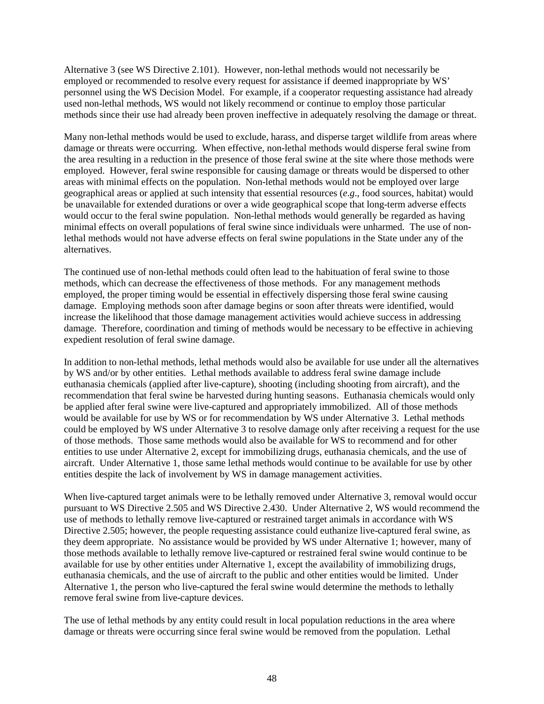Alternative 3 (see WS Directive 2.101). However, non-lethal methods would not necessarily be employed or recommended to resolve every request for assistance if deemed inappropriate by WS' personnel using the WS Decision Model. For example, if a cooperator requesting assistance had already used non-lethal methods, WS would not likely recommend or continue to employ those particular methods since their use had already been proven ineffective in adequately resolving the damage or threat.

Many non-lethal methods would be used to exclude, harass, and disperse target wildlife from areas where damage or threats were occurring. When effective, non-lethal methods would disperse feral swine from the area resulting in a reduction in the presence of those feral swine at the site where those methods were employed. However, feral swine responsible for causing damage or threats would be dispersed to other areas with minimal effects on the population. Non-lethal methods would not be employed over large geographical areas or applied at such intensity that essential resources (*e*.*g*., food sources, habitat) would be unavailable for extended durations or over a wide geographical scope that long-term adverse effects would occur to the feral swine population. Non-lethal methods would generally be regarded as having minimal effects on overall populations of feral swine since individuals were unharmed. The use of nonlethal methods would not have adverse effects on feral swine populations in the State under any of the alternatives.

The continued use of non-lethal methods could often lead to the habituation of feral swine to those methods, which can decrease the effectiveness of those methods. For any management methods employed, the proper timing would be essential in effectively dispersing those feral swine causing damage. Employing methods soon after damage begins or soon after threats were identified, would increase the likelihood that those damage management activities would achieve success in addressing damage. Therefore, coordination and timing of methods would be necessary to be effective in achieving expedient resolution of feral swine damage.

In addition to non-lethal methods, lethal methods would also be available for use under all the alternatives by WS and/or by other entities. Lethal methods available to address feral swine damage include euthanasia chemicals (applied after live-capture), shooting (including shooting from aircraft), and the recommendation that feral swine be harvested during hunting seasons. Euthanasia chemicals would only be applied after feral swine were live-captured and appropriately immobilized. All of those methods would be available for use by WS or for recommendation by WS under Alternative 3. Lethal methods could be employed by WS under Alternative 3 to resolve damage only after receiving a request for the use of those methods. Those same methods would also be available for WS to recommend and for other entities to use under Alternative 2, except for immobilizing drugs, euthanasia chemicals, and the use of aircraft. Under Alternative 1, those same lethal methods would continue to be available for use by other entities despite the lack of involvement by WS in damage management activities.

When live-captured target animals were to be lethally removed under Alternative 3, removal would occur pursuant to WS Directive 2.505 and WS Directive 2.430. Under Alternative 2, WS would recommend the use of methods to lethally remove live-captured or restrained target animals in accordance with WS Directive 2.505; however, the people requesting assistance could euthanize live-captured feral swine, as they deem appropriate. No assistance would be provided by WS under Alternative 1; however, many of those methods available to lethally remove live-captured or restrained feral swine would continue to be available for use by other entities under Alternative 1, except the availability of immobilizing drugs, euthanasia chemicals, and the use of aircraft to the public and other entities would be limited. Under Alternative 1, the person who live-captured the feral swine would determine the methods to lethally remove feral swine from live-capture devices.

The use of lethal methods by any entity could result in local population reductions in the area where damage or threats were occurring since feral swine would be removed from the population. Lethal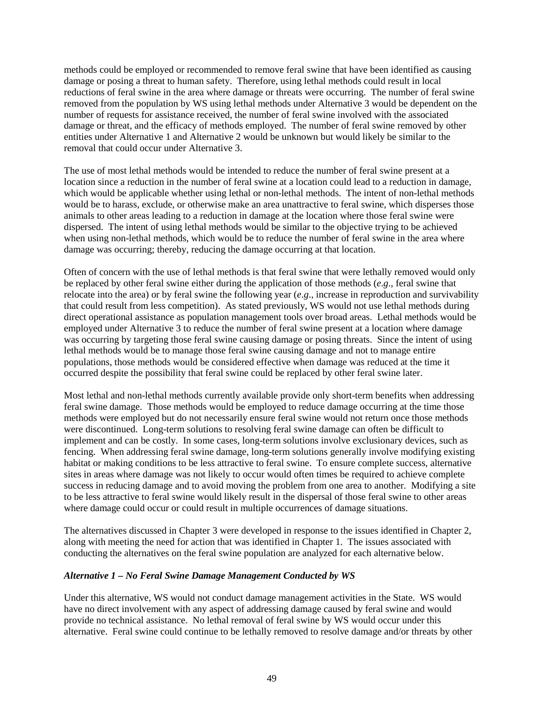methods could be employed or recommended to remove feral swine that have been identified as causing damage or posing a threat to human safety. Therefore, using lethal methods could result in local reductions of feral swine in the area where damage or threats were occurring. The number of feral swine removed from the population by WS using lethal methods under Alternative 3 would be dependent on the number of requests for assistance received, the number of feral swine involved with the associated damage or threat, and the efficacy of methods employed. The number of feral swine removed by other entities under Alternative 1 and Alternative 2 would be unknown but would likely be similar to the removal that could occur under Alternative 3.

The use of most lethal methods would be intended to reduce the number of feral swine present at a location since a reduction in the number of feral swine at a location could lead to a reduction in damage, which would be applicable whether using lethal or non-lethal methods. The intent of non-lethal methods would be to harass, exclude, or otherwise make an area unattractive to feral swine, which disperses those animals to other areas leading to a reduction in damage at the location where those feral swine were dispersed. The intent of using lethal methods would be similar to the objective trying to be achieved when using non-lethal methods, which would be to reduce the number of feral swine in the area where damage was occurring; thereby, reducing the damage occurring at that location.

Often of concern with the use of lethal methods is that feral swine that were lethally removed would only be replaced by other feral swine either during the application of those methods (*e*.*g*., feral swine that relocate into the area) or by feral swine the following year (*e*.*g*., increase in reproduction and survivability that could result from less competition). As stated previously, WS would not use lethal methods during direct operational assistance as population management tools over broad areas. Lethal methods would be employed under Alternative 3 to reduce the number of feral swine present at a location where damage was occurring by targeting those feral swine causing damage or posing threats. Since the intent of using lethal methods would be to manage those feral swine causing damage and not to manage entire populations, those methods would be considered effective when damage was reduced at the time it occurred despite the possibility that feral swine could be replaced by other feral swine later.

Most lethal and non-lethal methods currently available provide only short-term benefits when addressing feral swine damage. Those methods would be employed to reduce damage occurring at the time those methods were employed but do not necessarily ensure feral swine would not return once those methods were discontinued. Long-term solutions to resolving feral swine damage can often be difficult to implement and can be costly. In some cases, long-term solutions involve exclusionary devices, such as fencing. When addressing feral swine damage, long-term solutions generally involve modifying existing habitat or making conditions to be less attractive to feral swine. To ensure complete success, alternative sites in areas where damage was not likely to occur would often times be required to achieve complete success in reducing damage and to avoid moving the problem from one area to another. Modifying a site to be less attractive to feral swine would likely result in the dispersal of those feral swine to other areas where damage could occur or could result in multiple occurrences of damage situations.

The alternatives discussed in Chapter 3 were developed in response to the issues identified in Chapter 2, along with meeting the need for action that was identified in Chapter 1. The issues associated with conducting the alternatives on the feral swine population are analyzed for each alternative below.

### *Alternative 1 – No Feral Swine Damage Management Conducted by WS*

Under this alternative, WS would not conduct damage management activities in the State. WS would have no direct involvement with any aspect of addressing damage caused by feral swine and would provide no technical assistance. No lethal removal of feral swine by WS would occur under this alternative. Feral swine could continue to be lethally removed to resolve damage and/or threats by other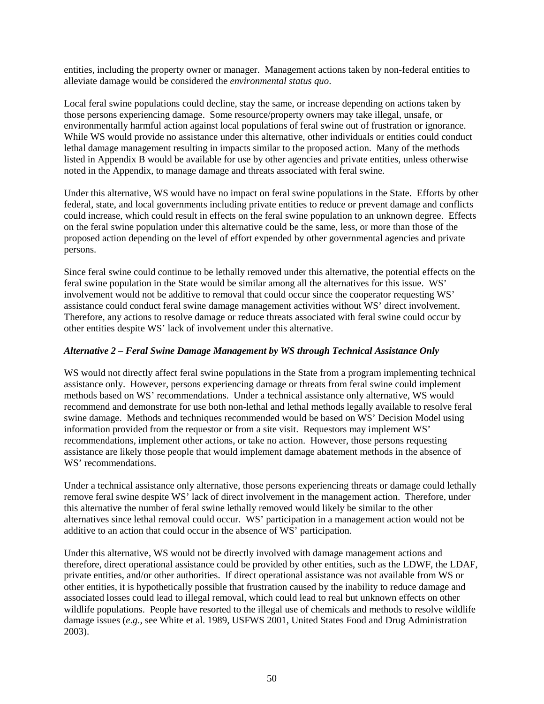entities, including the property owner or manager. Management actions taken by non-federal entities to alleviate damage would be considered the *environmental status quo*.

Local feral swine populations could decline, stay the same, or increase depending on actions taken by those persons experiencing damage. Some resource/property owners may take illegal, unsafe, or environmentally harmful action against local populations of feral swine out of frustration or ignorance. While WS would provide no assistance under this alternative, other individuals or entities could conduct lethal damage management resulting in impacts similar to the proposed action. Many of the methods listed in Appendix B would be available for use by other agencies and private entities, unless otherwise noted in the Appendix, to manage damage and threats associated with feral swine.

Under this alternative, WS would have no impact on feral swine populations in the State. Efforts by other federal, state, and local governments including private entities to reduce or prevent damage and conflicts could increase, which could result in effects on the feral swine population to an unknown degree. Effects on the feral swine population under this alternative could be the same, less, or more than those of the proposed action depending on the level of effort expended by other governmental agencies and private persons.

Since feral swine could continue to be lethally removed under this alternative, the potential effects on the feral swine population in the State would be similar among all the alternatives for this issue. WS' involvement would not be additive to removal that could occur since the cooperator requesting WS' assistance could conduct feral swine damage management activities without WS' direct involvement. Therefore, any actions to resolve damage or reduce threats associated with feral swine could occur by other entities despite WS' lack of involvement under this alternative.

### *Alternative 2 – Feral Swine Damage Management by WS through Technical Assistance Only*

WS would not directly affect feral swine populations in the State from a program implementing technical assistance only. However, persons experiencing damage or threats from feral swine could implement methods based on WS' recommendations. Under a technical assistance only alternative, WS would recommend and demonstrate for use both non-lethal and lethal methods legally available to resolve feral swine damage. Methods and techniques recommended would be based on WS' Decision Model using information provided from the requestor or from a site visit. Requestors may implement WS' recommendations, implement other actions, or take no action. However, those persons requesting assistance are likely those people that would implement damage abatement methods in the absence of WS' recommendations.

Under a technical assistance only alternative, those persons experiencing threats or damage could lethally remove feral swine despite WS' lack of direct involvement in the management action. Therefore, under this alternative the number of feral swine lethally removed would likely be similar to the other alternatives since lethal removal could occur. WS' participation in a management action would not be additive to an action that could occur in the absence of WS' participation.

Under this alternative, WS would not be directly involved with damage management actions and therefore, direct operational assistance could be provided by other entities, such as the LDWF, the LDAF, private entities, and/or other authorities. If direct operational assistance was not available from WS or other entities, it is hypothetically possible that frustration caused by the inability to reduce damage and associated losses could lead to illegal removal, which could lead to real but unknown effects on other wildlife populations. People have resorted to the illegal use of chemicals and methods to resolve wildlife damage issues (*e*.*g*., see White et al. 1989, USFWS 2001, United States Food and Drug Administration 2003).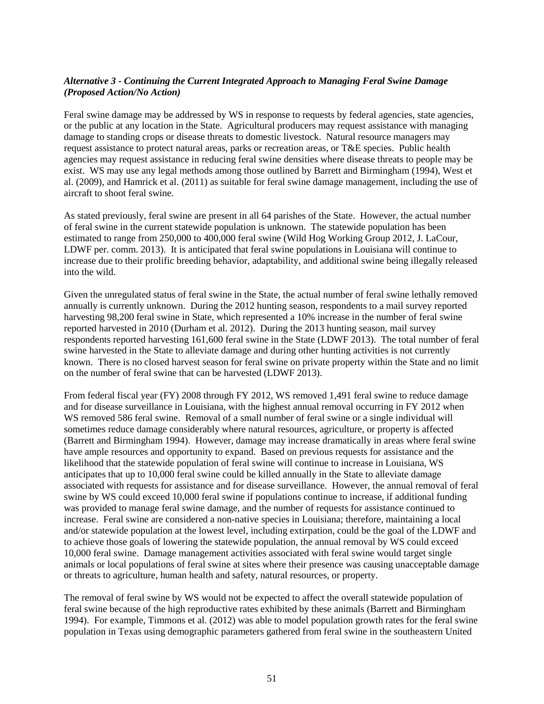## *Alternative 3 - Continuing the Current Integrated Approach to Managing Feral Swine Damage (Proposed Action/No Action)*

Feral swine damage may be addressed by WS in response to requests by federal agencies, state agencies, or the public at any location in the State. Agricultural producers may request assistance with managing damage to standing crops or disease threats to domestic livestock. Natural resource managers may request assistance to protect natural areas, parks or recreation areas, or T&E species. Public health agencies may request assistance in reducing feral swine densities where disease threats to people may be exist. WS may use any legal methods among those outlined by Barrett and Birmingham (1994), West et al. (2009), and Hamrick et al. (2011) as suitable for feral swine damage management, including the use of aircraft to shoot feral swine.

As stated previously, feral swine are present in all 64 parishes of the State. However, the actual number of feral swine in the current statewide population is unknown. The statewide population has been estimated to range from 250,000 to 400,000 feral swine (Wild Hog Working Group 2012, J. LaCour, LDWF per. comm. 2013). It is anticipated that feral swine populations in Louisiana will continue to increase due to their prolific breeding behavior, adaptability, and additional swine being illegally released into the wild.

Given the unregulated status of feral swine in the State, the actual number of feral swine lethally removed annually is currently unknown. During the 2012 hunting season, respondents to a mail survey reported harvesting 98,200 feral swine in State, which represented a 10% increase in the number of feral swine reported harvested in 2010 (Durham et al. 2012). During the 2013 hunting season, mail survey respondents reported harvesting 161,600 feral swine in the State (LDWF 2013). The total number of feral swine harvested in the State to alleviate damage and during other hunting activities is not currently known. There is no closed harvest season for feral swine on private property within the State and no limit on the number of feral swine that can be harvested (LDWF 2013).

From federal fiscal year (FY) 2008 through FY 2012, WS removed 1,491 feral swine to reduce damage and for disease surveillance in Louisiana, with the highest annual removal occurring in FY 2012 when WS removed 586 feral swine. Removal of a small number of feral swine or a single individual will sometimes reduce damage considerably where natural resources, agriculture, or property is affected (Barrett and Birmingham 1994). However, damage may increase dramatically in areas where feral swine have ample resources and opportunity to expand. Based on previous requests for assistance and the likelihood that the statewide population of feral swine will continue to increase in Louisiana, WS anticipates that up to 10,000 feral swine could be killed annually in the State to alleviate damage associated with requests for assistance and for disease surveillance. However, the annual removal of feral swine by WS could exceed 10,000 feral swine if populations continue to increase, if additional funding was provided to manage feral swine damage, and the number of requests for assistance continued to increase. Feral swine are considered a non-native species in Louisiana; therefore, maintaining a local and/or statewide population at the lowest level, including extirpation, could be the goal of the LDWF and to achieve those goals of lowering the statewide population, the annual removal by WS could exceed 10,000 feral swine. Damage management activities associated with feral swine would target single animals or local populations of feral swine at sites where their presence was causing unacceptable damage or threats to agriculture, human health and safety, natural resources, or property.

The removal of feral swine by WS would not be expected to affect the overall statewide population of feral swine because of the high reproductive rates exhibited by these animals (Barrett and Birmingham 1994). For example, Timmons et al. (2012) was able to model population growth rates for the feral swine population in Texas using demographic parameters gathered from feral swine in the southeastern United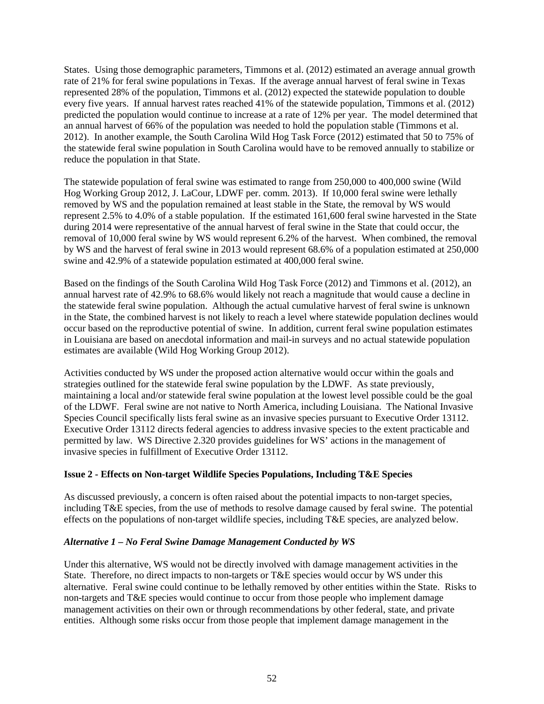States. Using those demographic parameters, Timmons et al. (2012) estimated an average annual growth rate of 21% for feral swine populations in Texas. If the average annual harvest of feral swine in Texas represented 28% of the population, Timmons et al. (2012) expected the statewide population to double every five years. If annual harvest rates reached 41% of the statewide population, Timmons et al. (2012) predicted the population would continue to increase at a rate of 12% per year. The model determined that an annual harvest of 66% of the population was needed to hold the population stable (Timmons et al. 2012). In another example, the South Carolina Wild Hog Task Force (2012) estimated that 50 to 75% of the statewide feral swine population in South Carolina would have to be removed annually to stabilize or reduce the population in that State.

The statewide population of feral swine was estimated to range from 250,000 to 400,000 swine (Wild Hog Working Group 2012, J. LaCour, LDWF per. comm. 2013). If 10,000 feral swine were lethally removed by WS and the population remained at least stable in the State, the removal by WS would represent 2.5% to 4.0% of a stable population. If the estimated 161,600 feral swine harvested in the State during 2014 were representative of the annual harvest of feral swine in the State that could occur, the removal of 10,000 feral swine by WS would represent 6.2% of the harvest. When combined, the removal by WS and the harvest of feral swine in 2013 would represent 68.6% of a population estimated at 250,000 swine and 42.9% of a statewide population estimated at 400,000 feral swine.

Based on the findings of the South Carolina Wild Hog Task Force (2012) and Timmons et al. (2012), an annual harvest rate of 42.9% to 68.6% would likely not reach a magnitude that would cause a decline in the statewide feral swine population. Although the actual cumulative harvest of feral swine is unknown in the State, the combined harvest is not likely to reach a level where statewide population declines would occur based on the reproductive potential of swine. In addition, current feral swine population estimates in Louisiana are based on anecdotal information and mail-in surveys and no actual statewide population estimates are available (Wild Hog Working Group 2012).

Activities conducted by WS under the proposed action alternative would occur within the goals and strategies outlined for the statewide feral swine population by the LDWF. As state previously, maintaining a local and/or statewide feral swine population at the lowest level possible could be the goal of the LDWF. Feral swine are not native to North America, including Louisiana. The National Invasive Species Council specifically lists feral swine as an invasive species pursuant to Executive Order 13112. Executive Order 13112 directs federal agencies to address invasive species to the extent practicable and permitted by law. WS Directive 2.320 provides guidelines for WS' actions in the management of invasive species in fulfillment of Executive Order 13112.

### **Issue 2 - Effects on Non-target Wildlife Species Populations, Including T&E Species**

As discussed previously, a concern is often raised about the potential impacts to non-target species, including T&E species, from the use of methods to resolve damage caused by feral swine. The potential effects on the populations of non-target wildlife species, including T&E species, are analyzed below.

### *Alternative 1 – No Feral Swine Damage Management Conducted by WS*

Under this alternative, WS would not be directly involved with damage management activities in the State. Therefore, no direct impacts to non-targets or T&E species would occur by WS under this alternative. Feral swine could continue to be lethally removed by other entities within the State. Risks to non-targets and T&E species would continue to occur from those people who implement damage management activities on their own or through recommendations by other federal, state, and private entities. Although some risks occur from those people that implement damage management in the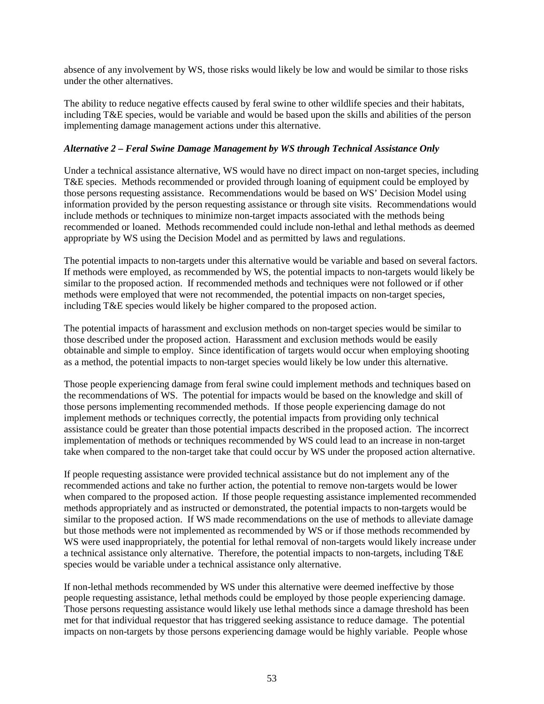absence of any involvement by WS, those risks would likely be low and would be similar to those risks under the other alternatives.

The ability to reduce negative effects caused by feral swine to other wildlife species and their habitats, including T&E species, would be variable and would be based upon the skills and abilities of the person implementing damage management actions under this alternative.

### *Alternative 2 – Feral Swine Damage Management by WS through Technical Assistance Only*

Under a technical assistance alternative, WS would have no direct impact on non-target species, including T&E species. Methods recommended or provided through loaning of equipment could be employed by those persons requesting assistance. Recommendations would be based on WS' Decision Model using information provided by the person requesting assistance or through site visits. Recommendations would include methods or techniques to minimize non-target impacts associated with the methods being recommended or loaned. Methods recommended could include non-lethal and lethal methods as deemed appropriate by WS using the Decision Model and as permitted by laws and regulations.

The potential impacts to non-targets under this alternative would be variable and based on several factors. If methods were employed, as recommended by WS, the potential impacts to non-targets would likely be similar to the proposed action. If recommended methods and techniques were not followed or if other methods were employed that were not recommended, the potential impacts on non-target species, including T&E species would likely be higher compared to the proposed action.

The potential impacts of harassment and exclusion methods on non-target species would be similar to those described under the proposed action. Harassment and exclusion methods would be easily obtainable and simple to employ. Since identification of targets would occur when employing shooting as a method, the potential impacts to non-target species would likely be low under this alternative.

Those people experiencing damage from feral swine could implement methods and techniques based on the recommendations of WS. The potential for impacts would be based on the knowledge and skill of those persons implementing recommended methods. If those people experiencing damage do not implement methods or techniques correctly, the potential impacts from providing only technical assistance could be greater than those potential impacts described in the proposed action. The incorrect implementation of methods or techniques recommended by WS could lead to an increase in non-target take when compared to the non-target take that could occur by WS under the proposed action alternative.

If people requesting assistance were provided technical assistance but do not implement any of the recommended actions and take no further action, the potential to remove non-targets would be lower when compared to the proposed action. If those people requesting assistance implemented recommended methods appropriately and as instructed or demonstrated, the potential impacts to non-targets would be similar to the proposed action. If WS made recommendations on the use of methods to alleviate damage but those methods were not implemented as recommended by WS or if those methods recommended by WS were used inappropriately, the potential for lethal removal of non-targets would likely increase under a technical assistance only alternative. Therefore, the potential impacts to non-targets, including T&E species would be variable under a technical assistance only alternative.

If non-lethal methods recommended by WS under this alternative were deemed ineffective by those people requesting assistance, lethal methods could be employed by those people experiencing damage. Those persons requesting assistance would likely use lethal methods since a damage threshold has been met for that individual requestor that has triggered seeking assistance to reduce damage. The potential impacts on non-targets by those persons experiencing damage would be highly variable. People whose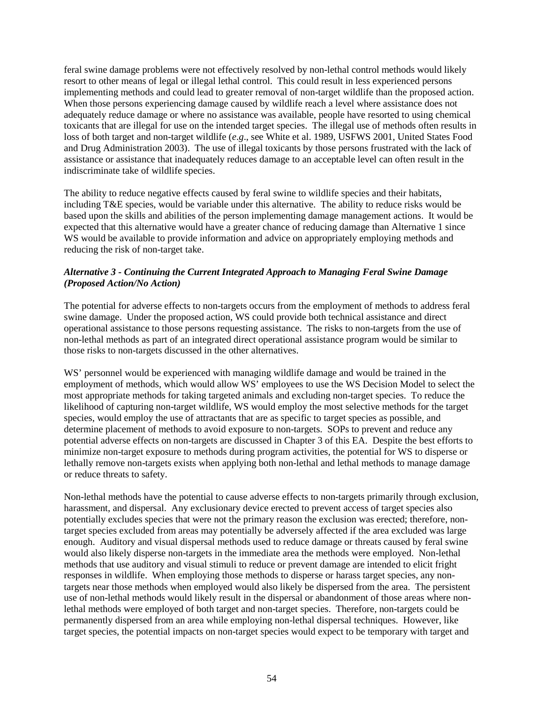feral swine damage problems were not effectively resolved by non-lethal control methods would likely resort to other means of legal or illegal lethal control. This could result in less experienced persons implementing methods and could lead to greater removal of non-target wildlife than the proposed action. When those persons experiencing damage caused by wildlife reach a level where assistance does not adequately reduce damage or where no assistance was available, people have resorted to using chemical toxicants that are illegal for use on the intended target species. The illegal use of methods often results in loss of both target and non-target wildlife (*e*.*g*., see White et al. 1989, USFWS 2001, United States Food and Drug Administration 2003). The use of illegal toxicants by those persons frustrated with the lack of assistance or assistance that inadequately reduces damage to an acceptable level can often result in the indiscriminate take of wildlife species.

The ability to reduce negative effects caused by feral swine to wildlife species and their habitats, including T&E species, would be variable under this alternative. The ability to reduce risks would be based upon the skills and abilities of the person implementing damage management actions. It would be expected that this alternative would have a greater chance of reducing damage than Alternative 1 since WS would be available to provide information and advice on appropriately employing methods and reducing the risk of non-target take.

## *Alternative 3 - Continuing the Current Integrated Approach to Managing Feral Swine Damage (Proposed Action/No Action)*

The potential for adverse effects to non-targets occurs from the employment of methods to address feral swine damage. Under the proposed action, WS could provide both technical assistance and direct operational assistance to those persons requesting assistance. The risks to non-targets from the use of non-lethal methods as part of an integrated direct operational assistance program would be similar to those risks to non-targets discussed in the other alternatives.

WS' personnel would be experienced with managing wildlife damage and would be trained in the employment of methods, which would allow WS' employees to use the WS Decision Model to select the most appropriate methods for taking targeted animals and excluding non-target species. To reduce the likelihood of capturing non-target wildlife, WS would employ the most selective methods for the target species, would employ the use of attractants that are as specific to target species as possible, and determine placement of methods to avoid exposure to non-targets. SOPs to prevent and reduce any potential adverse effects on non-targets are discussed in Chapter 3 of this EA. Despite the best efforts to minimize non-target exposure to methods during program activities, the potential for WS to disperse or lethally remove non-targets exists when applying both non-lethal and lethal methods to manage damage or reduce threats to safety.

Non-lethal methods have the potential to cause adverse effects to non-targets primarily through exclusion, harassment, and dispersal. Any exclusionary device erected to prevent access of target species also potentially excludes species that were not the primary reason the exclusion was erected; therefore, nontarget species excluded from areas may potentially be adversely affected if the area excluded was large enough. Auditory and visual dispersal methods used to reduce damage or threats caused by feral swine would also likely disperse non-targets in the immediate area the methods were employed. Non-lethal methods that use auditory and visual stimuli to reduce or prevent damage are intended to elicit fright responses in wildlife. When employing those methods to disperse or harass target species, any nontargets near those methods when employed would also likely be dispersed from the area. The persistent use of non-lethal methods would likely result in the dispersal or abandonment of those areas where nonlethal methods were employed of both target and non-target species. Therefore, non-targets could be permanently dispersed from an area while employing non-lethal dispersal techniques. However, like target species, the potential impacts on non-target species would expect to be temporary with target and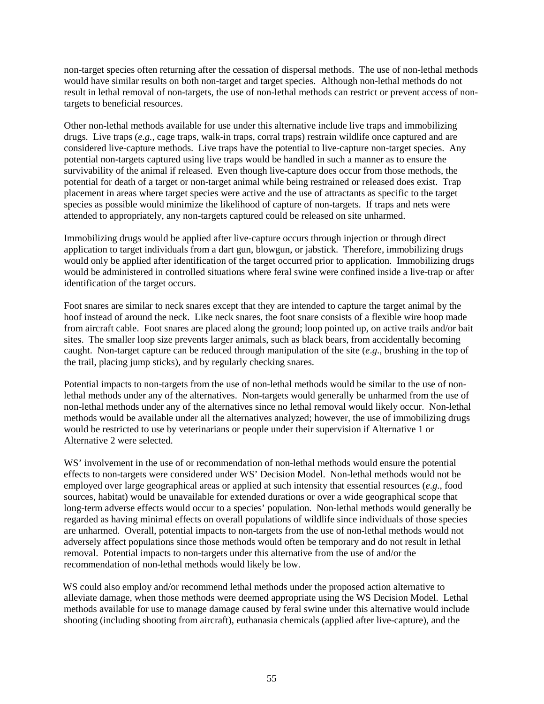non-target species often returning after the cessation of dispersal methods. The use of non-lethal methods would have similar results on both non-target and target species. Although non-lethal methods do not result in lethal removal of non-targets, the use of non-lethal methods can restrict or prevent access of nontargets to beneficial resources.

Other non-lethal methods available for use under this alternative include live traps and immobilizing drugs. Live traps (*e.g.*, cage traps, walk-in traps, corral traps) restrain wildlife once captured and are considered live-capture methods. Live traps have the potential to live-capture non-target species. Any potential non-targets captured using live traps would be handled in such a manner as to ensure the survivability of the animal if released. Even though live-capture does occur from those methods, the potential for death of a target or non-target animal while being restrained or released does exist. Trap placement in areas where target species were active and the use of attractants as specific to the target species as possible would minimize the likelihood of capture of non-targets. If traps and nets were attended to appropriately, any non-targets captured could be released on site unharmed.

Immobilizing drugs would be applied after live-capture occurs through injection or through direct application to target individuals from a dart gun, blowgun, or jabstick. Therefore, immobilizing drugs would only be applied after identification of the target occurred prior to application. Immobilizing drugs would be administered in controlled situations where feral swine were confined inside a live-trap or after identification of the target occurs.

Foot snares are similar to neck snares except that they are intended to capture the target animal by the hoof instead of around the neck. Like neck snares, the foot snare consists of a flexible wire hoop made from aircraft cable. Foot snares are placed along the ground; loop pointed up, on active trails and/or bait sites. The smaller loop size prevents larger animals, such as black bears, from accidentally becoming caught. Non-target capture can be reduced through manipulation of the site (*e*.*g*., brushing in the top of the trail, placing jump sticks), and by regularly checking snares.

Potential impacts to non-targets from the use of non-lethal methods would be similar to the use of nonlethal methods under any of the alternatives. Non-targets would generally be unharmed from the use of non-lethal methods under any of the alternatives since no lethal removal would likely occur. Non-lethal methods would be available under all the alternatives analyzed; however, the use of immobilizing drugs would be restricted to use by veterinarians or people under their supervision if Alternative 1 or Alternative 2 were selected.

WS' involvement in the use of or recommendation of non-lethal methods would ensure the potential effects to non-targets were considered under WS' Decision Model. Non-lethal methods would not be employed over large geographical areas or applied at such intensity that essential resources (*e*.*g*., food sources, habitat) would be unavailable for extended durations or over a wide geographical scope that long-term adverse effects would occur to a species' population. Non-lethal methods would generally be regarded as having minimal effects on overall populations of wildlife since individuals of those species are unharmed. Overall, potential impacts to non-targets from the use of non-lethal methods would not adversely affect populations since those methods would often be temporary and do not result in lethal removal. Potential impacts to non-targets under this alternative from the use of and/or the recommendation of non-lethal methods would likely be low.

WS could also employ and/or recommend lethal methods under the proposed action alternative to alleviate damage, when those methods were deemed appropriate using the WS Decision Model. Lethal methods available for use to manage damage caused by feral swine under this alternative would include shooting (including shooting from aircraft), euthanasia chemicals (applied after live-capture), and the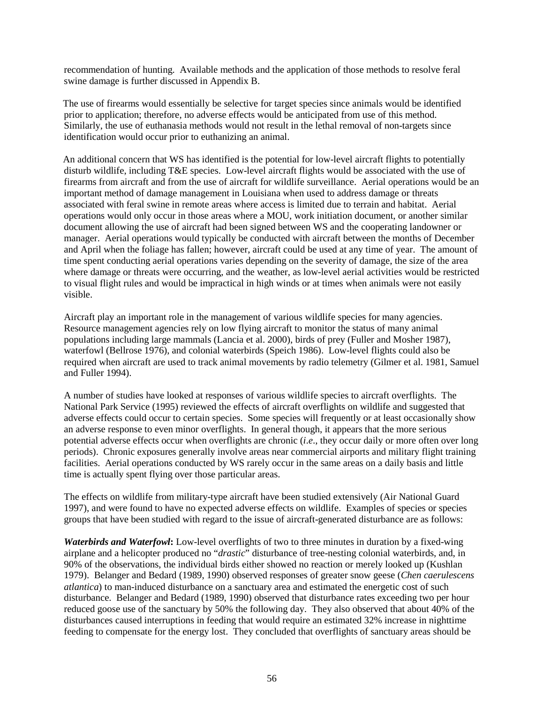recommendation of hunting. Available methods and the application of those methods to resolve feral swine damage is further discussed in Appendix B.

The use of firearms would essentially be selective for target species since animals would be identified prior to application; therefore, no adverse effects would be anticipated from use of this method. Similarly, the use of euthanasia methods would not result in the lethal removal of non-targets since identification would occur prior to euthanizing an animal.

An additional concern that WS has identified is the potential for low-level aircraft flights to potentially disturb wildlife, including T&E species. Low-level aircraft flights would be associated with the use of firearms from aircraft and from the use of aircraft for wildlife surveillance. Aerial operations would be an important method of damage management in Louisiana when used to address damage or threats associated with feral swine in remote areas where access is limited due to terrain and habitat. Aerial operations would only occur in those areas where a MOU, work initiation document, or another similar document allowing the use of aircraft had been signed between WS and the cooperating landowner or manager. Aerial operations would typically be conducted with aircraft between the months of December and April when the foliage has fallen; however, aircraft could be used at any time of year. The amount of time spent conducting aerial operations varies depending on the severity of damage, the size of the area where damage or threats were occurring, and the weather, as low-level aerial activities would be restricted to visual flight rules and would be impractical in high winds or at times when animals were not easily visible.

Aircraft play an important role in the management of various wildlife species for many agencies. Resource management agencies rely on low flying aircraft to monitor the status of many animal populations including large mammals (Lancia et al. 2000), birds of prey (Fuller and Mosher 1987), waterfowl (Bellrose 1976), and colonial waterbirds (Speich 1986). Low-level flights could also be required when aircraft are used to track animal movements by radio telemetry (Gilmer et al. 1981, Samuel and Fuller 1994).

A number of studies have looked at responses of various wildlife species to aircraft overflights. The National Park Service (1995) reviewed the effects of aircraft overflights on wildlife and suggested that adverse effects could occur to certain species. Some species will frequently or at least occasionally show an adverse response to even minor overflights. In general though, it appears that the more serious potential adverse effects occur when overflights are chronic (*i*.*e*., they occur daily or more often over long periods). Chronic exposures generally involve areas near commercial airports and military flight training facilities. Aerial operations conducted by WS rarely occur in the same areas on a daily basis and little time is actually spent flying over those particular areas.

The effects on wildlife from military-type aircraft have been studied extensively (Air National Guard 1997), and were found to have no expected adverse effects on wildlife. Examples of species or species groups that have been studied with regard to the issue of aircraft-generated disturbance are as follows:

*Waterbirds and Waterfowl***:** Low-level overflights of two to three minutes in duration by a fixed-wing airplane and a helicopter produced no "*drastic*" disturbance of tree-nesting colonial waterbirds, and, in 90% of the observations, the individual birds either showed no reaction or merely looked up (Kushlan 1979). Belanger and Bedard (1989, 1990) observed responses of greater snow geese (*Chen caerulescens atlantica*) to man-induced disturbance on a sanctuary area and estimated the energetic cost of such disturbance. Belanger and Bedard (1989, 1990) observed that disturbance rates exceeding two per hour reduced goose use of the sanctuary by 50% the following day. They also observed that about 40% of the disturbances caused interruptions in feeding that would require an estimated 32% increase in nighttime feeding to compensate for the energy lost. They concluded that overflights of sanctuary areas should be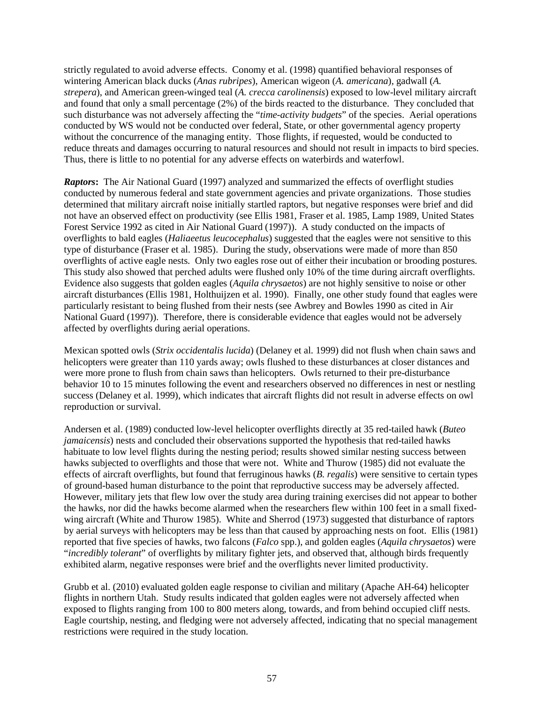strictly regulated to avoid adverse effects. Conomy et al. (1998) quantified behavioral responses of wintering American black ducks (*Anas rubripes*), American wigeon (*A. americana*), gadwall (*A. strepera*), and American green-winged teal (*A. crecca carolinensis*) exposed to low-level military aircraft and found that only a small percentage (2%) of the birds reacted to the disturbance. They concluded that such disturbance was not adversely affecting the "*time-activity budgets*" of the species. Aerial operations conducted by WS would not be conducted over federal, State, or other governmental agency property without the concurrence of the managing entity. Those flights, if requested, would be conducted to reduce threats and damages occurring to natural resources and should not result in impacts to bird species. Thus, there is little to no potential for any adverse effects on waterbirds and waterfowl.

*Raptors***:** The Air National Guard (1997) analyzed and summarized the effects of overflight studies conducted by numerous federal and state government agencies and private organizations. Those studies determined that military aircraft noise initially startled raptors, but negative responses were brief and did not have an observed effect on productivity (see Ellis 1981, Fraser et al. 1985, Lamp 1989, United States Forest Service 1992 as cited in Air National Guard (1997)). A study conducted on the impacts of overflights to bald eagles (*Haliaeetus leucocephalus*) suggested that the eagles were not sensitive to this type of disturbance (Fraser et al. 1985). During the study, observations were made of more than 850 overflights of active eagle nests. Only two eagles rose out of either their incubation or brooding postures. This study also showed that perched adults were flushed only 10% of the time during aircraft overflights. Evidence also suggests that golden eagles (*Aquila chrysaetos*) are not highly sensitive to noise or other aircraft disturbances (Ellis 1981, Holthuijzen et al. 1990). Finally, one other study found that eagles were particularly resistant to being flushed from their nests (see Awbrey and Bowles 1990 as cited in Air National Guard (1997)). Therefore, there is considerable evidence that eagles would not be adversely affected by overflights during aerial operations.

Mexican spotted owls (*Strix occidentalis lucida*) (Delaney et al. 1999) did not flush when chain saws and helicopters were greater than 110 yards away; owls flushed to these disturbances at closer distances and were more prone to flush from chain saws than helicopters. Owls returned to their pre-disturbance behavior 10 to 15 minutes following the event and researchers observed no differences in nest or nestling success (Delaney et al. 1999), which indicates that aircraft flights did not result in adverse effects on owl reproduction or survival.

Andersen et al. (1989) conducted low-level helicopter overflights directly at 35 red-tailed hawk (*Buteo jamaicensis*) nests and concluded their observations supported the hypothesis that red-tailed hawks habituate to low level flights during the nesting period; results showed similar nesting success between hawks subjected to overflights and those that were not. White and Thurow (1985) did not evaluate the effects of aircraft overflights, but found that ferruginous hawks (*B. regalis*) were sensitive to certain types of ground-based human disturbance to the point that reproductive success may be adversely affected. However, military jets that flew low over the study area during training exercises did not appear to bother the hawks, nor did the hawks become alarmed when the researchers flew within 100 feet in a small fixedwing aircraft (White and Thurow 1985). White and Sherrod (1973) suggested that disturbance of raptors by aerial surveys with helicopters may be less than that caused by approaching nests on foot. Ellis (1981) reported that five species of hawks, two falcons (*Falco* spp.), and golden eagles (*Aquila chrysaetos*) were "*incredibly tolerant*" of overflights by military fighter jets, and observed that, although birds frequently exhibited alarm, negative responses were brief and the overflights never limited productivity.

Grubb et al. (2010) evaluated golden eagle response to civilian and military (Apache AH-64) helicopter flights in northern Utah. Study results indicated that golden eagles were not adversely affected when exposed to flights ranging from 100 to 800 meters along, towards, and from behind occupied cliff nests. Eagle courtship, nesting, and fledging were not adversely affected, indicating that no special management restrictions were required in the study location.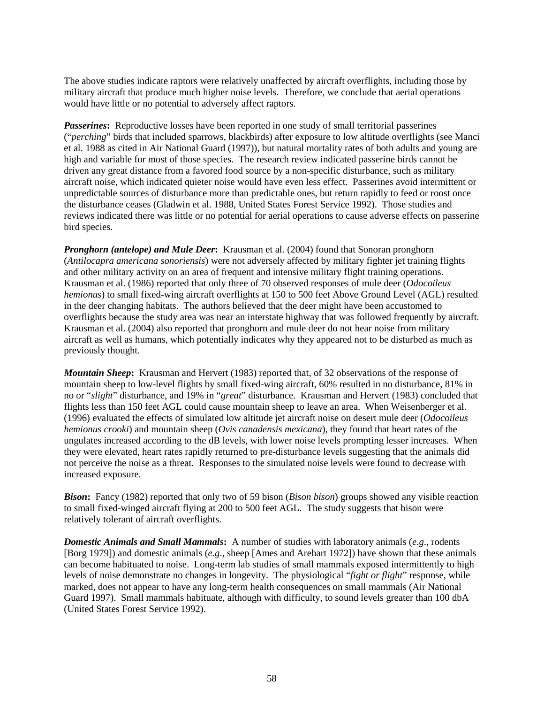The above studies indicate raptors were relatively unaffected by aircraft overflights, including those by military aircraft that produce much higher noise levels. Therefore, we conclude that aerial operations would have little or no potential to adversely affect raptors.

*Passerines*: Reproductive losses have been reported in one study of small territorial passerines ("*perching*" birds that included sparrows, blackbirds) after exposure to low altitude overflights (see Manci et al. 1988 as cited in Air National Guard (1997)), but natural mortality rates of both adults and young are high and variable for most of those species. The research review indicated passerine birds cannot be driven any great distance from a favored food source by a non-specific disturbance, such as military aircraft noise, which indicated quieter noise would have even less effect. Passerines avoid intermittent or unpredictable sources of disturbance more than predictable ones, but return rapidly to feed or roost once the disturbance ceases (Gladwin et al. 1988, United States Forest Service 1992). Those studies and reviews indicated there was little or no potential for aerial operations to cause adverse effects on passerine bird species.

*Pronghorn (antelope) and Mule Deer***:** Krausman et al. (2004) found that Sonoran pronghorn (*Antilocapra americana sonoriensis*) were not adversely affected by military fighter jet training flights and other military activity on an area of frequent and intensive military flight training operations. Krausman et al. (1986) reported that only three of 70 observed responses of mule deer (*Odocoileus hemionus*) to small fixed-wing aircraft overflights at 150 to 500 feet Above Ground Level (AGL) resulted in the deer changing habitats. The authors believed that the deer might have been accustomed to overflights because the study area was near an interstate highway that was followed frequently by aircraft. Krausman et al. (2004) also reported that pronghorn and mule deer do not hear noise from military aircraft as well as humans, which potentially indicates why they appeared not to be disturbed as much as previously thought.

*Mountain Sheep***:** Krausman and Hervert (1983) reported that, of 32 observations of the response of mountain sheep to low-level flights by small fixed-wing aircraft, 60% resulted in no disturbance, 81% in no or "*slight*" disturbance, and 19% in "*great*" disturbance. Krausman and Hervert (1983) concluded that flights less than 150 feet AGL could cause mountain sheep to leave an area. When Weisenberger et al. (1996) evaluated the effects of simulated low altitude jet aircraft noise on desert mule deer (*Odocoileus hemionus crooki*) and mountain sheep (*Ovis canadensis mexicana*), they found that heart rates of the ungulates increased according to the dB levels, with lower noise levels prompting lesser increases. When they were elevated, heart rates rapidly returned to pre-disturbance levels suggesting that the animals did not perceive the noise as a threat. Responses to the simulated noise levels were found to decrease with increased exposure.

*Bison***:** Fancy (1982) reported that only two of 59 bison (*Bison bison*) groups showed any visible reaction to small fixed-winged aircraft flying at 200 to 500 feet AGL. The study suggests that bison were relatively tolerant of aircraft overflights.

*Domestic Animals and Small Mammals***:** A number of studies with laboratory animals (*e.g*., rodents [Borg 1979]) and domestic animals (*e.g*., sheep [Ames and Arehart 1972]) have shown that these animals can become habituated to noise. Long-term lab studies of small mammals exposed intermittently to high levels of noise demonstrate no changes in longevity. The physiological "*fight or flight*" response, while marked, does not appear to have any long-term health consequences on small mammals (Air National Guard 1997). Small mammals habituate, although with difficulty, to sound levels greater than 100 dbA (United States Forest Service 1992).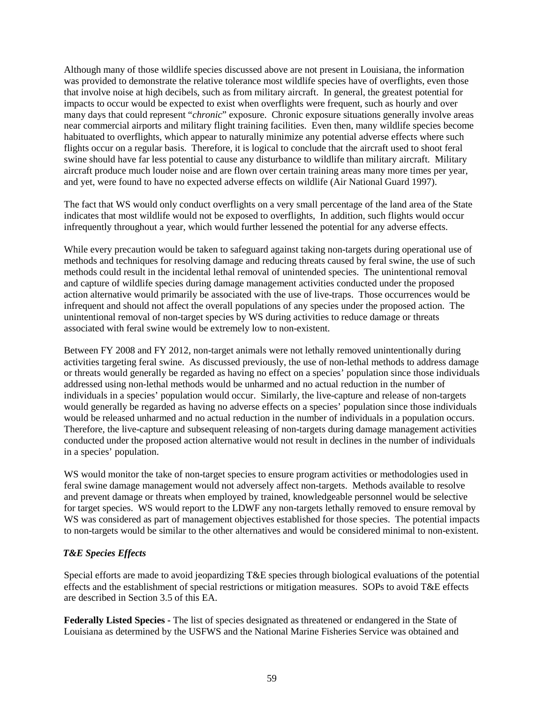Although many of those wildlife species discussed above are not present in Louisiana, the information was provided to demonstrate the relative tolerance most wildlife species have of overflights, even those that involve noise at high decibels, such as from military aircraft. In general, the greatest potential for impacts to occur would be expected to exist when overflights were frequent, such as hourly and over many days that could represent "*chronic*" exposure. Chronic exposure situations generally involve areas near commercial airports and military flight training facilities. Even then, many wildlife species become habituated to overflights, which appear to naturally minimize any potential adverse effects where such flights occur on a regular basis. Therefore, it is logical to conclude that the aircraft used to shoot feral swine should have far less potential to cause any disturbance to wildlife than military aircraft. Military aircraft produce much louder noise and are flown over certain training areas many more times per year, and yet, were found to have no expected adverse effects on wildlife (Air National Guard 1997).

The fact that WS would only conduct overflights on a very small percentage of the land area of the State indicates that most wildlife would not be exposed to overflights, In addition, such flights would occur infrequently throughout a year, which would further lessened the potential for any adverse effects.

While every precaution would be taken to safeguard against taking non-targets during operational use of methods and techniques for resolving damage and reducing threats caused by feral swine, the use of such methods could result in the incidental lethal removal of unintended species. The unintentional removal and capture of wildlife species during damage management activities conducted under the proposed action alternative would primarily be associated with the use of live-traps. Those occurrences would be infrequent and should not affect the overall populations of any species under the proposed action. The unintentional removal of non-target species by WS during activities to reduce damage or threats associated with feral swine would be extremely low to non-existent.

Between FY 2008 and FY 2012, non-target animals were not lethally removed unintentionally during activities targeting feral swine. As discussed previously, the use of non-lethal methods to address damage or threats would generally be regarded as having no effect on a species' population since those individuals addressed using non-lethal methods would be unharmed and no actual reduction in the number of individuals in a species' population would occur. Similarly, the live-capture and release of non-targets would generally be regarded as having no adverse effects on a species' population since those individuals would be released unharmed and no actual reduction in the number of individuals in a population occurs. Therefore, the live-capture and subsequent releasing of non-targets during damage management activities conducted under the proposed action alternative would not result in declines in the number of individuals in a species' population.

WS would monitor the take of non-target species to ensure program activities or methodologies used in feral swine damage management would not adversely affect non-targets. Methods available to resolve and prevent damage or threats when employed by trained, knowledgeable personnel would be selective for target species. WS would report to the LDWF any non-targets lethally removed to ensure removal by WS was considered as part of management objectives established for those species. The potential impacts to non-targets would be similar to the other alternatives and would be considered minimal to non-existent.

# *T&E Species Effects*

Special efforts are made to avoid jeopardizing T&E species through biological evaluations of the potential effects and the establishment of special restrictions or mitigation measures. SOPs to avoid T&E effects are described in Section 3.5 of this EA.

**Federally Listed Species** *-* The list of species designated as threatened or endangered in the State of Louisiana as determined by the USFWS and the National Marine Fisheries Service was obtained and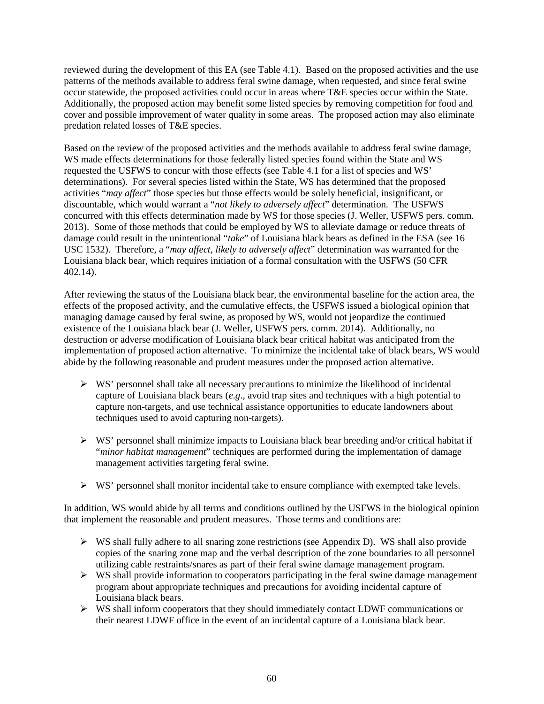reviewed during the development of this EA (see Table 4.1). Based on the proposed activities and the use patterns of the methods available to address feral swine damage, when requested, and since feral swine occur statewide, the proposed activities could occur in areas where T&E species occur within the State. Additionally, the proposed action may benefit some listed species by removing competition for food and cover and possible improvement of water quality in some areas. The proposed action may also eliminate predation related losses of T&E species.

Based on the review of the proposed activities and the methods available to address feral swine damage, WS made effects determinations for those federally listed species found within the State and WS requested the USFWS to concur with those effects (see Table 4.1 for a list of species and WS' determinations). For several species listed within the State, WS has determined that the proposed activities "*may affect*" those species but those effects would be solely beneficial, insignificant, or discountable, which would warrant a "*not likely to adversely affect*" determination. The USFWS concurred with this effects determination made by WS for those species (J. Weller, USFWS pers. comm. 2013). Some of those methods that could be employed by WS to alleviate damage or reduce threats of damage could result in the unintentional "*take*" of Louisiana black bears as defined in the ESA (see 16 USC 1532). Therefore, a "*may affect*, *likely to adversely affect*" determination was warranted for the Louisiana black bear, which requires initiation of a formal consultation with the USFWS (50 CFR 402.14).

After reviewing the status of the Louisiana black bear, the environmental baseline for the action area, the effects of the proposed activity, and the cumulative effects, the USFWS issued a biological opinion that managing damage caused by feral swine, as proposed by WS, would not jeopardize the continued existence of the Louisiana black bear (J. Weller, USFWS pers. comm. 2014). Additionally, no destruction or adverse modification of Louisiana black bear critical habitat was anticipated from the implementation of proposed action alternative. To minimize the incidental take of black bears, WS would abide by the following reasonable and prudent measures under the proposed action alternative.

- $\triangleright$  WS' personnel shall take all necessary precautions to minimize the likelihood of incidental capture of Louisiana black bears (*e*.*g*., avoid trap sites and techniques with a high potential to capture non-targets, and use technical assistance opportunities to educate landowners about techniques used to avoid capturing non-targets).
- WS' personnel shall minimize impacts to Louisiana black bear breeding and/or critical habitat if "*minor habitat management*" techniques are performed during the implementation of damage management activities targeting feral swine.
- $\triangleright$  WS' personnel shall monitor incidental take to ensure compliance with exempted take levels.

In addition, WS would abide by all terms and conditions outlined by the USFWS in the biological opinion that implement the reasonable and prudent measures. Those terms and conditions are:

- $\triangleright$  WS shall fully adhere to all snaring zone restrictions (see Appendix D). WS shall also provide copies of the snaring zone map and the verbal description of the zone boundaries to all personnel utilizing cable restraints/snares as part of their feral swine damage management program.
- $\triangleright$  WS shall provide information to cooperators participating in the feral swine damage management program about appropriate techniques and precautions for avoiding incidental capture of Louisiana black bears.
- $\triangleright$  WS shall inform cooperators that they should immediately contact LDWF communications or their nearest LDWF office in the event of an incidental capture of a Louisiana black bear.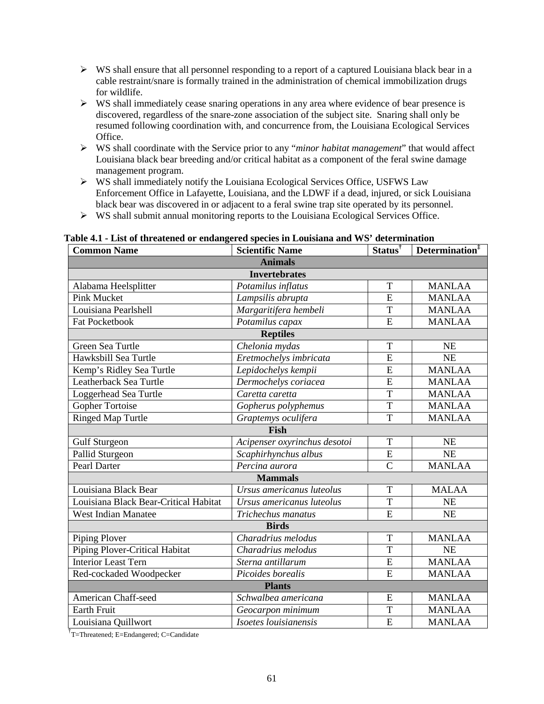- $\triangleright$  WS shall ensure that all personnel responding to a report of a captured Louisiana black bear in a cable restraint/snare is formally trained in the administration of chemical immobilization drugs for wildlife.
- $\triangleright$  WS shall immediately cease snaring operations in any area where evidence of bear presence is discovered, regardless of the snare-zone association of the subject site. Snaring shall only be resumed following coordination with, and concurrence from, the Louisiana Ecological Services Office.
- WS shall coordinate with the Service prior to any "*minor habitat management*" that would affect Louisiana black bear breeding and/or critical habitat as a component of the feral swine damage management program.
- $\triangleright$  WS shall immediately notify the Louisiana Ecological Services Office, USFWS Law Enforcement Office in Lafayette, Louisiana, and the LDWF if a dead, injured, or sick Louisiana black bear was discovered in or adjacent to a feral swine trap site operated by its personnel.
- WS shall submit annual monitoring reports to the Louisiana Ecological Services Office.

| abic in This of the catchea of chaungerea species in Louisiana and we acternmation<br><b>Common Name</b> | <b>Scientific Name</b>       | $Status^{\dagger}$ | Determination <sup>#</sup> |
|----------------------------------------------------------------------------------------------------------|------------------------------|--------------------|----------------------------|
| <b>Animals</b>                                                                                           |                              |                    |                            |
| <b>Invertebrates</b>                                                                                     |                              |                    |                            |
| Alabama Heelsplitter                                                                                     | Potamilus inflatus           | T                  | <b>MANLAA</b>              |
| <b>Pink Mucket</b>                                                                                       | Lampsilis abrupta            | E                  | <b>MANLAA</b>              |
| Louisiana Pearlshell                                                                                     | Margaritifera hembeli        | T                  | <b>MANLAA</b>              |
| <b>Fat Pocketbook</b>                                                                                    | Potamilus capax              | E                  | <b>MANLAA</b>              |
| <b>Reptiles</b>                                                                                          |                              |                    |                            |
| Green Sea Turtle                                                                                         | Chelonia mydas               | T                  | <b>NE</b>                  |
| Hawksbill Sea Turtle                                                                                     | Eretmochelys imbricata       | $\overline{E}$     | NE                         |
| Kemp's Ridley Sea Turtle                                                                                 | Lepidochelys kempii          | E                  | <b>MANLAA</b>              |
| Leatherback Sea Turtle                                                                                   | Dermochelys coriacea         | $\overline{E}$     | <b>MANLAA</b>              |
| Loggerhead Sea Turtle                                                                                    | Caretta caretta              | T                  | <b>MANLAA</b>              |
| Gopher Tortoise                                                                                          | Gopherus polyphemus          | T                  | <b>MANLAA</b>              |
| <b>Ringed Map Turtle</b>                                                                                 | Graptemys oculifera          | T                  | <b>MANLAA</b>              |
| <b>Fish</b>                                                                                              |                              |                    |                            |
| <b>Gulf Sturgeon</b>                                                                                     | Acipenser oxyrinchus desotoi | T                  | NE                         |
| Pallid Sturgeon                                                                                          | Scaphirhynchus albus         | $\overline{E}$     | NE                         |
| <b>Pearl Darter</b>                                                                                      | Percina aurora               | $\overline{C}$     | <b>MANLAA</b>              |
| <b>Mammals</b>                                                                                           |                              |                    |                            |
| Louisiana Black Bear                                                                                     | Ursus americanus luteolus    | T                  | <b>MALAA</b>               |
| Louisiana Black Bear-Critical Habitat                                                                    | Ursus americanus luteolus    | $\overline{T}$     | NE                         |
| <b>West Indian Manatee</b>                                                                               | Trichechus manatus           | $\overline{E}$     | NE                         |
| <b>Birds</b>                                                                                             |                              |                    |                            |
| Piping Plover                                                                                            | Charadrius melodus           | T                  | <b>MANLAA</b>              |
| Piping Plover-Critical Habitat                                                                           | Charadrius melodus           | T                  | <b>NE</b>                  |
| <b>Interior Least Tern</b>                                                                               | Sterna antillarum            | ${\bf E}$          | <b>MANLAA</b>              |
| Red-cockaded Woodpecker                                                                                  | Picoides borealis            | $\overline{E}$     | <b>MANLAA</b>              |
| <b>Plants</b>                                                                                            |                              |                    |                            |
| American Chaff-seed                                                                                      | Schwalbea americana          | ${\bf E}$          | <b>MANLAA</b>              |
| <b>Earth Fruit</b>                                                                                       | Geocarpon minimum            | T                  | <b>MANLAA</b>              |
| Louisiana Quillwort                                                                                      | Isoetes louisianensis        | $\overline{E}$     | <b>MANLAA</b>              |

**Table 4.1 - List of threatened or endangered species in Louisiana and WS' determination**

<sup>†</sup>T=Threatened; E=Endangered; C=Candidate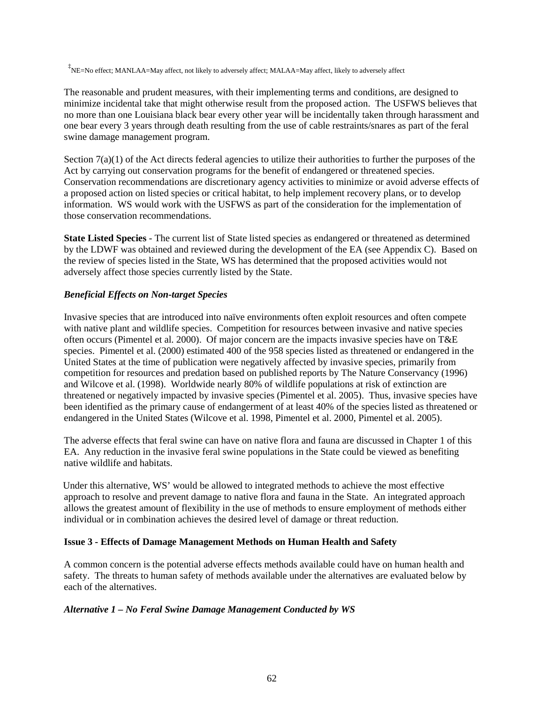‡ NE=No effect; MANLAA=May affect, not likely to adversely affect; MALAA=May affect, likely to adversely affect

The reasonable and prudent measures, with their implementing terms and conditions, are designed to minimize incidental take that might otherwise result from the proposed action. The USFWS believes that no more than one Louisiana black bear every other year will be incidentally taken through harassment and one bear every 3 years through death resulting from the use of cable restraints/snares as part of the feral swine damage management program.

Section  $7(a)(1)$  of the Act directs federal agencies to utilize their authorities to further the purposes of the Act by carrying out conservation programs for the benefit of endangered or threatened species. Conservation recommendations are discretionary agency activities to minimize or avoid adverse effects of a proposed action on listed species or critical habitat, to help implement recovery plans, or to develop information. WS would work with the USFWS as part of the consideration for the implementation of those conservation recommendations.

**State Listed Species** - The current list of State listed species as endangered or threatened as determined by the LDWF was obtained and reviewed during the development of the EA (see Appendix C). Based on the review of species listed in the State, WS has determined that the proposed activities would not adversely affect those species currently listed by the State.

# *Beneficial Effects on Non-target Species*

Invasive species that are introduced into naïve environments often exploit resources and often compete with native plant and wildlife species. Competition for resources between invasive and native species often occurs (Pimentel et al. 2000). Of major concern are the impacts invasive species have on T&E species. Pimentel et al. (2000) estimated 400 of the 958 species listed as threatened or endangered in the United States at the time of publication were negatively affected by invasive species, primarily from competition for resources and predation based on published reports by The Nature Conservancy (1996) and Wilcove et al. (1998). Worldwide nearly 80% of wildlife populations at risk of extinction are threatened or negatively impacted by invasive species (Pimentel et al. 2005). Thus, invasive species have been identified as the primary cause of endangerment of at least 40% of the species listed as threatened or endangered in the United States (Wilcove et al. 1998, Pimentel et al. 2000, Pimentel et al. 2005).

The adverse effects that feral swine can have on native flora and fauna are discussed in Chapter 1 of this EA. Any reduction in the invasive feral swine populations in the State could be viewed as benefiting native wildlife and habitats.

Under this alternative, WS' would be allowed to integrated methods to achieve the most effective approach to resolve and prevent damage to native flora and fauna in the State. An integrated approach allows the greatest amount of flexibility in the use of methods to ensure employment of methods either individual or in combination achieves the desired level of damage or threat reduction.

### **Issue 3 - Effects of Damage Management Methods on Human Health and Safety**

A common concern is the potential adverse effects methods available could have on human health and safety. The threats to human safety of methods available under the alternatives are evaluated below by each of the alternatives.

### *Alternative 1 – No Feral Swine Damage Management Conducted by WS*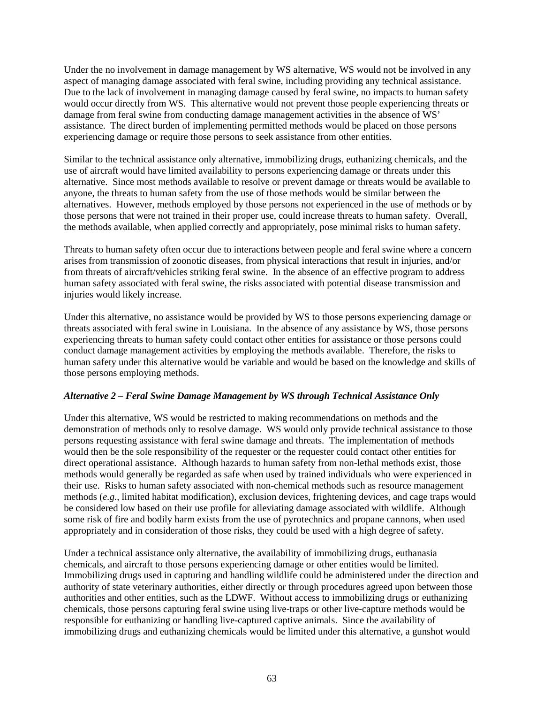Under the no involvement in damage management by WS alternative, WS would not be involved in any aspect of managing damage associated with feral swine, including providing any technical assistance. Due to the lack of involvement in managing damage caused by feral swine, no impacts to human safety would occur directly from WS. This alternative would not prevent those people experiencing threats or damage from feral swine from conducting damage management activities in the absence of WS' assistance. The direct burden of implementing permitted methods would be placed on those persons experiencing damage or require those persons to seek assistance from other entities.

Similar to the technical assistance only alternative, immobilizing drugs, euthanizing chemicals, and the use of aircraft would have limited availability to persons experiencing damage or threats under this alternative. Since most methods available to resolve or prevent damage or threats would be available to anyone, the threats to human safety from the use of those methods would be similar between the alternatives. However, methods employed by those persons not experienced in the use of methods or by those persons that were not trained in their proper use, could increase threats to human safety. Overall, the methods available, when applied correctly and appropriately, pose minimal risks to human safety.

Threats to human safety often occur due to interactions between people and feral swine where a concern arises from transmission of zoonotic diseases, from physical interactions that result in injuries, and/or from threats of aircraft/vehicles striking feral swine. In the absence of an effective program to address human safety associated with feral swine, the risks associated with potential disease transmission and injuries would likely increase.

Under this alternative, no assistance would be provided by WS to those persons experiencing damage or threats associated with feral swine in Louisiana. In the absence of any assistance by WS, those persons experiencing threats to human safety could contact other entities for assistance or those persons could conduct damage management activities by employing the methods available. Therefore, the risks to human safety under this alternative would be variable and would be based on the knowledge and skills of those persons employing methods.

### *Alternative 2 – Feral Swine Damage Management by WS through Technical Assistance Only*

Under this alternative, WS would be restricted to making recommendations on methods and the demonstration of methods only to resolve damage. WS would only provide technical assistance to those persons requesting assistance with feral swine damage and threats. The implementation of methods would then be the sole responsibility of the requester or the requester could contact other entities for direct operational assistance. Although hazards to human safety from non-lethal methods exist, those methods would generally be regarded as safe when used by trained individuals who were experienced in their use. Risks to human safety associated with non-chemical methods such as resource management methods (*e.g*., limited habitat modification), exclusion devices, frightening devices, and cage traps would be considered low based on their use profile for alleviating damage associated with wildlife. Although some risk of fire and bodily harm exists from the use of pyrotechnics and propane cannons, when used appropriately and in consideration of those risks, they could be used with a high degree of safety.

Under a technical assistance only alternative, the availability of immobilizing drugs, euthanasia chemicals, and aircraft to those persons experiencing damage or other entities would be limited. Immobilizing drugs used in capturing and handling wildlife could be administered under the direction and authority of state veterinary authorities, either directly or through procedures agreed upon between those authorities and other entities, such as the LDWF. Without access to immobilizing drugs or euthanizing chemicals, those persons capturing feral swine using live-traps or other live-capture methods would be responsible for euthanizing or handling live-captured captive animals. Since the availability of immobilizing drugs and euthanizing chemicals would be limited under this alternative, a gunshot would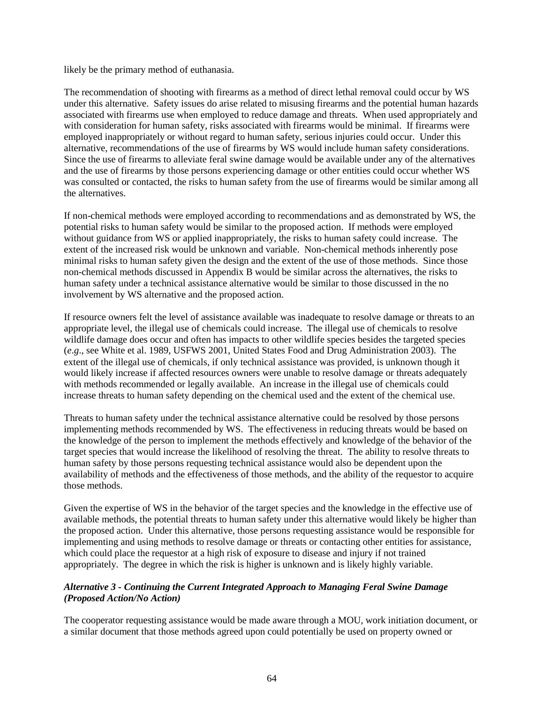likely be the primary method of euthanasia.

The recommendation of shooting with firearms as a method of direct lethal removal could occur by WS under this alternative. Safety issues do arise related to misusing firearms and the potential human hazards associated with firearms use when employed to reduce damage and threats. When used appropriately and with consideration for human safety, risks associated with firearms would be minimal. If firearms were employed inappropriately or without regard to human safety, serious injuries could occur. Under this alternative, recommendations of the use of firearms by WS would include human safety considerations. Since the use of firearms to alleviate feral swine damage would be available under any of the alternatives and the use of firearms by those persons experiencing damage or other entities could occur whether WS was consulted or contacted, the risks to human safety from the use of firearms would be similar among all the alternatives.

If non-chemical methods were employed according to recommendations and as demonstrated by WS, the potential risks to human safety would be similar to the proposed action. If methods were employed without guidance from WS or applied inappropriately, the risks to human safety could increase. The extent of the increased risk would be unknown and variable. Non-chemical methods inherently pose minimal risks to human safety given the design and the extent of the use of those methods. Since those non-chemical methods discussed in Appendix B would be similar across the alternatives, the risks to human safety under a technical assistance alternative would be similar to those discussed in the no involvement by WS alternative and the proposed action.

If resource owners felt the level of assistance available was inadequate to resolve damage or threats to an appropriate level, the illegal use of chemicals could increase. The illegal use of chemicals to resolve wildlife damage does occur and often has impacts to other wildlife species besides the targeted species (*e*.*g*., see White et al. 1989, USFWS 2001, United States Food and Drug Administration 2003). The extent of the illegal use of chemicals, if only technical assistance was provided, is unknown though it would likely increase if affected resources owners were unable to resolve damage or threats adequately with methods recommended or legally available. An increase in the illegal use of chemicals could increase threats to human safety depending on the chemical used and the extent of the chemical use.

Threats to human safety under the technical assistance alternative could be resolved by those persons implementing methods recommended by WS. The effectiveness in reducing threats would be based on the knowledge of the person to implement the methods effectively and knowledge of the behavior of the target species that would increase the likelihood of resolving the threat. The ability to resolve threats to human safety by those persons requesting technical assistance would also be dependent upon the availability of methods and the effectiveness of those methods, and the ability of the requestor to acquire those methods.

Given the expertise of WS in the behavior of the target species and the knowledge in the effective use of available methods, the potential threats to human safety under this alternative would likely be higher than the proposed action. Under this alternative, those persons requesting assistance would be responsible for implementing and using methods to resolve damage or threats or contacting other entities for assistance, which could place the requestor at a high risk of exposure to disease and injury if not trained appropriately. The degree in which the risk is higher is unknown and is likely highly variable.

### *Alternative 3 - Continuing the Current Integrated Approach to Managing Feral Swine Damage (Proposed Action/No Action)*

The cooperator requesting assistance would be made aware through a MOU, work initiation document, or a similar document that those methods agreed upon could potentially be used on property owned or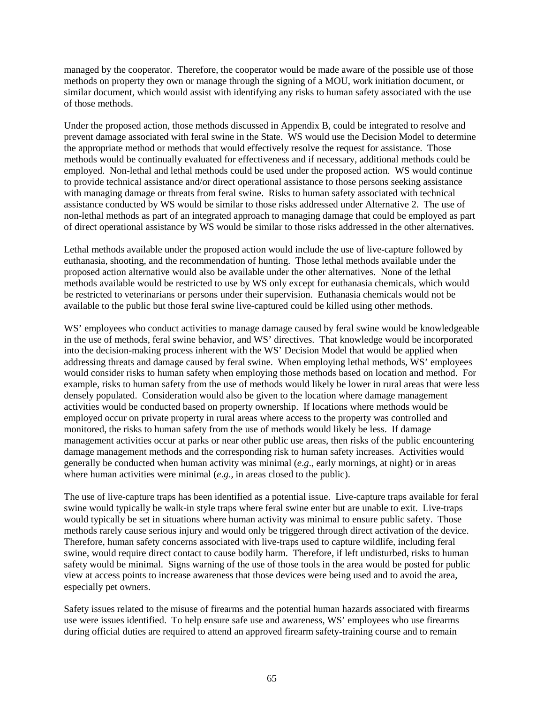managed by the cooperator. Therefore, the cooperator would be made aware of the possible use of those methods on property they own or manage through the signing of a MOU, work initiation document, or similar document, which would assist with identifying any risks to human safety associated with the use of those methods.

Under the proposed action, those methods discussed in Appendix B, could be integrated to resolve and prevent damage associated with feral swine in the State. WS would use the Decision Model to determine the appropriate method or methods that would effectively resolve the request for assistance. Those methods would be continually evaluated for effectiveness and if necessary, additional methods could be employed. Non-lethal and lethal methods could be used under the proposed action. WS would continue to provide technical assistance and/or direct operational assistance to those persons seeking assistance with managing damage or threats from feral swine. Risks to human safety associated with technical assistance conducted by WS would be similar to those risks addressed under Alternative 2. The use of non-lethal methods as part of an integrated approach to managing damage that could be employed as part of direct operational assistance by WS would be similar to those risks addressed in the other alternatives.

Lethal methods available under the proposed action would include the use of live-capture followed by euthanasia, shooting, and the recommendation of hunting. Those lethal methods available under the proposed action alternative would also be available under the other alternatives. None of the lethal methods available would be restricted to use by WS only except for euthanasia chemicals, which would be restricted to veterinarians or persons under their supervision. Euthanasia chemicals would not be available to the public but those feral swine live-captured could be killed using other methods.

WS' employees who conduct activities to manage damage caused by feral swine would be knowledgeable in the use of methods, feral swine behavior, and WS' directives. That knowledge would be incorporated into the decision-making process inherent with the WS' Decision Model that would be applied when addressing threats and damage caused by feral swine. When employing lethal methods, WS' employees would consider risks to human safety when employing those methods based on location and method. For example, risks to human safety from the use of methods would likely be lower in rural areas that were less densely populated. Consideration would also be given to the location where damage management activities would be conducted based on property ownership. If locations where methods would be employed occur on private property in rural areas where access to the property was controlled and monitored, the risks to human safety from the use of methods would likely be less. If damage management activities occur at parks or near other public use areas, then risks of the public encountering damage management methods and the corresponding risk to human safety increases. Activities would generally be conducted when human activity was minimal (*e*.*g*., early mornings, at night) or in areas where human activities were minimal (*e*.*g*., in areas closed to the public).

The use of live-capture traps has been identified as a potential issue. Live-capture traps available for feral swine would typically be walk-in style traps where feral swine enter but are unable to exit. Live-traps would typically be set in situations where human activity was minimal to ensure public safety. Those methods rarely cause serious injury and would only be triggered through direct activation of the device. Therefore, human safety concerns associated with live-traps used to capture wildlife, including feral swine, would require direct contact to cause bodily harm. Therefore, if left undisturbed, risks to human safety would be minimal. Signs warning of the use of those tools in the area would be posted for public view at access points to increase awareness that those devices were being used and to avoid the area, especially pet owners.

Safety issues related to the misuse of firearms and the potential human hazards associated with firearms use were issues identified. To help ensure safe use and awareness, WS' employees who use firearms during official duties are required to attend an approved firearm safety-training course and to remain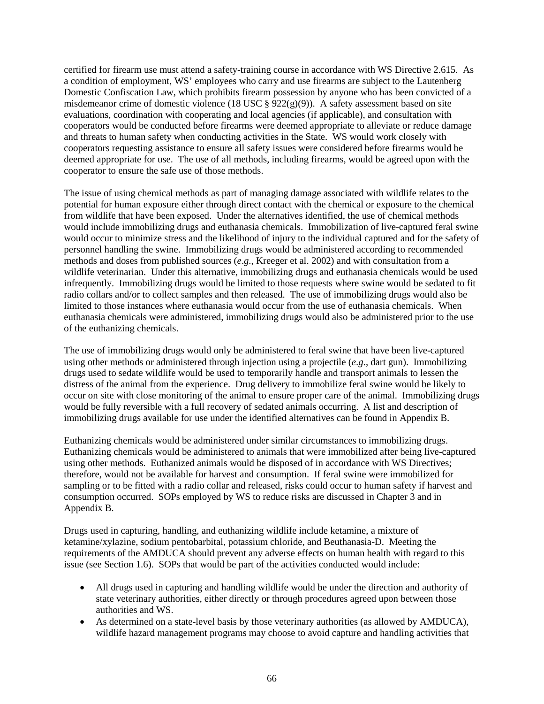certified for firearm use must attend a safety-training course in accordance with WS Directive 2.615. As a condition of employment, WS' employees who carry and use firearms are subject to the Lautenberg Domestic Confiscation Law, which prohibits firearm possession by anyone who has been convicted of a misdemeanor crime of domestic violence (18 USC  $\S$  922(g)(9)). A safety assessment based on site evaluations, coordination with cooperating and local agencies (if applicable), and consultation with cooperators would be conducted before firearms were deemed appropriate to alleviate or reduce damage and threats to human safety when conducting activities in the State. WS would work closely with cooperators requesting assistance to ensure all safety issues were considered before firearms would be deemed appropriate for use. The use of all methods, including firearms, would be agreed upon with the cooperator to ensure the safe use of those methods.

The issue of using chemical methods as part of managing damage associated with wildlife relates to the potential for human exposure either through direct contact with the chemical or exposure to the chemical from wildlife that have been exposed. Under the alternatives identified, the use of chemical methods would include immobilizing drugs and euthanasia chemicals. Immobilization of live-captured feral swine would occur to minimize stress and the likelihood of injury to the individual captured and for the safety of personnel handling the swine. Immobilizing drugs would be administered according to recommended methods and doses from published sources (*e*.*g*., Kreeger et al. 2002) and with consultation from a wildlife veterinarian. Under this alternative, immobilizing drugs and euthanasia chemicals would be used infrequently. Immobilizing drugs would be limited to those requests where swine would be sedated to fit radio collars and/or to collect samples and then released. The use of immobilizing drugs would also be limited to those instances where euthanasia would occur from the use of euthanasia chemicals. When euthanasia chemicals were administered, immobilizing drugs would also be administered prior to the use of the euthanizing chemicals.

The use of immobilizing drugs would only be administered to feral swine that have been live-captured using other methods or administered through injection using a projectile (*e*.*g*., dart gun). Immobilizing drugs used to sedate wildlife would be used to temporarily handle and transport animals to lessen the distress of the animal from the experience. Drug delivery to immobilize feral swine would be likely to occur on site with close monitoring of the animal to ensure proper care of the animal. Immobilizing drugs would be fully reversible with a full recovery of sedated animals occurring. A list and description of immobilizing drugs available for use under the identified alternatives can be found in Appendix B.

Euthanizing chemicals would be administered under similar circumstances to immobilizing drugs. Euthanizing chemicals would be administered to animals that were immobilized after being live-captured using other methods. Euthanized animals would be disposed of in accordance with WS Directives; therefore, would not be available for harvest and consumption. If feral swine were immobilized for sampling or to be fitted with a radio collar and released, risks could occur to human safety if harvest and consumption occurred. SOPs employed by WS to reduce risks are discussed in Chapter 3 and in Appendix B.

Drugs used in capturing, handling, and euthanizing wildlife include ketamine, a mixture of ketamine/xylazine, sodium pentobarbital, potassium chloride, and Beuthanasia-D. Meeting the requirements of the AMDUCA should prevent any adverse effects on human health with regard to this issue (see Section 1.6). SOPs that would be part of the activities conducted would include:

- All drugs used in capturing and handling wildlife would be under the direction and authority of state veterinary authorities, either directly or through procedures agreed upon between those authorities and WS.
- As determined on a state-level basis by those veterinary authorities (as allowed by AMDUCA), wildlife hazard management programs may choose to avoid capture and handling activities that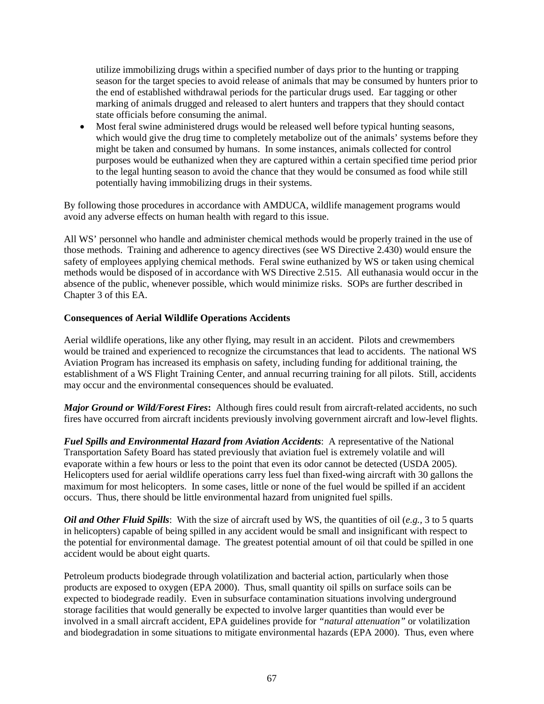utilize immobilizing drugs within a specified number of days prior to the hunting or trapping season for the target species to avoid release of animals that may be consumed by hunters prior to the end of established withdrawal periods for the particular drugs used. Ear tagging or other marking of animals drugged and released to alert hunters and trappers that they should contact state officials before consuming the animal.

• Most feral swine administered drugs would be released well before typical hunting seasons, which would give the drug time to completely metabolize out of the animals' systems before they might be taken and consumed by humans. In some instances, animals collected for control purposes would be euthanized when they are captured within a certain specified time period prior to the legal hunting season to avoid the chance that they would be consumed as food while still potentially having immobilizing drugs in their systems.

By following those procedures in accordance with AMDUCA, wildlife management programs would avoid any adverse effects on human health with regard to this issue.

All WS' personnel who handle and administer chemical methods would be properly trained in the use of those methods. Training and adherence to agency directives (see WS Directive 2.430) would ensure the safety of employees applying chemical methods. Feral swine euthanized by WS or taken using chemical methods would be disposed of in accordance with WS Directive 2.515. All euthanasia would occur in the absence of the public, whenever possible, which would minimize risks. SOPs are further described in Chapter 3 of this EA.

### **Consequences of Aerial Wildlife Operations Accidents**

Aerial wildlife operations, like any other flying, may result in an accident. Pilots and crewmembers would be trained and experienced to recognize the circumstances that lead to accidents. The national WS Aviation Program has increased its emphasis on safety, including funding for additional training, the establishment of a WS Flight Training Center, and annual recurring training for all pilots. Still, accidents may occur and the environmental consequences should be evaluated.

*Major Ground or Wild/Forest Fires***:** Although fires could result from aircraft-related accidents, no such fires have occurred from aircraft incidents previously involving government aircraft and low-level flights.

*Fuel Spills and Environmental Hazard from Aviation Accidents*: A representative of the National Transportation Safety Board has stated previously that aviation fuel is extremely volatile and will evaporate within a few hours or less to the point that even its odor cannot be detected (USDA 2005). Helicopters used for aerial wildlife operations carry less fuel than fixed-wing aircraft with 30 gallons the maximum for most helicopters. In some cases, little or none of the fuel would be spilled if an accident occurs. Thus, there should be little environmental hazard from unignited fuel spills.

*Oil and Other Fluid Spills*: With the size of aircraft used by WS, the quantities of oil (*e.g.,* 3 to 5 quarts in helicopters) capable of being spilled in any accident would be small and insignificant with respect to the potential for environmental damage. The greatest potential amount of oil that could be spilled in one accident would be about eight quarts.

Petroleum products biodegrade through volatilization and bacterial action, particularly when those products are exposed to oxygen (EPA 2000). Thus, small quantity oil spills on surface soils can be expected to biodegrade readily. Even in subsurface contamination situations involving underground storage facilities that would generally be expected to involve larger quantities than would ever be involved in a small aircraft accident, EPA guidelines provide for *"natural attenuation"* or volatilization and biodegradation in some situations to mitigate environmental hazards (EPA 2000). Thus, even where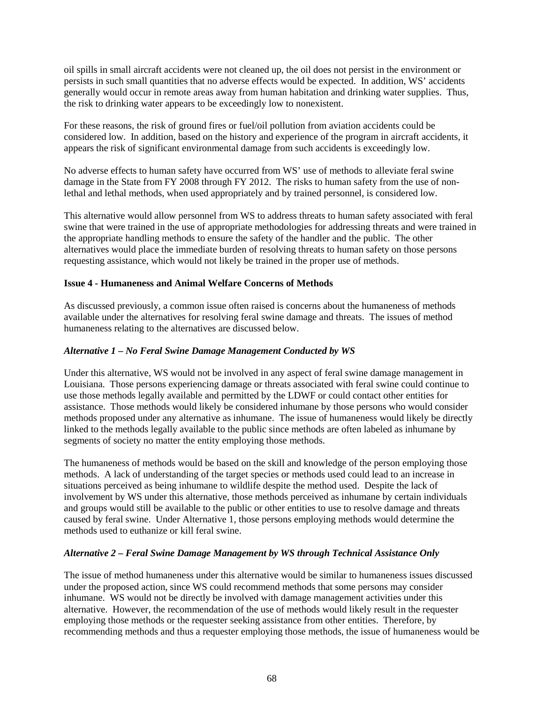oil spills in small aircraft accidents were not cleaned up, the oil does not persist in the environment or persists in such small quantities that no adverse effects would be expected. In addition, WS' accidents generally would occur in remote areas away from human habitation and drinking water supplies. Thus, the risk to drinking water appears to be exceedingly low to nonexistent.

For these reasons, the risk of ground fires or fuel/oil pollution from aviation accidents could be considered low. In addition, based on the history and experience of the program in aircraft accidents, it appears the risk of significant environmental damage from such accidents is exceedingly low.

No adverse effects to human safety have occurred from WS' use of methods to alleviate feral swine damage in the State from FY 2008 through FY 2012. The risks to human safety from the use of nonlethal and lethal methods, when used appropriately and by trained personnel, is considered low.

This alternative would allow personnel from WS to address threats to human safety associated with feral swine that were trained in the use of appropriate methodologies for addressing threats and were trained in the appropriate handling methods to ensure the safety of the handler and the public. The other alternatives would place the immediate burden of resolving threats to human safety on those persons requesting assistance, which would not likely be trained in the proper use of methods.

### **Issue 4 - Humaneness and Animal Welfare Concerns of Methods**

As discussed previously, a common issue often raised is concerns about the humaneness of methods available under the alternatives for resolving feral swine damage and threats. The issues of method humaneness relating to the alternatives are discussed below.

### *Alternative 1 – No Feral Swine Damage Management Conducted by WS*

Under this alternative, WS would not be involved in any aspect of feral swine damage management in Louisiana. Those persons experiencing damage or threats associated with feral swine could continue to use those methods legally available and permitted by the LDWF or could contact other entities for assistance. Those methods would likely be considered inhumane by those persons who would consider methods proposed under any alternative as inhumane. The issue of humaneness would likely be directly linked to the methods legally available to the public since methods are often labeled as inhumane by segments of society no matter the entity employing those methods.

The humaneness of methods would be based on the skill and knowledge of the person employing those methods. A lack of understanding of the target species or methods used could lead to an increase in situations perceived as being inhumane to wildlife despite the method used. Despite the lack of involvement by WS under this alternative, those methods perceived as inhumane by certain individuals and groups would still be available to the public or other entities to use to resolve damage and threats caused by feral swine. Under Alternative 1, those persons employing methods would determine the methods used to euthanize or kill feral swine.

### *Alternative 2 – Feral Swine Damage Management by WS through Technical Assistance Only*

The issue of method humaneness under this alternative would be similar to humaneness issues discussed under the proposed action, since WS could recommend methods that some persons may consider inhumane. WS would not be directly be involved with damage management activities under this alternative. However, the recommendation of the use of methods would likely result in the requester employing those methods or the requester seeking assistance from other entities. Therefore, by recommending methods and thus a requester employing those methods, the issue of humaneness would be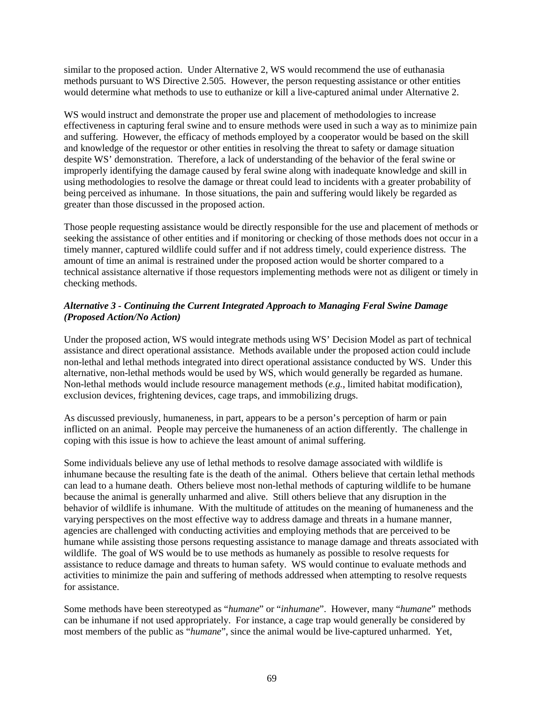similar to the proposed action. Under Alternative 2, WS would recommend the use of euthanasia methods pursuant to WS Directive 2.505. However, the person requesting assistance or other entities would determine what methods to use to euthanize or kill a live-captured animal under Alternative 2.

WS would instruct and demonstrate the proper use and placement of methodologies to increase effectiveness in capturing feral swine and to ensure methods were used in such a way as to minimize pain and suffering. However, the efficacy of methods employed by a cooperator would be based on the skill and knowledge of the requestor or other entities in resolving the threat to safety or damage situation despite WS' demonstration. Therefore, a lack of understanding of the behavior of the feral swine or improperly identifying the damage caused by feral swine along with inadequate knowledge and skill in using methodologies to resolve the damage or threat could lead to incidents with a greater probability of being perceived as inhumane. In those situations, the pain and suffering would likely be regarded as greater than those discussed in the proposed action.

Those people requesting assistance would be directly responsible for the use and placement of methods or seeking the assistance of other entities and if monitoring or checking of those methods does not occur in a timely manner, captured wildlife could suffer and if not address timely, could experience distress. The amount of time an animal is restrained under the proposed action would be shorter compared to a technical assistance alternative if those requestors implementing methods were not as diligent or timely in checking methods.

# *Alternative 3 - Continuing the Current Integrated Approach to Managing Feral Swine Damage (Proposed Action/No Action)*

Under the proposed action, WS would integrate methods using WS' Decision Model as part of technical assistance and direct operational assistance. Methods available under the proposed action could include non-lethal and lethal methods integrated into direct operational assistance conducted by WS. Under this alternative, non-lethal methods would be used by WS, which would generally be regarded as humane. Non-lethal methods would include resource management methods (*e.g.*, limited habitat modification), exclusion devices, frightening devices, cage traps, and immobilizing drugs.

As discussed previously, humaneness, in part, appears to be a person's perception of harm or pain inflicted on an animal. People may perceive the humaneness of an action differently. The challenge in coping with this issue is how to achieve the least amount of animal suffering.

Some individuals believe any use of lethal methods to resolve damage associated with wildlife is inhumane because the resulting fate is the death of the animal. Others believe that certain lethal methods can lead to a humane death. Others believe most non-lethal methods of capturing wildlife to be humane because the animal is generally unharmed and alive. Still others believe that any disruption in the behavior of wildlife is inhumane. With the multitude of attitudes on the meaning of humaneness and the varying perspectives on the most effective way to address damage and threats in a humane manner, agencies are challenged with conducting activities and employing methods that are perceived to be humane while assisting those persons requesting assistance to manage damage and threats associated with wildlife. The goal of WS would be to use methods as humanely as possible to resolve requests for assistance to reduce damage and threats to human safety. WS would continue to evaluate methods and activities to minimize the pain and suffering of methods addressed when attempting to resolve requests for assistance.

Some methods have been stereotyped as "*humane*" or "*inhumane*". However, many "*humane*" methods can be inhumane if not used appropriately. For instance, a cage trap would generally be considered by most members of the public as "*humane*", since the animal would be live-captured unharmed. Yet,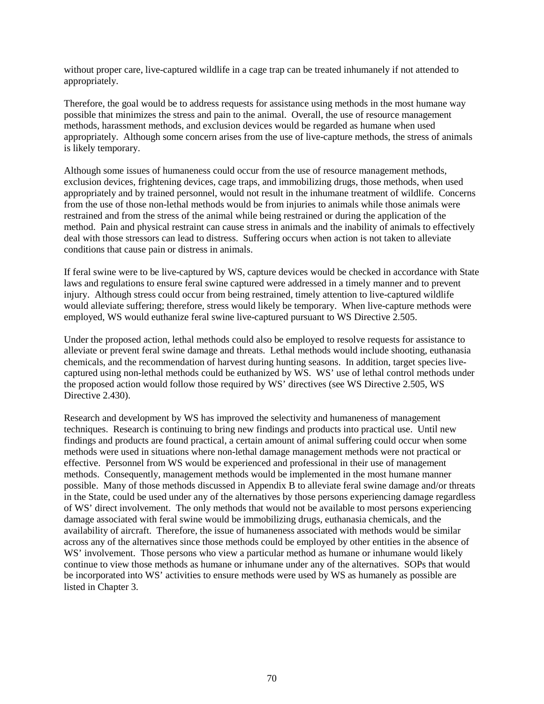without proper care, live-captured wildlife in a cage trap can be treated inhumanely if not attended to appropriately.

Therefore, the goal would be to address requests for assistance using methods in the most humane way possible that minimizes the stress and pain to the animal. Overall, the use of resource management methods, harassment methods, and exclusion devices would be regarded as humane when used appropriately. Although some concern arises from the use of live-capture methods, the stress of animals is likely temporary.

Although some issues of humaneness could occur from the use of resource management methods, exclusion devices, frightening devices, cage traps, and immobilizing drugs, those methods, when used appropriately and by trained personnel, would not result in the inhumane treatment of wildlife. Concerns from the use of those non-lethal methods would be from injuries to animals while those animals were restrained and from the stress of the animal while being restrained or during the application of the method. Pain and physical restraint can cause stress in animals and the inability of animals to effectively deal with those stressors can lead to distress. Suffering occurs when action is not taken to alleviate conditions that cause pain or distress in animals.

If feral swine were to be live-captured by WS, capture devices would be checked in accordance with State laws and regulations to ensure feral swine captured were addressed in a timely manner and to prevent injury. Although stress could occur from being restrained, timely attention to live-captured wildlife would alleviate suffering; therefore, stress would likely be temporary. When live-capture methods were employed, WS would euthanize feral swine live-captured pursuant to WS Directive 2.505.

Under the proposed action, lethal methods could also be employed to resolve requests for assistance to alleviate or prevent feral swine damage and threats. Lethal methods would include shooting, euthanasia chemicals, and the recommendation of harvest during hunting seasons. In addition, target species livecaptured using non-lethal methods could be euthanized by WS. WS' use of lethal control methods under the proposed action would follow those required by WS' directives (see WS Directive 2.505, WS Directive 2.430).

Research and development by WS has improved the selectivity and humaneness of management techniques. Research is continuing to bring new findings and products into practical use. Until new findings and products are found practical, a certain amount of animal suffering could occur when some methods were used in situations where non-lethal damage management methods were not practical or effective. Personnel from WS would be experienced and professional in their use of management methods. Consequently, management methods would be implemented in the most humane manner possible. Many of those methods discussed in Appendix B to alleviate feral swine damage and/or threats in the State, could be used under any of the alternatives by those persons experiencing damage regardless of WS' direct involvement. The only methods that would not be available to most persons experiencing damage associated with feral swine would be immobilizing drugs, euthanasia chemicals, and the availability of aircraft. Therefore, the issue of humaneness associated with methods would be similar across any of the alternatives since those methods could be employed by other entities in the absence of WS' involvement. Those persons who view a particular method as humane or inhumane would likely continue to view those methods as humane or inhumane under any of the alternatives. SOPs that would be incorporated into WS' activities to ensure methods were used by WS as humanely as possible are listed in Chapter 3.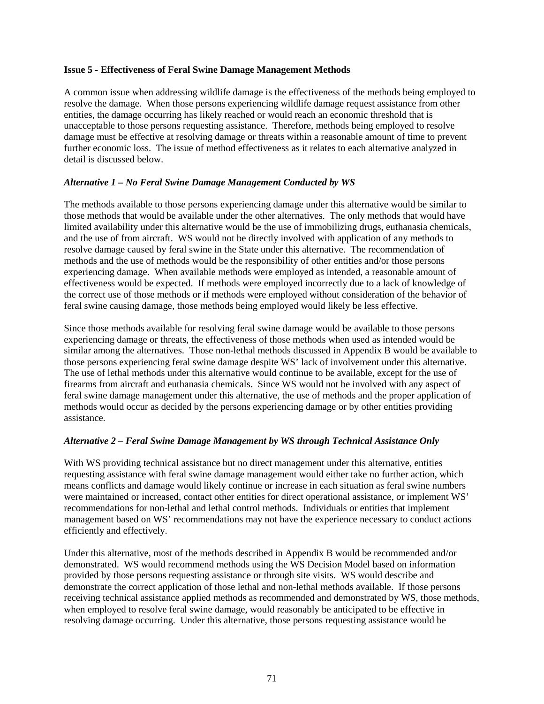#### **Issue 5 - Effectiveness of Feral Swine Damage Management Methods**

A common issue when addressing wildlife damage is the effectiveness of the methods being employed to resolve the damage. When those persons experiencing wildlife damage request assistance from other entities, the damage occurring has likely reached or would reach an economic threshold that is unacceptable to those persons requesting assistance. Therefore, methods being employed to resolve damage must be effective at resolving damage or threats within a reasonable amount of time to prevent further economic loss. The issue of method effectiveness as it relates to each alternative analyzed in detail is discussed below.

### *Alternative 1 – No Feral Swine Damage Management Conducted by WS*

The methods available to those persons experiencing damage under this alternative would be similar to those methods that would be available under the other alternatives. The only methods that would have limited availability under this alternative would be the use of immobilizing drugs, euthanasia chemicals, and the use of from aircraft. WS would not be directly involved with application of any methods to resolve damage caused by feral swine in the State under this alternative. The recommendation of methods and the use of methods would be the responsibility of other entities and/or those persons experiencing damage. When available methods were employed as intended, a reasonable amount of effectiveness would be expected. If methods were employed incorrectly due to a lack of knowledge of the correct use of those methods or if methods were employed without consideration of the behavior of feral swine causing damage, those methods being employed would likely be less effective.

Since those methods available for resolving feral swine damage would be available to those persons experiencing damage or threats, the effectiveness of those methods when used as intended would be similar among the alternatives. Those non-lethal methods discussed in Appendix B would be available to those persons experiencing feral swine damage despite WS' lack of involvement under this alternative. The use of lethal methods under this alternative would continue to be available, except for the use of firearms from aircraft and euthanasia chemicals. Since WS would not be involved with any aspect of feral swine damage management under this alternative, the use of methods and the proper application of methods would occur as decided by the persons experiencing damage or by other entities providing assistance.

### *Alternative 2 – Feral Swine Damage Management by WS through Technical Assistance Only*

With WS providing technical assistance but no direct management under this alternative, entities requesting assistance with feral swine damage management would either take no further action, which means conflicts and damage would likely continue or increase in each situation as feral swine numbers were maintained or increased, contact other entities for direct operational assistance, or implement WS' recommendations for non-lethal and lethal control methods. Individuals or entities that implement management based on WS' recommendations may not have the experience necessary to conduct actions efficiently and effectively.

Under this alternative, most of the methods described in Appendix B would be recommended and/or demonstrated. WS would recommend methods using the WS Decision Model based on information provided by those persons requesting assistance or through site visits. WS would describe and demonstrate the correct application of those lethal and non-lethal methods available. If those persons receiving technical assistance applied methods as recommended and demonstrated by WS, those methods, when employed to resolve feral swine damage, would reasonably be anticipated to be effective in resolving damage occurring. Under this alternative, those persons requesting assistance would be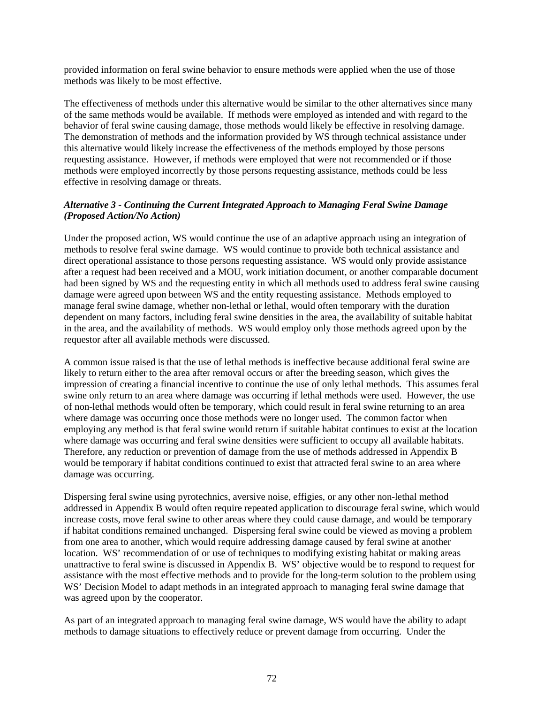provided information on feral swine behavior to ensure methods were applied when the use of those methods was likely to be most effective.

The effectiveness of methods under this alternative would be similar to the other alternatives since many of the same methods would be available. If methods were employed as intended and with regard to the behavior of feral swine causing damage, those methods would likely be effective in resolving damage. The demonstration of methods and the information provided by WS through technical assistance under this alternative would likely increase the effectiveness of the methods employed by those persons requesting assistance. However, if methods were employed that were not recommended or if those methods were employed incorrectly by those persons requesting assistance, methods could be less effective in resolving damage or threats.

### *Alternative 3 - Continuing the Current Integrated Approach to Managing Feral Swine Damage (Proposed Action/No Action)*

Under the proposed action, WS would continue the use of an adaptive approach using an integration of methods to resolve feral swine damage. WS would continue to provide both technical assistance and direct operational assistance to those persons requesting assistance. WS would only provide assistance after a request had been received and a MOU, work initiation document, or another comparable document had been signed by WS and the requesting entity in which all methods used to address feral swine causing damage were agreed upon between WS and the entity requesting assistance. Methods employed to manage feral swine damage, whether non-lethal or lethal, would often temporary with the duration dependent on many factors, including feral swine densities in the area, the availability of suitable habitat in the area, and the availability of methods. WS would employ only those methods agreed upon by the requestor after all available methods were discussed.

A common issue raised is that the use of lethal methods is ineffective because additional feral swine are likely to return either to the area after removal occurs or after the breeding season, which gives the impression of creating a financial incentive to continue the use of only lethal methods. This assumes feral swine only return to an area where damage was occurring if lethal methods were used. However, the use of non-lethal methods would often be temporary, which could result in feral swine returning to an area where damage was occurring once those methods were no longer used. The common factor when employing any method is that feral swine would return if suitable habitat continues to exist at the location where damage was occurring and feral swine densities were sufficient to occupy all available habitats. Therefore, any reduction or prevention of damage from the use of methods addressed in Appendix B would be temporary if habitat conditions continued to exist that attracted feral swine to an area where damage was occurring.

Dispersing feral swine using pyrotechnics, aversive noise, effigies, or any other non-lethal method addressed in Appendix B would often require repeated application to discourage feral swine, which would increase costs, move feral swine to other areas where they could cause damage, and would be temporary if habitat conditions remained unchanged. Dispersing feral swine could be viewed as moving a problem from one area to another, which would require addressing damage caused by feral swine at another location. WS' recommendation of or use of techniques to modifying existing habitat or making areas unattractive to feral swine is discussed in Appendix B. WS' objective would be to respond to request for assistance with the most effective methods and to provide for the long-term solution to the problem using WS' Decision Model to adapt methods in an integrated approach to managing feral swine damage that was agreed upon by the cooperator.

As part of an integrated approach to managing feral swine damage, WS would have the ability to adapt methods to damage situations to effectively reduce or prevent damage from occurring. Under the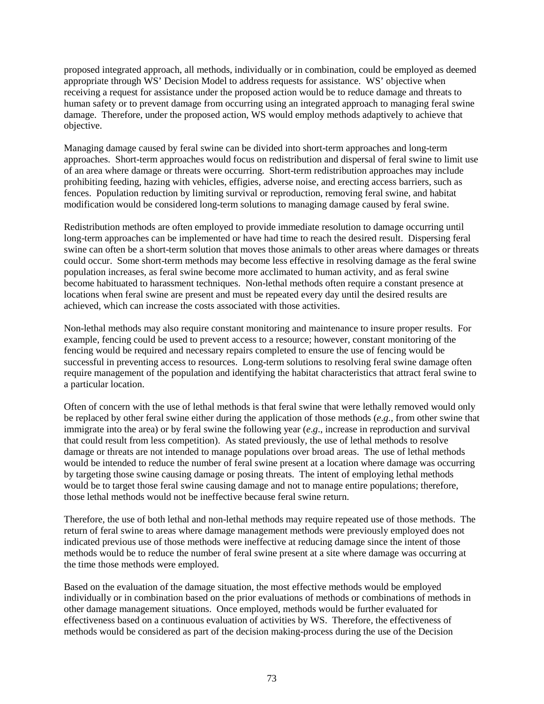proposed integrated approach, all methods, individually or in combination, could be employed as deemed appropriate through WS' Decision Model to address requests for assistance. WS' objective when receiving a request for assistance under the proposed action would be to reduce damage and threats to human safety or to prevent damage from occurring using an integrated approach to managing feral swine damage. Therefore, under the proposed action, WS would employ methods adaptively to achieve that objective.

Managing damage caused by feral swine can be divided into short-term approaches and long-term approaches. Short-term approaches would focus on redistribution and dispersal of feral swine to limit use of an area where damage or threats were occurring. Short-term redistribution approaches may include prohibiting feeding, hazing with vehicles, effigies, adverse noise, and erecting access barriers, such as fences. Population reduction by limiting survival or reproduction, removing feral swine, and habitat modification would be considered long-term solutions to managing damage caused by feral swine.

Redistribution methods are often employed to provide immediate resolution to damage occurring until long-term approaches can be implemented or have had time to reach the desired result. Dispersing feral swine can often be a short-term solution that moves those animals to other areas where damages or threats could occur. Some short-term methods may become less effective in resolving damage as the feral swine population increases, as feral swine become more acclimated to human activity, and as feral swine become habituated to harassment techniques. Non-lethal methods often require a constant presence at locations when feral swine are present and must be repeated every day until the desired results are achieved, which can increase the costs associated with those activities.

Non-lethal methods may also require constant monitoring and maintenance to insure proper results. For example, fencing could be used to prevent access to a resource; however, constant monitoring of the fencing would be required and necessary repairs completed to ensure the use of fencing would be successful in preventing access to resources. Long-term solutions to resolving feral swine damage often require management of the population and identifying the habitat characteristics that attract feral swine to a particular location.

Often of concern with the use of lethal methods is that feral swine that were lethally removed would only be replaced by other feral swine either during the application of those methods (*e*.*g*., from other swine that immigrate into the area) or by feral swine the following year (*e*.*g*., increase in reproduction and survival that could result from less competition). As stated previously, the use of lethal methods to resolve damage or threats are not intended to manage populations over broad areas. The use of lethal methods would be intended to reduce the number of feral swine present at a location where damage was occurring by targeting those swine causing damage or posing threats. The intent of employing lethal methods would be to target those feral swine causing damage and not to manage entire populations; therefore, those lethal methods would not be ineffective because feral swine return.

Therefore, the use of both lethal and non-lethal methods may require repeated use of those methods. The return of feral swine to areas where damage management methods were previously employed does not indicated previous use of those methods were ineffective at reducing damage since the intent of those methods would be to reduce the number of feral swine present at a site where damage was occurring at the time those methods were employed.

Based on the evaluation of the damage situation, the most effective methods would be employed individually or in combination based on the prior evaluations of methods or combinations of methods in other damage management situations. Once employed, methods would be further evaluated for effectiveness based on a continuous evaluation of activities by WS. Therefore, the effectiveness of methods would be considered as part of the decision making-process during the use of the Decision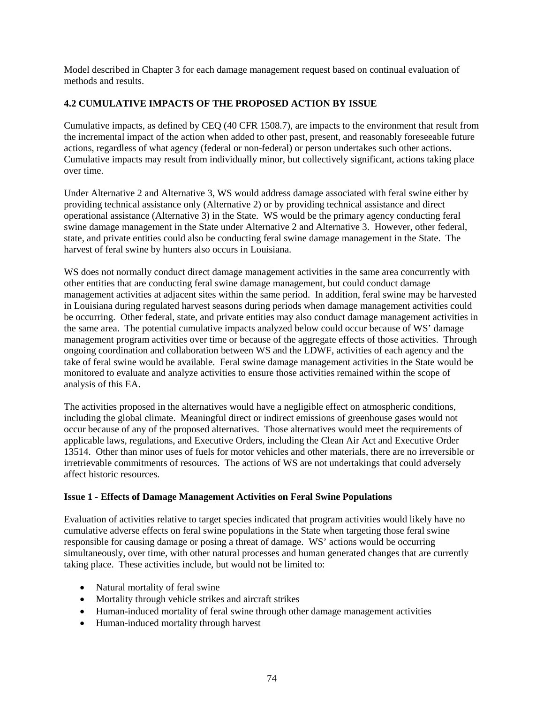Model described in Chapter 3 for each damage management request based on continual evaluation of methods and results.

# **4.2 CUMULATIVE IMPACTS OF THE PROPOSED ACTION BY ISSUE**

Cumulative impacts, as defined by CEQ (40 CFR 1508.7), are impacts to the environment that result from the incremental impact of the action when added to other past, present, and reasonably foreseeable future actions, regardless of what agency (federal or non-federal) or person undertakes such other actions. Cumulative impacts may result from individually minor, but collectively significant, actions taking place over time.

Under Alternative 2 and Alternative 3, WS would address damage associated with feral swine either by providing technical assistance only (Alternative 2) or by providing technical assistance and direct operational assistance (Alternative 3) in the State. WS would be the primary agency conducting feral swine damage management in the State under Alternative 2 and Alternative 3. However, other federal, state, and private entities could also be conducting feral swine damage management in the State. The harvest of feral swine by hunters also occurs in Louisiana.

WS does not normally conduct direct damage management activities in the same area concurrently with other entities that are conducting feral swine damage management, but could conduct damage management activities at adjacent sites within the same period. In addition, feral swine may be harvested in Louisiana during regulated harvest seasons during periods when damage management activities could be occurring. Other federal, state, and private entities may also conduct damage management activities in the same area. The potential cumulative impacts analyzed below could occur because of WS' damage management program activities over time or because of the aggregate effects of those activities. Through ongoing coordination and collaboration between WS and the LDWF, activities of each agency and the take of feral swine would be available. Feral swine damage management activities in the State would be monitored to evaluate and analyze activities to ensure those activities remained within the scope of analysis of this EA.

The activities proposed in the alternatives would have a negligible effect on atmospheric conditions, including the global climate. Meaningful direct or indirect emissions of greenhouse gases would not occur because of any of the proposed alternatives. Those alternatives would meet the requirements of applicable laws, regulations, and Executive Orders, including the Clean Air Act and Executive Order 13514. Other than minor uses of fuels for motor vehicles and other materials, there are no irreversible or irretrievable commitments of resources. The actions of WS are not undertakings that could adversely affect historic resources.

### **Issue 1 - Effects of Damage Management Activities on Feral Swine Populations**

Evaluation of activities relative to target species indicated that program activities would likely have no cumulative adverse effects on feral swine populations in the State when targeting those feral swine responsible for causing damage or posing a threat of damage. WS' actions would be occurring simultaneously, over time, with other natural processes and human generated changes that are currently taking place. These activities include, but would not be limited to:

- Natural mortality of feral swine
- Mortality through vehicle strikes and aircraft strikes
- Human-induced mortality of feral swine through other damage management activities
- Human-induced mortality through harvest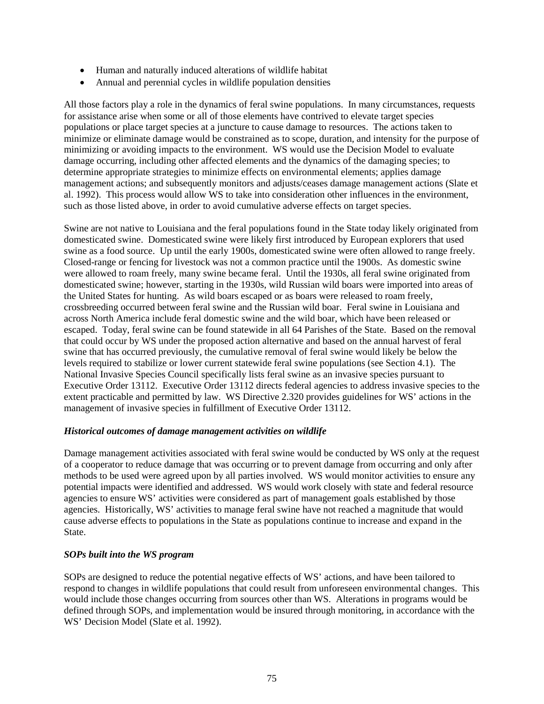- Human and naturally induced alterations of wildlife habitat
- Annual and perennial cycles in wildlife population densities

All those factors play a role in the dynamics of feral swine populations. In many circumstances, requests for assistance arise when some or all of those elements have contrived to elevate target species populations or place target species at a juncture to cause damage to resources. The actions taken to minimize or eliminate damage would be constrained as to scope, duration, and intensity for the purpose of minimizing or avoiding impacts to the environment. WS would use the Decision Model to evaluate damage occurring, including other affected elements and the dynamics of the damaging species; to determine appropriate strategies to minimize effects on environmental elements; applies damage management actions; and subsequently monitors and adjusts/ceases damage management actions (Slate et al. 1992). This process would allow WS to take into consideration other influences in the environment, such as those listed above, in order to avoid cumulative adverse effects on target species.

Swine are not native to Louisiana and the feral populations found in the State today likely originated from domesticated swine. Domesticated swine were likely first introduced by European explorers that used swine as a food source. Up until the early 1900s, domesticated swine were often allowed to range freely. Closed-range or fencing for livestock was not a common practice until the 1900s. As domestic swine were allowed to roam freely, many swine became feral. Until the 1930s, all feral swine originated from domesticated swine; however, starting in the 1930s, wild Russian wild boars were imported into areas of the United States for hunting. As wild boars escaped or as boars were released to roam freely, crossbreeding occurred between feral swine and the Russian wild boar. Feral swine in Louisiana and across North America include feral domestic swine and the wild boar, which have been released or escaped. Today, feral swine can be found statewide in all 64 Parishes of the State. Based on the removal that could occur by WS under the proposed action alternative and based on the annual harvest of feral swine that has occurred previously, the cumulative removal of feral swine would likely be below the levels required to stabilize or lower current statewide feral swine populations (see Section 4.1). The National Invasive Species Council specifically lists feral swine as an invasive species pursuant to Executive Order 13112. Executive Order 13112 directs federal agencies to address invasive species to the extent practicable and permitted by law. WS Directive 2.320 provides guidelines for WS' actions in the management of invasive species in fulfillment of Executive Order 13112.

### *Historical outcomes of damage management activities on wildlife*

Damage management activities associated with feral swine would be conducted by WS only at the request of a cooperator to reduce damage that was occurring or to prevent damage from occurring and only after methods to be used were agreed upon by all parties involved. WS would monitor activities to ensure any potential impacts were identified and addressed. WS would work closely with state and federal resource agencies to ensure WS' activities were considered as part of management goals established by those agencies. Historically, WS' activities to manage feral swine have not reached a magnitude that would cause adverse effects to populations in the State as populations continue to increase and expand in the State.

# *SOPs built into the WS program*

SOPs are designed to reduce the potential negative effects of WS' actions, and have been tailored to respond to changes in wildlife populations that could result from unforeseen environmental changes. This would include those changes occurring from sources other than WS. Alterations in programs would be defined through SOPs, and implementation would be insured through monitoring, in accordance with the WS' Decision Model (Slate et al. 1992).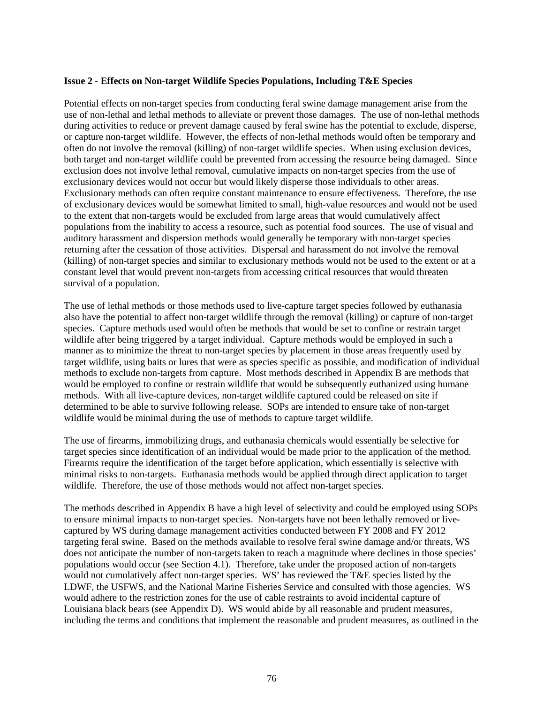### **Issue 2 - Effects on Non-target Wildlife Species Populations, Including T&E Species**

Potential effects on non-target species from conducting feral swine damage management arise from the use of non-lethal and lethal methods to alleviate or prevent those damages. The use of non-lethal methods during activities to reduce or prevent damage caused by feral swine has the potential to exclude, disperse, or capture non-target wildlife. However, the effects of non-lethal methods would often be temporary and often do not involve the removal (killing) of non-target wildlife species. When using exclusion devices, both target and non-target wildlife could be prevented from accessing the resource being damaged. Since exclusion does not involve lethal removal, cumulative impacts on non-target species from the use of exclusionary devices would not occur but would likely disperse those individuals to other areas. Exclusionary methods can often require constant maintenance to ensure effectiveness. Therefore, the use of exclusionary devices would be somewhat limited to small, high-value resources and would not be used to the extent that non-targets would be excluded from large areas that would cumulatively affect populations from the inability to access a resource, such as potential food sources. The use of visual and auditory harassment and dispersion methods would generally be temporary with non-target species returning after the cessation of those activities. Dispersal and harassment do not involve the removal (killing) of non-target species and similar to exclusionary methods would not be used to the extent or at a constant level that would prevent non-targets from accessing critical resources that would threaten survival of a population.

The use of lethal methods or those methods used to live-capture target species followed by euthanasia also have the potential to affect non-target wildlife through the removal (killing) or capture of non-target species. Capture methods used would often be methods that would be set to confine or restrain target wildlife after being triggered by a target individual. Capture methods would be employed in such a manner as to minimize the threat to non-target species by placement in those areas frequently used by target wildlife, using baits or lures that were as species specific as possible, and modification of individual methods to exclude non-targets from capture. Most methods described in Appendix B are methods that would be employed to confine or restrain wildlife that would be subsequently euthanized using humane methods. With all live-capture devices, non-target wildlife captured could be released on site if determined to be able to survive following release. SOPs are intended to ensure take of non-target wildlife would be minimal during the use of methods to capture target wildlife.

The use of firearms, immobilizing drugs, and euthanasia chemicals would essentially be selective for target species since identification of an individual would be made prior to the application of the method. Firearms require the identification of the target before application, which essentially is selective with minimal risks to non-targets. Euthanasia methods would be applied through direct application to target wildlife. Therefore, the use of those methods would not affect non-target species.

The methods described in Appendix B have a high level of selectivity and could be employed using SOPs to ensure minimal impacts to non-target species. Non-targets have not been lethally removed or livecaptured by WS during damage management activities conducted between FY 2008 and FY 2012 targeting feral swine. Based on the methods available to resolve feral swine damage and/or threats, WS does not anticipate the number of non-targets taken to reach a magnitude where declines in those species' populations would occur (see Section 4.1). Therefore, take under the proposed action of non-targets would not cumulatively affect non-target species. WS' has reviewed the T&E species listed by the LDWF, the USFWS, and the National Marine Fisheries Service and consulted with those agencies. WS would adhere to the restriction zones for the use of cable restraints to avoid incidental capture of Louisiana black bears (see Appendix D). WS would abide by all reasonable and prudent measures, including the terms and conditions that implement the reasonable and prudent measures, as outlined in the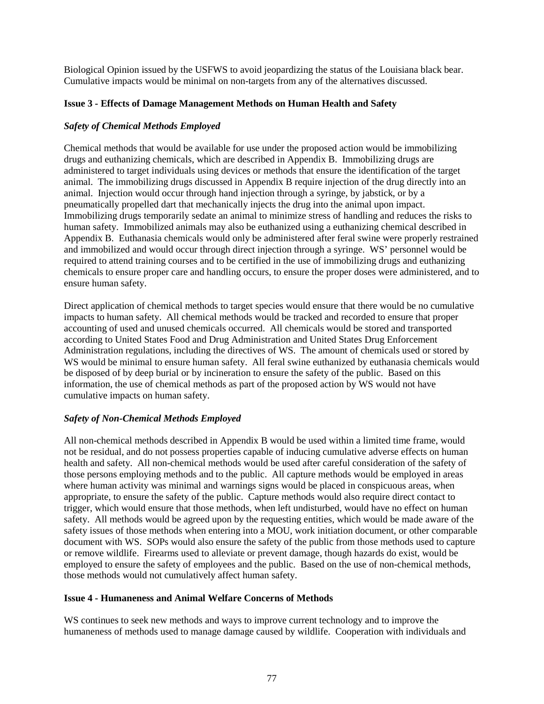Biological Opinion issued by the USFWS to avoid jeopardizing the status of the Louisiana black bear. Cumulative impacts would be minimal on non-targets from any of the alternatives discussed.

### **Issue 3 - Effects of Damage Management Methods on Human Health and Safety**

### *Safety of Chemical Methods Employed*

Chemical methods that would be available for use under the proposed action would be immobilizing drugs and euthanizing chemicals, which are described in Appendix B. Immobilizing drugs are administered to target individuals using devices or methods that ensure the identification of the target animal. The immobilizing drugs discussed in Appendix B require injection of the drug directly into an animal. Injection would occur through hand injection through a syringe, by jabstick, or by a pneumatically propelled dart that mechanically injects the drug into the animal upon impact. Immobilizing drugs temporarily sedate an animal to minimize stress of handling and reduces the risks to human safety. Immobilized animals may also be euthanized using a euthanizing chemical described in Appendix B. Euthanasia chemicals would only be administered after feral swine were properly restrained and immobilized and would occur through direct injection through a syringe. WS' personnel would be required to attend training courses and to be certified in the use of immobilizing drugs and euthanizing chemicals to ensure proper care and handling occurs, to ensure the proper doses were administered, and to ensure human safety.

Direct application of chemical methods to target species would ensure that there would be no cumulative impacts to human safety. All chemical methods would be tracked and recorded to ensure that proper accounting of used and unused chemicals occurred. All chemicals would be stored and transported according to United States Food and Drug Administration and United States Drug Enforcement Administration regulations, including the directives of WS. The amount of chemicals used or stored by WS would be minimal to ensure human safety. All feral swine euthanized by euthanasia chemicals would be disposed of by deep burial or by incineration to ensure the safety of the public. Based on this information, the use of chemical methods as part of the proposed action by WS would not have cumulative impacts on human safety.

# *Safety of Non-Chemical Methods Employed*

All non-chemical methods described in Appendix B would be used within a limited time frame, would not be residual, and do not possess properties capable of inducing cumulative adverse effects on human health and safety. All non-chemical methods would be used after careful consideration of the safety of those persons employing methods and to the public. All capture methods would be employed in areas where human activity was minimal and warnings signs would be placed in conspicuous areas, when appropriate, to ensure the safety of the public. Capture methods would also require direct contact to trigger, which would ensure that those methods, when left undisturbed, would have no effect on human safety. All methods would be agreed upon by the requesting entities, which would be made aware of the safety issues of those methods when entering into a MOU, work initiation document, or other comparable document with WS. SOPs would also ensure the safety of the public from those methods used to capture or remove wildlife. Firearms used to alleviate or prevent damage, though hazards do exist, would be employed to ensure the safety of employees and the public. Based on the use of non-chemical methods, those methods would not cumulatively affect human safety.

### **Issue 4 - Humaneness and Animal Welfare Concerns of Methods**

WS continues to seek new methods and ways to improve current technology and to improve the humaneness of methods used to manage damage caused by wildlife. Cooperation with individuals and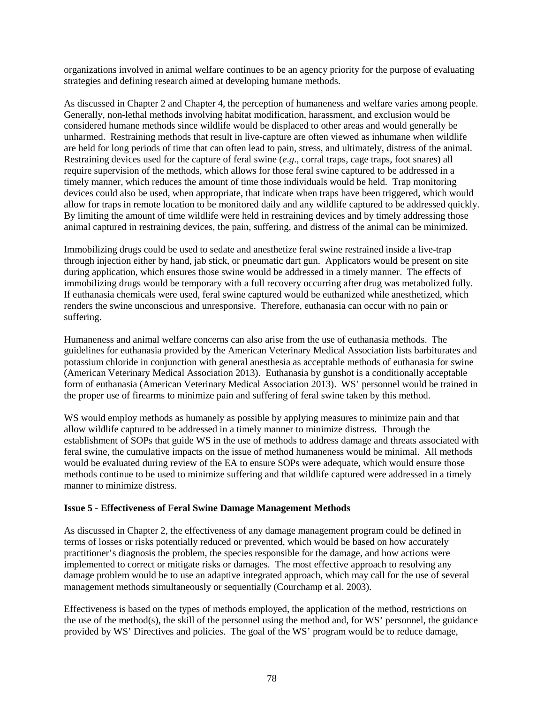organizations involved in animal welfare continues to be an agency priority for the purpose of evaluating strategies and defining research aimed at developing humane methods.

As discussed in Chapter 2 and Chapter 4, the perception of humaneness and welfare varies among people. Generally, non-lethal methods involving habitat modification, harassment, and exclusion would be considered humane methods since wildlife would be displaced to other areas and would generally be unharmed. Restraining methods that result in live-capture are often viewed as inhumane when wildlife are held for long periods of time that can often lead to pain, stress, and ultimately, distress of the animal. Restraining devices used for the capture of feral swine (*e*.*g*., corral traps, cage traps, foot snares) all require supervision of the methods, which allows for those feral swine captured to be addressed in a timely manner, which reduces the amount of time those individuals would be held. Trap monitoring devices could also be used, when appropriate, that indicate when traps have been triggered, which would allow for traps in remote location to be monitored daily and any wildlife captured to be addressed quickly. By limiting the amount of time wildlife were held in restraining devices and by timely addressing those animal captured in restraining devices, the pain, suffering, and distress of the animal can be minimized.

Immobilizing drugs could be used to sedate and anesthetize feral swine restrained inside a live-trap through injection either by hand, jab stick, or pneumatic dart gun. Applicators would be present on site during application, which ensures those swine would be addressed in a timely manner. The effects of immobilizing drugs would be temporary with a full recovery occurring after drug was metabolized fully. If euthanasia chemicals were used, feral swine captured would be euthanized while anesthetized, which renders the swine unconscious and unresponsive. Therefore, euthanasia can occur with no pain or suffering.

Humaneness and animal welfare concerns can also arise from the use of euthanasia methods. The guidelines for euthanasia provided by the American Veterinary Medical Association lists barbiturates and potassium chloride in conjunction with general anesthesia as acceptable methods of euthanasia for swine (American Veterinary Medical Association 2013). Euthanasia by gunshot is a conditionally acceptable form of euthanasia (American Veterinary Medical Association 2013). WS' personnel would be trained in the proper use of firearms to minimize pain and suffering of feral swine taken by this method.

WS would employ methods as humanely as possible by applying measures to minimize pain and that allow wildlife captured to be addressed in a timely manner to minimize distress. Through the establishment of SOPs that guide WS in the use of methods to address damage and threats associated with feral swine, the cumulative impacts on the issue of method humaneness would be minimal. All methods would be evaluated during review of the EA to ensure SOPs were adequate, which would ensure those methods continue to be used to minimize suffering and that wildlife captured were addressed in a timely manner to minimize distress.

### **Issue 5 - Effectiveness of Feral Swine Damage Management Methods**

As discussed in Chapter 2, the effectiveness of any damage management program could be defined in terms of losses or risks potentially reduced or prevented, which would be based on how accurately practitioner's diagnosis the problem, the species responsible for the damage, and how actions were implemented to correct or mitigate risks or damages. The most effective approach to resolving any damage problem would be to use an adaptive integrated approach, which may call for the use of several management methods simultaneously or sequentially (Courchamp et al. 2003).

Effectiveness is based on the types of methods employed, the application of the method, restrictions on the use of the method(s), the skill of the personnel using the method and, for WS' personnel, the guidance provided by WS' Directives and policies. The goal of the WS' program would be to reduce damage,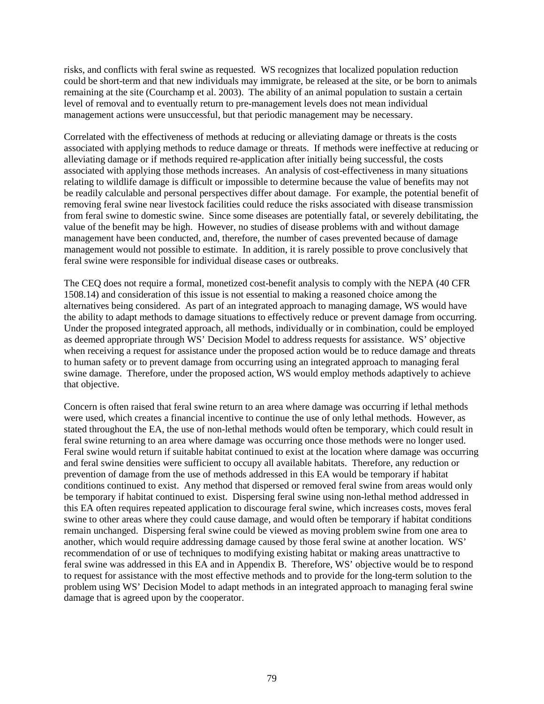risks, and conflicts with feral swine as requested. WS recognizes that localized population reduction could be short-term and that new individuals may immigrate, be released at the site, or be born to animals remaining at the site (Courchamp et al. 2003). The ability of an animal population to sustain a certain level of removal and to eventually return to pre-management levels does not mean individual management actions were unsuccessful, but that periodic management may be necessary.

Correlated with the effectiveness of methods at reducing or alleviating damage or threats is the costs associated with applying methods to reduce damage or threats. If methods were ineffective at reducing or alleviating damage or if methods required re-application after initially being successful, the costs associated with applying those methods increases. An analysis of cost-effectiveness in many situations relating to wildlife damage is difficult or impossible to determine because the value of benefits may not be readily calculable and personal perspectives differ about damage. For example, the potential benefit of removing feral swine near livestock facilities could reduce the risks associated with disease transmission from feral swine to domestic swine. Since some diseases are potentially fatal, or severely debilitating, the value of the benefit may be high. However, no studies of disease problems with and without damage management have been conducted, and, therefore, the number of cases prevented because of damage management would not possible to estimate. In addition, it is rarely possible to prove conclusively that feral swine were responsible for individual disease cases or outbreaks.

The CEQ does not require a formal, monetized cost-benefit analysis to comply with the NEPA (40 CFR 1508.14) and consideration of this issue is not essential to making a reasoned choice among the alternatives being considered. As part of an integrated approach to managing damage, WS would have the ability to adapt methods to damage situations to effectively reduce or prevent damage from occurring. Under the proposed integrated approach, all methods, individually or in combination, could be employed as deemed appropriate through WS' Decision Model to address requests for assistance. WS' objective when receiving a request for assistance under the proposed action would be to reduce damage and threats to human safety or to prevent damage from occurring using an integrated approach to managing feral swine damage. Therefore, under the proposed action, WS would employ methods adaptively to achieve that objective.

Concern is often raised that feral swine return to an area where damage was occurring if lethal methods were used, which creates a financial incentive to continue the use of only lethal methods. However, as stated throughout the EA, the use of non-lethal methods would often be temporary, which could result in feral swine returning to an area where damage was occurring once those methods were no longer used. Feral swine would return if suitable habitat continued to exist at the location where damage was occurring and feral swine densities were sufficient to occupy all available habitats. Therefore, any reduction or prevention of damage from the use of methods addressed in this EA would be temporary if habitat conditions continued to exist. Any method that dispersed or removed feral swine from areas would only be temporary if habitat continued to exist. Dispersing feral swine using non-lethal method addressed in this EA often requires repeated application to discourage feral swine, which increases costs, moves feral swine to other areas where they could cause damage, and would often be temporary if habitat conditions remain unchanged. Dispersing feral swine could be viewed as moving problem swine from one area to another, which would require addressing damage caused by those feral swine at another location. WS' recommendation of or use of techniques to modifying existing habitat or making areas unattractive to feral swine was addressed in this EA and in Appendix B. Therefore, WS' objective would be to respond to request for assistance with the most effective methods and to provide for the long-term solution to the problem using WS' Decision Model to adapt methods in an integrated approach to managing feral swine damage that is agreed upon by the cooperator.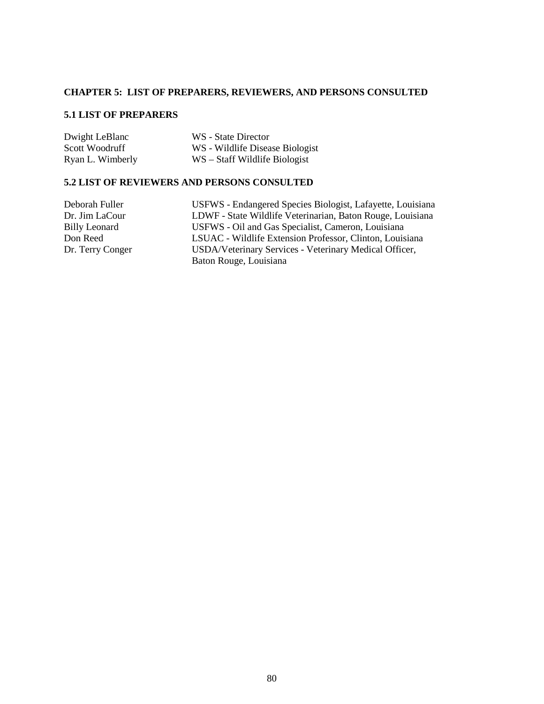# **CHAPTER 5: LIST OF PREPARERS, REVIEWERS, AND PERSONS CONSULTED**

# **5.1 LIST OF PREPARERS**

| Dwight LeBlanc   | WS - State Director             |
|------------------|---------------------------------|
| Scott Woodruff   | WS - Wildlife Disease Biologist |
| Ryan L. Wimberly | WS – Staff Wildlife Biologist   |

### **5.2 LIST OF REVIEWERS AND PERSONS CONSULTED**

| Deborah Fuller   | USFWS - Endangered Species Biologist, Lafayette, Louisiana |
|------------------|------------------------------------------------------------|
| Dr. Jim LaCour   | LDWF - State Wildlife Veterinarian, Baton Rouge, Louisiana |
| Billy Leonard    | USFWS - Oil and Gas Specialist, Cameron, Louisiana         |
| Don Reed         | LSUAC - Wildlife Extension Professor, Clinton, Louisiana   |
| Dr. Terry Conger | USDA/Veterinary Services - Veterinary Medical Officer,     |
|                  | Baton Rouge, Louisiana                                     |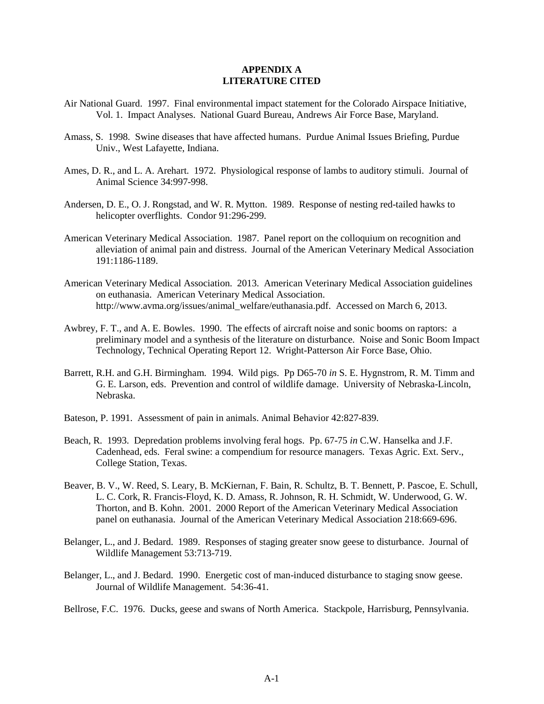#### **APPENDIX A LITERATURE CITED**

- Air National Guard. 1997. Final environmental impact statement for the Colorado Airspace Initiative, Vol. 1. Impact Analyses. National Guard Bureau, Andrews Air Force Base, Maryland.
- Amass, S. 1998. Swine diseases that have affected humans. Purdue Animal Issues Briefing, Purdue Univ., West Lafayette, Indiana.
- Ames, D. R., and L. A. Arehart. 1972. Physiological response of lambs to auditory stimuli. Journal of Animal Science 34:997-998.
- Andersen, D. E., O. J. Rongstad, and W. R. Mytton. 1989. Response of nesting red-tailed hawks to helicopter overflights. Condor 91:296-299.
- American Veterinary Medical Association. 1987. Panel report on the colloquium on recognition and alleviation of animal pain and distress. Journal of the American Veterinary Medical Association 191:1186-1189.
- American Veterinary Medical Association. 2013. American Veterinary Medical Association guidelines on euthanasia. American Veterinary Medical Association. http://www.avma.org/issues/animal\_welfare/euthanasia.pdf. Accessed on March 6, 2013.
- Awbrey, F. T., and A. E. Bowles. 1990. The effects of aircraft noise and sonic booms on raptors: a preliminary model and a synthesis of the literature on disturbance. Noise and Sonic Boom Impact Technology, Technical Operating Report 12. Wright-Patterson Air Force Base, Ohio.
- Barrett, R.H. and G.H. Birmingham. 1994. Wild pigs. Pp D65-70 *in* S. E. Hygnstrom, R. M. Timm and G. E. Larson, eds. Prevention and control of wildlife damage. University of Nebraska-Lincoln, Nebraska.
- Bateson, P. 1991. Assessment of pain in animals. Animal Behavior 42:827-839.
- Beach, R. 1993. Depredation problems involving feral hogs. Pp. 67-75 *in* C.W. Hanselka and J.F. Cadenhead, eds. Feral swine: a compendium for resource managers. Texas Agric. Ext. Serv., College Station, Texas.
- Beaver, B. V., W. Reed, S. Leary, B. McKiernan, F. Bain, R. Schultz, B. T. Bennett, P. Pascoe, E. Schull, L. C. Cork, R. Francis-Floyd, K. D. Amass, R. Johnson, R. H. Schmidt, W. Underwood, G. W. Thorton, and B. Kohn. 2001. 2000 Report of the American Veterinary Medical Association panel on euthanasia. Journal of the American Veterinary Medical Association 218:669-696.
- Belanger, L., and J. Bedard. 1989. Responses of staging greater snow geese to disturbance. Journal of Wildlife Management 53:713-719.
- Belanger, L., and J. Bedard. 1990. Energetic cost of man-induced disturbance to staging snow geese. Journal of Wildlife Management. 54:36-41.

Bellrose, F.C. 1976. Ducks, geese and swans of North America. Stackpole, Harrisburg, Pennsylvania.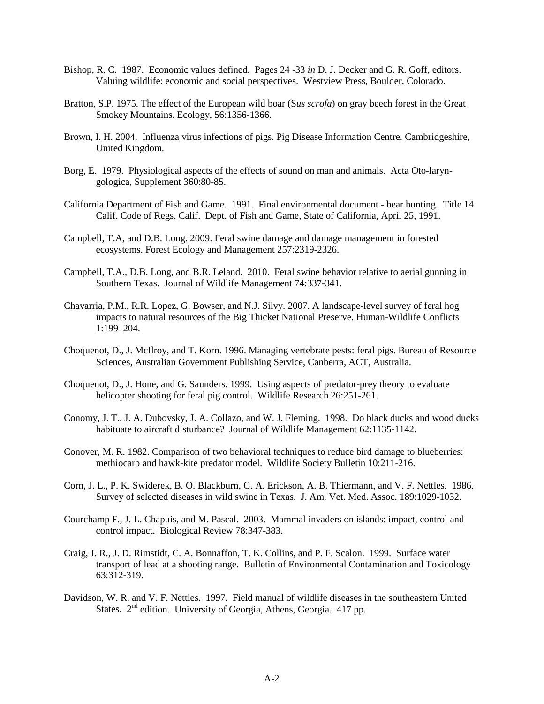- Bishop, R. C. 1987. Economic values defined. Pages 24 -33 *in* D. J. Decker and G. R. Goff, editors. Valuing wildlife: economic and social perspectives. Westview Press, Boulder, Colorado.
- Bratton, S.P. 1975. The effect of the European wild boar (S*us scrofa*) on gray beech forest in the Great Smokey Mountains. Ecology, 56:1356-1366.
- Brown, I. H. 2004. Influenza virus infections of pigs. Pig Disease Information Centre. Cambridgeshire, United Kingdom.
- Borg, E. 1979. Physiological aspects of the effects of sound on man and animals. Acta Oto-laryngologica, Supplement 360:80-85.
- California Department of Fish and Game. 1991. Final environmental document bear hunting. Title 14 Calif. Code of Regs. Calif. Dept. of Fish and Game, State of California, April 25, 1991.
- Campbell, T.A, and D.B. Long. 2009. Feral swine damage and damage management in forested ecosystems. Forest Ecology and Management 257:2319-2326.
- Campbell, T.A., D.B. Long, and B.R. Leland. 2010. Feral swine behavior relative to aerial gunning in Southern Texas. Journal of Wildlife Management 74:337-341.
- Chavarria, P.M., R.R. Lopez, G. Bowser, and N.J. Silvy. 2007. A landscape-level survey of feral hog impacts to natural resources of the Big Thicket National Preserve. Human-Wildlife Conflicts 1:199–204.
- Choquenot, D., J. McIlroy, and T. Korn. 1996. Managing vertebrate pests: feral pigs. Bureau of Resource Sciences, Australian Government Publishing Service, Canberra, ACT, Australia.
- Choquenot, D., J. Hone, and G. Saunders. 1999. Using aspects of predator-prey theory to evaluate helicopter shooting for feral pig control. Wildlife Research 26:251-261.
- Conomy, J. T., J. A. Dubovsky, J. A. Collazo, and W. J. Fleming. 1998. Do black ducks and wood ducks habituate to aircraft disturbance? Journal of Wildlife Management 62:1135-1142.
- Conover, M. R. 1982. Comparison of two behavioral techniques to reduce bird damage to blueberries: methiocarb and hawk-kite predator model. Wildlife Society Bulletin 10:211-216.
- Corn, J. L., P. K. Swiderek, B. O. Blackburn, G. A. Erickson, A. B. Thiermann, and V. F. Nettles. 1986. Survey of selected diseases in wild swine in Texas. J. Am. Vet. Med. Assoc. 189:1029-1032.
- Courchamp F., J. L. Chapuis, and M. Pascal. 2003. Mammal invaders on islands: impact, control and control impact. Biological Review 78:347-383.
- Craig, J. R., J. D. Rimstidt, C. A. Bonnaffon, T. K. Collins, and P. F. Scalon. 1999. Surface water transport of lead at a shooting range. Bulletin of Environmental Contamination and Toxicology 63:312-319.
- Davidson, W. R. and V. F. Nettles. 1997. Field manual of wildlife diseases in the southeastern United States.  $2<sup>nd</sup>$  edition. University of Georgia, Athens, Georgia. 417 pp.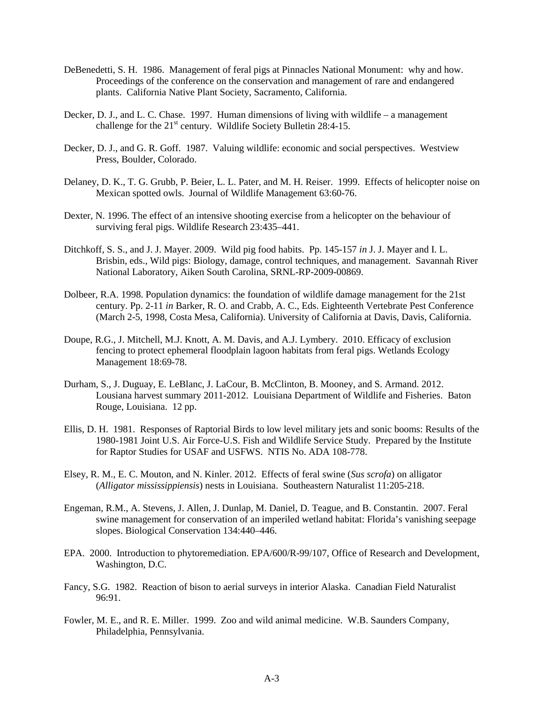- DeBenedetti, S. H. 1986. Management of feral pigs at Pinnacles National Monument: why and how. Proceedings of the conference on the conservation and management of rare and endangered plants. California Native Plant Society, Sacramento, California.
- Decker, D. J., and L. C. Chase. 1997. Human dimensions of living with wildlife a management challenge for the  $21<sup>st</sup>$  century. Wildlife Society Bulletin 28:4-15.
- Decker, D. J., and G. R. Goff. 1987. Valuing wildlife: economic and social perspectives. Westview Press, Boulder, Colorado.
- Delaney, D. K., T. G. Grubb, P. Beier, L. L. Pater, and M. H. Reiser. 1999. Effects of helicopter noise on Mexican spotted owls. Journal of Wildlife Management 63:60-76.
- Dexter, N. 1996. The effect of an intensive shooting exercise from a helicopter on the behaviour of surviving feral pigs. Wildlife Research 23:435–441.
- Ditchkoff, S. S., and J. J. Mayer. 2009. Wild pig food habits. Pp. 145-157 *in* J. J. Mayer and I. L. Brisbin, eds., Wild pigs: Biology, damage, control techniques, and management. Savannah River National Laboratory, Aiken South Carolina, SRNL-RP-2009-00869.
- Dolbeer, R.A. 1998. Population dynamics: the foundation of wildlife damage management for the 21st century. Pp. 2-11 *in* Barker, R. O. and Crabb, A. C., Eds. Eighteenth Vertebrate Pest Conference (March 2-5, 1998, Costa Mesa, California). University of California at Davis, Davis, California.
- Doupe, R.G., J. Mitchell, M.J. Knott, A. M. Davis, and A.J. Lymbery. 2010. Efficacy of exclusion fencing to protect ephemeral floodplain lagoon habitats from feral pigs. Wetlands Ecology Management 18:69-78.
- Durham, S., J. Duguay, E. LeBlanc, J. LaCour, B. McClinton, B. Mooney, and S. Armand. 2012. Lousiana harvest summary 2011-2012. Louisiana Department of Wildlife and Fisheries. Baton Rouge, Louisiana. 12 pp.
- Ellis, D. H. 1981. Responses of Raptorial Birds to low level military jets and sonic booms: Results of the 1980-1981 Joint U.S. Air Force-U.S. Fish and Wildlife Service Study. Prepared by the Institute for Raptor Studies for USAF and USFWS. NTIS No. ADA 108-778.
- Elsey, R. M., E. C. Mouton, and N. Kinler. 2012. Effects of feral swine (*Sus scrofa*) on alligator (*Alligator mississippiensis*) nests in Louisiana. Southeastern Naturalist 11:205-218.
- Engeman, R.M., A. Stevens, J. Allen, J. Dunlap, M. Daniel, D. Teague, and B. Constantin. 2007. Feral swine management for conservation of an imperiled wetland habitat: Florida's vanishing seepage slopes. Biological Conservation 134:440–446.
- EPA. 2000. Introduction to phytoremediation. EPA/600/R-99/107, Office of Research and Development, Washington, D.C.
- Fancy, S.G. 1982. Reaction of bison to aerial surveys in interior Alaska. Canadian Field Naturalist 96:91.
- Fowler, M. E., and R. E. Miller. 1999. Zoo and wild animal medicine. W.B. Saunders Company, Philadelphia, Pennsylvania.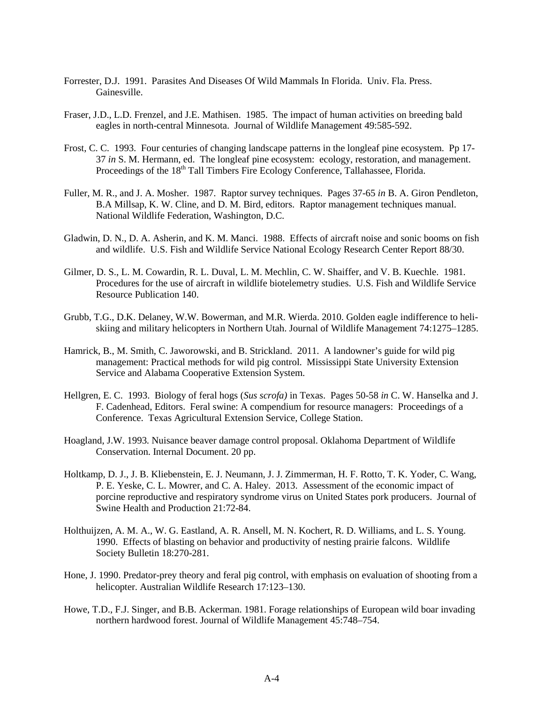- Forrester, D.J. 1991. Parasites And Diseases Of Wild Mammals In Florida. Univ. Fla. Press. Gainesville.
- Fraser, J.D., L.D. Frenzel, and J.E. Mathisen. 1985. The impact of human activities on breeding bald eagles in north-central Minnesota. Journal of Wildlife Management 49:585-592.
- Frost, C. C. 1993. Four centuries of changing landscape patterns in the longleaf pine ecosystem. Pp 17- 37 *in* S. M. Hermann, ed. The longleaf pine ecosystem: ecology, restoration, and management. Proceedings of the 18<sup>th</sup> Tall Timbers Fire Ecology Conference, Tallahassee, Florida.
- Fuller, M. R., and J. A. Mosher. 1987. Raptor survey techniques. Pages 37-65 *in* B. A. Giron Pendleton, B.A Millsap, K. W. Cline, and D. M. Bird, editors. Raptor management techniques manual. National Wildlife Federation, Washington, D.C.
- Gladwin, D. N., D. A. Asherin, and K. M. Manci. 1988. Effects of aircraft noise and sonic booms on fish and wildlife. U.S. Fish and Wildlife Service National Ecology Research Center Report 88/30.
- Gilmer, D. S., L. M. Cowardin, R. L. Duval, L. M. Mechlin, C. W. Shaiffer, and V. B. Kuechle. 1981. Procedures for the use of aircraft in wildlife biotelemetry studies. U.S. Fish and Wildlife Service Resource Publication 140.
- Grubb, T.G., D.K. Delaney, W.W. Bowerman, and M.R. Wierda. 2010. Golden eagle indifference to heliskiing and military helicopters in Northern Utah. Journal of Wildlife Management 74:1275–1285.
- Hamrick, B., M. Smith, C. Jaworowski, and B. Strickland. 2011. A landowner's guide for wild pig management: Practical methods for wild pig control. Mississippi State University Extension Service and Alabama Cooperative Extension System.
- Hellgren, E. C. 1993. Biology of feral hogs (*Sus scrofa)* in Texas. Pages 50-58 *in* C. W. Hanselka and J. F. Cadenhead, Editors. Feral swine: A compendium for resource managers: Proceedings of a Conference. Texas Agricultural Extension Service, College Station.
- Hoagland, J.W. 1993. Nuisance beaver damage control proposal. Oklahoma Department of Wildlife Conservation. Internal Document. 20 pp.
- Holtkamp, D. J., J. B. Kliebenstein, E. J. Neumann, J. J. Zimmerman, H. F. Rotto, T. K. Yoder, C. Wang, P. E. Yeske, C. L. Mowrer, and C. A. Haley. 2013. Assessment of the economic impact of porcine reproductive and respiratory syndrome virus on United States pork producers. Journal of Swine Health and Production 21:72-84.
- Holthuijzen, A. M. A., W. G. Eastland, A. R. Ansell, M. N. Kochert, R. D. Williams, and L. S. Young. 1990. Effects of blasting on behavior and productivity of nesting prairie falcons. Wildlife Society Bulletin 18:270-281.
- Hone, J. 1990. Predator-prey theory and feral pig control, with emphasis on evaluation of shooting from a helicopter. Australian Wildlife Research 17:123–130.
- Howe, T.D., F.J. Singer, and B.B. Ackerman. 1981. Forage relationships of European wild boar invading northern hardwood forest. Journal of Wildlife Management 45:748–754.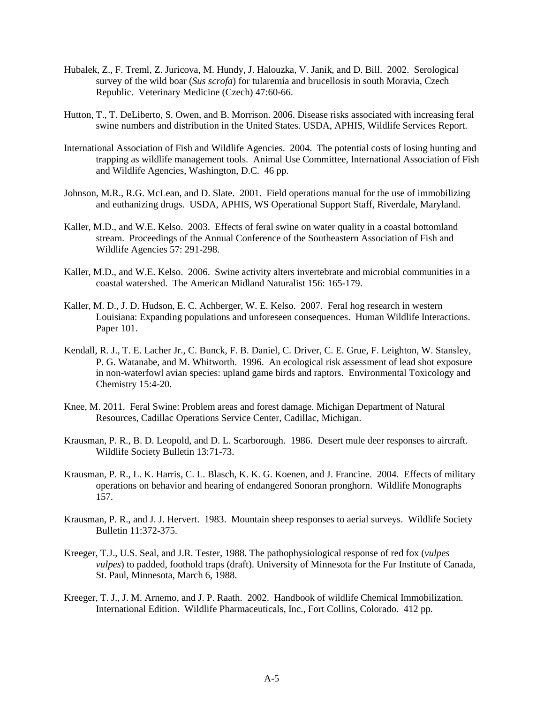- Hubalek, Z., F. Treml, Z. Juricova, M. Hundy, J. Halouzka, V. Janik, and D. Bill. 2002. Serological survey of the wild boar (*Sus scrofa*) for tularemia and brucellosis in south Moravia, Czech Republic. Veterinary Medicine (Czech) 47:60-66.
- Hutton, T., T. DeLiberto, S. Owen, and B. Morrison. 2006. Disease risks associated with increasing feral swine numbers and distribution in the United States. USDA, APHIS, Wildlife Services Report.
- International Association of Fish and Wildlife Agencies. 2004. The potential costs of losing hunting and trapping as wildlife management tools. Animal Use Committee, International Association of Fish and Wildlife Agencies, Washington, D.C. 46 pp.
- Johnson, M.R., R.G. McLean, and D. Slate. 2001. Field operations manual for the use of immobilizing and euthanizing drugs. USDA, APHIS, WS Operational Support Staff, Riverdale, Maryland.
- Kaller, M.D., and W.E. Kelso. 2003. Effects of feral swine on water quality in a coastal bottomland stream. Proceedings of the Annual Conference of the Southeastern Association of Fish and Wildlife Agencies 57: 291-298.
- Kaller, M.D., and W.E. Kelso. 2006. Swine activity alters invertebrate and microbial communities in a coastal watershed. The American Midland Naturalist 156: 165-179.
- Kaller, M. D., J. D. Hudson, E. C. Achberger, W. E. Kelso. 2007. Feral hog research in western Louisiana: Expanding populations and unforeseen consequences. Human Wildlife Interactions. Paper 101.
- Kendall, R. J., T. E. Lacher Jr., C. Bunck, F. B. Daniel, C. Driver, C. E. Grue, F. Leighton, W. Stansley, P. G. Watanabe, and M. Whitworth. 1996. An ecological risk assessment of lead shot exposure in non-waterfowl avian species: upland game birds and raptors. Environmental Toxicology and Chemistry 15:4-20.
- Knee, M. 2011. Feral Swine: Problem areas and forest damage. Michigan Department of Natural Resources, Cadillac Operations Service Center, Cadillac, Michigan.
- Krausman, P. R., B. D. Leopold, and D. L. Scarborough. 1986. Desert mule deer responses to aircraft. Wildlife Society Bulletin 13:71-73.
- Krausman, P. R., L. K. Harris, C. L. Blasch, K. K. G. Koenen, and J. Francine. 2004. Effects of military operations on behavior and hearing of endangered Sonoran pronghorn. Wildlife Monographs 157.
- Krausman, P. R., and J. J. Hervert. 1983. Mountain sheep responses to aerial surveys. Wildlife Society Bulletin 11:372-375.
- Kreeger, T.J., U.S. Seal, and J.R. Tester, 1988. The pathophysiological response of red fox (*vulpes vulpes*) to padded, foothold traps (draft). University of Minnesota for the Fur Institute of Canada, St. Paul, Minnesota, March 6, 1988.
- Kreeger, T. J., J. M. Arnemo, and J. P. Raath. 2002. Handbook of wildlife Chemical Immobilization. International Edition. Wildlife Pharmaceuticals, Inc., Fort Collins, Colorado. 412 pp.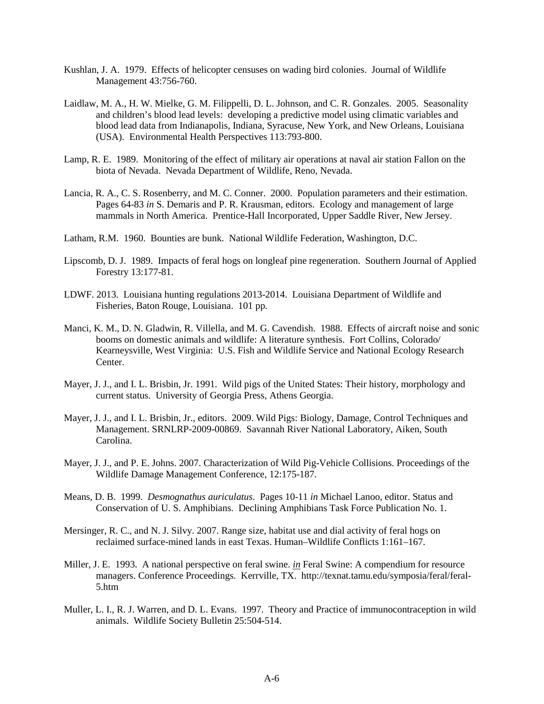- Kushlan, J. A. 1979. Effects of helicopter censuses on wading bird colonies. Journal of Wildlife Management 43:756-760.
- Laidlaw, M. A., H. W. Mielke, G. M. Filippelli, D. L. Johnson, and C. R. Gonzales. 2005. Seasonality and children's blood lead levels: developing a predictive model using climatic variables and blood lead data from Indianapolis, Indiana, Syracuse, New York, and New Orleans, Louisiana (USA). Environmental Health Perspectives 113:793-800.
- Lamp, R. E. 1989. Monitoring of the effect of military air operations at naval air station Fallon on the biota of Nevada. Nevada Department of Wildlife, Reno, Nevada.
- Lancia, R. A., C. S. Rosenberry, and M. C. Conner. 2000. Population parameters and their estimation. Pages 64-83 *in* S. Demaris and P. R. Krausman, editors. Ecology and management of large mammals in North America. Prentice-Hall Incorporated, Upper Saddle River, New Jersey.
- Latham, R.M. 1960. Bounties are bunk. National Wildlife Federation, Washington, D.C.
- Lipscomb, D. J. 1989. Impacts of feral hogs on longleaf pine regeneration. Southern Journal of Applied Forestry 13:177-81.
- LDWF. 2013. Louisiana hunting regulations 2013-2014. Louisiana Department of Wildlife and Fisheries, Baton Rouge, Louisiana. 101 pp.
- Manci, K. M., D. N. Gladwin, R. Villella, and M. G. Cavendish. 1988. Effects of aircraft noise and sonic booms on domestic animals and wildlife: A literature synthesis. Fort Collins, Colorado/ Kearneysville, West Virginia: U.S. Fish and Wildlife Service and National Ecology Research Center.
- Mayer, J. J., and I. L. Brisbin, Jr. 1991. Wild pigs of the United States: Their history, morphology and current status. University of Georgia Press, Athens Georgia.
- Mayer, J. J., and I. L. Brisbin, Jr., editors. 2009. Wild Pigs: Biology, Damage, Control Techniques and Management. SRNLRP-2009-00869. Savannah River National Laboratory, Aiken, South Carolina.
- Mayer, J. J., and P. E. Johns. 2007. Characterization of Wild Pig-Vehicle Collisions. Proceedings of the Wildlife Damage Management Conference, 12:175-187.
- Means, D. B. 1999. *Desmognathus auriculatus*. Pages 10-11 *in* Michael Lanoo, editor. Status and Conservation of U. S. Amphibians. Declining Amphibians Task Force Publication No. 1.
- Mersinger, R. C., and N. J. Silvy. 2007. Range size, habitat use and dial activity of feral hogs on reclaimed surface-mined lands in east Texas. Human–Wildlife Conflicts 1:161–167.
- Miller, J. E. 1993. A national perspective on feral swine. *in* Feral Swine: A compendium for resource managers. Conference Proceedings. Kerrville, TX. http://texnat.tamu.edu/symposia/feral/feral-5.htm
- Muller, L. I., R. J. Warren, and D. L. Evans. 1997. Theory and Practice of immunocontraception in wild animals. Wildlife Society Bulletin 25:504-514.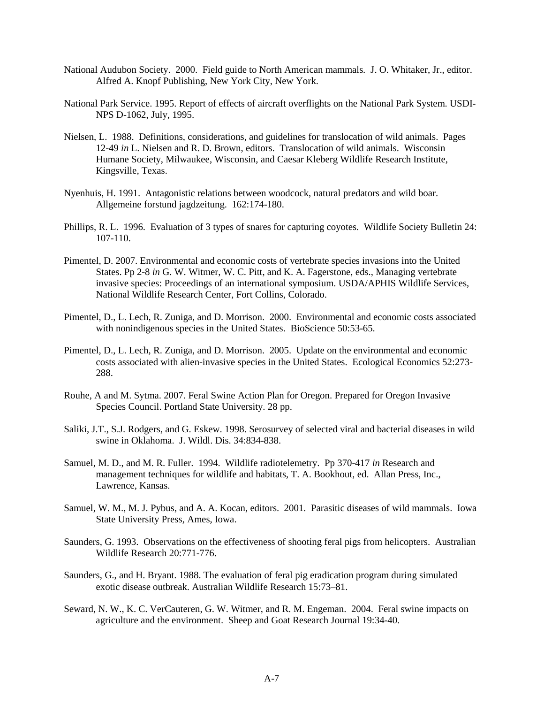- National Audubon Society. 2000. Field guide to North American mammals*.* J. O. Whitaker, Jr., editor. Alfred A. Knopf Publishing, New York City, New York.
- National Park Service. 1995. Report of effects of aircraft overflights on the National Park System. USDI-NPS D-1062, July, 1995.
- Nielsen, L. 1988. Definitions, considerations, and guidelines for translocation of wild animals. Pages 12-49 *in* L. Nielsen and R. D. Brown, editors. Translocation of wild animals. Wisconsin Humane Society, Milwaukee, Wisconsin, and Caesar Kleberg Wildlife Research Institute, Kingsville, Texas.
- Nyenhuis, H. 1991. Antagonistic relations between woodcock, natural predators and wild boar. Allgemeine forstund jagdzeitung. 162:174-180.
- Phillips, R. L. 1996. Evaluation of 3 types of snares for capturing coyotes. Wildlife Society Bulletin 24: 107-110.
- Pimentel, D. 2007. Environmental and economic costs of vertebrate species invasions into the United States. Pp 2-8 *in* G. W. Witmer, W. C. Pitt, and K. A. Fagerstone, eds., Managing vertebrate invasive species: Proceedings of an international symposium. USDA/APHIS Wildlife Services, National Wildlife Research Center, Fort Collins, Colorado.
- Pimentel, D., L. Lech, R. Zuniga, and D. Morrison. 2000. Environmental and economic costs associated with nonindigenous species in the United States. BioScience 50:53-65.
- Pimentel, D., L. Lech, R. Zuniga, and D. Morrison. 2005. Update on the environmental and economic costs associated with alien-invasive species in the United States. Ecological Economics 52:273- 288.
- Rouhe, A and M. Sytma. 2007. Feral Swine Action Plan for Oregon. Prepared for Oregon Invasive Species Council. Portland State University. 28 pp.
- Saliki, J.T., S.J. Rodgers, and G. Eskew. 1998. Serosurvey of selected viral and bacterial diseases in wild swine in Oklahoma. J. Wildl. Dis. 34:834-838.
- Samuel, M. D., and M. R. Fuller. 1994. Wildlife radiotelemetry. Pp 370-417 *in* Research and management techniques for wildlife and habitats, T. A. Bookhout, ed. Allan Press, Inc., Lawrence, Kansas.
- Samuel, W. M., M. J. Pybus, and A. A. Kocan, editors. 2001. Parasitic diseases of wild mammals. Iowa State University Press, Ames, Iowa.
- Saunders, G. 1993. Observations on the effectiveness of shooting feral pigs from helicopters. Australian Wildlife Research 20:771-776.
- Saunders, G., and H. Bryant. 1988. The evaluation of feral pig eradication program during simulated exotic disease outbreak. Australian Wildlife Research 15:73–81.
- Seward, N. W., K. C. VerCauteren, G. W. Witmer, and R. M. Engeman. 2004. Feral swine impacts on agriculture and the environment. Sheep and Goat Research Journal 19:34-40.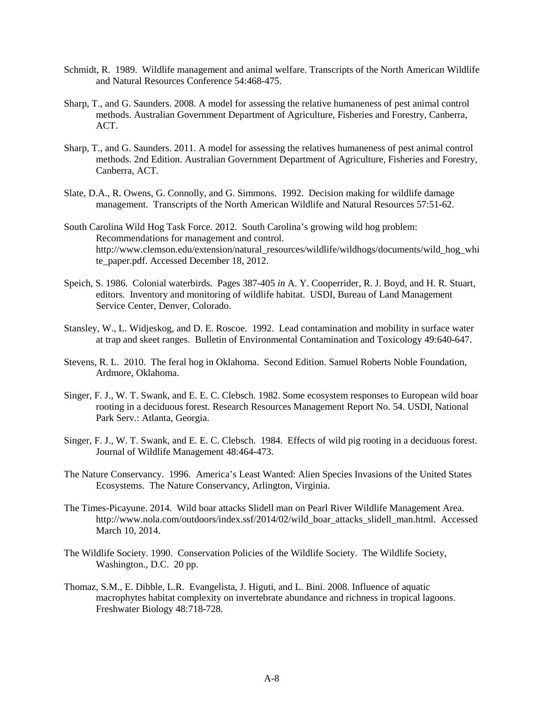- Schmidt, R. 1989. Wildlife management and animal welfare. Transcripts of the North American Wildlife and Natural Resources Conference 54:468-475.
- Sharp, T., and G. Saunders. 2008. A model for assessing the relative humaneness of pest animal control methods. Australian Government Department of Agriculture, Fisheries and Forestry, Canberra, ACT.
- Sharp, T., and G. Saunders. 2011. A model for assessing the relatives humaneness of pest animal control methods. 2nd Edition. Australian Government Department of Agriculture, Fisheries and Forestry, Canberra, ACT.
- Slate, D.A., R. Owens, G. Connolly, and G. Simmons. 1992. Decision making for wildlife damage management. Transcripts of the North American Wildlife and Natural Resources 57:51-62.
- South Carolina Wild Hog Task Force. 2012. South Carolina's growing wild hog problem: Recommendations for management and control. http://www.clemson.edu/extension/natural\_resources/wildlife/wildhogs/documents/wild\_hog\_whi te paper.pdf. Accessed December 18, 2012.
- Speich, S. 1986. Colonial waterbirds. Pages 387-405 *in* A. Y. Cooperrider, R. J. Boyd, and H. R. Stuart, editors. Inventory and monitoring of wildlife habitat. USDI, Bureau of Land Management Service Center, Denver, Colorado.
- Stansley, W., L. Widjeskog, and D. E. Roscoe. 1992. Lead contamination and mobility in surface water at trap and skeet ranges. Bulletin of Environmental Contamination and Toxicology 49:640-647.
- Stevens, R. L. 2010. The feral hog in Oklahoma. Second Edition. Samuel Roberts Noble Foundation, Ardmore, Oklahoma.
- Singer, F. J., W. T. Swank, and E. E. C. Clebsch. 1982. Some ecosystem responses to European wild boar rooting in a deciduous forest. Research Resources Management Report No. 54. USDI, National Park Serv.: Atlanta, Georgia.
- Singer, F. J., W. T. Swank, and E. E. C. Clebsch. 1984. Effects of wild pig rooting in a deciduous forest. Journal of Wildlife Management 48:464-473.
- The Nature Conservancy. 1996. America's Least Wanted: Alien Species Invasions of the United States Ecosystems. The Nature Conservancy, Arlington, Virginia.
- The Times-Picayune. 2014. Wild boar attacks Slidell man on Pearl River Wildlife Management Area. http://www.nola.com/outdoors/index.ssf/2014/02/wild\_boar\_attacks\_slidell\_man.html. Accessed March 10, 2014.
- The Wildlife Society. 1990. Conservation Policies of the Wildlife Society. The Wildlife Society, Washington., D.C. 20 pp.
- Thomaz, S.M., E. Dibble, L.R. Evangelista, J. Higuti, and L. Bini. 2008. Influence of aquatic macrophytes habitat complexity on invertebrate abundance and richness in tropical lagoons. Freshwater Biology 48:718-728.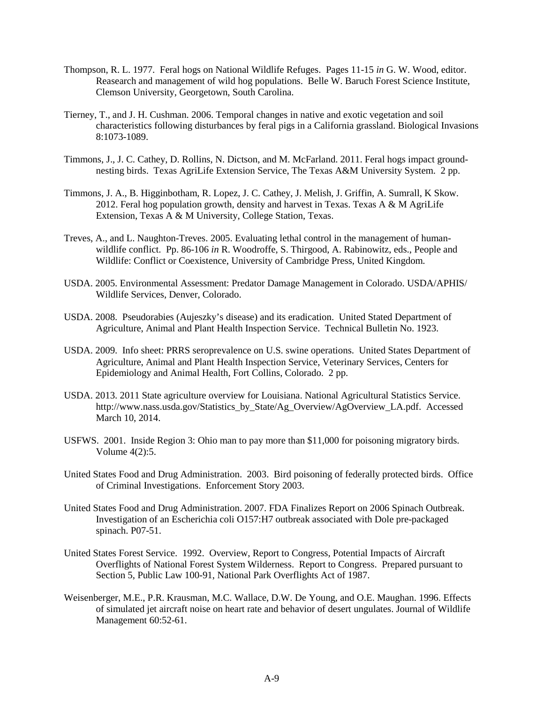- Thompson, R. L. 1977. Feral hogs on National Wildlife Refuges. Pages 11-15 *in* G. W. Wood, editor. Reasearch and management of wild hog populations. Belle W. Baruch Forest Science Institute, Clemson University, Georgetown, South Carolina.
- Tierney, T., and J. H. Cushman. 2006. Temporal changes in native and exotic vegetation and soil characteristics following disturbances by feral pigs in a California grassland. Biological Invasions 8:1073-1089.
- Timmons, J., J. C. Cathey, D. Rollins, N. Dictson, and M. McFarland. 2011. Feral hogs impact groundnesting birds. Texas AgriLife Extension Service, The Texas A&M University System. 2 pp.
- Timmons, J. A., B. Higginbotham, R. Lopez, J. C. Cathey, J. Melish, J. Griffin, A. Sumrall, K Skow. 2012. Feral hog population growth, density and harvest in Texas. Texas A & M AgriLife Extension, Texas A & M University, College Station, Texas.
- Treves, A., and L. Naughton-Treves. 2005. Evaluating lethal control in the management of humanwildlife conflict. Pp. 86-106 *in* R. Woodroffe, S. Thirgood, A. Rabinowitz, eds., People and Wildlife: Conflict or Coexistence, University of Cambridge Press, United Kingdom.
- USDA. 2005. Environmental Assessment: Predator Damage Management in Colorado. USDA/APHIS/ Wildlife Services, Denver, Colorado.
- USDA. 2008. Pseudorabies (Aujeszky's disease) and its eradication. United Stated Department of Agriculture, Animal and Plant Health Inspection Service. Technical Bulletin No. 1923.
- USDA. 2009. Info sheet: PRRS seroprevalence on U.S. swine operations. United States Department of Agriculture, Animal and Plant Health Inspection Service, Veterinary Services, Centers for Epidemiology and Animal Health, Fort Collins, Colorado. 2 pp.
- USDA. 2013. 2011 State agriculture overview for Louisiana. National Agricultural Statistics Service. http://www.nass.usda.gov/Statistics\_by\_State/Ag\_Overview/AgOverview\_LA.pdf. Accessed March 10, 2014.
- USFWS. 2001. Inside Region 3: Ohio man to pay more than \$11,000 for poisoning migratory birds. Volume 4(2):5.
- United States Food and Drug Administration. 2003. Bird poisoning of federally protected birds. Office of Criminal Investigations. Enforcement Story 2003.
- United States Food and Drug Administration. 2007. FDA Finalizes Report on 2006 Spinach Outbreak. Investigation of an Escherichia coli O157:H7 outbreak associated with Dole pre-packaged spinach. P07-51.
- United States Forest Service. 1992. Overview, Report to Congress, Potential Impacts of Aircraft Overflights of National Forest System Wilderness. Report to Congress. Prepared pursuant to Section 5, Public Law 100-91, National Park Overflights Act of 1987.
- Weisenberger, M.E., P.R. Krausman, M.C. Wallace, D.W. De Young, and O.E. Maughan. 1996. Effects of simulated jet aircraft noise on heart rate and behavior of desert ungulates. Journal of Wildlife Management 60:52-61.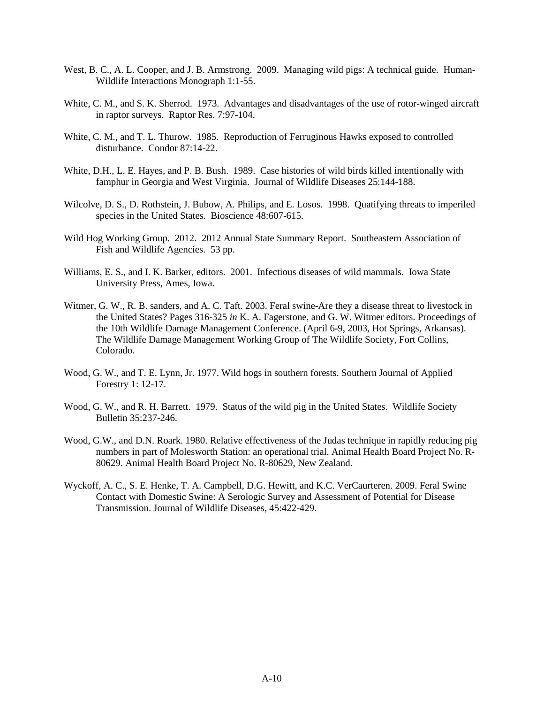- West, B. C., A. L. Cooper, and J. B. Armstrong. 2009. Managing wild pigs: A technical guide. Human-Wildlife Interactions Monograph 1:1-55.
- White, C. M., and S. K. Sherrod. 1973. Advantages and disadvantages of the use of rotor-winged aircraft in raptor surveys. Raptor Res. 7:97-104.
- White, C. M., and T. L. Thurow. 1985. Reproduction of Ferruginous Hawks exposed to controlled disturbance. Condor 87:14-22.
- White, D.H., L. E. Hayes, and P. B. Bush. 1989. Case histories of wild birds killed intentionally with famphur in Georgia and West Virginia. Journal of Wildlife Diseases 25:144-188.
- Wilcolve, D. S., D. Rothstein, J. Bubow, A. Philips, and E. Losos. 1998. Quatifying threats to imperiled species in the United States. Bioscience 48:607-615.
- Wild Hog Working Group. 2012. 2012 Annual State Summary Report. Southeastern Association of Fish and Wildlife Agencies. 53 pp.
- Williams, E. S., and I. K. Barker, editors. 2001. Infectious diseases of wild mammals. Iowa State University Press, Ames, Iowa.
- Witmer, G. W., R. B. sanders, and A. C. Taft. 2003. Feral swine-Are they a disease threat to livestock in the United States? Pages 316-325 *in* K. A. Fagerstone, and G. W. Witmer editors. Proceedings of the 10th Wildlife Damage Management Conference. (April 6-9, 2003, Hot Springs, Arkansas). The Wildlife Damage Management Working Group of The Wildlife Society, Fort Collins, Colorado.
- Wood, G. W., and T. E. Lynn, Jr. 1977. Wild hogs in southern forests. Southern Journal of Applied Forestry 1: 12-17.
- Wood, G. W., and R. H. Barrett. 1979. Status of the wild pig in the United States. Wildlife Society Bulletin 35:237-246.
- Wood, G.W., and D.N. Roark. 1980. Relative effectiveness of the Judas technique in rapidly reducing pig numbers in part of Molesworth Station: an operational trial. Animal Health Board Project No. R-80629. Animal Health Board Project No. R-80629, New Zealand.
- Wyckoff, A. C., S. E. Henke, T. A. Campbell, D.G. Hewitt, and K.C. VerCaurteren. 2009. Feral Swine Contact with Domestic Swine: A Serologic Survey and Assessment of Potential for Disease Transmission. Journal of Wildlife Diseases, 45:422-429.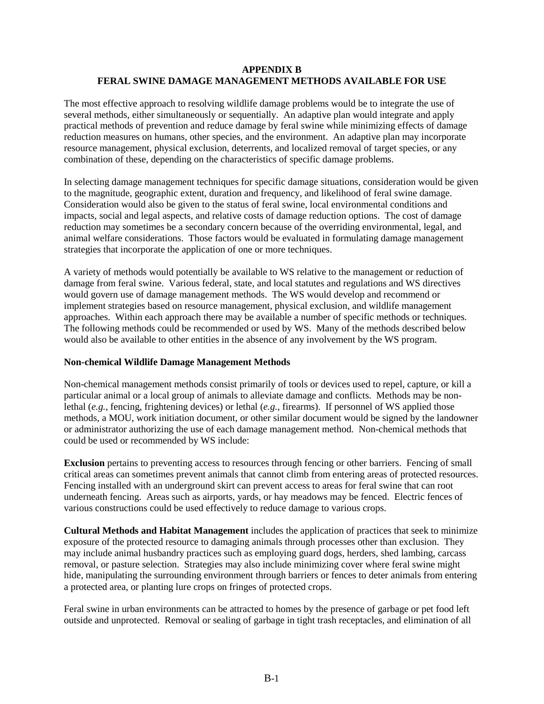#### **APPENDIX B FERAL SWINE DAMAGE MANAGEMENT METHODS AVAILABLE FOR USE**

The most effective approach to resolving wildlife damage problems would be to integrate the use of several methods, either simultaneously or sequentially. An adaptive plan would integrate and apply practical methods of prevention and reduce damage by feral swine while minimizing effects of damage reduction measures on humans, other species, and the environment. An adaptive plan may incorporate resource management, physical exclusion, deterrents, and localized removal of target species, or any combination of these, depending on the characteristics of specific damage problems.

In selecting damage management techniques for specific damage situations, consideration would be given to the magnitude, geographic extent, duration and frequency, and likelihood of feral swine damage. Consideration would also be given to the status of feral swine, local environmental conditions and impacts, social and legal aspects, and relative costs of damage reduction options. The cost of damage reduction may sometimes be a secondary concern because of the overriding environmental, legal, and animal welfare considerations. Those factors would be evaluated in formulating damage management strategies that incorporate the application of one or more techniques.

A variety of methods would potentially be available to WS relative to the management or reduction of damage from feral swine. Various federal, state, and local statutes and regulations and WS directives would govern use of damage management methods. The WS would develop and recommend or implement strategies based on resource management, physical exclusion, and wildlife management approaches. Within each approach there may be available a number of specific methods or techniques. The following methods could be recommended or used by WS. Many of the methods described below would also be available to other entities in the absence of any involvement by the WS program.

### **Non-chemical Wildlife Damage Management Methods**

Non-chemical management methods consist primarily of tools or devices used to repel, capture, or kill a particular animal or a local group of animals to alleviate damage and conflicts. Methods may be nonlethal (*e.g.*, fencing, frightening devices) or lethal (*e.g.*, firearms). If personnel of WS applied those methods, a MOU, work initiation document, or other similar document would be signed by the landowner or administrator authorizing the use of each damage management method. Non-chemical methods that could be used or recommended by WS include:

**Exclusion** pertains to preventing access to resources through fencing or other barriers. Fencing of small critical areas can sometimes prevent animals that cannot climb from entering areas of protected resources. Fencing installed with an underground skirt can prevent access to areas for feral swine that can root underneath fencing. Areas such as airports, yards, or hay meadows may be fenced. Electric fences of various constructions could be used effectively to reduce damage to various crops.

**Cultural Methods and Habitat Management** includes the application of practices that seek to minimize exposure of the protected resource to damaging animals through processes other than exclusion. They may include animal husbandry practices such as employing guard dogs, herders, shed lambing, carcass removal, or pasture selection. Strategies may also include minimizing cover where feral swine might hide, manipulating the surrounding environment through barriers or fences to deter animals from entering a protected area, or planting lure crops on fringes of protected crops.

Feral swine in urban environments can be attracted to homes by the presence of garbage or pet food left outside and unprotected. Removal or sealing of garbage in tight trash receptacles, and elimination of all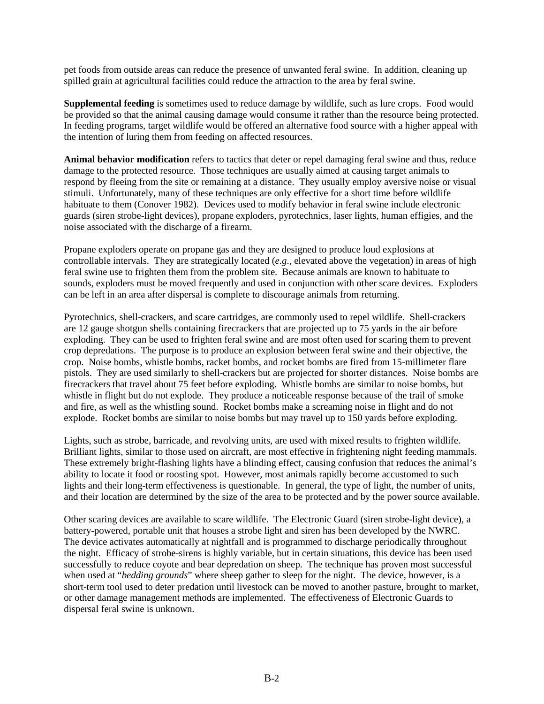pet foods from outside areas can reduce the presence of unwanted feral swine. In addition, cleaning up spilled grain at agricultural facilities could reduce the attraction to the area by feral swine.

**Supplemental feeding** is sometimes used to reduce damage by wildlife, such as lure crops. Food would be provided so that the animal causing damage would consume it rather than the resource being protected. In feeding programs, target wildlife would be offered an alternative food source with a higher appeal with the intention of luring them from feeding on affected resources.

**Animal behavior modification** refers to tactics that deter or repel damaging feral swine and thus, reduce damage to the protected resource. Those techniques are usually aimed at causing target animals to respond by fleeing from the site or remaining at a distance. They usually employ aversive noise or visual stimuli. Unfortunately, many of these techniques are only effective for a short time before wildlife habituate to them (Conover 1982). Devices used to modify behavior in feral swine include electronic guards (siren strobe-light devices), propane exploders, pyrotechnics, laser lights, human effigies, and the noise associated with the discharge of a firearm.

Propane exploders operate on propane gas and they are designed to produce loud explosions at controllable intervals. They are strategically located (*e*.*g*., elevated above the vegetation) in areas of high feral swine use to frighten them from the problem site. Because animals are known to habituate to sounds, exploders must be moved frequently and used in conjunction with other scare devices. Exploders can be left in an area after dispersal is complete to discourage animals from returning.

Pyrotechnics, shell-crackers, and scare cartridges, are commonly used to repel wildlife. Shell-crackers are 12 gauge shotgun shells containing firecrackers that are projected up to 75 yards in the air before exploding. They can be used to frighten feral swine and are most often used for scaring them to prevent crop depredations. The purpose is to produce an explosion between feral swine and their objective, the crop. Noise bombs, whistle bombs, racket bombs, and rocket bombs are fired from 15-millimeter flare pistols. They are used similarly to shell-crackers but are projected for shorter distances. Noise bombs are firecrackers that travel about 75 feet before exploding. Whistle bombs are similar to noise bombs, but whistle in flight but do not explode. They produce a noticeable response because of the trail of smoke and fire, as well as the whistling sound. Rocket bombs make a screaming noise in flight and do not explode. Rocket bombs are similar to noise bombs but may travel up to 150 yards before exploding.

Lights, such as strobe, barricade, and revolving units, are used with mixed results to frighten wildlife. Brilliant lights, similar to those used on aircraft, are most effective in frightening night feeding mammals. These extremely bright-flashing lights have a blinding effect, causing confusion that reduces the animal's ability to locate it food or roosting spot. However, most animals rapidly become accustomed to such lights and their long-term effectiveness is questionable. In general, the type of light, the number of units, and their location are determined by the size of the area to be protected and by the power source available.

Other scaring devices are available to scare wildlife. The Electronic Guard (siren strobe-light device), a battery-powered, portable unit that houses a strobe light and siren has been developed by the NWRC. The device activates automatically at nightfall and is programmed to discharge periodically throughout the night. Efficacy of strobe-sirens is highly variable, but in certain situations, this device has been used successfully to reduce coyote and bear depredation on sheep. The technique has proven most successful when used at "*bedding grounds*" where sheep gather to sleep for the night. The device, however, is a short-term tool used to deter predation until livestock can be moved to another pasture, brought to market, or other damage management methods are implemented. The effectiveness of Electronic Guards to dispersal feral swine is unknown.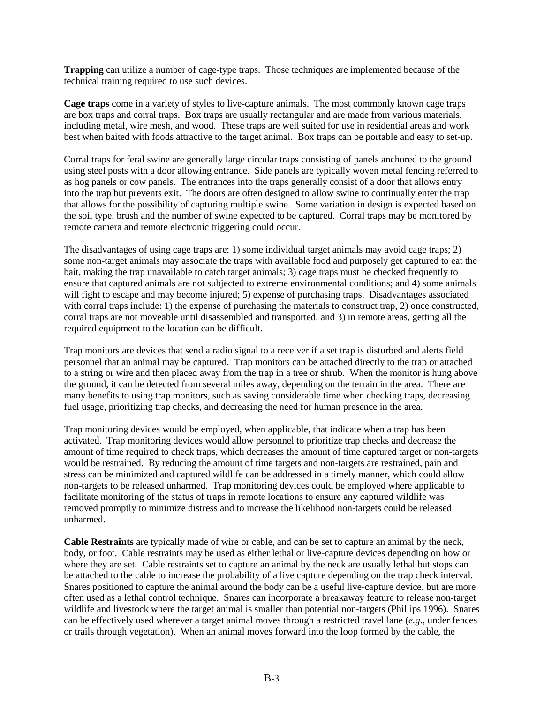**Trapping** can utilize a number of cage-type traps. Those techniques are implemented because of the technical training required to use such devices.

**Cage traps** come in a variety of styles to live-capture animals. The most commonly known cage traps are box traps and corral traps. Box traps are usually rectangular and are made from various materials, including metal, wire mesh, and wood. These traps are well suited for use in residential areas and work best when baited with foods attractive to the target animal. Box traps can be portable and easy to set-up.

Corral traps for feral swine are generally large circular traps consisting of panels anchored to the ground using steel posts with a door allowing entrance. Side panels are typically woven metal fencing referred to as hog panels or cow panels. The entrances into the traps generally consist of a door that allows entry into the trap but prevents exit. The doors are often designed to allow swine to continually enter the trap that allows for the possibility of capturing multiple swine. Some variation in design is expected based on the soil type, brush and the number of swine expected to be captured. Corral traps may be monitored by remote camera and remote electronic triggering could occur.

The disadvantages of using cage traps are: 1) some individual target animals may avoid cage traps; 2) some non-target animals may associate the traps with available food and purposely get captured to eat the bait, making the trap unavailable to catch target animals; 3) cage traps must be checked frequently to ensure that captured animals are not subjected to extreme environmental conditions; and 4) some animals will fight to escape and may become injured; 5) expense of purchasing traps. Disadvantages associated with corral traps include: 1) the expense of purchasing the materials to construct trap, 2) once constructed, corral traps are not moveable until disassembled and transported, and 3) in remote areas, getting all the required equipment to the location can be difficult.

Trap monitors are devices that send a radio signal to a receiver if a set trap is disturbed and alerts field personnel that an animal may be captured. Trap monitors can be attached directly to the trap or attached to a string or wire and then placed away from the trap in a tree or shrub. When the monitor is hung above the ground, it can be detected from several miles away, depending on the terrain in the area. There are many benefits to using trap monitors, such as saving considerable time when checking traps, decreasing fuel usage, prioritizing trap checks, and decreasing the need for human presence in the area.

Trap monitoring devices would be employed, when applicable, that indicate when a trap has been activated. Trap monitoring devices would allow personnel to prioritize trap checks and decrease the amount of time required to check traps, which decreases the amount of time captured target or non-targets would be restrained. By reducing the amount of time targets and non-targets are restrained, pain and stress can be minimized and captured wildlife can be addressed in a timely manner, which could allow non-targets to be released unharmed. Trap monitoring devices could be employed where applicable to facilitate monitoring of the status of traps in remote locations to ensure any captured wildlife was removed promptly to minimize distress and to increase the likelihood non-targets could be released unharmed.

**Cable Restraints** are typically made of wire or cable, and can be set to capture an animal by the neck, body, or foot. Cable restraints may be used as either lethal or live-capture devices depending on how or where they are set. Cable restraints set to capture an animal by the neck are usually lethal but stops can be attached to the cable to increase the probability of a live capture depending on the trap check interval. Snares positioned to capture the animal around the body can be a useful live-capture device, but are more often used as a lethal control technique. Snares can incorporate a breakaway feature to release non-target wildlife and livestock where the target animal is smaller than potential non-targets (Phillips 1996). Snares can be effectively used wherever a target animal moves through a restricted travel lane (*e.g*., under fences or trails through vegetation). When an animal moves forward into the loop formed by the cable, the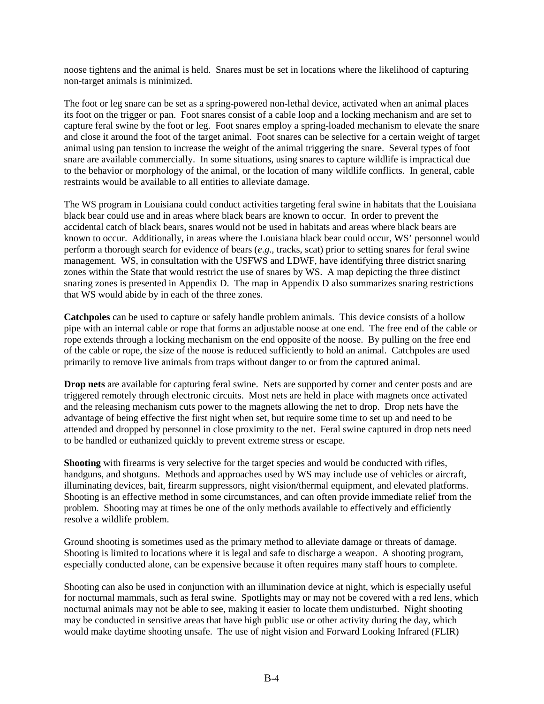noose tightens and the animal is held. Snares must be set in locations where the likelihood of capturing non-target animals is minimized.

The foot or leg snare can be set as a spring-powered non-lethal device, activated when an animal places its foot on the trigger or pan. Foot snares consist of a cable loop and a locking mechanism and are set to capture feral swine by the foot or leg. Foot snares employ a spring-loaded mechanism to elevate the snare and close it around the foot of the target animal. Foot snares can be selective for a certain weight of target animal using pan tension to increase the weight of the animal triggering the snare. Several types of foot snare are available commercially. In some situations, using snares to capture wildlife is impractical due to the behavior or morphology of the animal, or the location of many wildlife conflicts. In general, cable restraints would be available to all entities to alleviate damage.

The WS program in Louisiana could conduct activities targeting feral swine in habitats that the Louisiana black bear could use and in areas where black bears are known to occur. In order to prevent the accidental catch of black bears, snares would not be used in habitats and areas where black bears are known to occur. Additionally, in areas where the Louisiana black bear could occur, WS' personnel would perform a thorough search for evidence of bears (*e*.*g*., tracks, scat) prior to setting snares for feral swine management. WS, in consultation with the USFWS and LDWF, have identifying three district snaring zones within the State that would restrict the use of snares by WS. A map depicting the three distinct snaring zones is presented in Appendix D. The map in Appendix D also summarizes snaring restrictions that WS would abide by in each of the three zones.

**Catchpoles** can be used to capture or safely handle problem animals. This device consists of a hollow pipe with an internal cable or rope that forms an adjustable noose at one end. The free end of the cable or rope extends through a locking mechanism on the end opposite of the noose. By pulling on the free end of the cable or rope, the size of the noose is reduced sufficiently to hold an animal. Catchpoles are used primarily to remove live animals from traps without danger to or from the captured animal.

**Drop nets** are available for capturing feral swine. Nets are supported by corner and center posts and are triggered remotely through electronic circuits. Most nets are held in place with magnets once activated and the releasing mechanism cuts power to the magnets allowing the net to drop. Drop nets have the advantage of being effective the first night when set, but require some time to set up and need to be attended and dropped by personnel in close proximity to the net. Feral swine captured in drop nets need to be handled or euthanized quickly to prevent extreme stress or escape.

**Shooting** with firearms is very selective for the target species and would be conducted with rifles, handguns, and shotguns. Methods and approaches used by WS may include use of vehicles or aircraft, illuminating devices, bait, firearm suppressors, night vision/thermal equipment, and elevated platforms. Shooting is an effective method in some circumstances, and can often provide immediate relief from the problem. Shooting may at times be one of the only methods available to effectively and efficiently resolve a wildlife problem.

Ground shooting is sometimes used as the primary method to alleviate damage or threats of damage. Shooting is limited to locations where it is legal and safe to discharge a weapon. A shooting program, especially conducted alone, can be expensive because it often requires many staff hours to complete.

Shooting can also be used in conjunction with an illumination device at night, which is especially useful for nocturnal mammals, such as feral swine. Spotlights may or may not be covered with a red lens, which nocturnal animals may not be able to see, making it easier to locate them undisturbed. Night shooting may be conducted in sensitive areas that have high public use or other activity during the day, which would make daytime shooting unsafe. The use of night vision and Forward Looking Infrared (FLIR)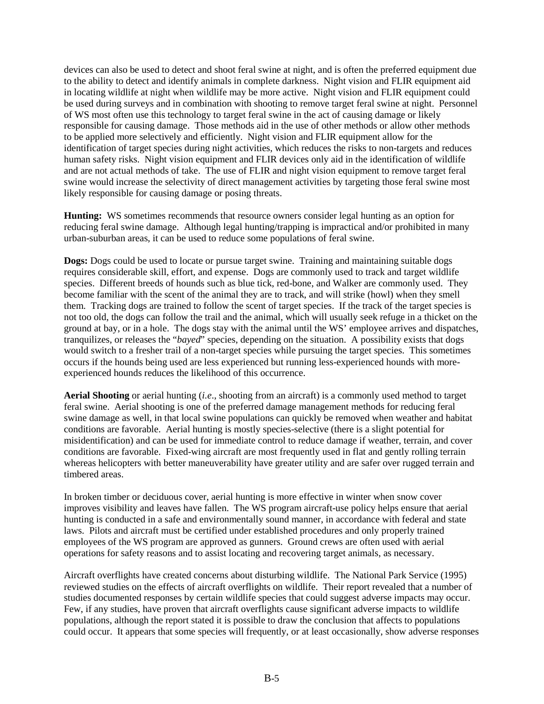devices can also be used to detect and shoot feral swine at night, and is often the preferred equipment due to the ability to detect and identify animals in complete darkness. Night vision and FLIR equipment aid in locating wildlife at night when wildlife may be more active. Night vision and FLIR equipment could be used during surveys and in combination with shooting to remove target feral swine at night. Personnel of WS most often use this technology to target feral swine in the act of causing damage or likely responsible for causing damage. Those methods aid in the use of other methods or allow other methods to be applied more selectively and efficiently. Night vision and FLIR equipment allow for the identification of target species during night activities, which reduces the risks to non-targets and reduces human safety risks. Night vision equipment and FLIR devices only aid in the identification of wildlife and are not actual methods of take. The use of FLIR and night vision equipment to remove target feral swine would increase the selectivity of direct management activities by targeting those feral swine most likely responsible for causing damage or posing threats.

**Hunting:** WS sometimes recommends that resource owners consider legal hunting as an option for reducing feral swine damage. Although legal hunting/trapping is impractical and/or prohibited in many urban-suburban areas, it can be used to reduce some populations of feral swine.

**Dogs:** Dogs could be used to locate or pursue target swine. Training and maintaining suitable dogs requires considerable skill, effort, and expense. Dogs are commonly used to track and target wildlife species. Different breeds of hounds such as blue tick, red-bone, and Walker are commonly used. They become familiar with the scent of the animal they are to track, and will strike (howl) when they smell them. Tracking dogs are trained to follow the scent of target species. If the track of the target species is not too old, the dogs can follow the trail and the animal, which will usually seek refuge in a thicket on the ground at bay, or in a hole. The dogs stay with the animal until the WS' employee arrives and dispatches, tranquilizes, or releases the "*bayed*" species, depending on the situation. A possibility exists that dogs would switch to a fresher trail of a non-target species while pursuing the target species. This sometimes occurs if the hounds being used are less experienced but running less-experienced hounds with moreexperienced hounds reduces the likelihood of this occurrence.

**Aerial Shooting** or aerial hunting (*i.e*., shooting from an aircraft) is a commonly used method to target feral swine. Aerial shooting is one of the preferred damage management methods for reducing feral swine damage as well, in that local swine populations can quickly be removed when weather and habitat conditions are favorable. Aerial hunting is mostly species-selective (there is a slight potential for misidentification) and can be used for immediate control to reduce damage if weather, terrain, and cover conditions are favorable. Fixed-wing aircraft are most frequently used in flat and gently rolling terrain whereas helicopters with better maneuverability have greater utility and are safer over rugged terrain and timbered areas.

In broken timber or deciduous cover, aerial hunting is more effective in winter when snow cover improves visibility and leaves have fallen. The WS program aircraft-use policy helps ensure that aerial hunting is conducted in a safe and environmentally sound manner, in accordance with federal and state laws. Pilots and aircraft must be certified under established procedures and only properly trained employees of the WS program are approved as gunners. Ground crews are often used with aerial operations for safety reasons and to assist locating and recovering target animals, as necessary.

Aircraft overflights have created concerns about disturbing wildlife. The National Park Service (1995) reviewed studies on the effects of aircraft overflights on wildlife. Their report revealed that a number of studies documented responses by certain wildlife species that could suggest adverse impacts may occur. Few, if any studies, have proven that aircraft overflights cause significant adverse impacts to wildlife populations, although the report stated it is possible to draw the conclusion that affects to populations could occur. It appears that some species will frequently, or at least occasionally, show adverse responses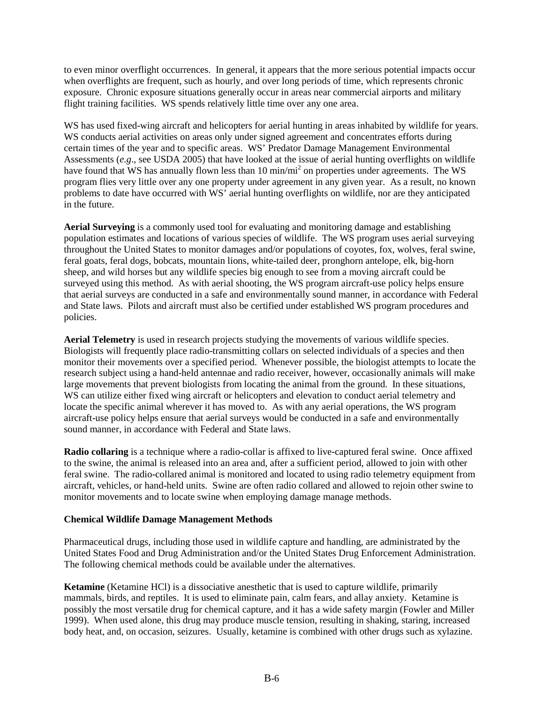to even minor overflight occurrences. In general, it appears that the more serious potential impacts occur when overflights are frequent, such as hourly, and over long periods of time, which represents chronic exposure. Chronic exposure situations generally occur in areas near commercial airports and military flight training facilities. WS spends relatively little time over any one area.

WS has used fixed-wing aircraft and helicopters for aerial hunting in areas inhabited by wildlife for years. WS conducts aerial activities on areas only under signed agreement and concentrates efforts during certain times of the year and to specific areas. WS' Predator Damage Management Environmental Assessments (*e.g*., see USDA 2005) that have looked at the issue of aerial hunting overflights on wildlife have found that WS has annually flown less than 10 min/mi<sup>2</sup> on properties under agreements. The WS program flies very little over any one property under agreement in any given year. As a result, no known problems to date have occurred with WS' aerial hunting overflights on wildlife, nor are they anticipated in the future.

**Aerial Surveying** is a commonly used tool for evaluating and monitoring damage and establishing population estimates and locations of various species of wildlife. The WS program uses aerial surveying throughout the United States to monitor damages and/or populations of coyotes, fox, wolves, feral swine, feral goats, feral dogs, bobcats, mountain lions, white-tailed deer, pronghorn antelope, elk, big-horn sheep, and wild horses but any wildlife species big enough to see from a moving aircraft could be surveyed using this method. As with aerial shooting, the WS program aircraft-use policy helps ensure that aerial surveys are conducted in a safe and environmentally sound manner, in accordance with Federal and State laws. Pilots and aircraft must also be certified under established WS program procedures and policies.

**Aerial Telemetry** is used in research projects studying the movements of various wildlife species. Biologists will frequently place radio-transmitting collars on selected individuals of a species and then monitor their movements over a specified period. Whenever possible, the biologist attempts to locate the research subject using a hand-held antennae and radio receiver, however, occasionally animals will make large movements that prevent biologists from locating the animal from the ground. In these situations, WS can utilize either fixed wing aircraft or helicopters and elevation to conduct aerial telemetry and locate the specific animal wherever it has moved to. As with any aerial operations, the WS program aircraft-use policy helps ensure that aerial surveys would be conducted in a safe and environmentally sound manner, in accordance with Federal and State laws.

**Radio collaring** is a technique where a radio-collar is affixed to live-captured feral swine. Once affixed to the swine, the animal is released into an area and, after a sufficient period, allowed to join with other feral swine. The radio-collared animal is monitored and located to using radio telemetry equipment from aircraft, vehicles, or hand-held units. Swine are often radio collared and allowed to rejoin other swine to monitor movements and to locate swine when employing damage manage methods.

### **Chemical Wildlife Damage Management Methods**

Pharmaceutical drugs, including those used in wildlife capture and handling, are administrated by the United States Food and Drug Administration and/or the United States Drug Enforcement Administration. The following chemical methods could be available under the alternatives.

**Ketamine** (Ketamine HCl) is a dissociative anesthetic that is used to capture wildlife, primarily mammals, birds, and reptiles. It is used to eliminate pain, calm fears, and allay anxiety. Ketamine is possibly the most versatile drug for chemical capture, and it has a wide safety margin (Fowler and Miller 1999). When used alone, this drug may produce muscle tension, resulting in shaking, staring, increased body heat, and, on occasion, seizures. Usually, ketamine is combined with other drugs such as xylazine.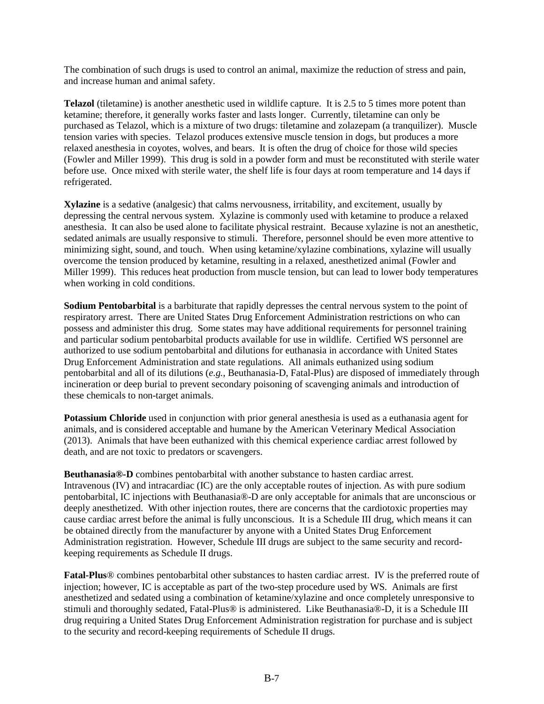The combination of such drugs is used to control an animal, maximize the reduction of stress and pain, and increase human and animal safety.

**Telazol** (tiletamine) is another anesthetic used in wildlife capture. It is 2.5 to 5 times more potent than ketamine; therefore, it generally works faster and lasts longer. Currently, tiletamine can only be purchased as Telazol, which is a mixture of two drugs: tiletamine and zolazepam (a tranquilizer). Muscle tension varies with species. Telazol produces extensive muscle tension in dogs, but produces a more relaxed anesthesia in coyotes, wolves, and bears. It is often the drug of choice for those wild species (Fowler and Miller 1999). This drug is sold in a powder form and must be reconstituted with sterile water before use. Once mixed with sterile water, the shelf life is four days at room temperature and 14 days if refrigerated.

**Xylazine** is a sedative (analgesic) that calms nervousness, irritability, and excitement, usually by depressing the central nervous system. Xylazine is commonly used with ketamine to produce a relaxed anesthesia. It can also be used alone to facilitate physical restraint. Because xylazine is not an anesthetic, sedated animals are usually responsive to stimuli. Therefore, personnel should be even more attentive to minimizing sight, sound, and touch. When using ketamine/xylazine combinations, xylazine will usually overcome the tension produced by ketamine, resulting in a relaxed, anesthetized animal (Fowler and Miller 1999). This reduces heat production from muscle tension, but can lead to lower body temperatures when working in cold conditions.

**Sodium Pentobarbital** is a barbiturate that rapidly depresses the central nervous system to the point of respiratory arrest. There are United States Drug Enforcement Administration restrictions on who can possess and administer this drug. Some states may have additional requirements for personnel training and particular sodium pentobarbital products available for use in wildlife. Certified WS personnel are authorized to use sodium pentobarbital and dilutions for euthanasia in accordance with United States Drug Enforcement Administration and state regulations. All animals euthanized using sodium pentobarbital and all of its dilutions (*e.g.*, Beuthanasia-D, Fatal-Plus) are disposed of immediately through incineration or deep burial to prevent secondary poisoning of scavenging animals and introduction of these chemicals to non-target animals.

**Potassium Chloride** used in conjunction with prior general anesthesia is used as a euthanasia agent for animals, and is considered acceptable and humane by the American Veterinary Medical Association (2013). Animals that have been euthanized with this chemical experience cardiac arrest followed by death, and are not toxic to predators or scavengers.

**Beuthanasia®-D** combines pentobarbital with another substance to hasten cardiac arrest. Intravenous (IV) and intracardiac (IC) are the only acceptable routes of injection. As with pure sodium pentobarbital, IC injections with Beuthanasia®-D are only acceptable for animals that are unconscious or deeply anesthetized. With other injection routes, there are concerns that the cardiotoxic properties may cause cardiac arrest before the animal is fully unconscious. It is a Schedule III drug, which means it can be obtained directly from the manufacturer by anyone with a United States Drug Enforcement Administration registration. However, Schedule III drugs are subject to the same security and recordkeeping requirements as Schedule II drugs.

**Fatal-Plus**® combines pentobarbital other substances to hasten cardiac arrest. IV is the preferred route of injection; however, IC is acceptable as part of the two-step procedure used by WS. Animals are first anesthetized and sedated using a combination of ketamine/xylazine and once completely unresponsive to stimuli and thoroughly sedated, Fatal-Plus® is administered. Like Beuthanasia®-D, it is a Schedule III drug requiring a United States Drug Enforcement Administration registration for purchase and is subject to the security and record-keeping requirements of Schedule II drugs.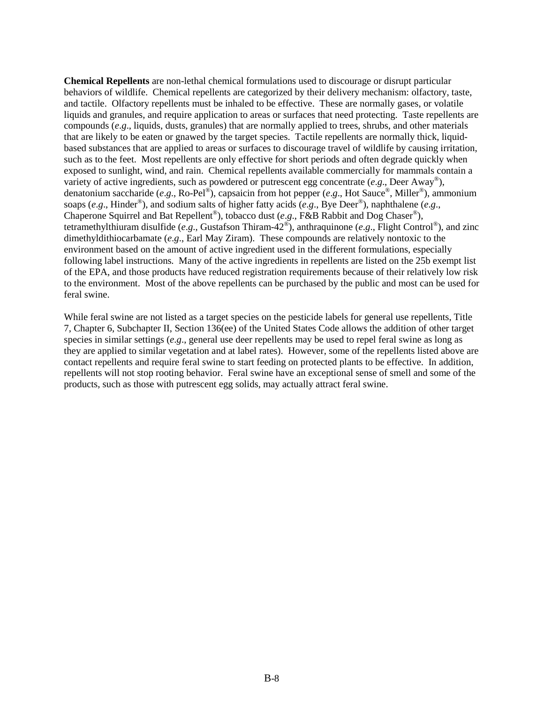**Chemical Repellents** are non-lethal chemical formulations used to discourage or disrupt particular behaviors of wildlife. Chemical repellents are categorized by their delivery mechanism: olfactory, taste, and tactile. Olfactory repellents must be inhaled to be effective. These are normally gases, or volatile liquids and granules, and require application to areas or surfaces that need protecting. Taste repellents are compounds (*e*.*g*., liquids, dusts, granules) that are normally applied to trees, shrubs, and other materials that are likely to be eaten or gnawed by the target species. Tactile repellents are normally thick, liquidbased substances that are applied to areas or surfaces to discourage travel of wildlife by causing irritation, such as to the feet. Most repellents are only effective for short periods and often degrade quickly when exposed to sunlight, wind, and rain. Chemical repellents available commercially for mammals contain a variety of active ingredients, such as powdered or putrescent egg concentrate (*e*.*g*., Deer Away®), denatonium saccharide (*e*.*g*., Ro-Pel®), capsaicin from hot pepper (*e*.*g*., Hot Sauce®, Miller®), ammonium soaps (*e*.*g*., Hinder®), and sodium salts of higher fatty acids (*e*.*g*., Bye Deer®), naphthalene (*e*.*g*., Chaperone Squirrel and Bat Repellent®), tobacco dust (*e*.*g*., F&B Rabbit and Dog Chaser®), tetramethylthiuram disulfide (*e*.*g*., Gustafson Thiram-42®), anthraquinone (*e*.*g*., Flight Control®), and zinc dimethyldithiocarbamate (*e*.*g*., Earl May Ziram). These compounds are relatively nontoxic to the environment based on the amount of active ingredient used in the different formulations, especially following label instructions. Many of the active ingredients in repellents are listed on the 25b exempt list of the EPA, and those products have reduced registration requirements because of their relatively low risk to the environment. Most of the above repellents can be purchased by the public and most can be used for feral swine.

While feral swine are not listed as a target species on the pesticide labels for general use repellents, Title 7, Chapter 6, Subchapter II, Section 136(ee) of the United States Code allows the addition of other target species in similar settings (*e*.*g*., general use deer repellents may be used to repel feral swine as long as they are applied to similar vegetation and at label rates). However, some of the repellents listed above are contact repellents and require feral swine to start feeding on protected plants to be effective. In addition, repellents will not stop rooting behavior. Feral swine have an exceptional sense of smell and some of the products, such as those with putrescent egg solids, may actually attract feral swine.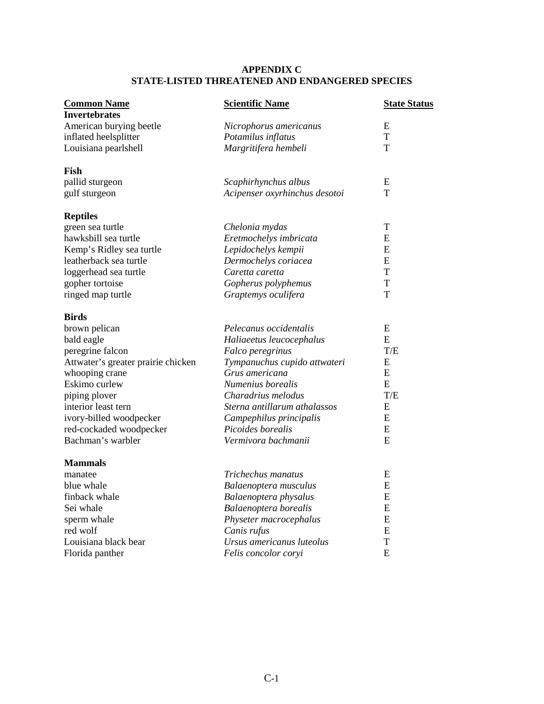# **APPENDIX C STATE-LISTED THREATENED AND ENDANGERED SPECIES**

| <b>Common Name</b>                 | <b>Scientific Name</b>        | <b><u>State Status</u></b> |
|------------------------------------|-------------------------------|----------------------------|
| <b>Invertebrates</b>               |                               |                            |
| American burying beetle            | Nicrophorus americanus        | E                          |
| inflated heelsplitter              | Potamilus inflatus            | T                          |
| Louisiana pearlshell               | Margritifera hembeli          | T                          |
| Fish                               |                               |                            |
| pallid sturgeon                    | Scaphirhynchus albus          | E                          |
| gulf sturgeon                      | Acipenser oxyrhinchus desotoi | T                          |
| <b>Reptiles</b>                    |                               |                            |
| green sea turtle                   | Chelonia mydas                | T                          |
| hawksbill sea turtle               | Eretmochelys imbricata        | E                          |
| Kemp's Ridley sea turtle           | Lepidochelys kempii           | E                          |
| leatherback sea turtle             | Dermochelys coriacea          | E                          |
| loggerhead sea turtle              | Caretta caretta               | T                          |
| gopher tortoise                    | Gopherus polyphemus           | T                          |
| ringed map turtle                  | Graptemys oculifera           | T                          |
| <b>Birds</b>                       |                               |                            |
| brown pelican                      | Pelecanus occidentalis        | E                          |
| bald eagle                         | Haliaeetus leucocephalus      | E                          |
| peregrine falcon                   | Falco peregrinus              | T/E                        |
| Attwater's greater prairie chicken | Tympanuchus cupido attwateri  | E                          |
| whooping crane                     | Grus americana                | E                          |
| Eskimo curlew                      | Numenius borealis             | E                          |
| piping plover                      | Charadrius melodus            | T/E                        |
| interior least tern                | Sterna antillarum athalassos  | E                          |
| ivory-billed woodpecker            | Campephilus principalis       | E                          |
| red-cockaded woodpecker            | Picoides borealis             | E                          |
| Bachman's warbler                  | Vermivora bachmanii           | E                          |
| <b>Mammals</b>                     |                               |                            |
| manatee                            | Trichechus manatus            | E                          |
| blue whale                         | Balaenoptera musculus         | E                          |
| finback whale                      | Balaenoptera physalus         | ${\bf E}$                  |
| Sei whale                          | Balaenoptera borealis         | E                          |
| sperm whale                        | Physeter macrocephalus        | ${\bf E}$                  |
| red wolf                           | Canis rufus                   | ${\bf E}$                  |
| Louisiana black bear               | Ursus americanus luteolus     | T                          |
| Florida panther                    | Felis concolor coryi          | E                          |
|                                    |                               |                            |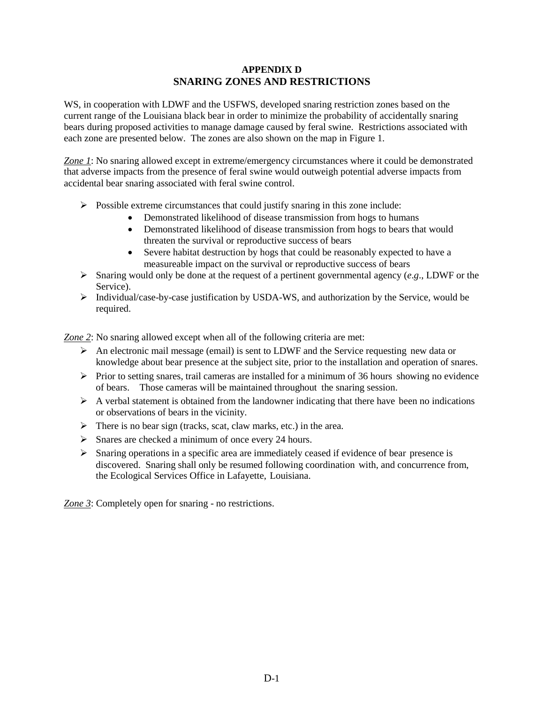### **APPENDIX D SNARING ZONES AND RESTRICTIONS**

WS, in cooperation with LDWF and the USFWS, developed snaring restriction zones based on the current range of the Louisiana black bear in order to minimize the probability of accidentally snaring bears during proposed activities to manage damage caused by feral swine. Restrictions associated with each zone are presented below. The zones are also shown on the map in Figure 1.

*Zone 1*: No snaring allowed except in extreme/emergency circumstances where it could be demonstrated that adverse impacts from the presence of feral swine would outweigh potential adverse impacts from accidental bear snaring associated with feral swine control.

- $\triangleright$  Possible extreme circumstances that could justify snaring in this zone include:
	- Demonstrated likelihood of disease transmission from hogs to humans
	- Demonstrated likelihood of disease transmission from hogs to bears that would threaten the survival or reproductive success of bears
	- Severe habitat destruction by hogs that could be reasonably expected to have a measureable impact on the survival or reproductive success of bears
- $\triangleright$  Snaring would only be done at the request of a pertinent governmental agency (*e*.*g*., LDWF or the Service).
- Individual/case-by-case justification by USDA-WS, and authorization by the Service, would be required.

*Zone 2*: No snaring allowed except when all of the following criteria are met:

- An electronic mail message (email) is sent to LDWF and the Service requesting new data or knowledge about bear presence at the subject site, prior to the installation and operation of snares.
- $\triangleright$  Prior to setting snares, trail cameras are installed for a minimum of 36 hours showing no evidence of bears. Those cameras will be maintained throughout the snaring session.
- $\triangleright$  A verbal statement is obtained from the landowner indicating that there have been no indications or observations of bears in the vicinity.
- $\triangleright$  There is no bear sign (tracks, scat, claw marks, etc.) in the area.
- $\triangleright$  Snares are checked a minimum of once every 24 hours.
- Snaring operations in a specific area are immediately ceased if evidence of bear presence is discovered. Snaring shall only be resumed following coordination with, and concurrence from, the Ecological Services Office in Lafayette, Louisiana.

*Zone 3*: Completely open for snaring - no restrictions.